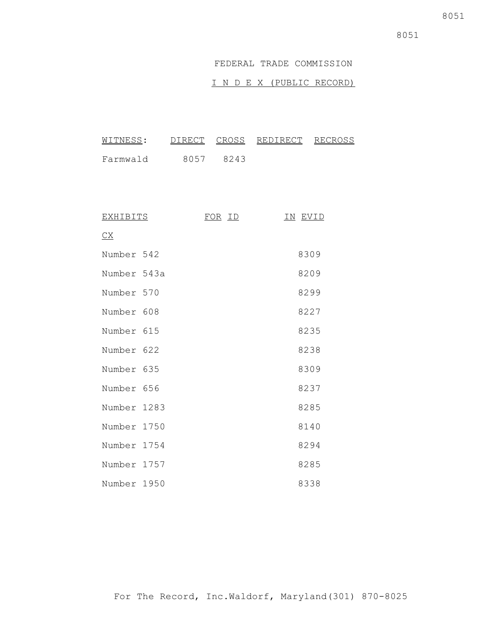#### FEDERAL TRADE COMMISSION

#### I N D E X (PUBLIC RECORD)

| WITNESS: |      |      | DIRECT CROSS REDIRECT RECROSS |  |
|----------|------|------|-------------------------------|--|
| Farmwald | 8057 | 8243 |                               |  |

| <b>EXHIBITS</b>                                | FOR ID | IN EVID |
|------------------------------------------------|--------|---------|
| $\underline{\mathsf{C}}\underline{\mathsf{X}}$ |        |         |
| Number 542                                     |        | 8309    |
| Number 543a                                    |        | 8209    |
| Number 570                                     |        | 8299    |
| Number 608                                     |        | 8227    |
| Number 615                                     |        | 8235    |
| Number 622                                     |        | 8238    |
| Number 635                                     |        | 8309    |
| Number 656                                     |        | 8237    |
| Number 1283                                    |        | 8285    |
| Number 1750                                    |        | 8140    |
| Number 1754                                    |        | 8294    |
| Number 1757                                    |        | 8285    |
| Number 1950                                    |        | 8338    |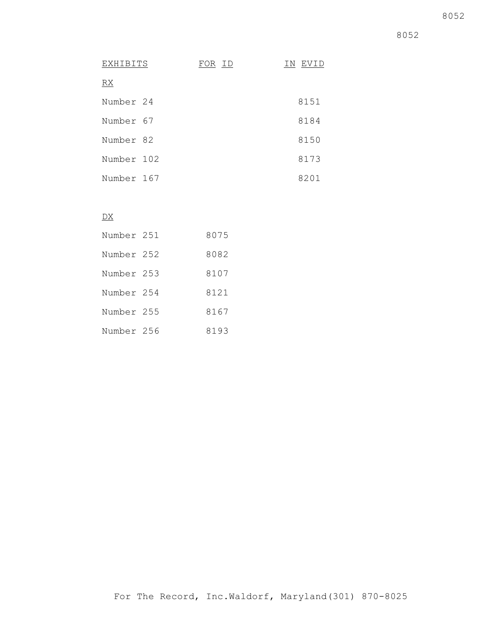8052

| EXHIBITS   | FOR ID | IN EVID |
|------------|--------|---------|
| <u>RX</u>  |        |         |
| Number 24  |        | 8151    |
| Number 67  |        | 8184    |
| Number 82  |        | 8150    |
| Number 102 |        | 8173    |
| Number 167 |        | 8201    |

#### $\overline{DX}$

| Number 251 | 8075 |
|------------|------|
| Number 252 | 8082 |
| Number 253 | 8107 |
| Number 254 | 8121 |
| Number 255 | 8167 |
| Number 256 | 8193 |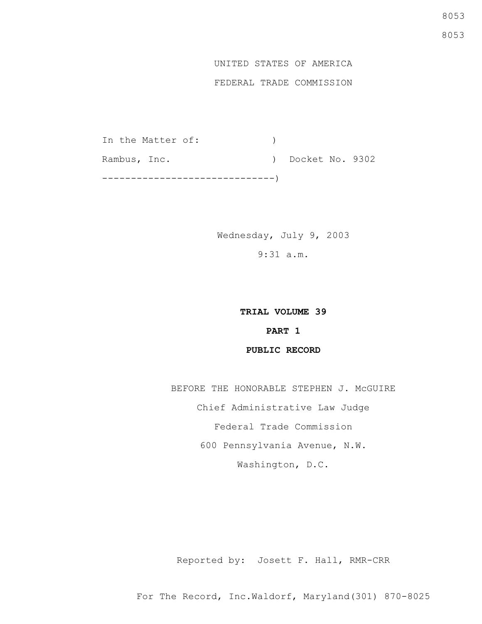#### UNITED STATES OF AMERICA

#### FEDERAL TRADE COMMISSION

In the Matter of: ) Rambus, Inc. (a) Docket No. 9302 ------------------------------)

> Wednesday, July 9, 2003 9:31 a.m.

## **TRIAL VOLUME 39 PART 1 PUBLIC RECORD**

BEFORE THE HONORABLE STEPHEN J. McGUIRE Chief Administrative Law Judge Federal Trade Commission 600 Pennsylvania Avenue, N.W. Washington, D.C.

Reported by: Josett F. Hall, RMR-CRR

For The Record, Inc.Waldorf, Maryland(301) 870-8025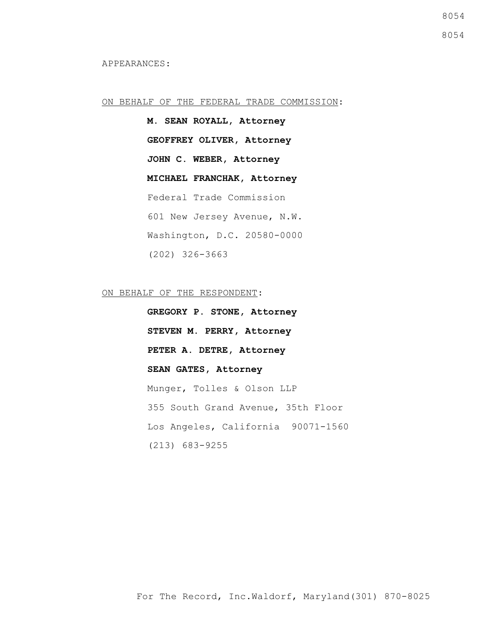#### ON BEHALF OF THE FEDERAL TRADE COMMISSION:

**M. SEAN ROYALL, Attorney GEOFFREY OLIVER, Attorney JOHN C. WEBER, Attorney MICHAEL FRANCHAK, Attorney** Federal Trade Commission 601 New Jersey Avenue, N.W. Washington, D.C. 20580-0000 (202) 326-3663

ON BEHALF OF THE RESPONDENT:

**GREGORY P. STONE, Attorney STEVEN M. PERRY, Attorney PETER A. DETRE, Attorney SEAN GATES, Attorney** Munger, Tolles & Olson LLP 355 South Grand Avenue, 35th Floor Los Angeles, California 90071-1560 (213) 683-9255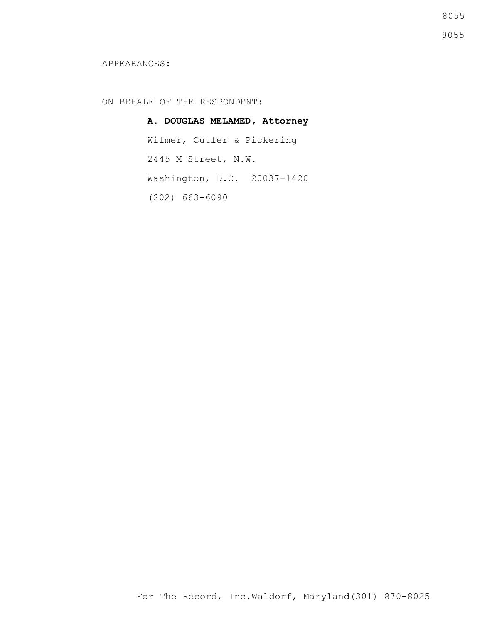8055

8055

#### APPEARANCES:

#### ON BEHALF OF THE RESPONDENT:

**A. DOUGLAS MELAMED, Attorney** Wilmer, Cutler & Pickering 2445 M Street, N.W. Washington, D.C. 20037-1420 (202) 663-6090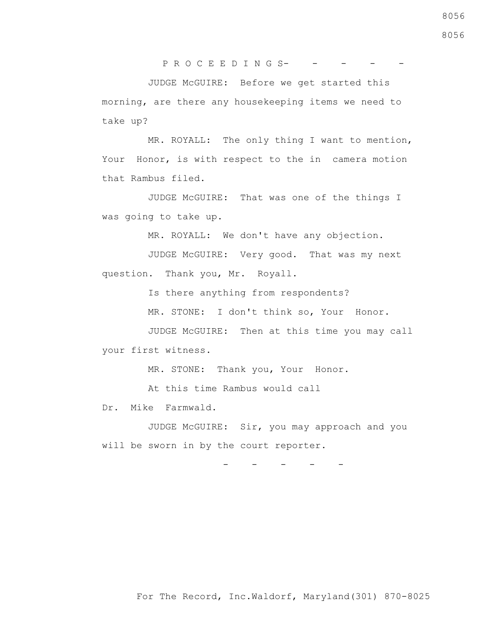$PROC E E D IN G S----$ 

 JUDGE McGUIRE: Before we get started this morning, are there any housekeeping items we need to take up?

 MR. ROYALL: The only thing I want to mention, Your Honor, is with respect to the in camera motion that Rambus filed.

 JUDGE McGUIRE: That was one of the things I was going to take up.

MR. ROYALL: We don't have any objection.

 JUDGE McGUIRE: Very good. That was my next question. Thank you, Mr. Royall.

Is there anything from respondents?

MR. STONE: I don't think so, Your Honor.

 JUDGE McGUIRE: Then at this time you may call your first witness.

MR. STONE: Thank you, Your Honor.

At this time Rambus would call

Dr. Mike Farmwald.

 JUDGE McGUIRE: Sir, you may approach and you will be sworn in by the court reporter.

- - - - -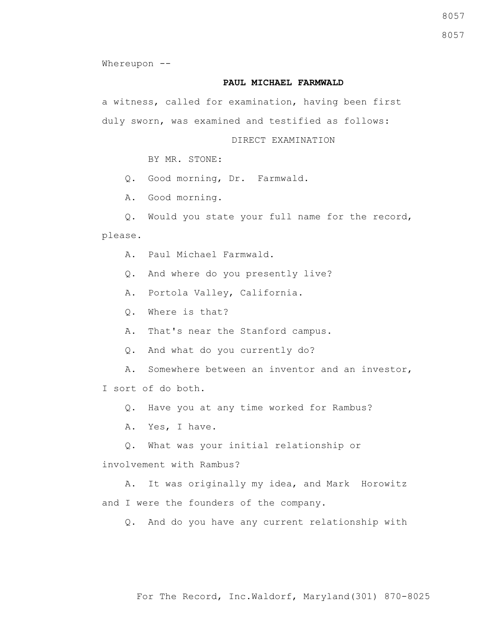8057

8057

Whereupon --

#### **PAUL MICHAEL FARMWALD**

a witness, called for examination, having been first duly sworn, was examined and testified as follows:

DIRECT EXAMINATION

BY MR. STONE:

Q. Good morning, Dr. Farmwald.

A. Good morning.

Q. Would you state your full name for the record,

please.

A. Paul Michael Farmwald.

Q. And where do you presently live?

A. Portola Valley, California.

Q. Where is that?

A. That's near the Stanford campus.

Q. And what do you currently do?

A. Somewhere between an inventor and an investor,

I sort of do both.

Q. Have you at any time worked for Rambus?

A. Yes, I have.

Q. What was your initial relationship or

involvement with Rambus?

 A. It was originally my idea, and Mark Horowitz and I were the founders of the company.

Q. And do you have any current relationship with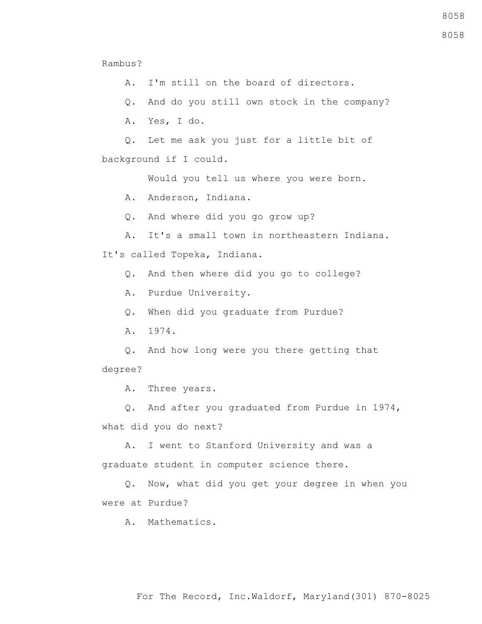Rambus?

A. I'm still on the board of directors.

Q. And do you still own stock in the company?

A. Yes, I do.

 Q. Let me ask you just for a little bit of background if I could.

Would you tell us where you were born.

A. Anderson, Indiana.

Q. And where did you go grow up?

A. It's a small town in northeastern Indiana.

It's called Topeka, Indiana.

Q. And then where did you go to college?

A. Purdue University.

Q. When did you graduate from Purdue?

A. 1974.

 Q. And how long were you there getting that degree?

A. Three years.

 Q. And after you graduated from Purdue in 1974, what did you do next?

 A. I went to Stanford University and was a graduate student in computer science there.

 Q. Now, what did you get your degree in when you were at Purdue?

A. Mathematics.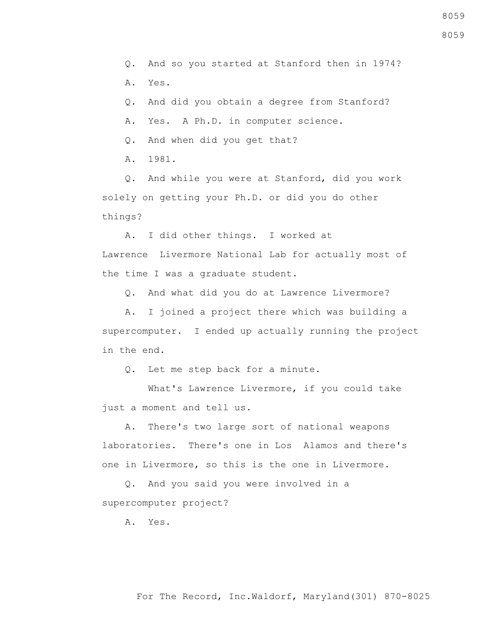Q. And so you started at Stanford then in 1974?

A. Yes.

Q. And did you obtain a degree from Stanford?

A. Yes. A Ph.D. in computer science.

Q. And when did you get that?

A. 1981.

 Q. And while you were at Stanford, did you work solely on getting your Ph.D. or did you do other things?

A. I did other things. I worked at

Lawrence Livermore National Lab for actually most of the time I was a graduate student.

Q. And what did you do at Lawrence Livermore?

 A. I joined a project there which was building a supercomputer. I ended up actually running the project in the end.

Q. Let me step back for a minute.

 What's Lawrence Livermore, if you could take just a moment and tell us.

 A. There's two large sort of national weapons laboratories. There's one in Los Alamos and there's one in Livermore, so this is the one in Livermore.

 Q. And you said you were involved in a supercomputer project?

A. Yes.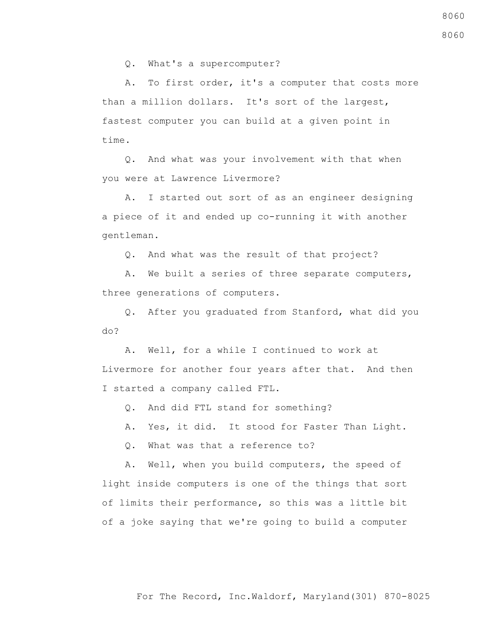Q. What's a supercomputer?

 A. To first order, it's a computer that costs more than a million dollars. It's sort of the largest, fastest computer you can build at a given point in time.

 Q. And what was your involvement with that when you were at Lawrence Livermore?

 A. I started out sort of as an engineer designing a piece of it and ended up co-running it with another gentleman.

Q. And what was the result of that project?

 A. We built a series of three separate computers, three generations of computers.

 Q. After you graduated from Stanford, what did you do?

 A. Well, for a while I continued to work at Livermore for another four years after that. And then I started a company called FTL.

Q. And did FTL stand for something?

A. Yes, it did. It stood for Faster Than Light.

Q. What was that a reference to?

 A. Well, when you build computers, the speed of light inside computers is one of the things that sort of limits their performance, so this was a little bit of a joke saying that we're going to build a computer 8060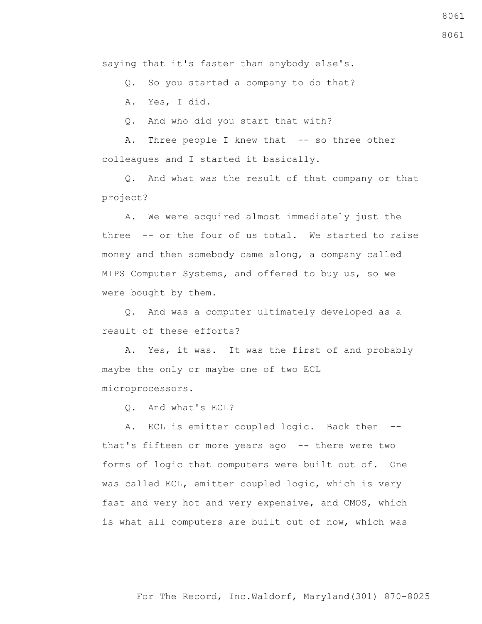saying that it's faster than anybody else's.

Q. So you started a company to do that?

A. Yes, I did.

Q. And who did you start that with?

A. Three people I knew that -- so three other colleagues and I started it basically.

 Q. And what was the result of that company or that project?

 A. We were acquired almost immediately just the three -- or the four of us total. We started to raise money and then somebody came along, a company called MIPS Computer Systems, and offered to buy us, so we were bought by them.

 Q. And was a computer ultimately developed as a result of these efforts?

 A. Yes, it was. It was the first of and probably maybe the only or maybe one of two ECL microprocessors.

Q. And what's ECL?

A. ECL is emitter coupled logic. Back then -that's fifteen or more years ago -- there were two forms of logic that computers were built out of. One was called ECL, emitter coupled logic, which is very fast and very hot and very expensive, and CMOS, which is what all computers are built out of now, which was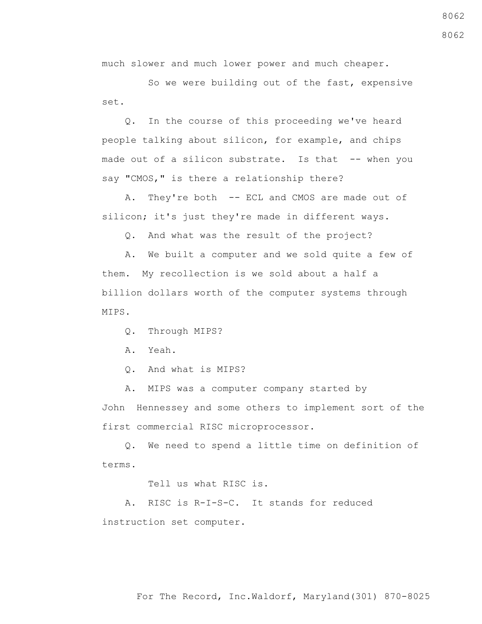For The Record, Inc.Waldorf, Maryland(301) 870-8025

 So we were building out of the fast, expensive set.

much slower and much lower power and much cheaper.

 Q. In the course of this proceeding we've heard people talking about silicon, for example, and chips made out of a silicon substrate. Is that -- when you say "CMOS," is there a relationship there?

 A. They're both -- ECL and CMOS are made out of silicon; it's just they're made in different ways.

Q. And what was the result of the project?

 A. We built a computer and we sold quite a few of them. My recollection is we sold about a half a billion dollars worth of the computer systems through MIPS.

Q. Through MIPS?

A. Yeah.

Q. And what is MIPS?

A. MIPS was a computer company started by

John Hennessey and some others to implement sort of the first commercial RISC microprocessor.

 Q. We need to spend a little time on definition of terms.

Tell us what RISC is.

 A. RISC is R-I-S-C. It stands for reduced instruction set computer.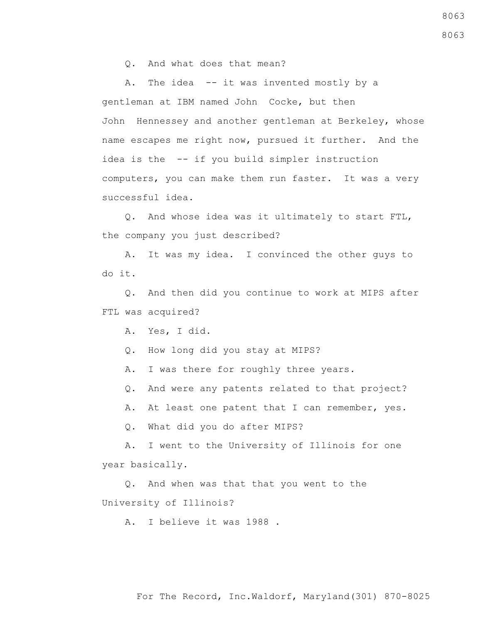Q. And what does that mean?

A. The idea -- it was invented mostly by a gentleman at IBM named John Cocke, but then John Hennessey and another gentleman at Berkeley, whose name escapes me right now, pursued it further. And the idea is the -- if you build simpler instruction computers, you can make them run faster. It was a very successful idea.

 Q. And whose idea was it ultimately to start FTL, the company you just described?

 A. It was my idea. I convinced the other guys to do it.

 Q. And then did you continue to work at MIPS after FTL was acquired?

A. Yes, I did.

Q. How long did you stay at MIPS?

A. I was there for roughly three years.

Q. And were any patents related to that project?

A. At least one patent that I can remember, yes.

Q. What did you do after MIPS?

 A. I went to the University of Illinois for one year basically.

 Q. And when was that that you went to the University of Illinois?

A. I believe it was 1988 .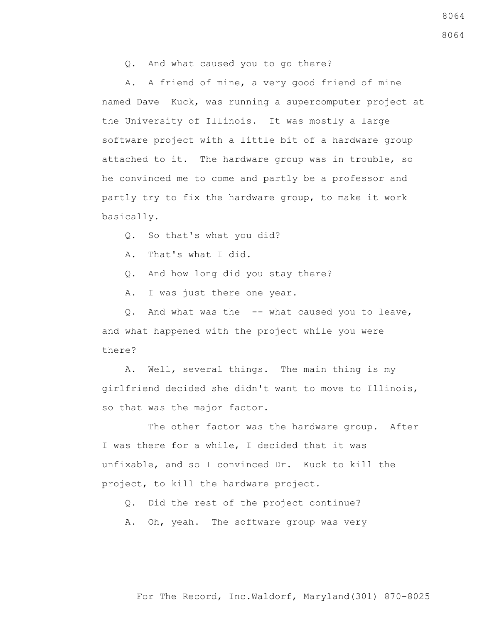Q. And what caused you to go there?

 A. A friend of mine, a very good friend of mine named Dave Kuck, was running a supercomputer project at the University of Illinois. It was mostly a large software project with a little bit of a hardware group attached to it. The hardware group was in trouble, so he convinced me to come and partly be a professor and partly try to fix the hardware group, to make it work basically.

- Q. So that's what you did?
- A. That's what I did.
- Q. And how long did you stay there?
- A. I was just there one year.

 Q. And what was the -- what caused you to leave, and what happened with the project while you were there?

 A. Well, several things. The main thing is my girlfriend decided she didn't want to move to Illinois, so that was the major factor.

 The other factor was the hardware group. After I was there for a while, I decided that it was unfixable, and so I convinced Dr. Kuck to kill the project, to kill the hardware project.

- Q. Did the rest of the project continue?
- A. Oh, yeah. The software group was very

For The Record, Inc.Waldorf, Maryland(301) 870-8025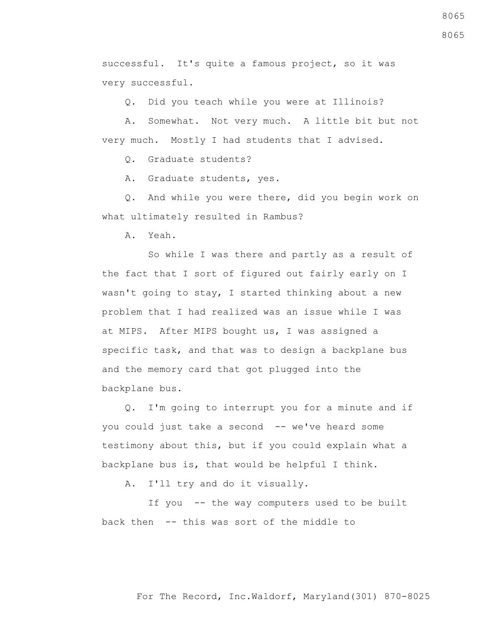successful. It's quite a famous project, so it was very successful.

Q. Did you teach while you were at Illinois?

 A. Somewhat. Not very much. A little bit but not very much. Mostly I had students that I advised.

Q. Graduate students?

A. Graduate students, yes.

 Q. And while you were there, did you begin work on what ultimately resulted in Rambus?

A. Yeah.

 So while I was there and partly as a result of the fact that I sort of figured out fairly early on I wasn't going to stay, I started thinking about a new problem that I had realized was an issue while I was at MIPS. After MIPS bought us, I was assigned a specific task, and that was to design a backplane bus and the memory card that got plugged into the backplane bus.

 Q. I'm going to interrupt you for a minute and if you could just take a second -- we've heard some testimony about this, but if you could explain what a backplane bus is, that would be helpful I think.

A. I'll try and do it visually.

If you -- the way computers used to be built back then -- this was sort of the middle to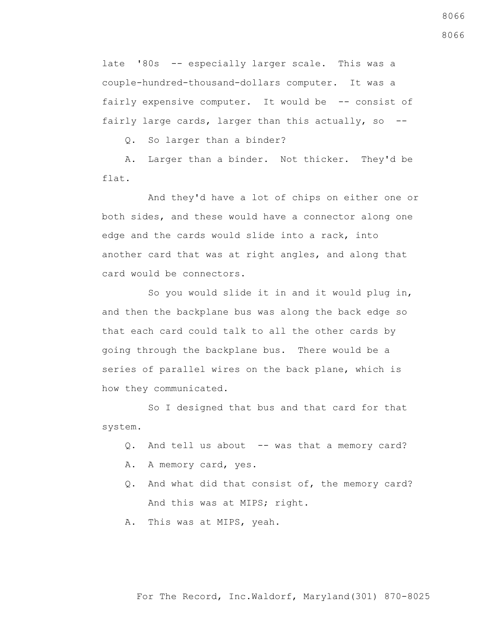late '80s -- especially larger scale. This was a couple-hundred-thousand-dollars computer. It was a fairly expensive computer. It would be -- consist of fairly large cards, larger than this actually, so --

Q. So larger than a binder?

 A. Larger than a binder. Not thicker. They'd be flat.

 And they'd have a lot of chips on either one or both sides, and these would have a connector along one edge and the cards would slide into a rack, into another card that was at right angles, and along that card would be connectors.

 So you would slide it in and it would plug in, and then the backplane bus was along the back edge so that each card could talk to all the other cards by going through the backplane bus. There would be a series of parallel wires on the back plane, which is how they communicated.

 So I designed that bus and that card for that system.

- Q. And tell us about -- was that a memory card?
- A. A memory card, yes.
- Q. And what did that consist of, the memory card? And this was at MIPS; right.
- A. This was at MIPS, yeah.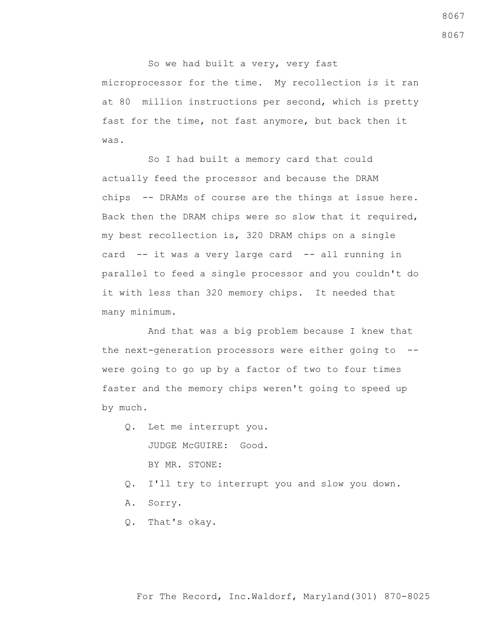So we had built a very, very fast microprocessor for the time. My recollection is it ran at 80 million instructions per second, which is pretty fast for the time, not fast anymore, but back then it was.

 So I had built a memory card that could actually feed the processor and because the DRAM chips -- DRAMs of course are the things at issue here. Back then the DRAM chips were so slow that it required, my best recollection is, 320 DRAM chips on a single card -- it was a very large card -- all running in parallel to feed a single processor and you couldn't do it with less than 320 memory chips. It needed that many minimum.

 And that was a big problem because I knew that the next-generation processors were either going to - were going to go up by a factor of two to four times faster and the memory chips weren't going to speed up by much.

- Q. Let me interrupt you. JUDGE McGUIRE: Good. BY MR. STONE:
- Q. I'll try to interrupt you and slow you down.
- A. Sorry.
- Q. That's okay.

8067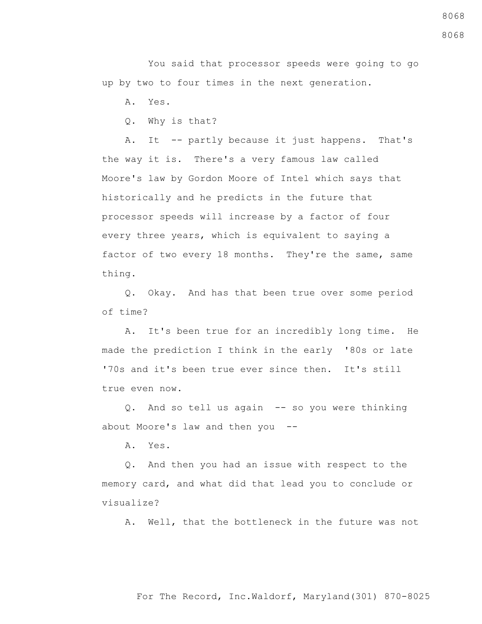You said that processor speeds were going to go up by two to four times in the next generation.

A. Yes.

Q. Why is that?

 A. It -- partly because it just happens. That's the way it is. There's a very famous law called Moore's law by Gordon Moore of Intel which says that historically and he predicts in the future that processor speeds will increase by a factor of four every three years, which is equivalent to saying a factor of two every 18 months. They're the same, same thing.

 Q. Okay. And has that been true over some period of time?

 A. It's been true for an incredibly long time. He made the prediction I think in the early '80s or late '70s and it's been true ever since then. It's still true even now.

 Q. And so tell us again -- so you were thinking about Moore's law and then you --

A. Yes.

 Q. And then you had an issue with respect to the memory card, and what did that lead you to conclude or visualize?

A. Well, that the bottleneck in the future was not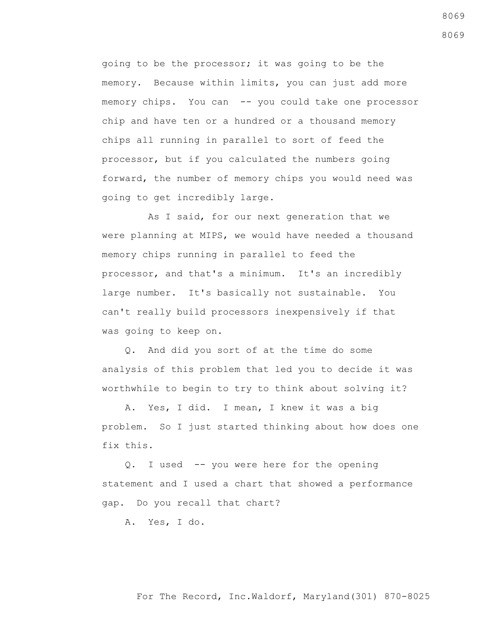going to be the processor; it was going to be the memory. Because within limits, you can just add more memory chips. You can -- you could take one processor chip and have ten or a hundred or a thousand memory chips all running in parallel to sort of feed the processor, but if you calculated the numbers going forward, the number of memory chips you would need was going to get incredibly large.

 As I said, for our next generation that we were planning at MIPS, we would have needed a thousand memory chips running in parallel to feed the processor, and that's a minimum. It's an incredibly large number. It's basically not sustainable. You can't really build processors inexpensively if that was going to keep on.

 Q. And did you sort of at the time do some analysis of this problem that led you to decide it was worthwhile to begin to try to think about solving it?

 A. Yes, I did. I mean, I knew it was a big problem. So I just started thinking about how does one fix this.

 Q. I used -- you were here for the opening statement and I used a chart that showed a performance gap. Do you recall that chart?

A. Yes, I do.

#### For The Record, Inc.Waldorf, Maryland(301) 870-8025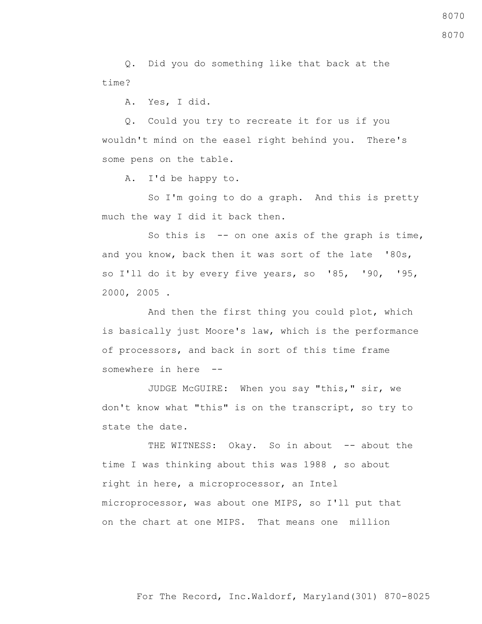Q. Did you do something like that back at the time?

A. Yes, I did.

 Q. Could you try to recreate it for us if you wouldn't mind on the easel right behind you. There's some pens on the table.

A. I'd be happy to.

 So I'm going to do a graph. And this is pretty much the way I did it back then.

So this is  $-$ - on one axis of the graph is time, and you know, back then it was sort of the late '80s, so I'll do it by every five years, so '85, '90, '95, 2000, 2005 .

 And then the first thing you could plot, which is basically just Moore's law, which is the performance of processors, and back in sort of this time frame somewhere in here --

 JUDGE McGUIRE: When you say "this," sir, we don't know what "this" is on the transcript, so try to state the date.

THE WITNESS: Okay. So in about -- about the time I was thinking about this was 1988 , so about right in here, a microprocessor, an Intel microprocessor, was about one MIPS, so I'll put that on the chart at one MIPS. That means one million

8070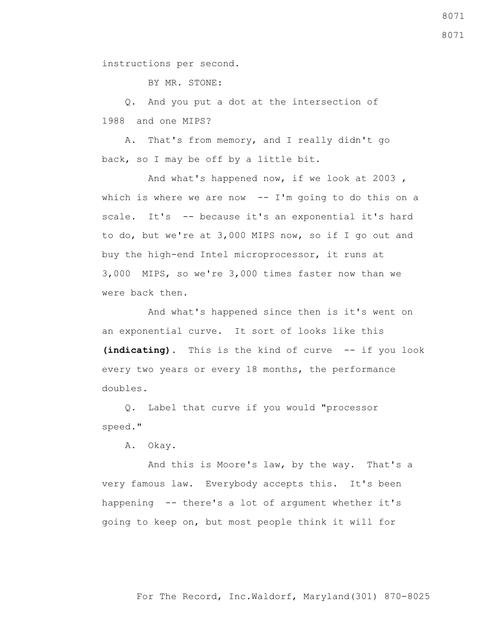instructions per second.

BY MR. STONE:

 Q. And you put a dot at the intersection of 1988 and one MIPS?

 A. That's from memory, and I really didn't go back, so I may be off by a little bit.

 And what's happened now, if we look at 2003 , which is where we are now  $-$  I'm going to do this on a scale. It's -- because it's an exponential it's hard to do, but we're at 3,000 MIPS now, so if I go out and buy the high-end Intel microprocessor, it runs at 3,000 MIPS, so we're 3,000 times faster now than we were back then.

 And what's happened since then is it's went on an exponential curve. It sort of looks like this **(indicating)**. This is the kind of curve -- if you look every two years or every 18 months, the performance doubles.

 Q. Label that curve if you would "processor speed."

A. Okay.

 And this is Moore's law, by the way. That's a very famous law. Everybody accepts this. It's been happening -- there's a lot of argument whether it's going to keep on, but most people think it will for

For The Record, Inc.Waldorf, Maryland(301) 870-8025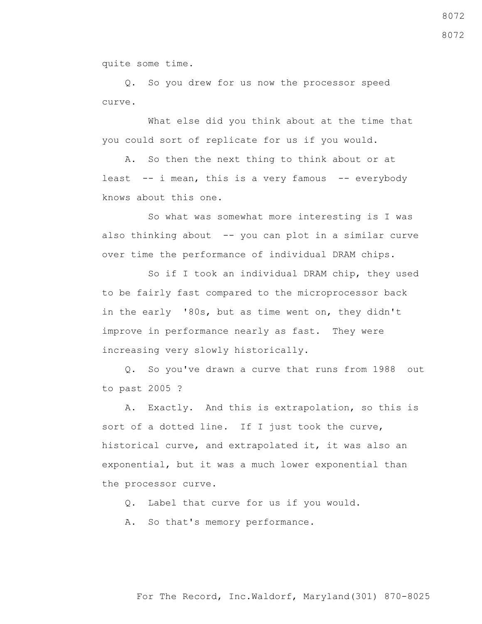quite some time.

 Q. So you drew for us now the processor speed curve.

 What else did you think about at the time that you could sort of replicate for us if you would.

 A. So then the next thing to think about or at least  $-$  i mean, this is a very famous  $-$  everybody knows about this one.

 So what was somewhat more interesting is I was also thinking about -- you can plot in a similar curve over time the performance of individual DRAM chips.

 So if I took an individual DRAM chip, they used to be fairly fast compared to the microprocessor back in the early '80s, but as time went on, they didn't improve in performance nearly as fast. They were increasing very slowly historically.

 Q. So you've drawn a curve that runs from 1988 out to past 2005 ?

 A. Exactly. And this is extrapolation, so this is sort of a dotted line. If I just took the curve, historical curve, and extrapolated it, it was also an exponential, but it was a much lower exponential than the processor curve.

Q. Label that curve for us if you would.

A. So that's memory performance.

8072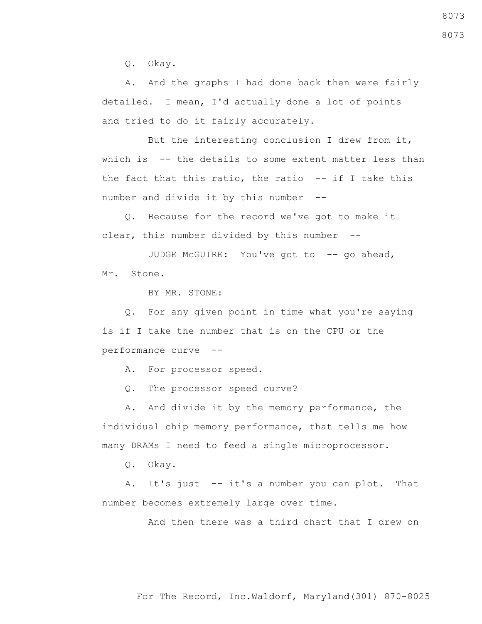Q. Okay.

 A. And the graphs I had done back then were fairly detailed. I mean, I'd actually done a lot of points and tried to do it fairly accurately.

 But the interesting conclusion I drew from it, which is -- the details to some extent matter less than the fact that this ratio, the ratio  $-$ - if I take this number and divide it by this number --

 Q. Because for the record we've got to make it clear, this number divided by this number --

JUDGE McGUIRE: You've got to -- go ahead, Mr. Stone.

BY MR. STONE:

 Q. For any given point in time what you're saying is if I take the number that is on the CPU or the performance curve --

A. For processor speed.

Q. The processor speed curve?

 A. And divide it by the memory performance, the individual chip memory performance, that tells me how many DRAMs I need to feed a single microprocessor.

Q. Okay.

A. It's just -- it's a number you can plot. That number becomes extremely large over time.

And then there was a third chart that I drew on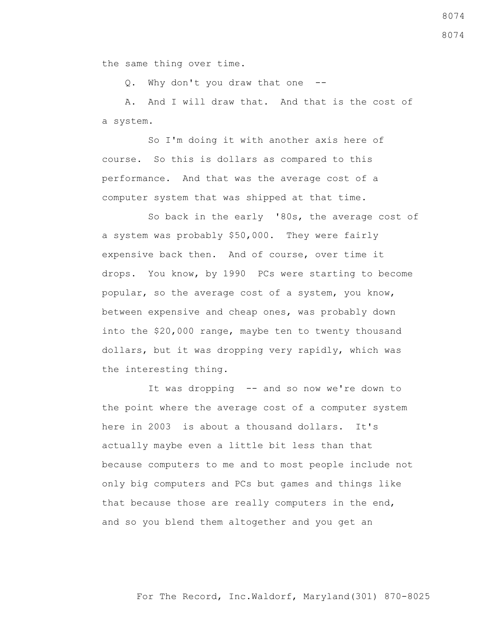the same thing over time.

Q. Why don't you draw that one --

 A. And I will draw that. And that is the cost of a system.

 So I'm doing it with another axis here of course. So this is dollars as compared to this performance. And that was the average cost of a computer system that was shipped at that time.

 So back in the early '80s, the average cost of a system was probably \$50,000. They were fairly expensive back then. And of course, over time it drops. You know, by 1990 PCs were starting to become popular, so the average cost of a system, you know, between expensive and cheap ones, was probably down into the \$20,000 range, maybe ten to twenty thousand dollars, but it was dropping very rapidly, which was the interesting thing.

It was dropping -- and so now we're down to the point where the average cost of a computer system here in 2003 is about a thousand dollars. It's actually maybe even a little bit less than that because computers to me and to most people include not only big computers and PCs but games and things like that because those are really computers in the end, and so you blend them altogether and you get an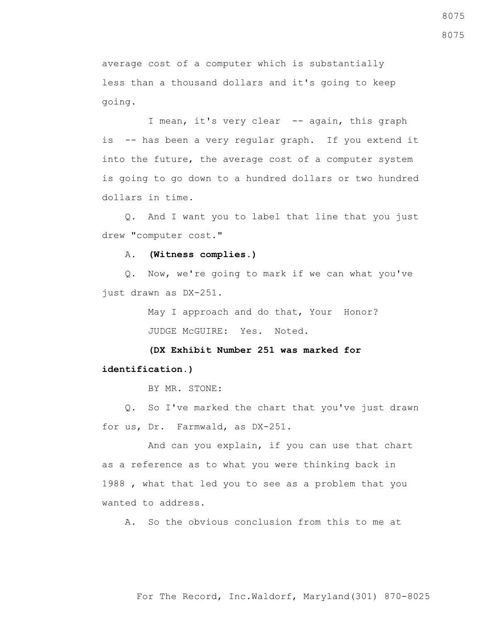average cost of a computer which is substantially less than a thousand dollars and it's going to keep going.

I mean, it's very clear -- again, this graph is -- has been a very regular graph. If you extend it into the future, the average cost of a computer system is going to go down to a hundred dollars or two hundred dollars in time.

 Q. And I want you to label that line that you just drew "computer cost."

#### A. **(Witness complies.)**

 Q. Now, we're going to mark if we can what you've just drawn as DX-251.

> May I approach and do that, Your Honor? JUDGE McGUIRE: Yes. Noted.

### **(DX Exhibit Number 251 was marked for identification.)**

BY MR. STONE:

 Q. So I've marked the chart that you've just drawn for us, Dr. Farmwald, as DX-251.

 And can you explain, if you can use that chart as a reference as to what you were thinking back in 1988 , what that led you to see as a problem that you wanted to address.

A. So the obvious conclusion from this to me at

8075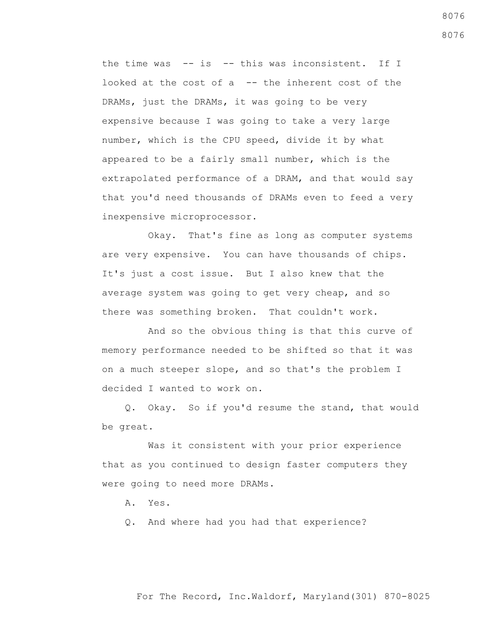the time was -- is -- this was inconsistent. If I looked at the cost of a -- the inherent cost of the DRAMs, just the DRAMs, it was going to be very expensive because I was going to take a very large number, which is the CPU speed, divide it by what appeared to be a fairly small number, which is the extrapolated performance of a DRAM, and that would say that you'd need thousands of DRAMs even to feed a very inexpensive microprocessor.

 Okay. That's fine as long as computer systems are very expensive. You can have thousands of chips. It's just a cost issue. But I also knew that the average system was going to get very cheap, and so there was something broken. That couldn't work.

 And so the obvious thing is that this curve of memory performance needed to be shifted so that it was on a much steeper slope, and so that's the problem I decided I wanted to work on.

 Q. Okay. So if you'd resume the stand, that would be great.

 Was it consistent with your prior experience that as you continued to design faster computers they were going to need more DRAMs.

A. Yes.

Q. And where had you had that experience?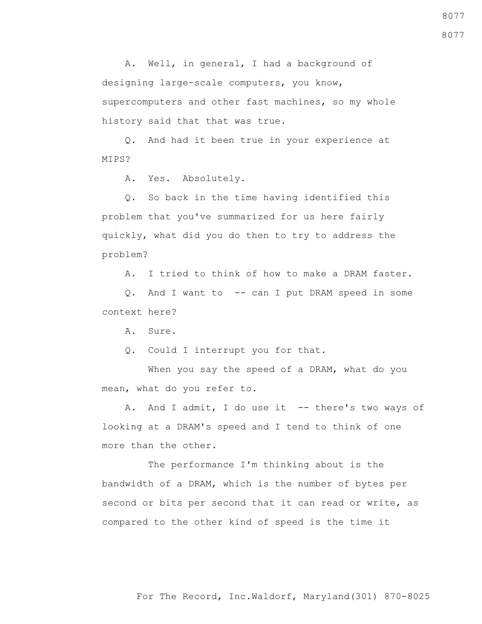A. Well, in general, I had a background of designing large-scale computers, you know, supercomputers and other fast machines, so my whole history said that that was true.

 Q. And had it been true in your experience at MIPS?

A. Yes. Absolutely.

 Q. So back in the time having identified this problem that you've summarized for us here fairly quickly, what did you do then to try to address the problem?

A. I tried to think of how to make a DRAM faster.

 Q. And I want to -- can I put DRAM speed in some context here?

A. Sure.

Q. Could I interrupt you for that.

 When you say the speed of a DRAM, what do you mean, what do you refer to.

A. And I admit, I do use it -- there's two ways of looking at a DRAM's speed and I tend to think of one more than the other.

 The performance I'm thinking about is the bandwidth of a DRAM, which is the number of bytes per second or bits per second that it can read or write, as compared to the other kind of speed is the time it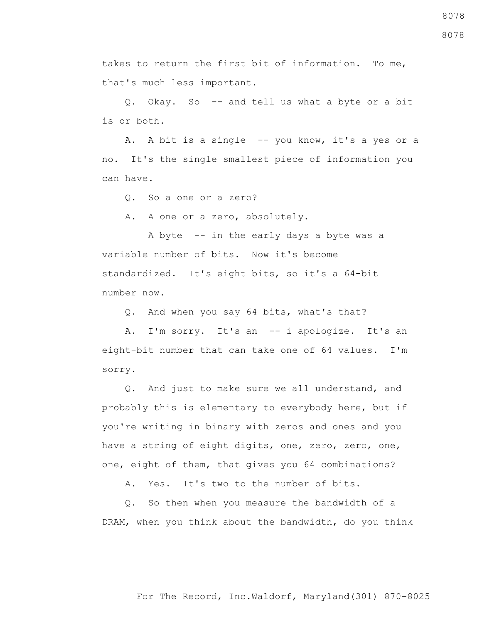takes to return the first bit of information. To me, that's much less important.

 Q. Okay. So -- and tell us what a byte or a bit is or both.

 A. A bit is a single -- you know, it's a yes or a no. It's the single smallest piece of information you can have.

Q. So a one or a zero?

A. A one or a zero, absolutely.

 A byte -- in the early days a byte was a variable number of bits. Now it's become standardized. It's eight bits, so it's a 64-bit number now.

Q. And when you say 64 bits, what's that?

A. I'm sorry. It's an -- i apologize. It's an eight-bit number that can take one of 64 values. I'm sorry.

 Q. And just to make sure we all understand, and probably this is elementary to everybody here, but if you're writing in binary with zeros and ones and you have a string of eight digits, one, zero, zero, one, one, eight of them, that gives you 64 combinations?

A. Yes. It's two to the number of bits.

 Q. So then when you measure the bandwidth of a DRAM, when you think about the bandwidth, do you think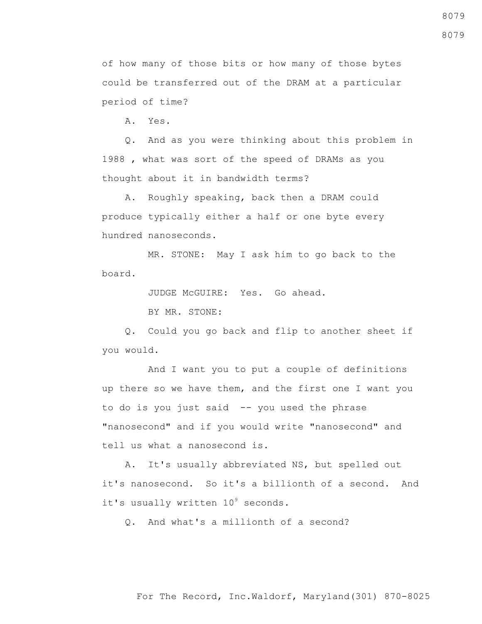For The Record, Inc.Waldorf, Maryland(301) 870-8025

8079

of how many of those bits or how many of those bytes could be transferred out of the DRAM at a particular period of time?

A. Yes.

 Q. And as you were thinking about this problem in 1988 , what was sort of the speed of DRAMs as you thought about it in bandwidth terms?

 A. Roughly speaking, back then a DRAM could produce typically either a half or one byte every hundred nanoseconds.

 MR. STONE: May I ask him to go back to the board.

JUDGE McGUIRE: Yes. Go ahead.

BY MR. STONE:

 Q. Could you go back and flip to another sheet if you would.

 And I want you to put a couple of definitions up there so we have them, and the first one I want you to do is you just said -- you used the phrase "nanosecond" and if you would write "nanosecond" and tell us what a nanosecond is.

 A. It's usually abbreviated NS, but spelled out it's nanosecond. So it's a billionth of a second. And it's usually written  $10^9$  seconds.

Q. And what's a millionth of a second?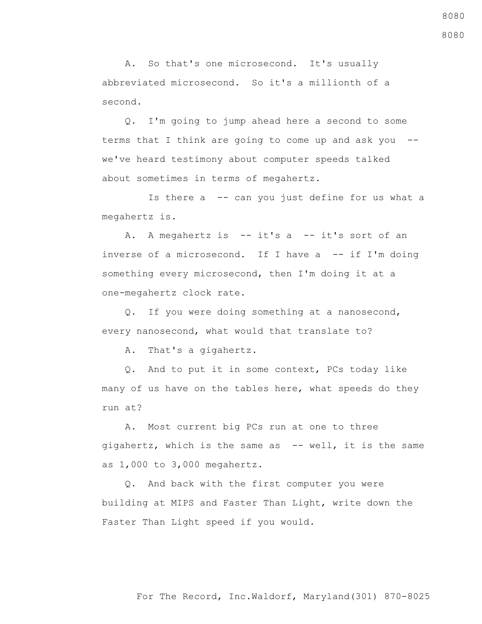A. So that's one microsecond. It's usually abbreviated microsecond. So it's a millionth of a second.

 Q. I'm going to jump ahead here a second to some terms that I think are going to come up and ask you - we've heard testimony about computer speeds talked about sometimes in terms of megahertz.

 Is there a -- can you just define for us what a megahertz is.

 A. A megahertz is -- it's a -- it's sort of an inverse of a microsecond. If I have a -- if I'm doing something every microsecond, then I'm doing it at a one-megahertz clock rate.

 Q. If you were doing something at a nanosecond, every nanosecond, what would that translate to?

A. That's a gigahertz.

 Q. And to put it in some context, PCs today like many of us have on the tables here, what speeds do they run at?

 A. Most current big PCs run at one to three gigahertz, which is the same as -- well, it is the same as 1,000 to 3,000 megahertz.

 Q. And back with the first computer you were building at MIPS and Faster Than Light, write down the Faster Than Light speed if you would.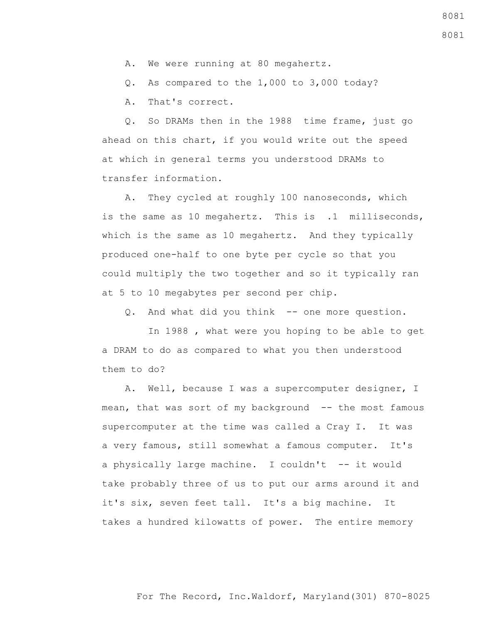- A. We were running at 80 megahertz.
- Q. As compared to the 1,000 to 3,000 today?

A. That's correct.

 Q. So DRAMs then in the 1988 time frame, just go ahead on this chart, if you would write out the speed at which in general terms you understood DRAMs to transfer information.

 A. They cycled at roughly 100 nanoseconds, which is the same as 10 megahertz. This is .1 milliseconds, which is the same as 10 megahertz. And they typically produced one-half to one byte per cycle so that you could multiply the two together and so it typically ran at 5 to 10 megabytes per second per chip.

Q. And what did you think -- one more question.

 In 1988 , what were you hoping to be able to get a DRAM to do as compared to what you then understood them to do?

 A. Well, because I was a supercomputer designer, I mean, that was sort of my background -- the most famous supercomputer at the time was called a Cray I. It was a very famous, still somewhat a famous computer. It's a physically large machine. I couldn't -- it would take probably three of us to put our arms around it and it's six, seven feet tall. It's a big machine. It takes a hundred kilowatts of power. The entire memory

8081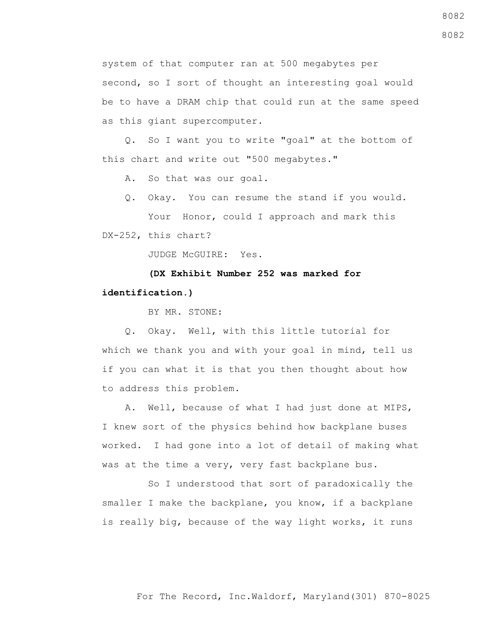system of that computer ran at 500 megabytes per second, so I sort of thought an interesting goal would be to have a DRAM chip that could run at the same speed as this giant supercomputer.

 Q. So I want you to write "goal" at the bottom of this chart and write out "500 megabytes."

A. So that was our goal.

Q. Okay. You can resume the stand if you would.

Your Honor, could I approach and mark this DX-252, this chart?

JUDGE McGUIRE: Yes.

 **(DX Exhibit Number 252 was marked for identification.)**

BY MR. STONE:

 Q. Okay. Well, with this little tutorial for which we thank you and with your goal in mind, tell us if you can what it is that you then thought about how to address this problem.

 A. Well, because of what I had just done at MIPS, I knew sort of the physics behind how backplane buses worked. I had gone into a lot of detail of making what was at the time a very, very fast backplane bus.

 So I understood that sort of paradoxically the smaller I make the backplane, you know, if a backplane is really big, because of the way light works, it runs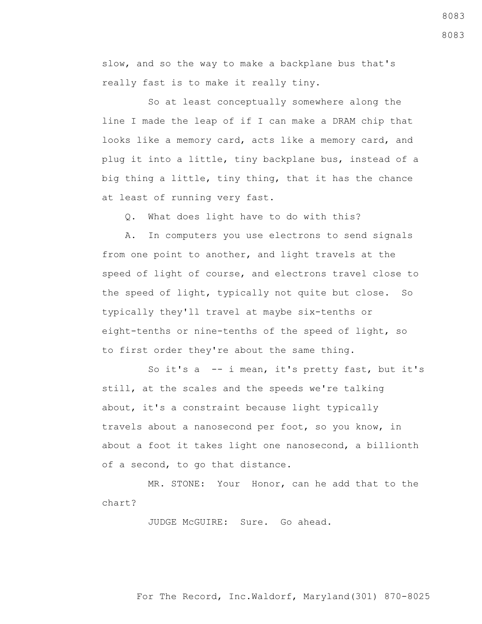slow, and so the way to make a backplane bus that's really fast is to make it really tiny.

 So at least conceptually somewhere along the line I made the leap of if I can make a DRAM chip that looks like a memory card, acts like a memory card, and plug it into a little, tiny backplane bus, instead of a big thing a little, tiny thing, that it has the chance at least of running very fast.

Q. What does light have to do with this?

 A. In computers you use electrons to send signals from one point to another, and light travels at the speed of light of course, and electrons travel close to the speed of light, typically not quite but close. So typically they'll travel at maybe six-tenths or eight-tenths or nine-tenths of the speed of light, so to first order they're about the same thing.

 So it's a -- i mean, it's pretty fast, but it's still, at the scales and the speeds we're talking about, it's a constraint because light typically travels about a nanosecond per foot, so you know, in about a foot it takes light one nanosecond, a billionth of a second, to go that distance.

 MR. STONE: Your Honor, can he add that to the chart?

JUDGE McGUIRE: Sure. Go ahead.

For The Record, Inc.Waldorf, Maryland(301) 870-8025

8083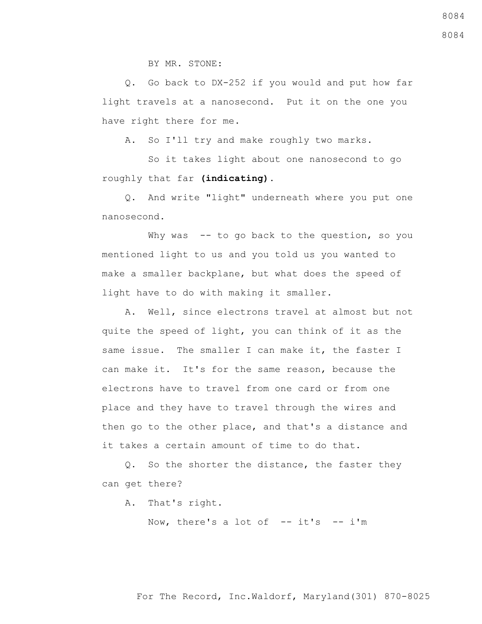BY MR. STONE:

 Q. Go back to DX-252 if you would and put how far light travels at a nanosecond. Put it on the one you have right there for me.

A. So I'll try and make roughly two marks.

 So it takes light about one nanosecond to go roughly that far **(indicating)**.

 Q. And write "light" underneath where you put one nanosecond.

Why was -- to go back to the question, so you mentioned light to us and you told us you wanted to make a smaller backplane, but what does the speed of light have to do with making it smaller.

 A. Well, since electrons travel at almost but not quite the speed of light, you can think of it as the same issue. The smaller I can make it, the faster I can make it. It's for the same reason, because the electrons have to travel from one card or from one place and they have to travel through the wires and then go to the other place, and that's a distance and it takes a certain amount of time to do that.

 Q. So the shorter the distance, the faster they can get there?

A. That's right.

Now, there's a lot of  $-$ -it's  $-$  i'm

#### For The Record, Inc.Waldorf, Maryland(301) 870-8025

8084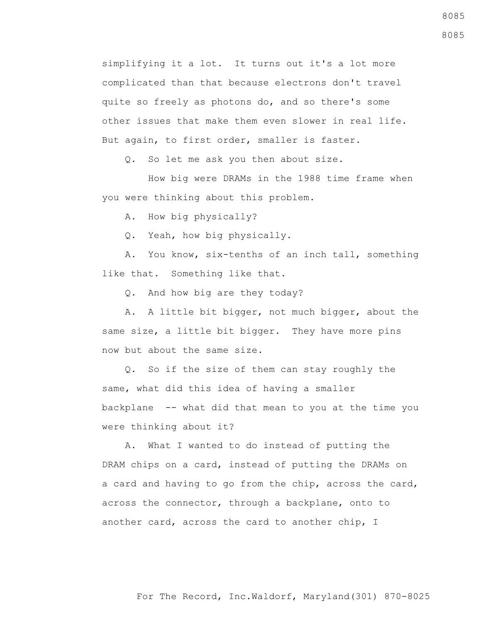simplifying it a lot. It turns out it's a lot more complicated than that because electrons don't travel quite so freely as photons do, and so there's some other issues that make them even slower in real life. But again, to first order, smaller is faster.

Q. So let me ask you then about size.

 How big were DRAMs in the 1988 time frame when you were thinking about this problem.

A. How big physically?

Q. Yeah, how big physically.

 A. You know, six-tenths of an inch tall, something like that. Something like that.

Q. And how big are they today?

 A. A little bit bigger, not much bigger, about the same size, a little bit bigger. They have more pins now but about the same size.

 Q. So if the size of them can stay roughly the same, what did this idea of having a smaller backplane -- what did that mean to you at the time you were thinking about it?

 A. What I wanted to do instead of putting the DRAM chips on a card, instead of putting the DRAMs on a card and having to go from the chip, across the card, across the connector, through a backplane, onto to another card, across the card to another chip, I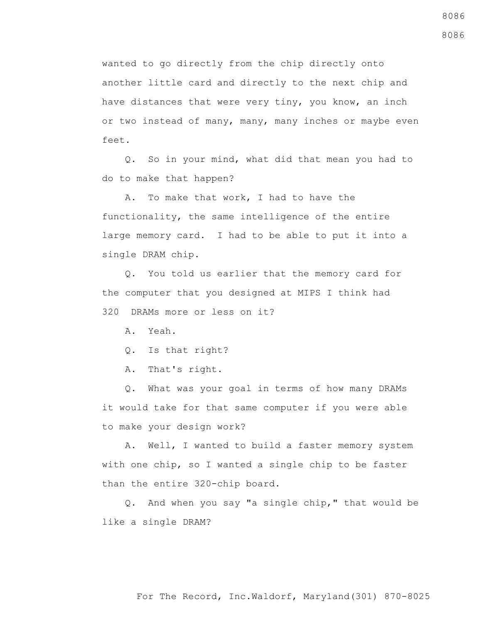wanted to go directly from the chip directly onto another little card and directly to the next chip and have distances that were very tiny, you know, an inch or two instead of many, many, many inches or maybe even feet.

 Q. So in your mind, what did that mean you had to do to make that happen?

 A. To make that work, I had to have the functionality, the same intelligence of the entire large memory card. I had to be able to put it into a single DRAM chip.

 Q. You told us earlier that the memory card for the computer that you designed at MIPS I think had 320 DRAMs more or less on it?

A. Yeah.

Q. Is that right?

A. That's right.

 Q. What was your goal in terms of how many DRAMs it would take for that same computer if you were able to make your design work?

 A. Well, I wanted to build a faster memory system with one chip, so I wanted a single chip to be faster than the entire 320-chip board.

 Q. And when you say "a single chip," that would be like a single DRAM?

#### For The Record, Inc.Waldorf, Maryland(301) 870-8025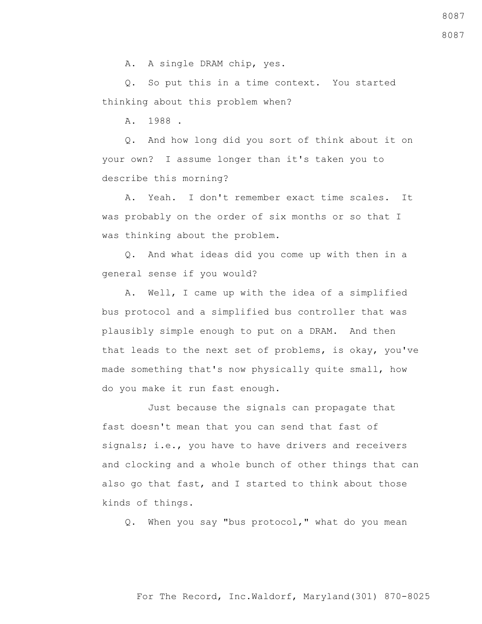A. A single DRAM chip, yes.

 Q. So put this in a time context. You started thinking about this problem when?

A. 1988 .

 Q. And how long did you sort of think about it on your own? I assume longer than it's taken you to describe this morning?

 A. Yeah. I don't remember exact time scales. It was probably on the order of six months or so that I was thinking about the problem.

 Q. And what ideas did you come up with then in a general sense if you would?

 A. Well, I came up with the idea of a simplified bus protocol and a simplified bus controller that was plausibly simple enough to put on a DRAM. And then that leads to the next set of problems, is okay, you've made something that's now physically quite small, how do you make it run fast enough.

 Just because the signals can propagate that fast doesn't mean that you can send that fast of signals; i.e., you have to have drivers and receivers and clocking and a whole bunch of other things that can also go that fast, and I started to think about those kinds of things.

Q. When you say "bus protocol," what do you mean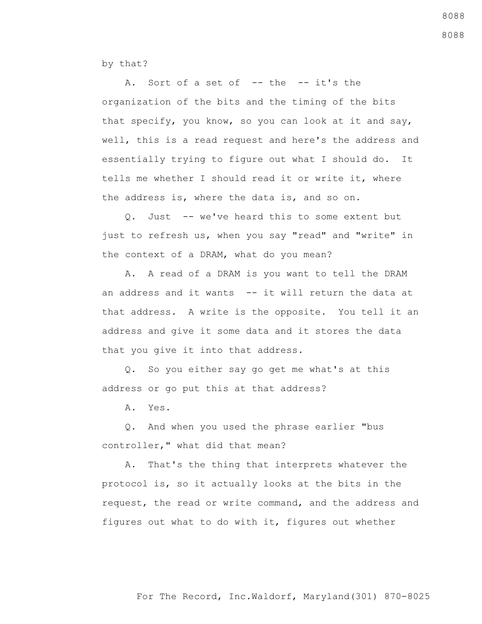by that?

A. Sort of a set of -- the -- it's the organization of the bits and the timing of the bits that specify, you know, so you can look at it and say, well, this is a read request and here's the address and essentially trying to figure out what I should do. It tells me whether I should read it or write it, where the address is, where the data is, and so on.

 Q. Just -- we've heard this to some extent but just to refresh us, when you say "read" and "write" in the context of a DRAM, what do you mean?

 A. A read of a DRAM is you want to tell the DRAM an address and it wants -- it will return the data at that address. A write is the opposite. You tell it an address and give it some data and it stores the data that you give it into that address.

 Q. So you either say go get me what's at this address or go put this at that address?

A. Yes.

 Q. And when you used the phrase earlier "bus controller," what did that mean?

 A. That's the thing that interprets whatever the protocol is, so it actually looks at the bits in the request, the read or write command, and the address and figures out what to do with it, figures out whether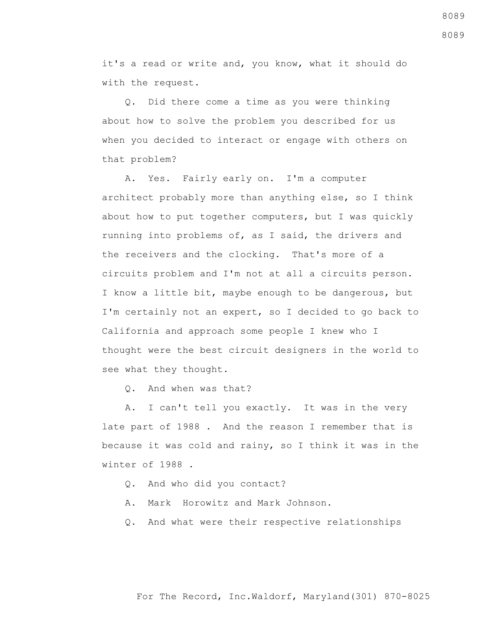it's a read or write and, you know, what it should do with the request.

 Q. Did there come a time as you were thinking about how to solve the problem you described for us when you decided to interact or engage with others on that problem?

 A. Yes. Fairly early on. I'm a computer architect probably more than anything else, so I think about how to put together computers, but I was quickly running into problems of, as I said, the drivers and the receivers and the clocking. That's more of a circuits problem and I'm not at all a circuits person. I know a little bit, maybe enough to be dangerous, but I'm certainly not an expert, so I decided to go back to California and approach some people I knew who I thought were the best circuit designers in the world to see what they thought.

Q. And when was that?

 A. I can't tell you exactly. It was in the very late part of 1988 . And the reason I remember that is because it was cold and rainy, so I think it was in the winter of 1988 .

- Q. And who did you contact?
- A. Mark Horowitz and Mark Johnson.
- Q. And what were their respective relationships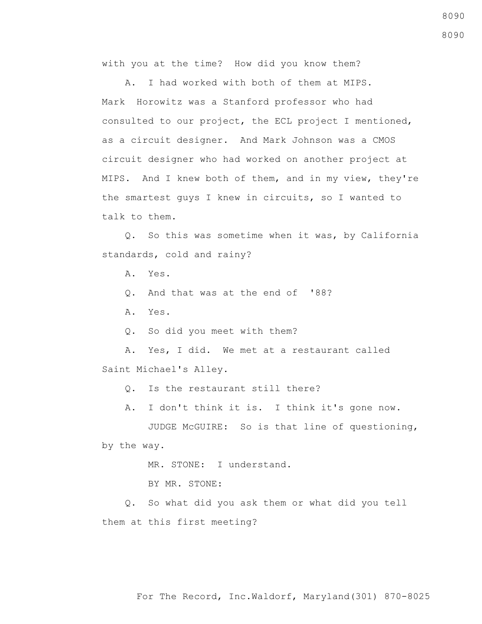with you at the time? How did you know them?

 A. I had worked with both of them at MIPS. Mark Horowitz was a Stanford professor who had consulted to our project, the ECL project I mentioned, as a circuit designer. And Mark Johnson was a CMOS circuit designer who had worked on another project at MIPS. And I knew both of them, and in my view, they're the smartest guys I knew in circuits, so I wanted to talk to them.

 Q. So this was sometime when it was, by California standards, cold and rainy?

A. Yes.

- Q. And that was at the end of '88?
- A. Yes.
- Q. So did you meet with them?

 A. Yes, I did. We met at a restaurant called Saint Michael's Alley.

Q. Is the restaurant still there?

A. I don't think it is. I think it's gone now.

 JUDGE McGUIRE: So is that line of questioning, by the way.

MR. STONE: I understand.

BY MR. STONE:

 Q. So what did you ask them or what did you tell them at this first meeting?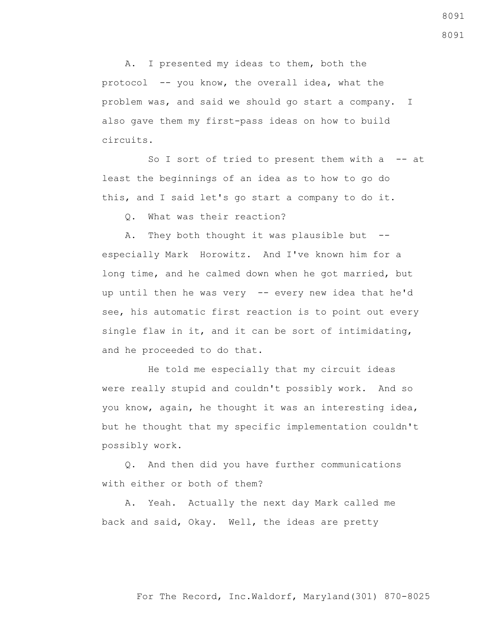A. I presented my ideas to them, both the protocol -- you know, the overall idea, what the problem was, and said we should go start a company. I also gave them my first-pass ideas on how to build circuits.

So I sort of tried to present them with  $a$  -- at least the beginnings of an idea as to how to go do this, and I said let's go start a company to do it.

Q. What was their reaction?

A. They both thought it was plausible but -especially Mark Horowitz. And I've known him for a long time, and he calmed down when he got married, but up until then he was very -- every new idea that he'd see, his automatic first reaction is to point out every single flaw in it, and it can be sort of intimidating, and he proceeded to do that.

 He told me especially that my circuit ideas were really stupid and couldn't possibly work. And so you know, again, he thought it was an interesting idea, but he thought that my specific implementation couldn't possibly work.

 Q. And then did you have further communications with either or both of them?

 A. Yeah. Actually the next day Mark called me back and said, Okay. Well, the ideas are pretty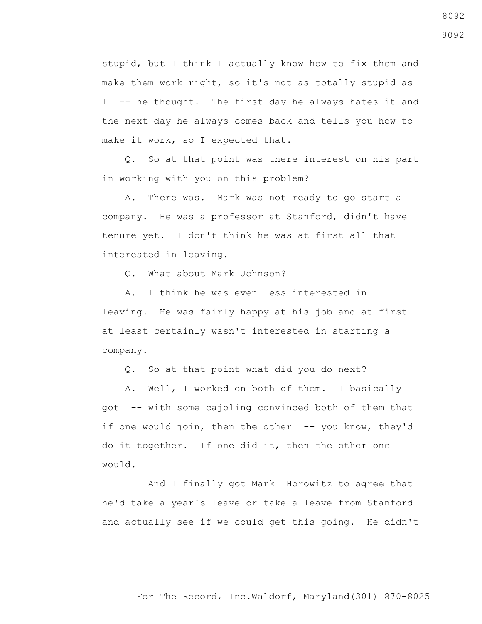stupid, but I think I actually know how to fix them and make them work right, so it's not as totally stupid as I -- he thought. The first day he always hates it and the next day he always comes back and tells you how to make it work, so I expected that.

 Q. So at that point was there interest on his part in working with you on this problem?

 A. There was. Mark was not ready to go start a company. He was a professor at Stanford, didn't have tenure yet. I don't think he was at first all that interested in leaving.

Q. What about Mark Johnson?

 A. I think he was even less interested in leaving. He was fairly happy at his job and at first at least certainly wasn't interested in starting a company.

Q. So at that point what did you do next?

 A. Well, I worked on both of them. I basically got -- with some cajoling convinced both of them that if one would join, then the other -- you know, they'd do it together. If one did it, then the other one would.

 And I finally got Mark Horowitz to agree that he'd take a year's leave or take a leave from Stanford and actually see if we could get this going. He didn't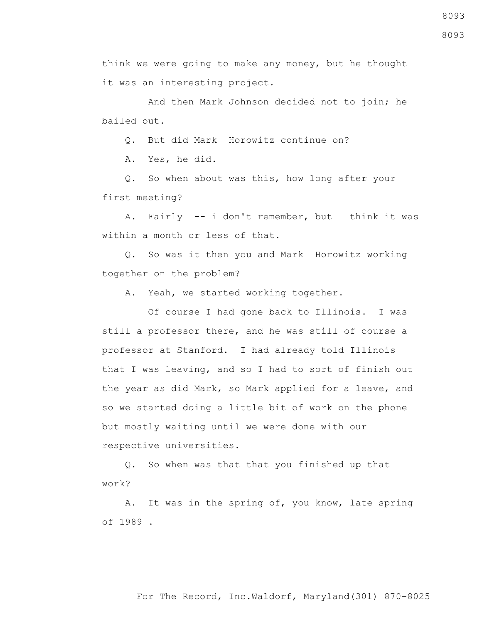8093

think we were going to make any money, but he thought it was an interesting project.

 And then Mark Johnson decided not to join; he bailed out.

Q. But did Mark Horowitz continue on?

A. Yes, he did.

 Q. So when about was this, how long after your first meeting?

 A. Fairly -- i don't remember, but I think it was within a month or less of that.

 Q. So was it then you and Mark Horowitz working together on the problem?

A. Yeah, we started working together.

 Of course I had gone back to Illinois. I was still a professor there, and he was still of course a professor at Stanford. I had already told Illinois that I was leaving, and so I had to sort of finish out the year as did Mark, so Mark applied for a leave, and so we started doing a little bit of work on the phone but mostly waiting until we were done with our respective universities.

 Q. So when was that that you finished up that work?

 A. It was in the spring of, you know, late spring of 1989 .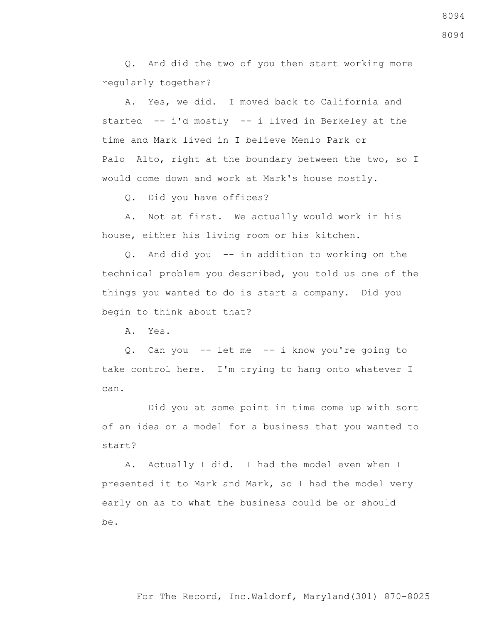Q. And did the two of you then start working more regularly together?

 A. Yes, we did. I moved back to California and started -- i'd mostly -- i lived in Berkeley at the time and Mark lived in I believe Menlo Park or Palo Alto, right at the boundary between the two, so I would come down and work at Mark's house mostly.

Q. Did you have offices?

 A. Not at first. We actually would work in his house, either his living room or his kitchen.

 Q. And did you -- in addition to working on the technical problem you described, you told us one of the things you wanted to do is start a company. Did you begin to think about that?

A. Yes.

 Q. Can you -- let me -- i know you're going to take control here. I'm trying to hang onto whatever I can.

 Did you at some point in time come up with sort of an idea or a model for a business that you wanted to start?

 A. Actually I did. I had the model even when I presented it to Mark and Mark, so I had the model very early on as to what the business could be or should be.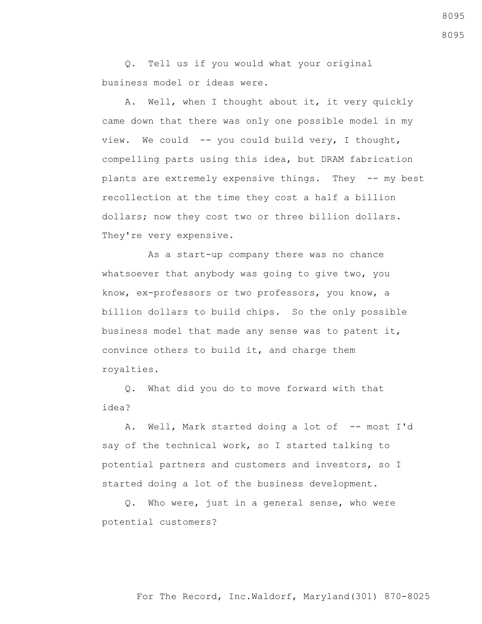Q. Tell us if you would what your original business model or ideas were.

 A. Well, when I thought about it, it very quickly came down that there was only one possible model in my view. We could -- you could build very, I thought, compelling parts using this idea, but DRAM fabrication plants are extremely expensive things. They -- my best recollection at the time they cost a half a billion dollars; now they cost two or three billion dollars. They're very expensive.

 As a start-up company there was no chance whatsoever that anybody was going to give two, you know, ex-professors or two professors, you know, a billion dollars to build chips. So the only possible business model that made any sense was to patent it, convince others to build it, and charge them royalties.

 Q. What did you do to move forward with that idea?

A. Well, Mark started doing a lot of -- most I'd say of the technical work, so I started talking to potential partners and customers and investors, so I started doing a lot of the business development.

 Q. Who were, just in a general sense, who were potential customers?

## For The Record, Inc.Waldorf, Maryland(301) 870-8025

8095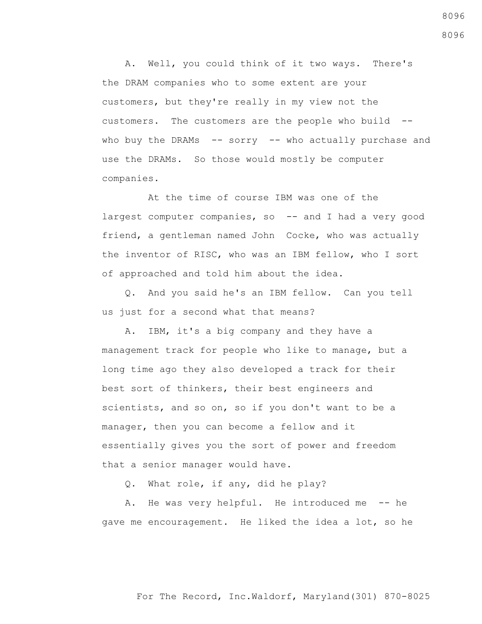A. Well, you could think of it two ways. There's the DRAM companies who to some extent are your customers, but they're really in my view not the customers. The customers are the people who build - who buy the DRAMs -- sorry -- who actually purchase and use the DRAMs. So those would mostly be computer companies.

 At the time of course IBM was one of the largest computer companies, so -- and I had a very good friend, a gentleman named John Cocke, who was actually the inventor of RISC, who was an IBM fellow, who I sort of approached and told him about the idea.

 Q. And you said he's an IBM fellow. Can you tell us just for a second what that means?

 A. IBM, it's a big company and they have a management track for people who like to manage, but a long time ago they also developed a track for their best sort of thinkers, their best engineers and scientists, and so on, so if you don't want to be a manager, then you can become a fellow and it essentially gives you the sort of power and freedom that a senior manager would have.

Q. What role, if any, did he play?

A. He was very helpful. He introduced me -- he gave me encouragement. He liked the idea a lot, so he

8096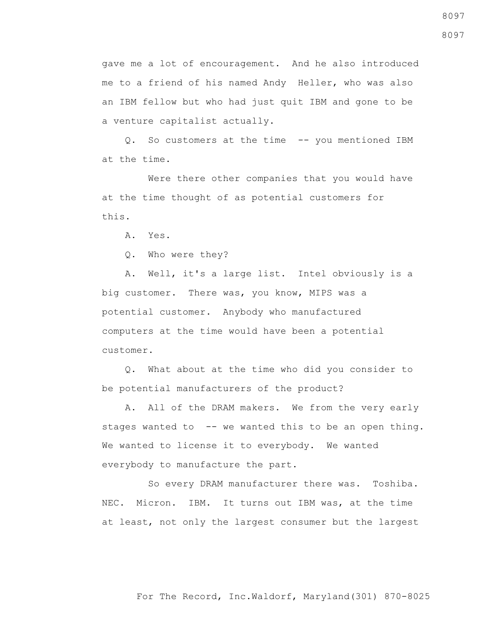gave me a lot of encouragement. And he also introduced me to a friend of his named Andy Heller, who was also an IBM fellow but who had just quit IBM and gone to be a venture capitalist actually.

 Q. So customers at the time -- you mentioned IBM at the time.

 Were there other companies that you would have at the time thought of as potential customers for this.

A. Yes.

Q. Who were they?

 A. Well, it's a large list. Intel obviously is a big customer. There was, you know, MIPS was a potential customer. Anybody who manufactured computers at the time would have been a potential customer.

 Q. What about at the time who did you consider to be potential manufacturers of the product?

 A. All of the DRAM makers. We from the very early stages wanted to -- we wanted this to be an open thing. We wanted to license it to everybody. We wanted everybody to manufacture the part.

 So every DRAM manufacturer there was. Toshiba. NEC. Micron. IBM. It turns out IBM was, at the time at least, not only the largest consumer but the largest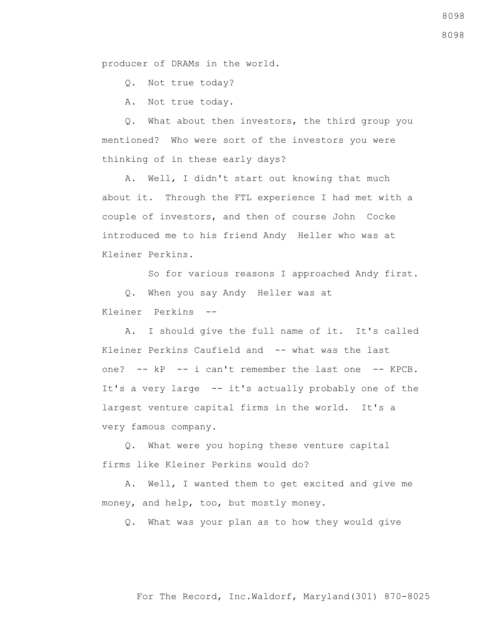producer of DRAMs in the world.

Q. Not true today?

A. Not true today.

 Q. What about then investors, the third group you mentioned? Who were sort of the investors you were thinking of in these early days?

 A. Well, I didn't start out knowing that much about it. Through the FTL experience I had met with a couple of investors, and then of course John Cocke introduced me to his friend Andy Heller who was at Kleiner Perkins.

So for various reasons I approached Andy first.

 Q. When you say Andy Heller was at Kleiner Perkins --

 A. I should give the full name of it. It's called Kleiner Perkins Caufield and -- what was the last one? -- kP -- i can't remember the last one -- KPCB. It's a very large -- it's actually probably one of the largest venture capital firms in the world. It's a very famous company.

 Q. What were you hoping these venture capital firms like Kleiner Perkins would do?

 A. Well, I wanted them to get excited and give me money, and help, too, but mostly money.

Q. What was your plan as to how they would give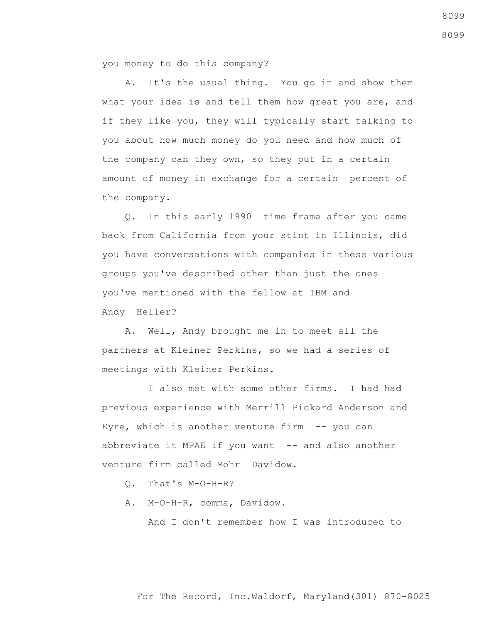you money to do this company?

 A. It's the usual thing. You go in and show them what your idea is and tell them how great you are, and if they like you, they will typically start talking to you about how much money do you need and how much of the company can they own, so they put in a certain amount of money in exchange for a certain percent of the company.

 Q. In this early 1990 time frame after you came back from California from your stint in Illinois, did you have conversations with companies in these various groups you've described other than just the ones you've mentioned with the fellow at IBM and Andy Heller?

 A. Well, Andy brought me in to meet all the partners at Kleiner Perkins, so we had a series of meetings with Kleiner Perkins.

 I also met with some other firms. I had had previous experience with Merrill Pickard Anderson and Eyre, which is another venture firm  $-$ - you can abbreviate it MPAE if you want  $-$ - and also another venture firm called Mohr Davidow.

Q. That's M-O-H-R?

A. M-O-H-R, comma, Davidow.

And I don't remember how I was introduced to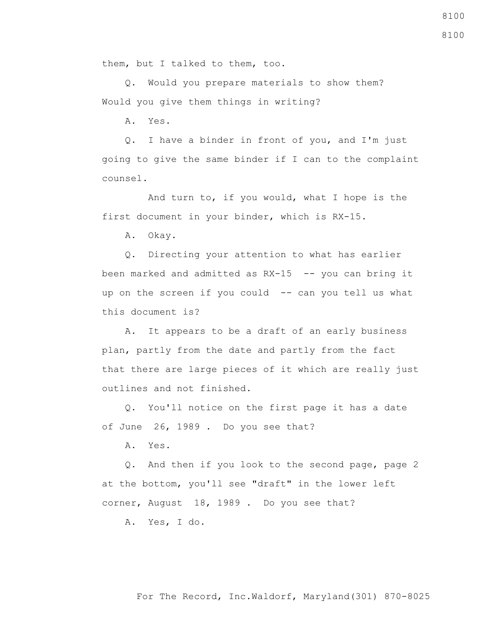them, but I talked to them, too.

 Q. Would you prepare materials to show them? Would you give them things in writing?

A. Yes.

 Q. I have a binder in front of you, and I'm just going to give the same binder if I can to the complaint counsel.

 And turn to, if you would, what I hope is the first document in your binder, which is RX-15.

A. Okay.

 Q. Directing your attention to what has earlier been marked and admitted as RX-15 -- you can bring it up on the screen if you could -- can you tell us what this document is?

 A. It appears to be a draft of an early business plan, partly from the date and partly from the fact that there are large pieces of it which are really just outlines and not finished.

 Q. You'll notice on the first page it has a date of June 26, 1989 . Do you see that?

A. Yes.

 Q. And then if you look to the second page, page 2 at the bottom, you'll see "draft" in the lower left corner, August 18, 1989 . Do you see that?

A. Yes, I do.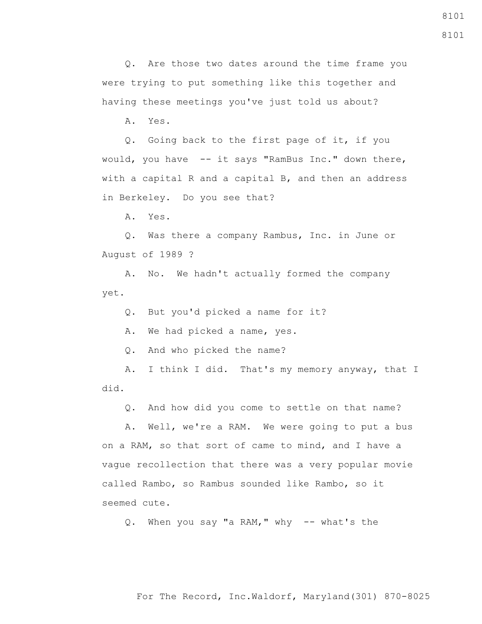For The Record, Inc.Waldorf, Maryland(301) 870-8025

8101

8101

 Q. Are those two dates around the time frame you were trying to put something like this together and having these meetings you've just told us about?

A. Yes.

 Q. Going back to the first page of it, if you would, you have -- it says "RamBus Inc." down there, with a capital R and a capital B, and then an address in Berkeley. Do you see that?

A. Yes.

 Q. Was there a company Rambus, Inc. in June or August of 1989 ?

 A. No. We hadn't actually formed the company yet.

Q. But you'd picked a name for it?

A. We had picked a name, yes.

Q. And who picked the name?

 A. I think I did. That's my memory anyway, that I did.

Q. And how did you come to settle on that name?

 A. Well, we're a RAM. We were going to put a bus on a RAM, so that sort of came to mind, and I have a vague recollection that there was a very popular movie called Rambo, so Rambus sounded like Rambo, so it seemed cute.

Q. When you say "a RAM," why -- what's the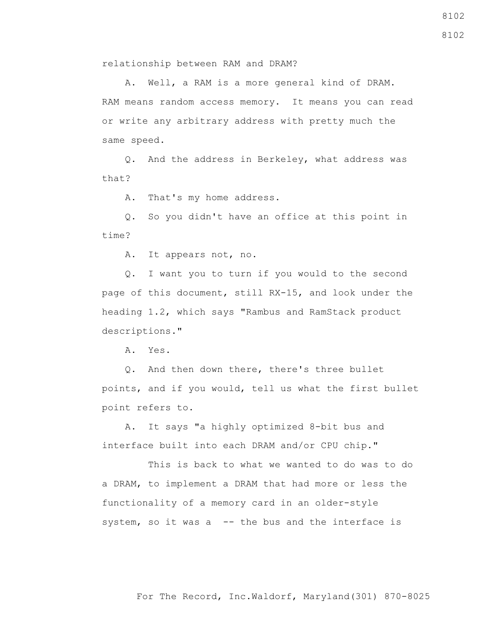relationship between RAM and DRAM?

 A. Well, a RAM is a more general kind of DRAM. RAM means random access memory. It means you can read or write any arbitrary address with pretty much the same speed.

 Q. And the address in Berkeley, what address was that?

A. That's my home address.

 Q. So you didn't have an office at this point in time?

A. It appears not, no.

 Q. I want you to turn if you would to the second page of this document, still RX-15, and look under the heading 1.2, which says "Rambus and RamStack product descriptions."

A. Yes.

 Q. And then down there, there's three bullet points, and if you would, tell us what the first bullet point refers to.

 A. It says "a highly optimized 8-bit bus and interface built into each DRAM and/or CPU chip."

 This is back to what we wanted to do was to do a DRAM, to implement a DRAM that had more or less the functionality of a memory card in an older-style system, so it was a -- the bus and the interface is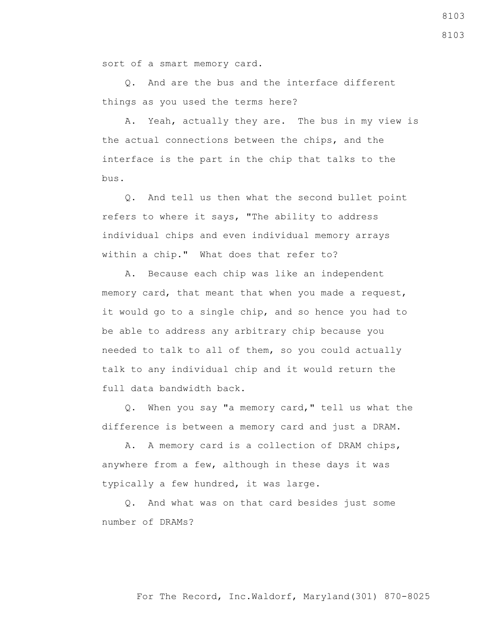sort of a smart memory card.

 Q. And are the bus and the interface different things as you used the terms here?

 A. Yeah, actually they are. The bus in my view is the actual connections between the chips, and the interface is the part in the chip that talks to the bus.

 Q. And tell us then what the second bullet point refers to where it says, "The ability to address individual chips and even individual memory arrays within a chip." What does that refer to?

 A. Because each chip was like an independent memory card, that meant that when you made a request, it would go to a single chip, and so hence you had to be able to address any arbitrary chip because you needed to talk to all of them, so you could actually talk to any individual chip and it would return the full data bandwidth back.

 Q. When you say "a memory card," tell us what the difference is between a memory card and just a DRAM.

 A. A memory card is a collection of DRAM chips, anywhere from a few, although in these days it was typically a few hundred, it was large.

 Q. And what was on that card besides just some number of DRAMs?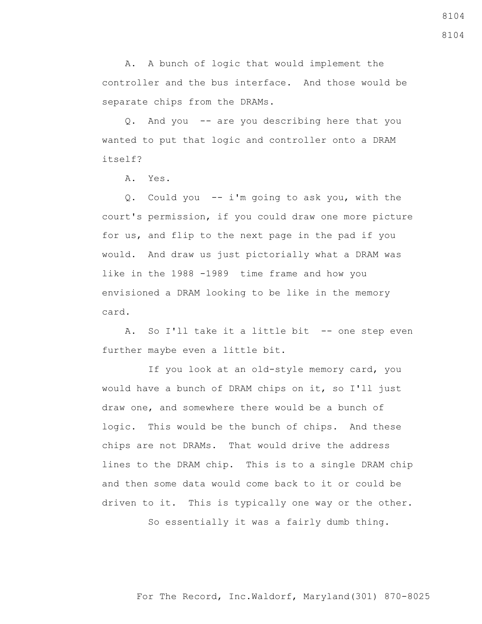A. A bunch of logic that would implement the controller and the bus interface. And those would be separate chips from the DRAMs.

 Q. And you -- are you describing here that you wanted to put that logic and controller onto a DRAM itself?

A. Yes.

 Q. Could you -- i'm going to ask you, with the court's permission, if you could draw one more picture for us, and flip to the next page in the pad if you would. And draw us just pictorially what a DRAM was like in the 1988 -1989 time frame and how you envisioned a DRAM looking to be like in the memory card.

 A. So I'll take it a little bit -- one step even further maybe even a little bit.

 If you look at an old-style memory card, you would have a bunch of DRAM chips on it, so I'll just draw one, and somewhere there would be a bunch of logic. This would be the bunch of chips. And these chips are not DRAMs. That would drive the address lines to the DRAM chip. This is to a single DRAM chip and then some data would come back to it or could be driven to it. This is typically one way or the other.

So essentially it was a fairly dumb thing.

For The Record, Inc.Waldorf, Maryland(301) 870-8025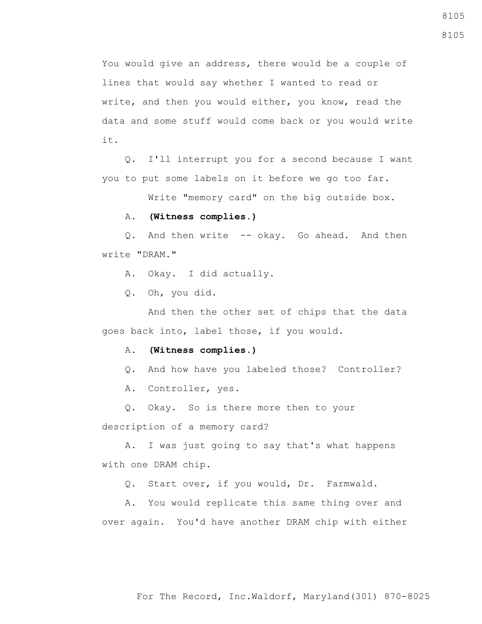You would give an address, there would be a couple of lines that would say whether I wanted to read or write, and then you would either, you know, read the data and some stuff would come back or you would write it.

 Q. I'll interrupt you for a second because I want you to put some labels on it before we go too far.

Write "memory card" on the big outside box.

## A. **(Witness complies.)**

 Q. And then write -- okay. Go ahead. And then write "DRAM."

A. Okay. I did actually.

Q. Oh, you did.

 And then the other set of chips that the data goes back into, label those, if you would.

## A. **(Witness complies.)**

Q. And how have you labeled those? Controller?

A. Controller, yes.

Q. Okay. So is there more then to your

description of a memory card?

 A. I was just going to say that's what happens with one DRAM chip.

Q. Start over, if you would, Dr. Farmwald.

 A. You would replicate this same thing over and over again. You'd have another DRAM chip with either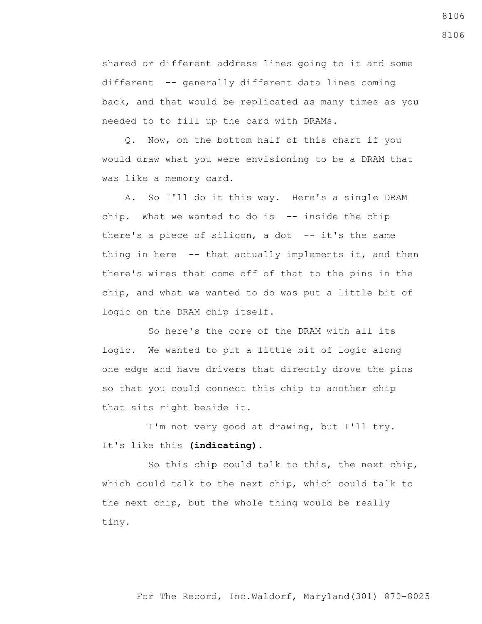shared or different address lines going to it and some different -- generally different data lines coming back, and that would be replicated as many times as you needed to to fill up the card with DRAMs.

 Q. Now, on the bottom half of this chart if you would draw what you were envisioning to be a DRAM that was like a memory card.

 A. So I'll do it this way. Here's a single DRAM chip. What we wanted to do is -- inside the chip there's a piece of silicon, a dot  $-$ - it's the same thing in here -- that actually implements it, and then there's wires that come off of that to the pins in the chip, and what we wanted to do was put a little bit of logic on the DRAM chip itself.

 So here's the core of the DRAM with all its logic. We wanted to put a little bit of logic along one edge and have drivers that directly drove the pins so that you could connect this chip to another chip that sits right beside it.

 I'm not very good at drawing, but I'll try. It's like this **(indicating)**.

 So this chip could talk to this, the next chip, which could talk to the next chip, which could talk to the next chip, but the whole thing would be really tiny.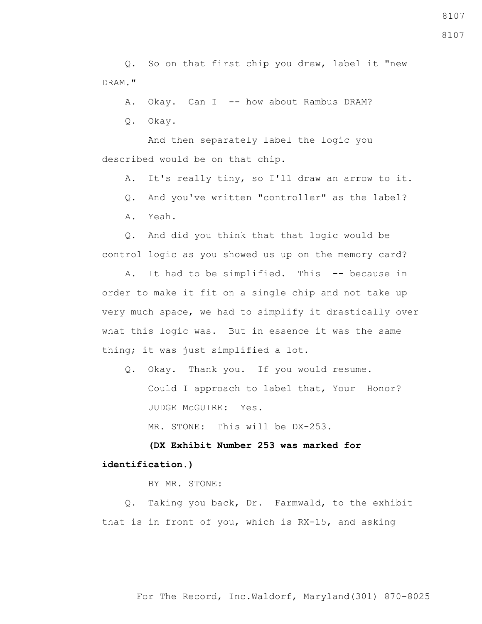Q. So on that first chip you drew, label it "new DRAM."

A. Okay. Can I -- how about Rambus DRAM?

Q. Okay.

 And then separately label the logic you described would be on that chip.

A. It's really tiny, so I'll draw an arrow to it.

Q. And you've written "controller" as the label?

A. Yeah.

 Q. And did you think that that logic would be control logic as you showed us up on the memory card?

 A. It had to be simplified. This -- because in order to make it fit on a single chip and not take up very much space, we had to simplify it drastically over what this logic was. But in essence it was the same thing; it was just simplified a lot.

 Q. Okay. Thank you. If you would resume. Could I approach to label that, Your Honor? JUDGE McGUIRE: Yes.

MR. STONE: This will be DX-253**.**

 **(DX Exhibit Number 253 was marked for identification.)**

BY MR. STONE:

 Q. Taking you back, Dr. Farmwald, to the exhibit that is in front of you, which is RX-15, and asking

For The Record, Inc.Waldorf, Maryland(301) 870-8025

8107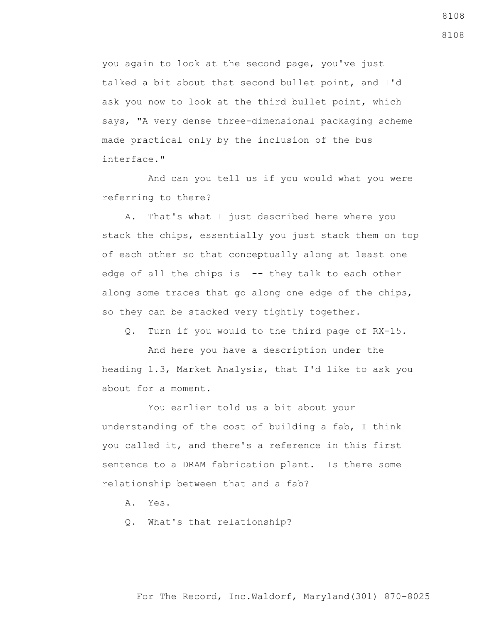you again to look at the second page, you've just talked a bit about that second bullet point, and I'd ask you now to look at the third bullet point, which says, "A very dense three-dimensional packaging scheme made practical only by the inclusion of the bus interface."

 And can you tell us if you would what you were referring to there?

 A. That's what I just described here where you stack the chips, essentially you just stack them on top of each other so that conceptually along at least one edge of all the chips is -- they talk to each other along some traces that go along one edge of the chips, so they can be stacked very tightly together.

Q. Turn if you would to the third page of RX-15.

 And here you have a description under the heading 1.3, Market Analysis, that I'd like to ask you about for a moment.

 You earlier told us a bit about your understanding of the cost of building a fab, I think you called it, and there's a reference in this first sentence to a DRAM fabrication plant. Is there some relationship between that and a fab?

A. Yes.

Q. What's that relationship?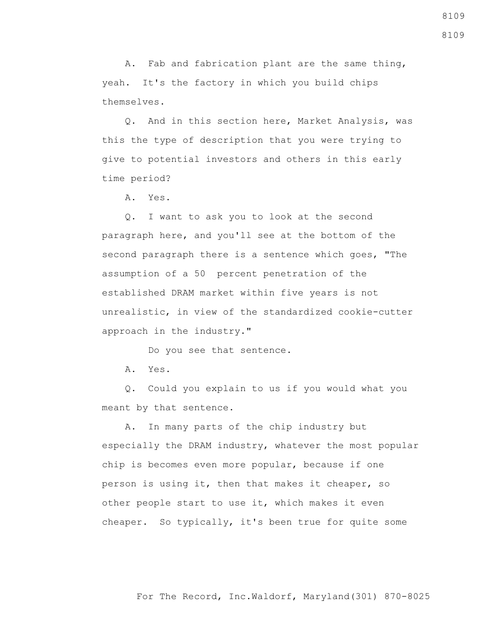A. Fab and fabrication plant are the same thing, yeah. It's the factory in which you build chips themselves.

 Q. And in this section here, Market Analysis, was this the type of description that you were trying to give to potential investors and others in this early time period?

A. Yes.

 Q. I want to ask you to look at the second paragraph here, and you'll see at the bottom of the second paragraph there is a sentence which goes, "The assumption of a 50 percent penetration of the established DRAM market within five years is not unrealistic, in view of the standardized cookie-cutter approach in the industry."

Do you see that sentence.

A. Yes.

 Q. Could you explain to us if you would what you meant by that sentence.

 A. In many parts of the chip industry but especially the DRAM industry, whatever the most popular chip is becomes even more popular, because if one person is using it, then that makes it cheaper, so other people start to use it, which makes it even cheaper. So typically, it's been true for quite some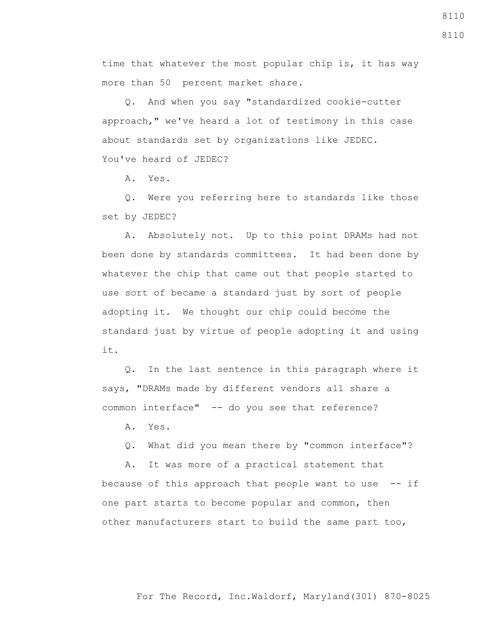time that whatever the most popular chip is, it has way more than 50 percent market share.

 Q. And when you say "standardized cookie-cutter approach," we've heard a lot of testimony in this case about standards set by organizations like JEDEC. You've heard of JEDEC?

A. Yes.

 Q. Were you referring here to standards like those set by JEDEC?

 A. Absolutely not. Up to this point DRAMs had not been done by standards committees. It had been done by whatever the chip that came out that people started to use sort of became a standard just by sort of people adopting it. We thought our chip could become the standard just by virtue of people adopting it and using it.

 Q. In the last sentence in this paragraph where it says, "DRAMs made by different vendors all share a common interface" -- do you see that reference?

A. Yes.

Q. What did you mean there by "common interface"?

 A. It was more of a practical statement that because of this approach that people want to use  $-$ - if one part starts to become popular and common, then other manufacturers start to build the same part too,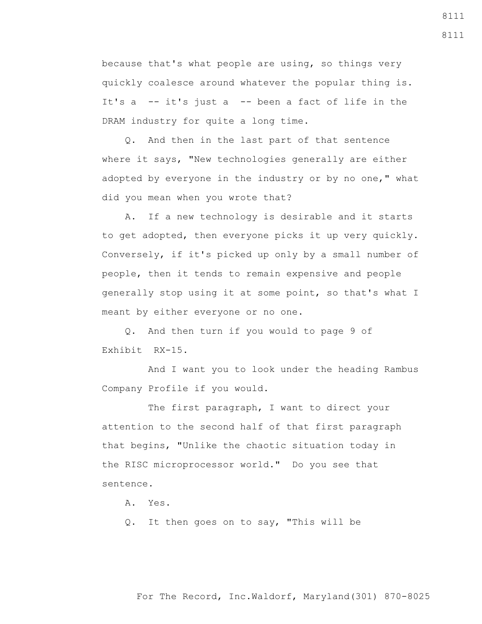because that's what people are using, so things very quickly coalesce around whatever the popular thing is. It's a -- it's just a -- been a fact of life in the DRAM industry for quite a long time.

 Q. And then in the last part of that sentence where it says, "New technologies generally are either adopted by everyone in the industry or by no one," what did you mean when you wrote that?

 A. If a new technology is desirable and it starts to get adopted, then everyone picks it up very quickly. Conversely, if it's picked up only by a small number of people, then it tends to remain expensive and people generally stop using it at some point, so that's what I meant by either everyone or no one.

 Q. And then turn if you would to page 9 of Exhibit RX-15.

 And I want you to look under the heading Rambus Company Profile if you would.

The first paragraph, I want to direct your attention to the second half of that first paragraph that begins, "Unlike the chaotic situation today in the RISC microprocessor world." Do you see that sentence.

A. Yes.

Q. It then goes on to say, "This will be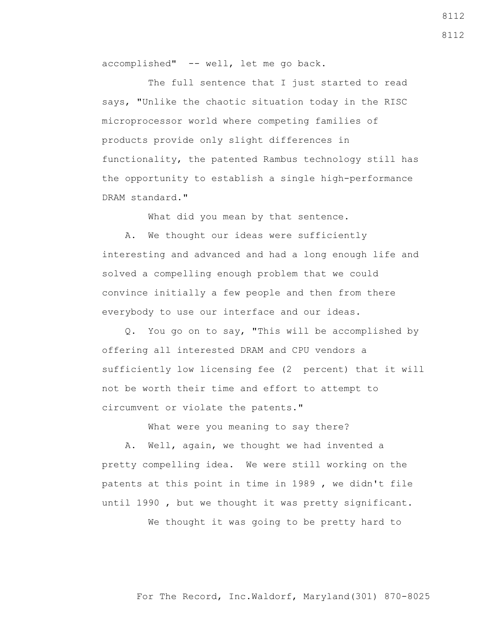accomplished" -- well, let me go back.

The full sentence that I just started to read says, "Unlike the chaotic situation today in the RISC microprocessor world where competing families of products provide only slight differences in functionality, the patented Rambus technology still has the opportunity to establish a single high-performance DRAM standard."

What did you mean by that sentence.

 A. We thought our ideas were sufficiently interesting and advanced and had a long enough life and solved a compelling enough problem that we could convince initially a few people and then from there everybody to use our interface and our ideas.

 Q. You go on to say, "This will be accomplished by offering all interested DRAM and CPU vendors a sufficiently low licensing fee (2 percent) that it will not be worth their time and effort to attempt to circumvent or violate the patents."

What were you meaning to say there?

 A. Well, again, we thought we had invented a pretty compelling idea. We were still working on the patents at this point in time in 1989 , we didn't file until 1990 , but we thought it was pretty significant.

We thought it was going to be pretty hard to

For The Record, Inc.Waldorf, Maryland(301) 870-8025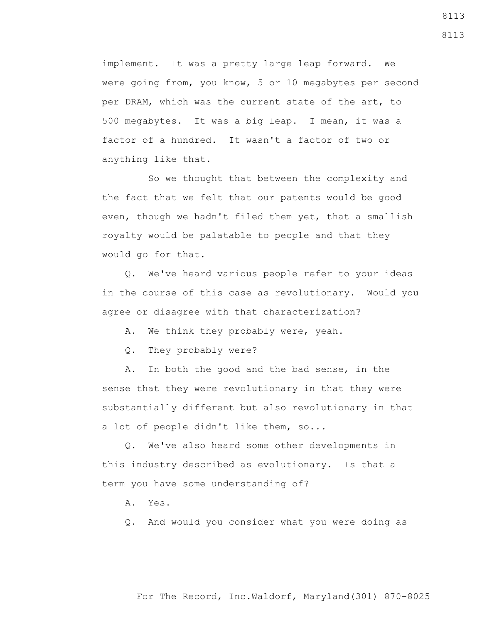implement. It was a pretty large leap forward. We were going from, you know, 5 or 10 megabytes per second per DRAM, which was the current state of the art, to 500 megabytes. It was a big leap. I mean, it was a factor of a hundred. It wasn't a factor of two or anything like that.

 So we thought that between the complexity and the fact that we felt that our patents would be good even, though we hadn't filed them yet, that a smallish royalty would be palatable to people and that they would go for that.

 Q. We've heard various people refer to your ideas in the course of this case as revolutionary. Would you agree or disagree with that characterization?

A. We think they probably were, yeah.

Q. They probably were?

 A. In both the good and the bad sense, in the sense that they were revolutionary in that they were substantially different but also revolutionary in that a lot of people didn't like them, so...

 Q. We've also heard some other developments in this industry described as evolutionary. Is that a term you have some understanding of?

A. Yes.

Q. And would you consider what you were doing as

## For The Record, Inc.Waldorf, Maryland(301) 870-8025

8113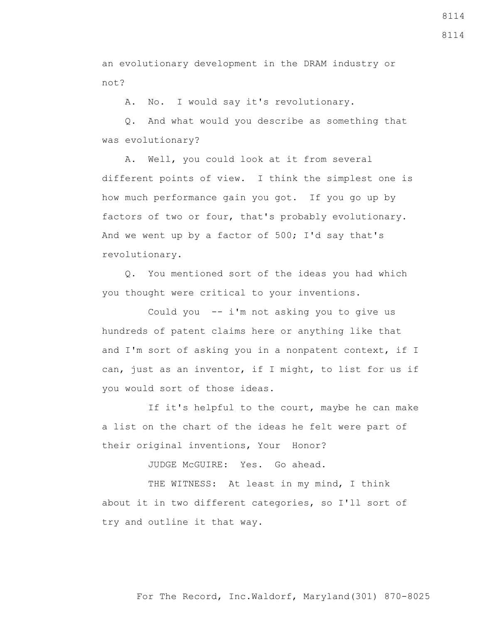8114

an evolutionary development in the DRAM industry or not?

A. No. I would say it's revolutionary.

 Q. And what would you describe as something that was evolutionary?

 A. Well, you could look at it from several different points of view. I think the simplest one is how much performance gain you got. If you go up by factors of two or four, that's probably evolutionary. And we went up by a factor of 500; I'd say that's revolutionary.

 Q. You mentioned sort of the ideas you had which you thought were critical to your inventions.

 Could you -- i'm not asking you to give us hundreds of patent claims here or anything like that and I'm sort of asking you in a nonpatent context, if I can, just as an inventor, if I might, to list for us if you would sort of those ideas.

If it's helpful to the court, maybe he can make a list on the chart of the ideas he felt were part of their original inventions, Your Honor?

JUDGE McGUIRE: Yes. Go ahead.

THE WITNESS: At least in my mind, I think about it in two different categories, so I'll sort of try and outline it that way.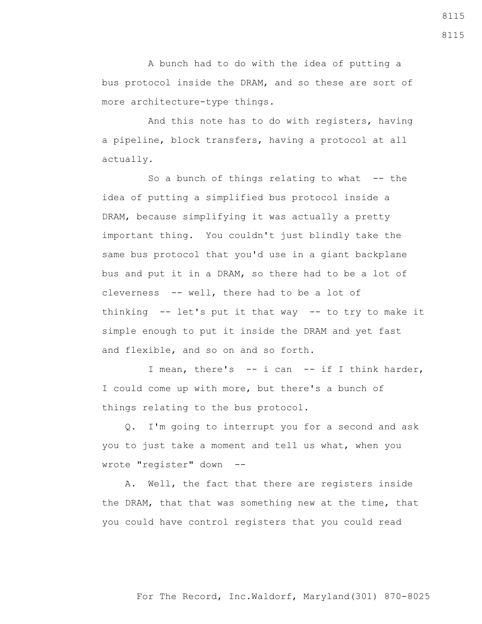A bunch had to do with the idea of putting a bus protocol inside the DRAM, and so these are sort of more architecture-type things.

 And this note has to do with registers, having a pipeline, block transfers, having a protocol at all actually.

So a bunch of things relating to what  $-$ - the idea of putting a simplified bus protocol inside a DRAM, because simplifying it was actually a pretty important thing. You couldn't just blindly take the same bus protocol that you'd use in a giant backplane bus and put it in a DRAM, so there had to be a lot of cleverness -- well, there had to be a lot of thinking -- let's put it that way -- to try to make it simple enough to put it inside the DRAM and yet fast and flexible, and so on and so forth.

 I mean, there's -- i can -- if I think harder, I could come up with more, but there's a bunch of things relating to the bus protocol.

 Q. I'm going to interrupt you for a second and ask you to just take a moment and tell us what, when you wrote "register" down --

 A. Well, the fact that there are registers inside the DRAM, that that was something new at the time, that you could have control registers that you could read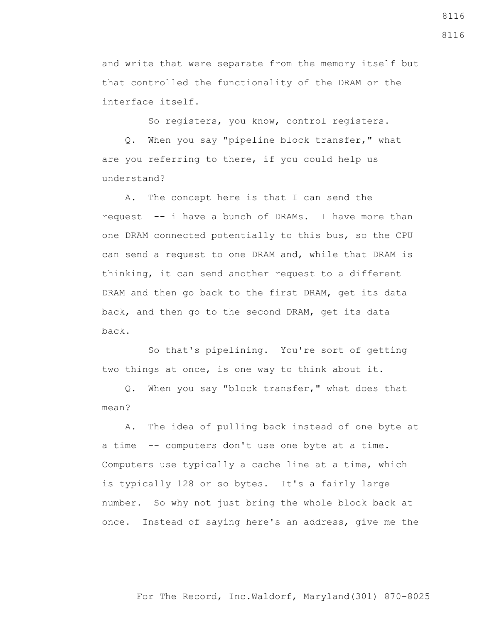and write that were separate from the memory itself but that controlled the functionality of the DRAM or the interface itself.

So registers, you know, control registers.

 Q. When you say "pipeline block transfer," what are you referring to there, if you could help us understand?

 A. The concept here is that I can send the request -- i have a bunch of DRAMs. I have more than one DRAM connected potentially to this bus, so the CPU can send a request to one DRAM and, while that DRAM is thinking, it can send another request to a different DRAM and then go back to the first DRAM, get its data back, and then go to the second DRAM, get its data back.

 So that's pipelining. You're sort of getting two things at once, is one way to think about it.

 Q. When you say "block transfer," what does that mean?

 A. The idea of pulling back instead of one byte at a time -- computers don't use one byte at a time. Computers use typically a cache line at a time, which is typically 128 or so bytes. It's a fairly large number. So why not just bring the whole block back at once. Instead of saying here's an address, give me the

For The Record, Inc.Waldorf, Maryland(301) 870-8025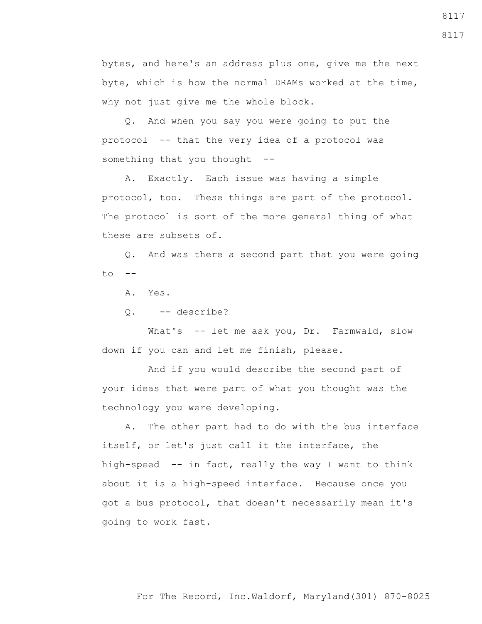bytes, and here's an address plus one, give me the next byte, which is how the normal DRAMs worked at the time, why not just give me the whole block.

 Q. And when you say you were going to put the protocol -- that the very idea of a protocol was something that you thought --

 A. Exactly. Each issue was having a simple protocol, too. These things are part of the protocol. The protocol is sort of the more general thing of what these are subsets of.

 Q. And was there a second part that you were going  $to$   $--$ 

A. Yes.

Q. -- describe?

What's -- let me ask you, Dr. Farmwald, slow down if you can and let me finish, please.

 And if you would describe the second part of your ideas that were part of what you thought was the technology you were developing.

 A. The other part had to do with the bus interface itself, or let's just call it the interface, the high-speed -- in fact, really the way I want to think about it is a high-speed interface. Because once you got a bus protocol, that doesn't necessarily mean it's going to work fast.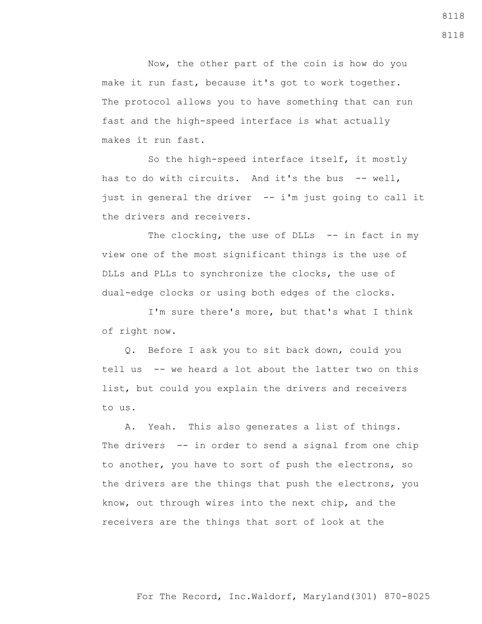Now, the other part of the coin is how do you make it run fast, because it's got to work together. The protocol allows you to have something that can run fast and the high-speed interface is what actually makes it run fast.

 So the high-speed interface itself, it mostly has to do with circuits. And it's the bus -- well, just in general the driver -- i'm just going to call it the drivers and receivers.

The clocking, the use of DLLs -- in fact in my view one of the most significant things is the use of DLLs and PLLs to synchronize the clocks, the use of dual-edge clocks or using both edges of the clocks.

 I'm sure there's more, but that's what I think of right now.

 Q. Before I ask you to sit back down, could you tell us -- we heard a lot about the latter two on this list, but could you explain the drivers and receivers to us.

 A. Yeah. This also generates a list of things. The drivers -- in order to send a signal from one chip to another, you have to sort of push the electrons, so the drivers are the things that push the electrons, you know, out through wires into the next chip, and the receivers are the things that sort of look at the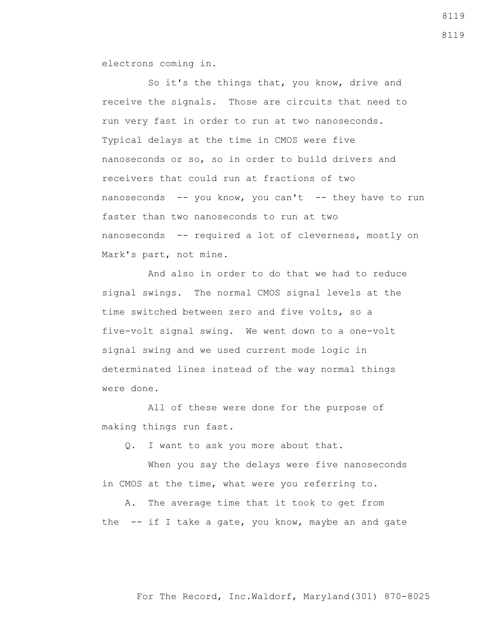electrons coming in.

 So it's the things that, you know, drive and receive the signals. Those are circuits that need to run very fast in order to run at two nanoseconds. Typical delays at the time in CMOS were five nanoseconds or so, so in order to build drivers and receivers that could run at fractions of two nanoseconds -- you know, you can't -- they have to run faster than two nanoseconds to run at two nanoseconds -- required a lot of cleverness, mostly on Mark's part, not mine.

 And also in order to do that we had to reduce signal swings. The normal CMOS signal levels at the time switched between zero and five volts, so a five-volt signal swing. We went down to a one-volt signal swing and we used current mode logic in determinated lines instead of the way normal things were done.

 All of these were done for the purpose of making things run fast.

Q. I want to ask you more about that.

 When you say the delays were five nanoseconds in CMOS at the time, what were you referring to.

 A. The average time that it took to get from the  $-$  if I take a gate, you know, maybe an and gate

For The Record, Inc.Waldorf, Maryland(301) 870-8025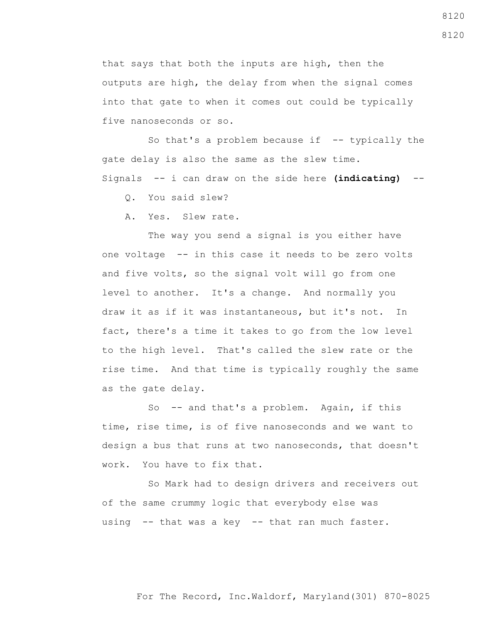that says that both the inputs are high, then the outputs are high, the delay from when the signal comes into that gate to when it comes out could be typically five nanoseconds or so.

So that's a problem because if  $-$ - typically the gate delay is also the same as the slew time. Signals -- i can draw on the side here **(indicating)** --

Q. You said slew?

A. Yes. Slew rate.

 The way you send a signal is you either have one voltage -- in this case it needs to be zero volts and five volts, so the signal volt will go from one level to another. It's a change. And normally you draw it as if it was instantaneous, but it's not. In fact, there's a time it takes to go from the low level to the high level. That's called the slew rate or the rise time. And that time is typically roughly the same as the gate delay.

So -- and that's a problem. Again, if this time, rise time, is of five nanoseconds and we want to design a bus that runs at two nanoseconds, that doesn't work. You have to fix that.

 So Mark had to design drivers and receivers out of the same crummy logic that everybody else was using -- that was a key -- that ran much faster.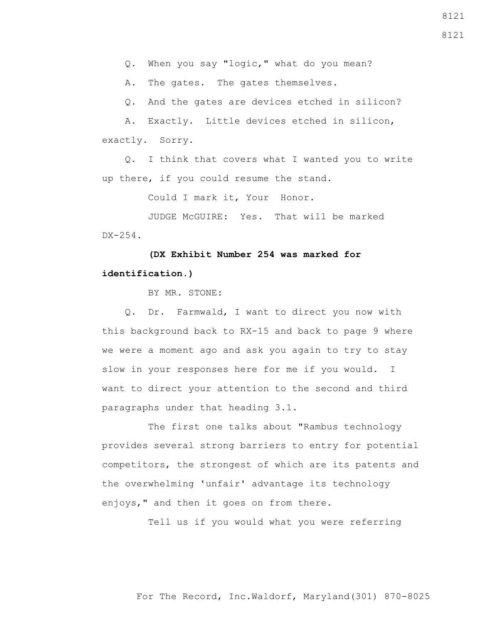A. The gates. The gates themselves.

Q. And the gates are devices etched in silicon?

 A. Exactly. Little devices etched in silicon, exactly. Sorry.

 Q. I think that covers what I wanted you to write up there, if you could resume the stand.

Could I mark it, Your Honor.

 JUDGE McGUIRE: Yes. That will be marked DX-254.

 **(DX Exhibit Number 254 was marked for identification.)**

BY MR. STONE:

 Q. Dr. Farmwald, I want to direct you now with this background back to RX-15 and back to page 9 where we were a moment ago and ask you again to try to stay slow in your responses here for me if you would. I want to direct your attention to the second and third paragraphs under that heading 3.1.

 The first one talks about "Rambus technology provides several strong barriers to entry for potential competitors, the strongest of which are its patents and the overwhelming 'unfair' advantage its technology enjoys," and then it goes on from there.

Tell us if you would what you were referring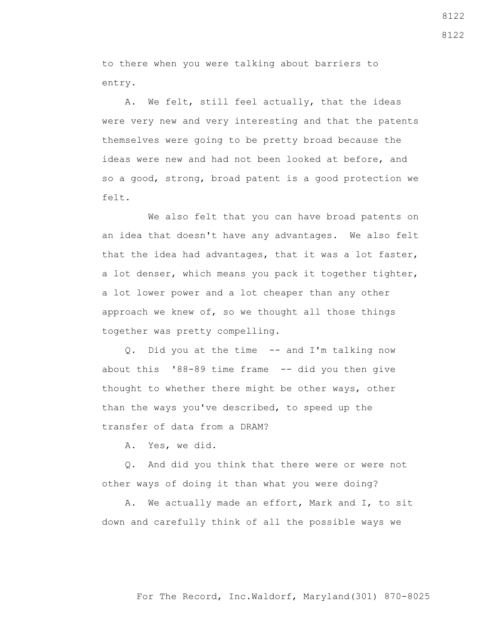to there when you were talking about barriers to entry.

 A. We felt, still feel actually, that the ideas were very new and very interesting and that the patents themselves were going to be pretty broad because the ideas were new and had not been looked at before, and so a good, strong, broad patent is a good protection we felt.

 We also felt that you can have broad patents on an idea that doesn't have any advantages. We also felt that the idea had advantages, that it was a lot faster, a lot denser, which means you pack it together tighter, a lot lower power and a lot cheaper than any other approach we knew of, so we thought all those things together was pretty compelling.

 Q. Did you at the time -- and I'm talking now about this  $188-89$  time frame  $-$ - did you then give thought to whether there might be other ways, other than the ways you've described, to speed up the transfer of data from a DRAM?

A. Yes, we did.

 Q. And did you think that there were or were not other ways of doing it than what you were doing?

 A. We actually made an effort, Mark and I, to sit down and carefully think of all the possible ways we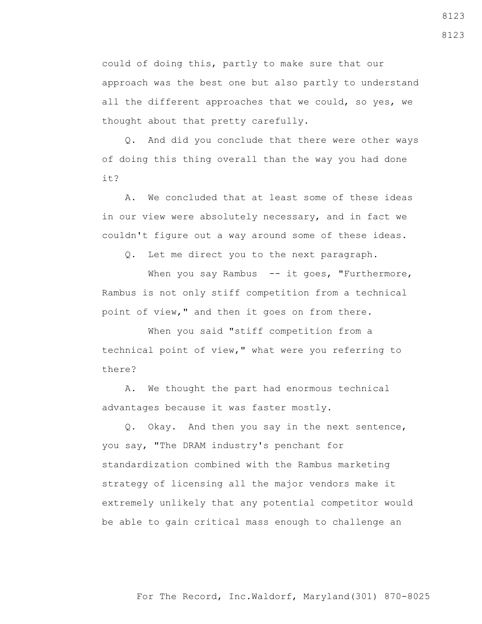could of doing this, partly to make sure that our approach was the best one but also partly to understand all the different approaches that we could, so yes, we thought about that pretty carefully.

 Q. And did you conclude that there were other ways of doing this thing overall than the way you had done it?

 A. We concluded that at least some of these ideas in our view were absolutely necessary, and in fact we couldn't figure out a way around some of these ideas.

Q. Let me direct you to the next paragraph.

When you say Rambus -- it goes, "Furthermore, Rambus is not only stiff competition from a technical point of view," and then it goes on from there.

 When you said "stiff competition from a technical point of view," what were you referring to there?

 A. We thought the part had enormous technical advantages because it was faster mostly.

 Q. Okay. And then you say in the next sentence, you say, "The DRAM industry's penchant for standardization combined with the Rambus marketing strategy of licensing all the major vendors make it extremely unlikely that any potential competitor would be able to gain critical mass enough to challenge an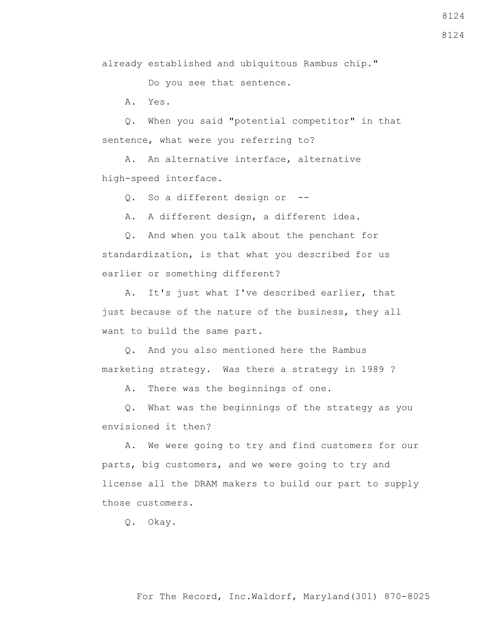For The Record, Inc.Waldorf, Maryland(301) 870-8025

8124

8124

already established and ubiquitous Rambus chip."

Do you see that sentence.

A. Yes.

 Q. When you said "potential competitor" in that sentence, what were you referring to?

 A. An alternative interface, alternative high-speed interface.

Q. So a different design or --

A. A different design, a different idea.

 Q. And when you talk about the penchant for standardization, is that what you described for us earlier or something different?

 A. It's just what I've described earlier, that just because of the nature of the business, they all want to build the same part.

 Q. And you also mentioned here the Rambus marketing strategy. Was there a strategy in 1989 ?

A. There was the beginnings of one.

 Q. What was the beginnings of the strategy as you envisioned it then?

 A. We were going to try and find customers for our parts, big customers, and we were going to try and license all the DRAM makers to build our part to supply those customers.

Q. Okay.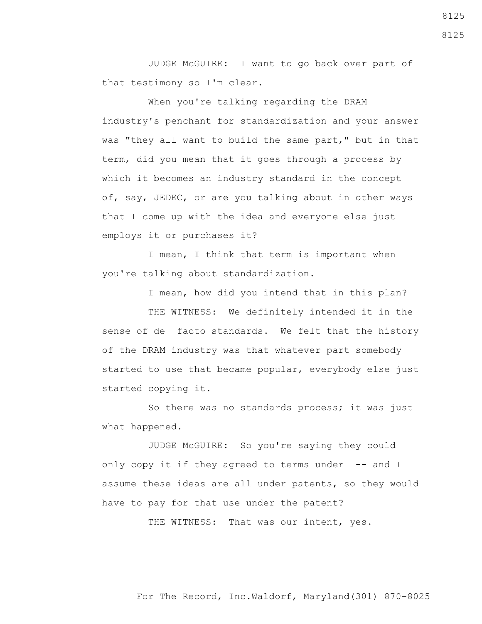JUDGE McGUIRE: I want to go back over part of that testimony so I'm clear.

 When you're talking regarding the DRAM industry's penchant for standardization and your answer was "they all want to build the same part," but in that term, did you mean that it goes through a process by which it becomes an industry standard in the concept of, say, JEDEC, or are you talking about in other ways that I come up with the idea and everyone else just employs it or purchases it?

 I mean, I think that term is important when you're talking about standardization.

I mean, how did you intend that in this plan?

 THE WITNESS: We definitely intended it in the sense of de facto standards. We felt that the history of the DRAM industry was that whatever part somebody started to use that became popular, everybody else just started copying it.

 So there was no standards process; it was just what happened.

 JUDGE McGUIRE: So you're saying they could only copy it if they agreed to terms under -- and I assume these ideas are all under patents, so they would have to pay for that use under the patent?

THE WITNESS: That was our intent, yes.

For The Record, Inc.Waldorf, Maryland(301) 870-8025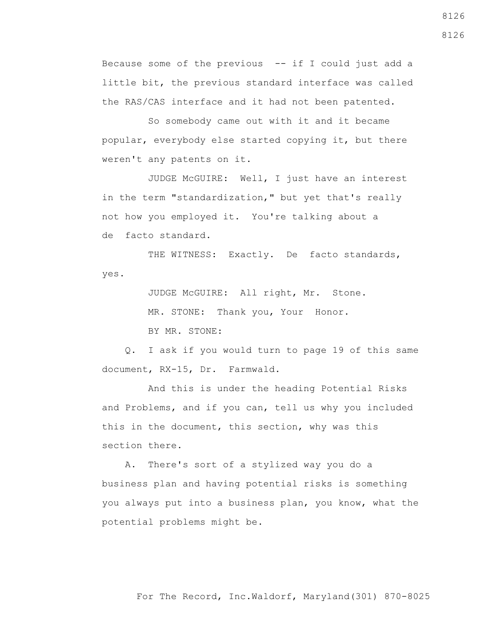Because some of the previous  $- -$  if I could just add a little bit, the previous standard interface was called the RAS/CAS interface and it had not been patented.

 So somebody came out with it and it became popular, everybody else started copying it, but there weren't any patents on it.

 JUDGE McGUIRE: Well, I just have an interest in the term "standardization," but yet that's really not how you employed it. You're talking about a de facto standard.

THE WITNESS: Exactly. De facto standards, yes.

> JUDGE McGUIRE: All right, Mr. Stone. MR. STONE: Thank you, Your Honor. BY MR. STONE:

 Q. I ask if you would turn to page 19 of this same document, RX-15, Dr. Farmwald.

 And this is under the heading Potential Risks and Problems, and if you can, tell us why you included this in the document, this section, why was this section there.

 A. There's sort of a stylized way you do a business plan and having potential risks is something you always put into a business plan, you know, what the potential problems might be.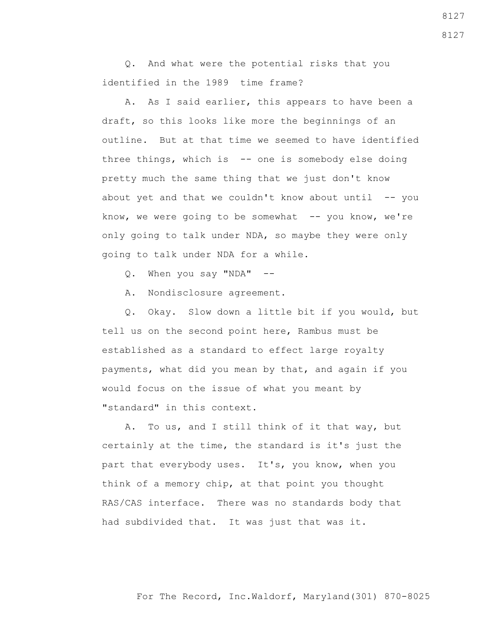Q. And what were the potential risks that you identified in the 1989 time frame?

 A. As I said earlier, this appears to have been a draft, so this looks like more the beginnings of an outline. But at that time we seemed to have identified three things, which is -- one is somebody else doing pretty much the same thing that we just don't know about yet and that we couldn't know about until  $-$ - you know, we were going to be somewhat  $-$ - you know, we're only going to talk under NDA, so maybe they were only going to talk under NDA for a while.

Q. When you say "NDA" --

A. Nondisclosure agreement.

 Q. Okay. Slow down a little bit if you would, but tell us on the second point here, Rambus must be established as a standard to effect large royalty payments, what did you mean by that, and again if you would focus on the issue of what you meant by "standard" in this context.

 A. To us, and I still think of it that way, but certainly at the time, the standard is it's just the part that everybody uses. It's, you know, when you think of a memory chip, at that point you thought RAS/CAS interface. There was no standards body that had subdivided that. It was just that was it.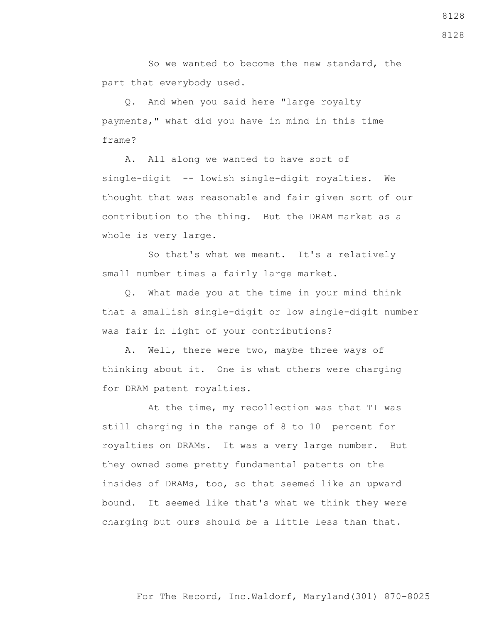So we wanted to become the new standard, the part that everybody used.

 Q. And when you said here "large royalty payments," what did you have in mind in this time frame?

 A. All along we wanted to have sort of single-digit -- lowish single-digit royalties. We thought that was reasonable and fair given sort of our contribution to the thing. But the DRAM market as a whole is very large.

 So that's what we meant. It's a relatively small number times a fairly large market.

 Q. What made you at the time in your mind think that a smallish single-digit or low single-digit number was fair in light of your contributions?

 A. Well, there were two, maybe three ways of thinking about it. One is what others were charging for DRAM patent royalties.

 At the time, my recollection was that TI was still charging in the range of 8 to 10 percent for royalties on DRAMs. It was a very large number. But they owned some pretty fundamental patents on the insides of DRAMs, too, so that seemed like an upward bound. It seemed like that's what we think they were charging but ours should be a little less than that.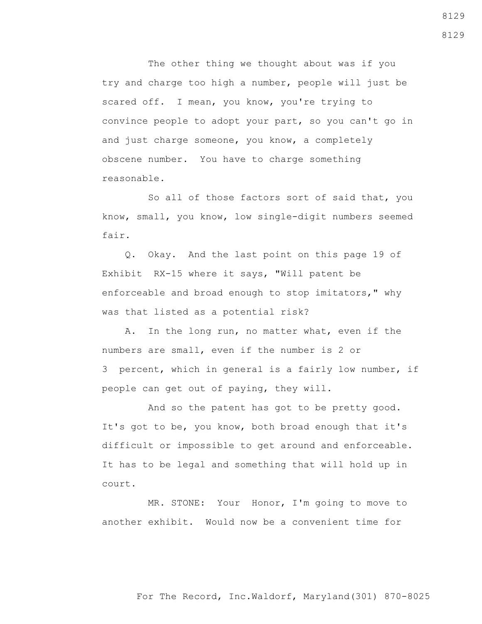The other thing we thought about was if you try and charge too high a number, people will just be scared off. I mean, you know, you're trying to convince people to adopt your part, so you can't go in and just charge someone, you know, a completely obscene number. You have to charge something reasonable.

 So all of those factors sort of said that, you know, small, you know, low single-digit numbers seemed fair.

 Q. Okay. And the last point on this page 19 of Exhibit RX-15 where it says, "Will patent be enforceable and broad enough to stop imitators," why was that listed as a potential risk?

 A. In the long run, no matter what, even if the numbers are small, even if the number is 2 or 3 percent, which in general is a fairly low number, if people can get out of paying, they will.

 And so the patent has got to be pretty good. It's got to be, you know, both broad enough that it's difficult or impossible to get around and enforceable. It has to be legal and something that will hold up in court.

 MR. STONE: Your Honor, I'm going to move to another exhibit. Would now be a convenient time for

8129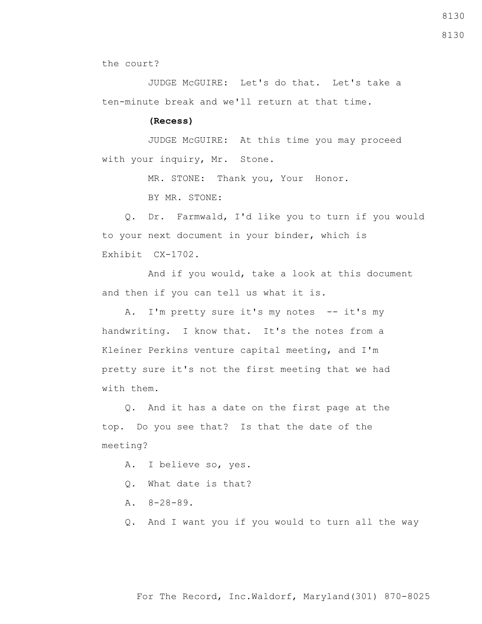8130

8130

the court?

 JUDGE McGUIRE: Let's do that. Let's take a ten-minute break and we'll return at that time.

## **(Recess)**

 JUDGE McGUIRE: At this time you may proceed with your inquiry, Mr. Stone.

MR. STONE: Thank you, Your Honor.

BY MR. STONE:

 Q. Dr. Farmwald, I'd like you to turn if you would to your next document in your binder, which is Exhibit CX-1702.

 And if you would, take a look at this document and then if you can tell us what it is.

A. I'm pretty sure it's my notes -- it's my handwriting. I know that. It's the notes from a Kleiner Perkins venture capital meeting, and I'm pretty sure it's not the first meeting that we had with them.

 Q. And it has a date on the first page at the top. Do you see that? Is that the date of the meeting?

A. I believe so, yes.

- Q. What date is that?
- A. 8-28-89.

Q. And I want you if you would to turn all the way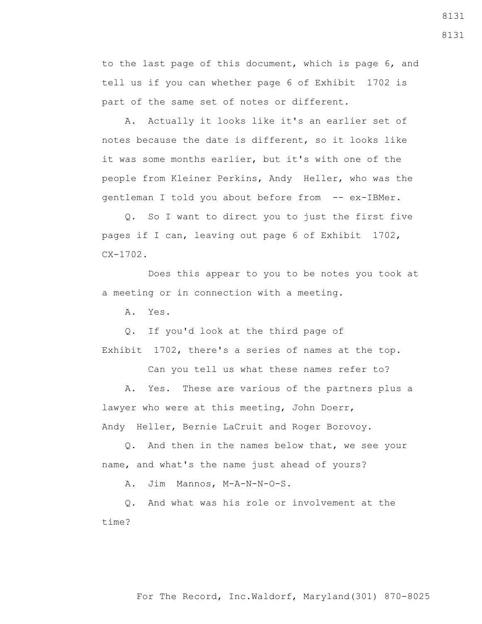to the last page of this document, which is page 6, and tell us if you can whether page 6 of Exhibit 1702 is part of the same set of notes or different.

 A. Actually it looks like it's an earlier set of notes because the date is different, so it looks like it was some months earlier, but it's with one of the people from Kleiner Perkins, Andy Heller, who was the gentleman I told you about before from -- ex-IBMer.

 Q. So I want to direct you to just the first five pages if I can, leaving out page 6 of Exhibit 1702, CX-1702.

 Does this appear to you to be notes you took at a meeting or in connection with a meeting.

A. Yes.

 Q. If you'd look at the third page of Exhibit 1702, there's a series of names at the top.

Can you tell us what these names refer to?

 A. Yes. These are various of the partners plus a lawyer who were at this meeting, John Doerr, Andy Heller, Bernie LaCruit and Roger Borovoy.

 Q. And then in the names below that, we see your name, and what's the name just ahead of yours?

A. Jim Mannos, M-A-N-N-O-S.

 Q. And what was his role or involvement at the time?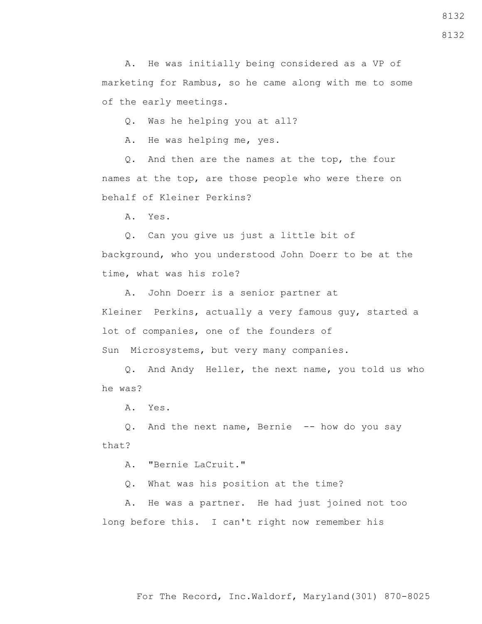8132

 A. He was initially being considered as a VP of marketing for Rambus, so he came along with me to some of the early meetings.

Q. Was he helping you at all?

A. He was helping me, yes.

 Q. And then are the names at the top, the four names at the top, are those people who were there on behalf of Kleiner Perkins?

A. Yes.

 Q. Can you give us just a little bit of background, who you understood John Doerr to be at the time, what was his role?

 A. John Doerr is a senior partner at Kleiner Perkins, actually a very famous guy, started a lot of companies, one of the founders of Sun Microsystems, but very many companies.

 Q. And Andy Heller, the next name, you told us who he was?

A. Yes.

 Q. And the next name, Bernie -- how do you say that?

A. "Bernie LaCruit."

Q. What was his position at the time?

 A. He was a partner. He had just joined not too long before this. I can't right now remember his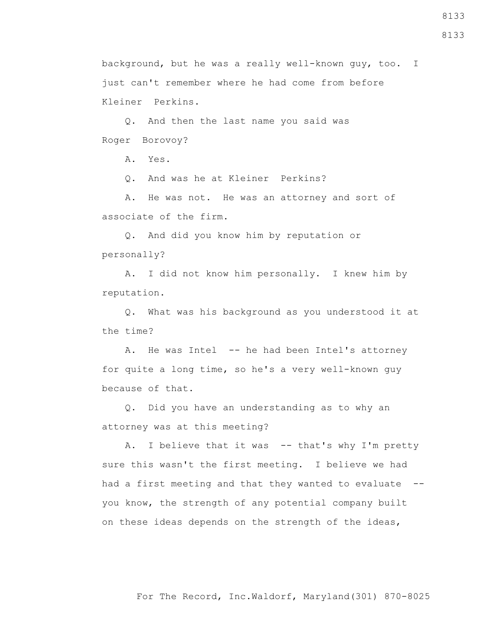8133

background, but he was a really well-known guy, too. I just can't remember where he had come from before Kleiner Perkins.

 Q. And then the last name you said was Roger Borovoy?

A. Yes.

Q. And was he at Kleiner Perkins?

 A. He was not. He was an attorney and sort of associate of the firm.

 Q. And did you know him by reputation or personally?

 A. I did not know him personally. I knew him by reputation.

 Q. What was his background as you understood it at the time?

A. He was Intel -- he had been Intel's attorney for quite a long time, so he's a very well-known guy because of that.

 Q. Did you have an understanding as to why an attorney was at this meeting?

A. I believe that it was -- that's why I'm pretty sure this wasn't the first meeting. I believe we had had a first meeting and that they wanted to evaluate - you know, the strength of any potential company built on these ideas depends on the strength of the ideas,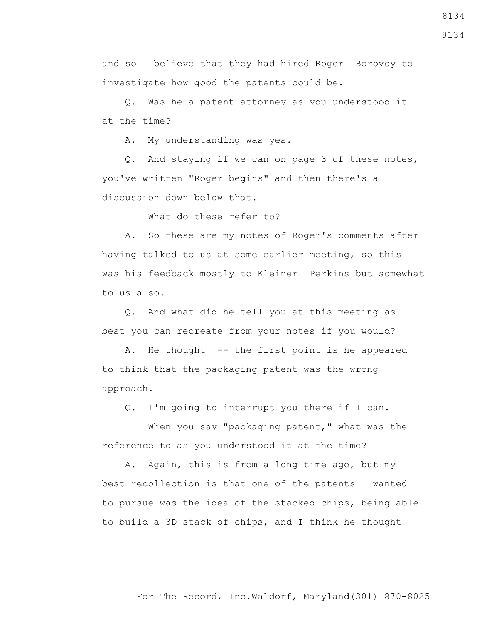and so I believe that they had hired Roger Borovoy to investigate how good the patents could be.

 Q. Was he a patent attorney as you understood it at the time?

A. My understanding was yes.

 Q. And staying if we can on page 3 of these notes, you've written "Roger begins" and then there's a discussion down below that.

What do these refer to?

 A. So these are my notes of Roger's comments after having talked to us at some earlier meeting, so this was his feedback mostly to Kleiner Perkins but somewhat to us also.

 Q. And what did he tell you at this meeting as best you can recreate from your notes if you would?

 A. He thought -- the first point is he appeared to think that the packaging patent was the wrong approach.

Q. I'm going to interrupt you there if I can.

When you say "packaging patent," what was the reference to as you understood it at the time?

 A. Again, this is from a long time ago, but my best recollection is that one of the patents I wanted to pursue was the idea of the stacked chips, being able to build a 3D stack of chips, and I think he thought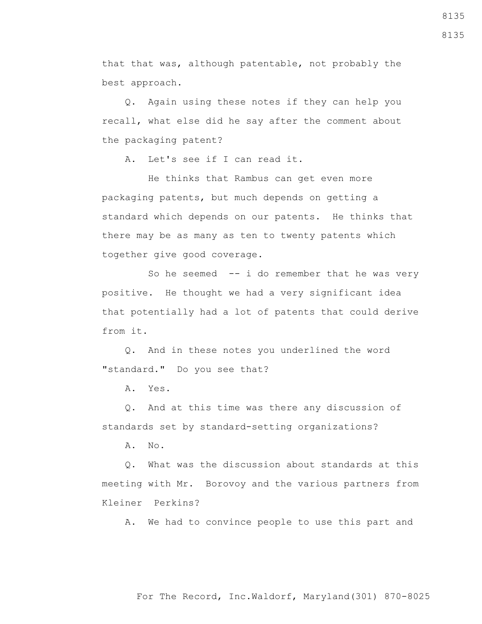that that was, although patentable, not probably the best approach.

 Q. Again using these notes if they can help you recall, what else did he say after the comment about the packaging patent?

A. Let's see if I can read it.

 He thinks that Rambus can get even more packaging patents, but much depends on getting a standard which depends on our patents. He thinks that there may be as many as ten to twenty patents which together give good coverage.

So he seemed  $-$  i do remember that he was very positive. He thought we had a very significant idea that potentially had a lot of patents that could derive from it.

 Q. And in these notes you underlined the word "standard." Do you see that?

A. Yes.

 Q. And at this time was there any discussion of standards set by standard-setting organizations?

A. No.

 Q. What was the discussion about standards at this meeting with Mr. Borovoy and the various partners from Kleiner Perkins?

A. We had to convince people to use this part and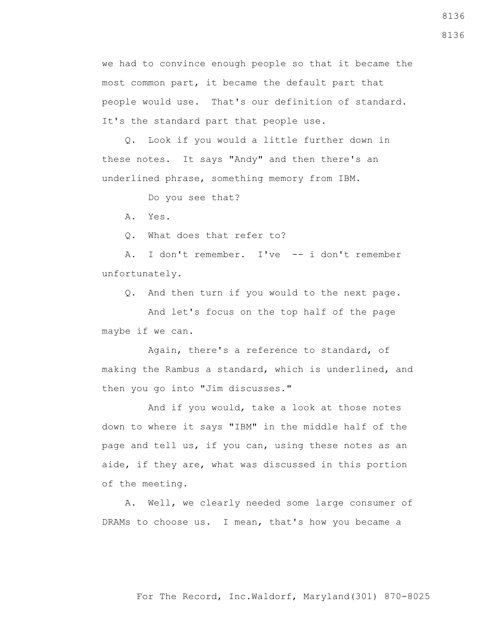we had to convince enough people so that it became the most common part, it became the default part that people would use. That's our definition of standard. It's the standard part that people use.

 Q. Look if you would a little further down in these notes. It says "Andy" and then there's an underlined phrase, something memory from IBM.

Do you see that?

A. Yes.

Q. What does that refer to?

 A. I don't remember. I've -- i don't remember unfortunately.

Q. And then turn if you would to the next page.

 And let's focus on the top half of the page maybe if we can.

 Again, there's a reference to standard, of making the Rambus a standard, which is underlined, and then you go into "Jim discusses."

 And if you would, take a look at those notes down to where it says "IBM" in the middle half of the page and tell us, if you can, using these notes as an aide, if they are, what was discussed in this portion of the meeting.

 A. Well, we clearly needed some large consumer of DRAMs to choose us. I mean, that's how you became a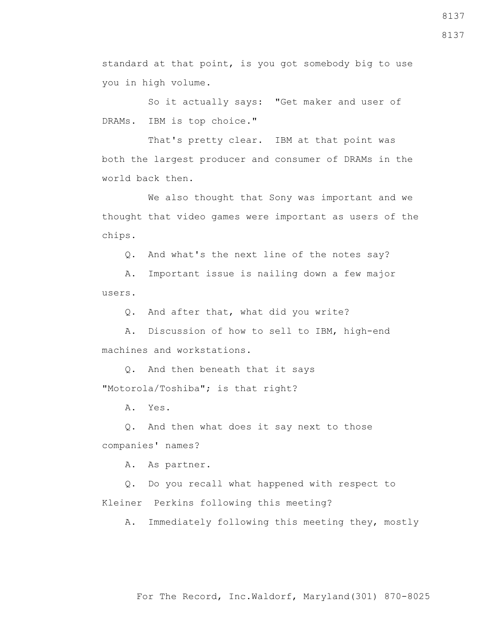standard at that point, is you got somebody big to use you in high volume.

 So it actually says: "Get maker and user of DRAMs. IBM is top choice."

That's pretty clear. IBM at that point was both the largest producer and consumer of DRAMs in the world back then.

 We also thought that Sony was important and we thought that video games were important as users of the chips.

Q. And what's the next line of the notes say?

 A. Important issue is nailing down a few major users.

Q. And after that, what did you write?

 A. Discussion of how to sell to IBM, high-end machines and workstations.

 Q. And then beneath that it says "Motorola/Toshiba"; is that right?

A. Yes.

 Q. And then what does it say next to those companies' names?

A. As partner.

 Q. Do you recall what happened with respect to Kleiner Perkins following this meeting?

A. Immediately following this meeting they, mostly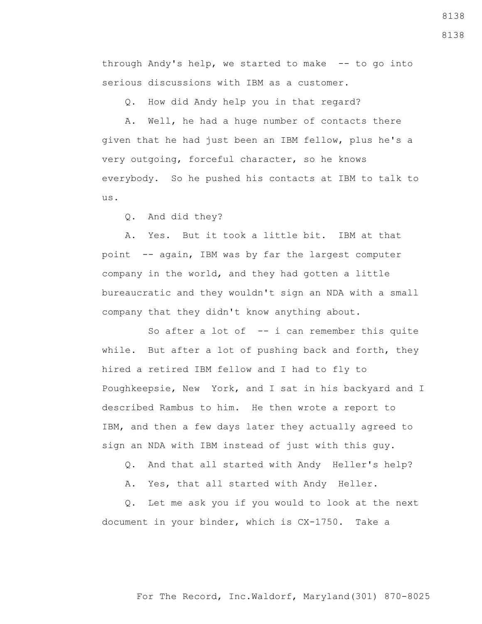through Andy's help, we started to make -- to go into serious discussions with IBM as a customer.

Q. How did Andy help you in that regard?

 A. Well, he had a huge number of contacts there given that he had just been an IBM fellow, plus he's a very outgoing, forceful character, so he knows everybody. So he pushed his contacts at IBM to talk to us.

Q. And did they?

 A. Yes. But it took a little bit. IBM at that point -- again, IBM was by far the largest computer company in the world, and they had gotten a little bureaucratic and they wouldn't sign an NDA with a small company that they didn't know anything about.

So after a lot of  $-$ - i can remember this quite while. But after a lot of pushing back and forth, they hired a retired IBM fellow and I had to fly to Poughkeepsie, New York, and I sat in his backyard and I described Rambus to him. He then wrote a report to IBM, and then a few days later they actually agreed to sign an NDA with IBM instead of just with this guy.

Q. And that all started with Andy Heller's help?

A. Yes, that all started with Andy Heller.

 Q. Let me ask you if you would to look at the next document in your binder, which is CX-1750. Take a

## For The Record, Inc.Waldorf, Maryland(301) 870-8025

8138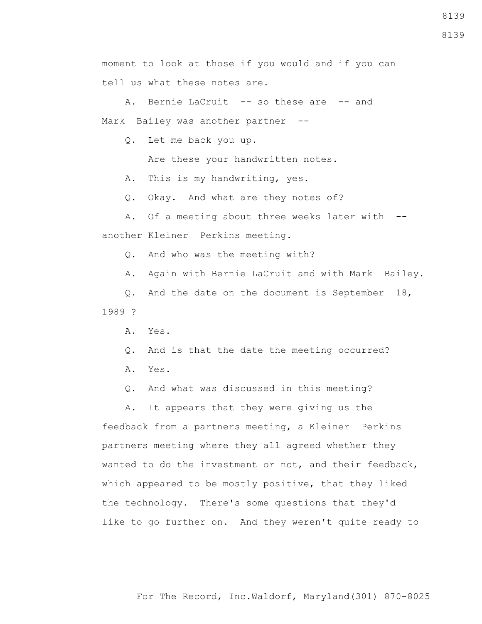moment to look at those if you would and if you can tell us what these notes are.

A. Bernie LaCruit -- so these are -- and Mark Bailey was another partner --

Q. Let me back you up.

Are these your handwritten notes.

A. This is my handwriting, yes.

Q. Okay. And what are they notes of?

 A. Of a meeting about three weeks later with - another Kleiner Perkins meeting.

Q. And who was the meeting with?

A. Again with Bernie LaCruit and with Mark Bailey.

 Q. And the date on the document is September 18, 1989 ?

A. Yes.

Q. And is that the date the meeting occurred?

A. Yes.

Q. And what was discussed in this meeting?

 A. It appears that they were giving us the feedback from a partners meeting, a Kleiner Perkins partners meeting where they all agreed whether they wanted to do the investment or not, and their feedback, which appeared to be mostly positive, that they liked the technology. There's some questions that they'd like to go further on. And they weren't quite ready to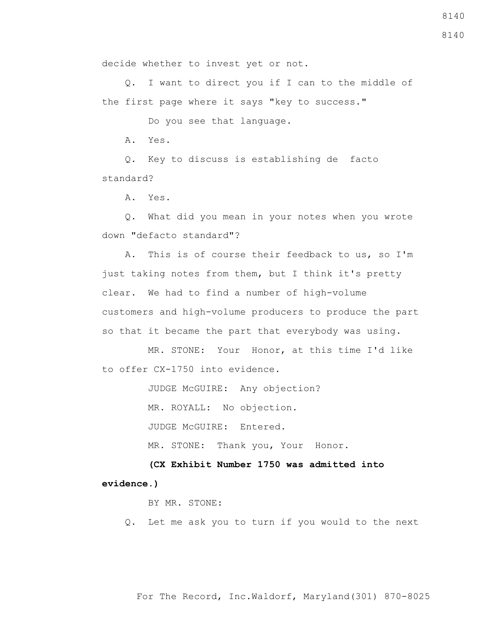decide whether to invest yet or not.

 Q. I want to direct you if I can to the middle of the first page where it says "key to success."

Do you see that language.

A. Yes.

 Q. Key to discuss is establishing de facto standard?

A. Yes.

 Q. What did you mean in your notes when you wrote down "defacto standard"?

 A. This is of course their feedback to us, so I'm just taking notes from them, but I think it's pretty clear. We had to find a number of high-volume customers and high-volume producers to produce the part so that it became the part that everybody was using.

 MR. STONE: Your Honor, at this time I'd like to offer CX-1750 into evidence.

JUDGE McGUIRE: Any objection?

MR. ROYALL: No objection.

JUDGE McGUIRE: Entered.

MR. STONE: Thank you, Your Honor.

 **(CX Exhibit Number 1750 was admitted into evidence.)**

BY MR. STONE:

Q. Let me ask you to turn if you would to the next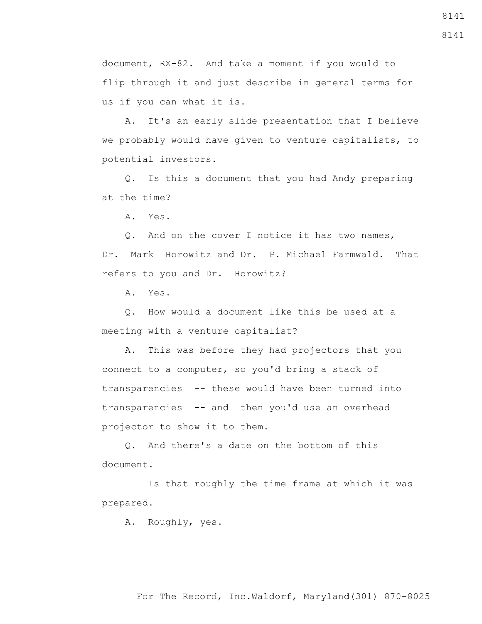document, RX-82. And take a moment if you would to flip through it and just describe in general terms for us if you can what it is.

 A. It's an early slide presentation that I believe we probably would have given to venture capitalists, to potential investors.

 Q. Is this a document that you had Andy preparing at the time?

A. Yes.

 Q. And on the cover I notice it has two names, Dr. Mark Horowitz and Dr. P. Michael Farmwald. That refers to you and Dr. Horowitz?

A. Yes.

 Q. How would a document like this be used at a meeting with a venture capitalist?

 A. This was before they had projectors that you connect to a computer, so you'd bring a stack of transparencies -- these would have been turned into transparencies -- and then you'd use an overhead projector to show it to them.

 Q. And there's a date on the bottom of this document.

 Is that roughly the time frame at which it was prepared.

A. Roughly, yes.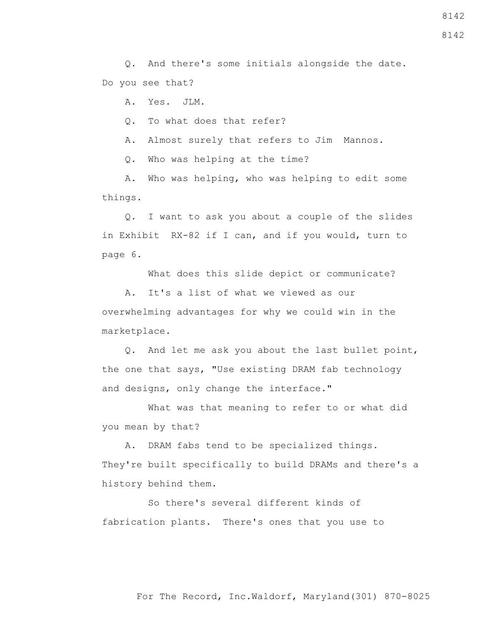Q. And there's some initials alongside the date. Do you see that?

A. Yes. JLM.

Q. To what does that refer?

A. Almost surely that refers to Jim Mannos.

Q. Who was helping at the time?

 A. Who was helping, who was helping to edit some things.

 Q. I want to ask you about a couple of the slides in Exhibit RX-82 if I can, and if you would, turn to page 6.

What does this slide depict or communicate?

 A. It's a list of what we viewed as our overwhelming advantages for why we could win in the marketplace.

 Q. And let me ask you about the last bullet point, the one that says, "Use existing DRAM fab technology and designs, only change the interface."

 What was that meaning to refer to or what did you mean by that?

 A. DRAM fabs tend to be specialized things. They're built specifically to build DRAMs and there's a history behind them.

 So there's several different kinds of fabrication plants. There's ones that you use to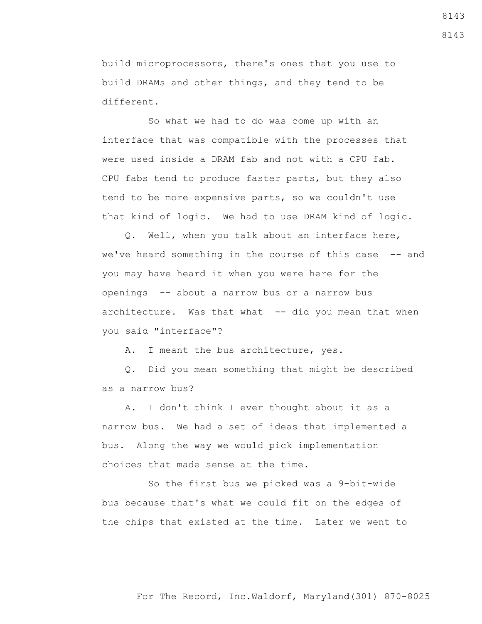build microprocessors, there's ones that you use to build DRAMs and other things, and they tend to be different.

 So what we had to do was come up with an interface that was compatible with the processes that were used inside a DRAM fab and not with a CPU fab. CPU fabs tend to produce faster parts, but they also tend to be more expensive parts, so we couldn't use that kind of logic. We had to use DRAM kind of logic.

 Q. Well, when you talk about an interface here, we've heard something in the course of this case -- and you may have heard it when you were here for the openings -- about a narrow bus or a narrow bus architecture. Was that what -- did you mean that when you said "interface"?

A. I meant the bus architecture, yes.

 Q. Did you mean something that might be described as a narrow bus?

 A. I don't think I ever thought about it as a narrow bus. We had a set of ideas that implemented a bus. Along the way we would pick implementation choices that made sense at the time.

 So the first bus we picked was a 9-bit-wide bus because that's what we could fit on the edges of the chips that existed at the time. Later we went to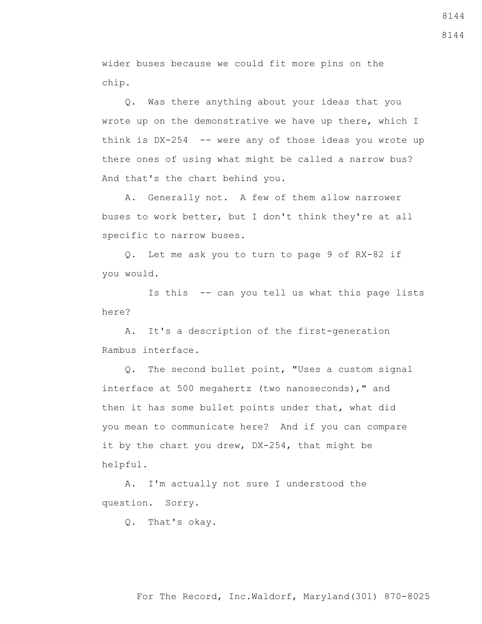wider buses because we could fit more pins on the chip.

 Q. Was there anything about your ideas that you wrote up on the demonstrative we have up there, which I think is DX-254 -- were any of those ideas you wrote up there ones of using what might be called a narrow bus? And that's the chart behind you.

 A. Generally not. A few of them allow narrower buses to work better, but I don't think they're at all specific to narrow buses.

 Q. Let me ask you to turn to page 9 of RX-82 if you would.

 Is this -- can you tell us what this page lists here?

 A. It's a description of the first-generation Rambus interface.

 Q. The second bullet point, "Uses a custom signal interface at 500 megahertz (two nanoseconds)," and then it has some bullet points under that, what did you mean to communicate here? And if you can compare it by the chart you drew, DX-254, that might be helpful.

 A. I'm actually not sure I understood the question. Sorry.

Q. That's okay.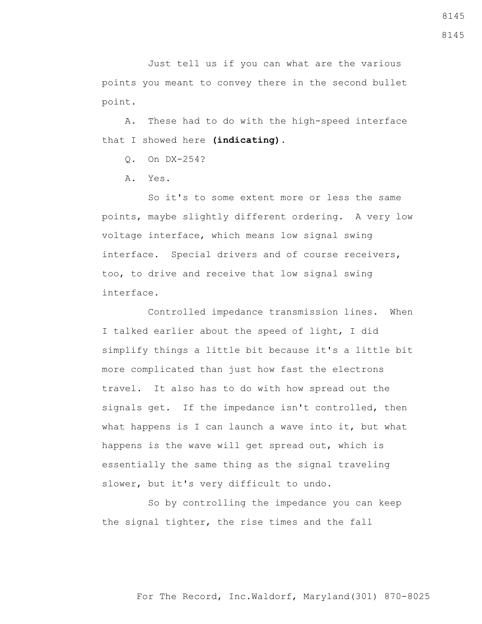Just tell us if you can what are the various points you meant to convey there in the second bullet point.

 A. These had to do with the high-speed interface that I showed here **(indicating)**.

Q. On DX-254?

A. Yes.

 So it's to some extent more or less the same points, maybe slightly different ordering. A very low voltage interface, which means low signal swing interface. Special drivers and of course receivers, too, to drive and receive that low signal swing interface.

 Controlled impedance transmission lines. When I talked earlier about the speed of light, I did simplify things a little bit because it's a little bit more complicated than just how fast the electrons travel. It also has to do with how spread out the signals get. If the impedance isn't controlled, then what happens is I can launch a wave into it, but what happens is the wave will get spread out, which is essentially the same thing as the signal traveling slower, but it's very difficult to undo.

 So by controlling the impedance you can keep the signal tighter, the rise times and the fall

8145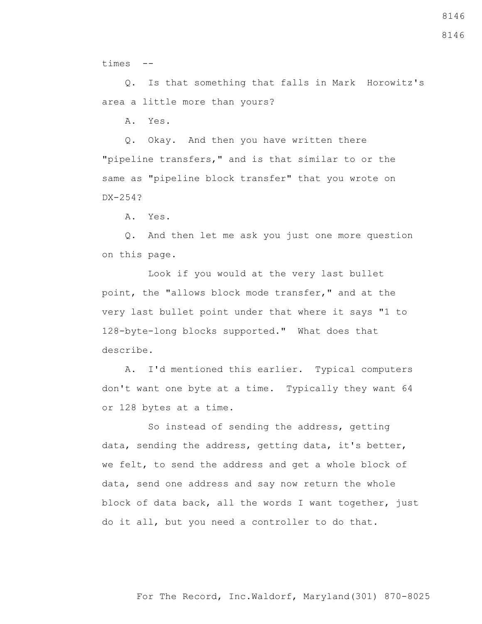times --

 Q. Is that something that falls in Mark Horowitz's area a little more than yours?

A. Yes.

 Q. Okay. And then you have written there "pipeline transfers," and is that similar to or the same as "pipeline block transfer" that you wrote on DX-254?

A. Yes.

 Q. And then let me ask you just one more question on this page.

 Look if you would at the very last bullet point, the "allows block mode transfer," and at the very last bullet point under that where it says "1 to 128-byte-long blocks supported." What does that describe.

 A. I'd mentioned this earlier. Typical computers don't want one byte at a time. Typically they want 64 or 128 bytes at a time.

 So instead of sending the address, getting data, sending the address, getting data, it's better, we felt, to send the address and get a whole block of data, send one address and say now return the whole block of data back, all the words I want together, just do it all, but you need a controller to do that.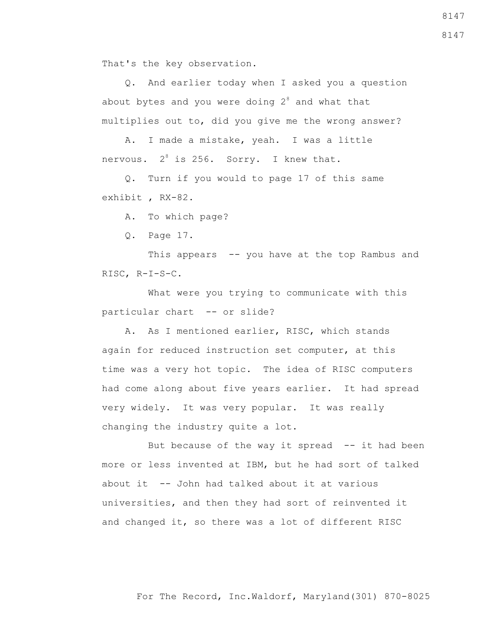That's the key observation.

 Q. And earlier today when I asked you a question about bytes and you were doing  $2^8$  and what that multiplies out to, did you give me the wrong answer?

 A. I made a mistake, yeah. I was a little nervous.  $2^8$  is 256. Sorry. I knew that.

 Q. Turn if you would to page 17 of this same exhibit , RX-82.

A. To which page?

Q. Page 17.

 This appears -- you have at the top Rambus and RISC, R-I-S-C.

 What were you trying to communicate with this particular chart -- or slide?

 A. As I mentioned earlier, RISC, which stands again for reduced instruction set computer, at this time was a very hot topic. The idea of RISC computers had come along about five years earlier. It had spread very widely. It was very popular. It was really changing the industry quite a lot.

But because of the way it spread  $-$  it had been more or less invented at IBM, but he had sort of talked about it -- John had talked about it at various universities, and then they had sort of reinvented it and changed it, so there was a lot of different RISC

For The Record, Inc.Waldorf, Maryland(301) 870-8025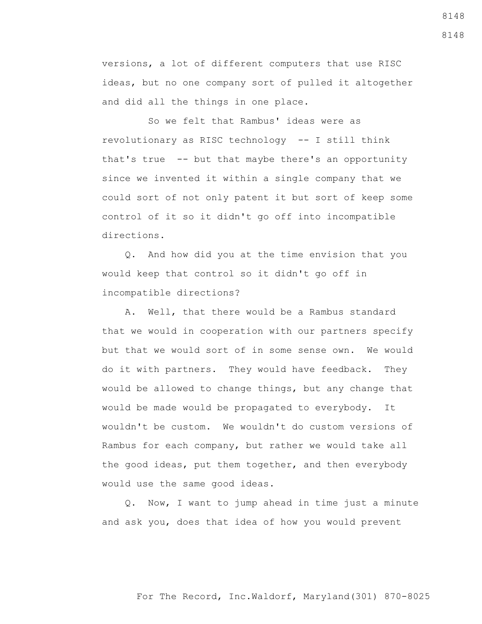versions, a lot of different computers that use RISC ideas, but no one company sort of pulled it altogether and did all the things in one place.

 So we felt that Rambus' ideas were as revolutionary as RISC technology -- I still think that's true -- but that maybe there's an opportunity since we invented it within a single company that we could sort of not only patent it but sort of keep some control of it so it didn't go off into incompatible directions.

 Q. And how did you at the time envision that you would keep that control so it didn't go off in incompatible directions?

 A. Well, that there would be a Rambus standard that we would in cooperation with our partners specify but that we would sort of in some sense own. We would do it with partners. They would have feedback. They would be allowed to change things, but any change that would be made would be propagated to everybody. It wouldn't be custom. We wouldn't do custom versions of Rambus for each company, but rather we would take all the good ideas, put them together, and then everybody would use the same good ideas.

 Q. Now, I want to jump ahead in time just a minute and ask you, does that idea of how you would prevent

## For The Record, Inc.Waldorf, Maryland(301) 870-8025

8148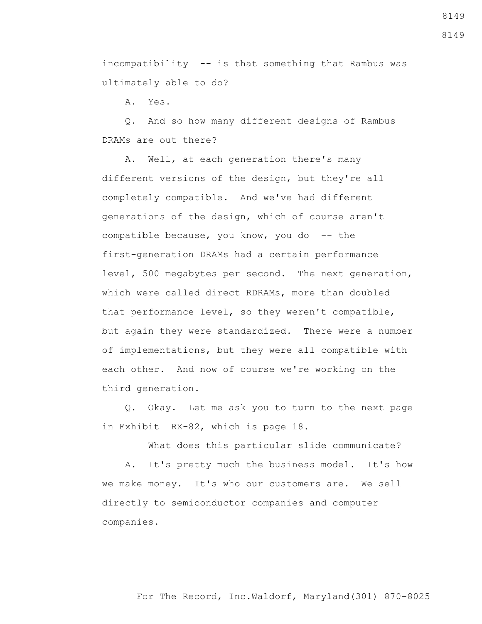incompatibility -- is that something that Rambus was ultimately able to do?

A. Yes.

 Q. And so how many different designs of Rambus DRAMs are out there?

 A. Well, at each generation there's many different versions of the design, but they're all completely compatible. And we've had different generations of the design, which of course aren't compatible because, you know, you do -- the first-generation DRAMs had a certain performance level, 500 megabytes per second. The next generation, which were called direct RDRAMs, more than doubled that performance level, so they weren't compatible, but again they were standardized. There were a number of implementations, but they were all compatible with each other. And now of course we're working on the third generation.

 Q. Okay. Let me ask you to turn to the next page in Exhibit RX-82, which is page 18.

What does this particular slide communicate?

 A. It's pretty much the business model. It's how we make money. It's who our customers are. We sell directly to semiconductor companies and computer companies.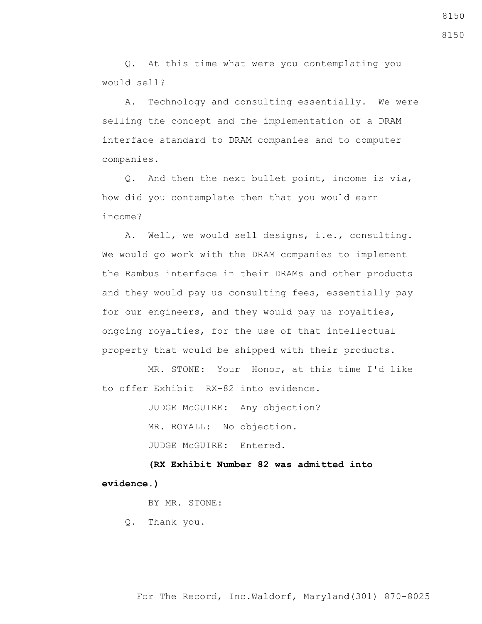Q. At this time what were you contemplating you would sell?

 A. Technology and consulting essentially. We were selling the concept and the implementation of a DRAM interface standard to DRAM companies and to computer companies.

 Q. And then the next bullet point, income is via, how did you contemplate then that you would earn income?

 A. Well, we would sell designs, i.e., consulting. We would go work with the DRAM companies to implement the Rambus interface in their DRAMs and other products and they would pay us consulting fees, essentially pay for our engineers, and they would pay us royalties, ongoing royalties, for the use of that intellectual property that would be shipped with their products.

 MR. STONE: Your Honor, at this time I'd like to offer Exhibit RX-82 into evidence.

JUDGE McGUIRE: Any objection?

MR. ROYALL: No objection.

JUDGE McGUIRE: Entered.

 **(RX Exhibit Number 82 was admitted into evidence.)**

BY MR. STONE:

Q. Thank you.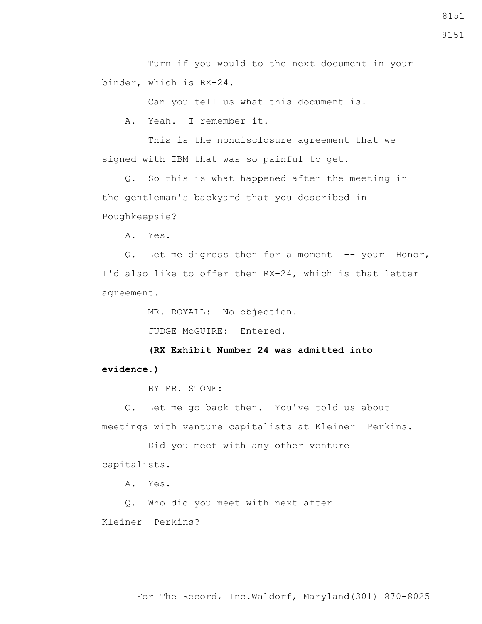Turn if you would to the next document in your binder, which is RX-24.

Can you tell us what this document is.

A. Yeah. I remember it.

 This is the nondisclosure agreement that we signed with IBM that was so painful to get.

 Q. So this is what happened after the meeting in the gentleman's backyard that you described in Poughkeepsie?

A. Yes.

Q. Let me digress then for a moment -- your Honor, I'd also like to offer then RX-24, which is that letter agreement.

MR. ROYALL: No objection.

JUDGE McGUIRE: Entered.

 **(RX Exhibit Number 24 was admitted into evidence.)**

BY MR. STONE:

 Q. Let me go back then. You've told us about meetings with venture capitalists at Kleiner Perkins.

 Did you meet with any other venture capitalists.

A. Yes.

Q. Who did you meet with next after

Kleiner Perkins?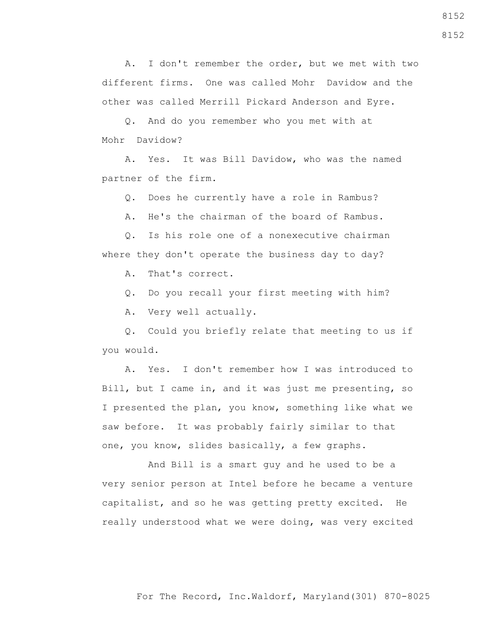A. I don't remember the order, but we met with two different firms. One was called Mohr Davidow and the other was called Merrill Pickard Anderson and Eyre.

 Q. And do you remember who you met with at Mohr Davidow?

 A. Yes. It was Bill Davidow, who was the named partner of the firm.

Q. Does he currently have a role in Rambus?

A. He's the chairman of the board of Rambus.

 Q. Is his role one of a nonexecutive chairman where they don't operate the business day to day?

A. That's correct.

Q. Do you recall your first meeting with him?

A. Very well actually.

 Q. Could you briefly relate that meeting to us if you would.

 A. Yes. I don't remember how I was introduced to Bill, but I came in, and it was just me presenting, so I presented the plan, you know, something like what we saw before. It was probably fairly similar to that one, you know, slides basically, a few graphs.

 And Bill is a smart guy and he used to be a very senior person at Intel before he became a venture capitalist, and so he was getting pretty excited. He really understood what we were doing, was very excited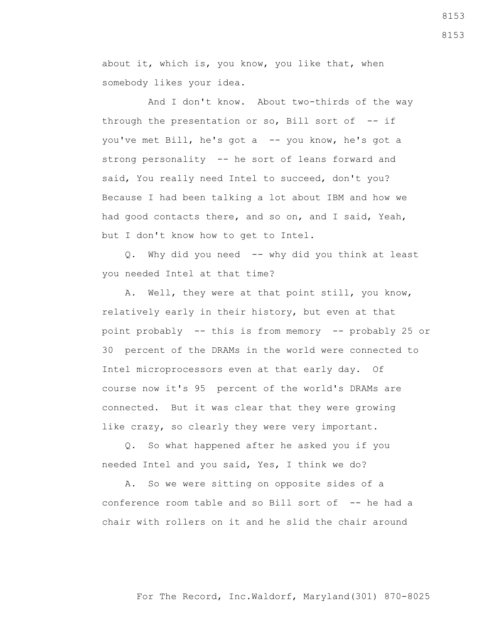about it, which is, you know, you like that, when somebody likes your idea.

 And I don't know. About two-thirds of the way through the presentation or so, Bill sort of  $-$ - if you've met Bill, he's got a -- you know, he's got a strong personality -- he sort of leans forward and said, You really need Intel to succeed, don't you? Because I had been talking a lot about IBM and how we had good contacts there, and so on, and I said, Yeah, but I don't know how to get to Intel.

 Q. Why did you need -- why did you think at least you needed Intel at that time?

 A. Well, they were at that point still, you know, relatively early in their history, but even at that point probably -- this is from memory -- probably 25 or 30 percent of the DRAMs in the world were connected to Intel microprocessors even at that early day. Of course now it's 95 percent of the world's DRAMs are connected. But it was clear that they were growing like crazy, so clearly they were very important.

 Q. So what happened after he asked you if you needed Intel and you said, Yes, I think we do?

 A. So we were sitting on opposite sides of a conference room table and so Bill sort of -- he had a chair with rollers on it and he slid the chair around

8153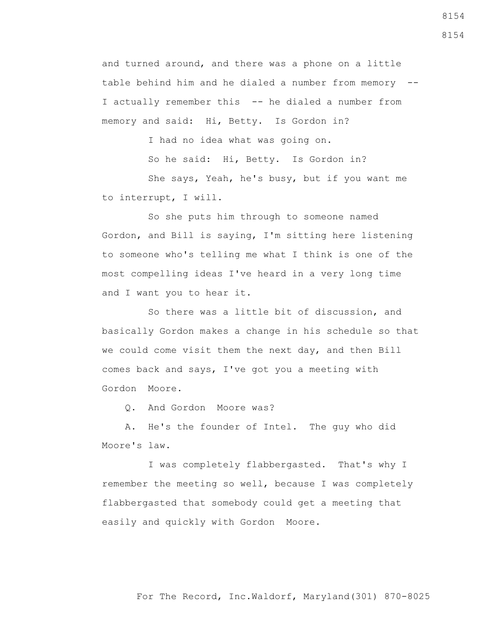and turned around, and there was a phone on a little table behind him and he dialed a number from memory -- I actually remember this -- he dialed a number from memory and said: Hi, Betty. Is Gordon in?

I had no idea what was going on.

So he said: Hi, Betty. Is Gordon in?

 She says, Yeah, he's busy, but if you want me to interrupt, I will.

 So she puts him through to someone named Gordon, and Bill is saying, I'm sitting here listening to someone who's telling me what I think is one of the most compelling ideas I've heard in a very long time and I want you to hear it.

 So there was a little bit of discussion, and basically Gordon makes a change in his schedule so that we could come visit them the next day, and then Bill comes back and says, I've got you a meeting with Gordon Moore.

Q. And Gordon Moore was?

 A. He's the founder of Intel. The guy who did Moore's law.

 I was completely flabbergasted. That's why I remember the meeting so well, because I was completely flabbergasted that somebody could get a meeting that easily and quickly with Gordon Moore.

8154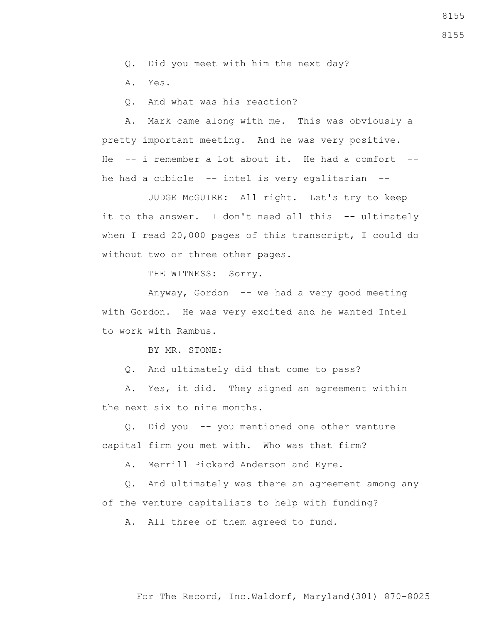Q. Did you meet with him the next day?

A. Yes.

Q. And what was his reaction?

 A. Mark came along with me. This was obviously a pretty important meeting. And he was very positive. He  $-$  i remember a lot about it. He had a comfort  $$ he had a cubicle -- intel is very egalitarian --

 JUDGE McGUIRE: All right. Let's try to keep it to the answer. I don't need all this -- ultimately when I read 20,000 pages of this transcript, I could do without two or three other pages.

THE WITNESS: Sorry.

 Anyway, Gordon -- we had a very good meeting with Gordon. He was very excited and he wanted Intel to work with Rambus.

BY MR. STONE:

Q. And ultimately did that come to pass?

 A. Yes, it did. They signed an agreement within the next six to nine months.

 Q. Did you -- you mentioned one other venture capital firm you met with. Who was that firm?

A. Merrill Pickard Anderson and Eyre.

 Q. And ultimately was there an agreement among any of the venture capitalists to help with funding?

A. All three of them agreed to fund.

8155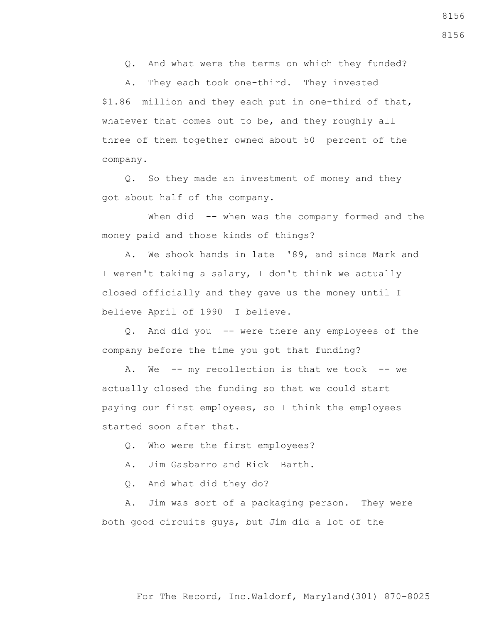Q. And what were the terms on which they funded?

 A. They each took one-third. They invested \$1.86 million and they each put in one-third of that, whatever that comes out to be, and they roughly all three of them together owned about 50 percent of the company.

 Q. So they made an investment of money and they got about half of the company.

When did -- when was the company formed and the money paid and those kinds of things?

 A. We shook hands in late '89, and since Mark and I weren't taking a salary, I don't think we actually closed officially and they gave us the money until I believe April of 1990 I believe.

 Q. And did you -- were there any employees of the company before the time you got that funding?

A. We -- my recollection is that we took -- we actually closed the funding so that we could start paying our first employees, so I think the employees started soon after that.

Q. Who were the first employees?

A. Jim Gasbarro and Rick Barth.

Q. And what did they do?

 A. Jim was sort of a packaging person. They were both good circuits guys, but Jim did a lot of the

8156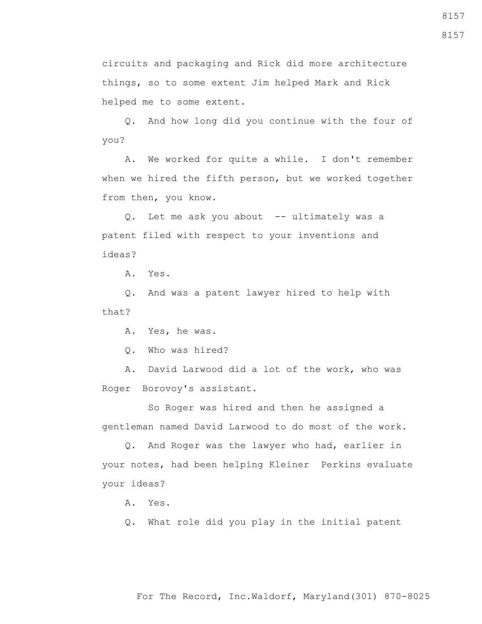circuits and packaging and Rick did more architecture things, so to some extent Jim helped Mark and Rick helped me to some extent.

 Q. And how long did you continue with the four of you?

 A. We worked for quite a while. I don't remember when we hired the fifth person, but we worked together from then, you know.

 Q. Let me ask you about -- ultimately was a patent filed with respect to your inventions and ideas?

A. Yes.

 Q. And was a patent lawyer hired to help with that?

A. Yes, he was.

Q. Who was hired?

 A. David Larwood did a lot of the work, who was Roger Borovoy's assistant.

 So Roger was hired and then he assigned a gentleman named David Larwood to do most of the work.

 Q. And Roger was the lawyer who had, earlier in your notes, had been helping Kleiner Perkins evaluate your ideas?

A. Yes.

Q. What role did you play in the initial patent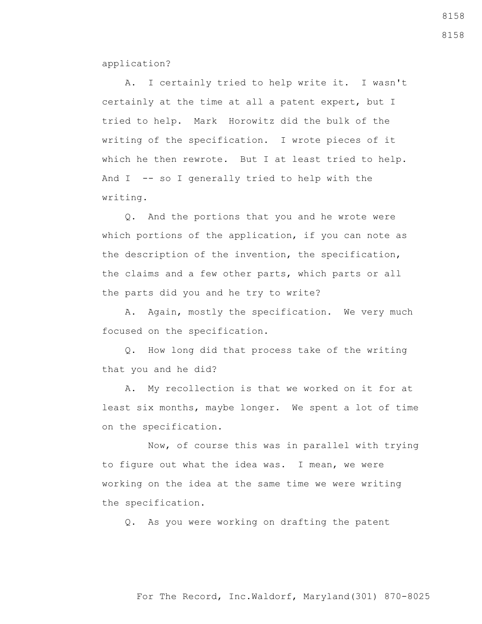application?

 A. I certainly tried to help write it. I wasn't certainly at the time at all a patent expert, but I tried to help. Mark Horowitz did the bulk of the writing of the specification. I wrote pieces of it which he then rewrote. But I at least tried to help. And I -- so I generally tried to help with the writing.

 Q. And the portions that you and he wrote were which portions of the application, if you can note as the description of the invention, the specification, the claims and a few other parts, which parts or all the parts did you and he try to write?

 A. Again, mostly the specification. We very much focused on the specification.

 Q. How long did that process take of the writing that you and he did?

 A. My recollection is that we worked on it for at least six months, maybe longer. We spent a lot of time on the specification.

 Now, of course this was in parallel with trying to figure out what the idea was. I mean, we were working on the idea at the same time we were writing the specification.

Q. As you were working on drafting the patent

## For The Record, Inc.Waldorf, Maryland(301) 870-8025

8158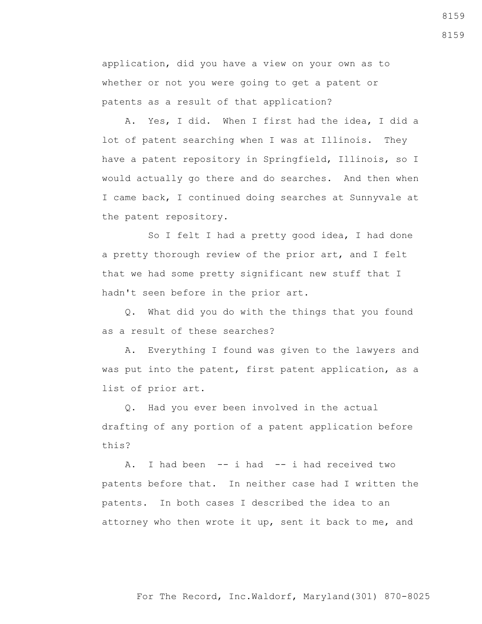application, did you have a view on your own as to whether or not you were going to get a patent or patents as a result of that application?

 A. Yes, I did. When I first had the idea, I did a lot of patent searching when I was at Illinois. They have a patent repository in Springfield, Illinois, so I would actually go there and do searches. And then when I came back, I continued doing searches at Sunnyvale at the patent repository.

 So I felt I had a pretty good idea, I had done a pretty thorough review of the prior art, and I felt that we had some pretty significant new stuff that I hadn't seen before in the prior art.

 Q. What did you do with the things that you found as a result of these searches?

 A. Everything I found was given to the lawyers and was put into the patent, first patent application, as a list of prior art.

 Q. Had you ever been involved in the actual drafting of any portion of a patent application before this?

A. I had been -- i had -- i had received two patents before that. In neither case had I written the patents. In both cases I described the idea to an attorney who then wrote it up, sent it back to me, and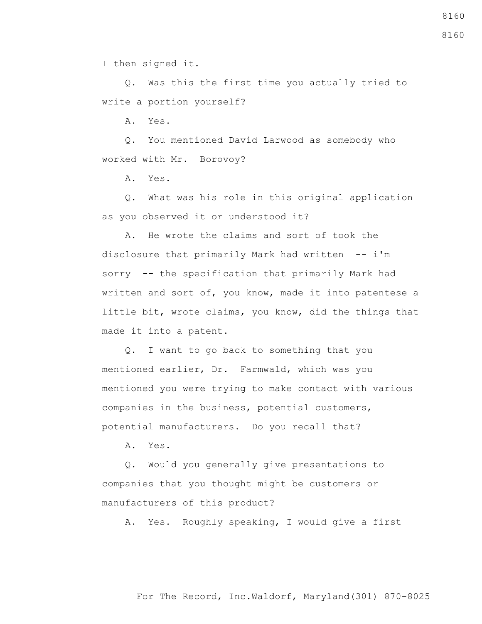I then signed it.

 Q. Was this the first time you actually tried to write a portion yourself?

A. Yes.

 Q. You mentioned David Larwood as somebody who worked with Mr. Borovoy?

A. Yes.

 Q. What was his role in this original application as you observed it or understood it?

 A. He wrote the claims and sort of took the disclosure that primarily Mark had written -- i'm sorry -- the specification that primarily Mark had written and sort of, you know, made it into patentese a little bit, wrote claims, you know, did the things that made it into a patent.

 Q. I want to go back to something that you mentioned earlier, Dr. Farmwald, which was you mentioned you were trying to make contact with various companies in the business, potential customers, potential manufacturers. Do you recall that?

A. Yes.

 Q. Would you generally give presentations to companies that you thought might be customers or manufacturers of this product?

A. Yes. Roughly speaking, I would give a first

#### For The Record, Inc.Waldorf, Maryland(301) 870-8025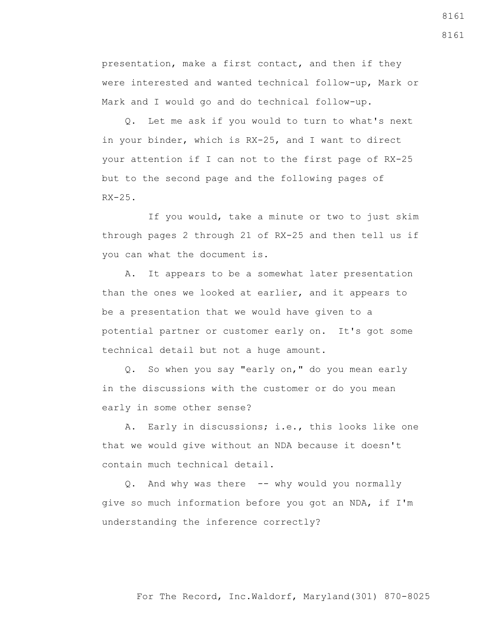presentation, make a first contact, and then if they were interested and wanted technical follow-up, Mark or Mark and I would go and do technical follow-up.

 Q. Let me ask if you would to turn to what's next in your binder, which is RX-25, and I want to direct your attention if I can not to the first page of RX-25 but to the second page and the following pages of  $RX-25$ .

 If you would, take a minute or two to just skim through pages 2 through 21 of RX-25 and then tell us if you can what the document is.

 A. It appears to be a somewhat later presentation than the ones we looked at earlier, and it appears to be a presentation that we would have given to a potential partner or customer early on. It's got some technical detail but not a huge amount.

 Q. So when you say "early on," do you mean early in the discussions with the customer or do you mean early in some other sense?

 A. Early in discussions; i.e., this looks like one that we would give without an NDA because it doesn't contain much technical detail.

 Q. And why was there -- why would you normally give so much information before you got an NDA, if I'm understanding the inference correctly?

8161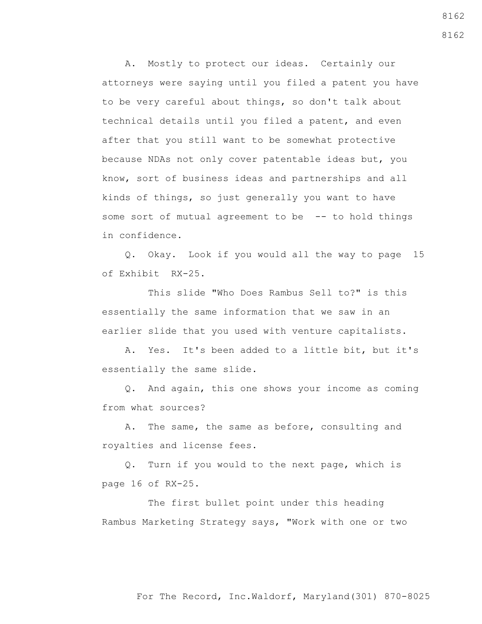A. Mostly to protect our ideas. Certainly our attorneys were saying until you filed a patent you have to be very careful about things, so don't talk about technical details until you filed a patent, and even after that you still want to be somewhat protective because NDAs not only cover patentable ideas but, you know, sort of business ideas and partnerships and all kinds of things, so just generally you want to have some sort of mutual agreement to be -- to hold things in confidence.

 Q. Okay. Look if you would all the way to page 15 of Exhibit RX-25.

 This slide "Who Does Rambus Sell to?" is this essentially the same information that we saw in an earlier slide that you used with venture capitalists.

 A. Yes. It's been added to a little bit, but it's essentially the same slide.

 Q. And again, this one shows your income as coming from what sources?

 A. The same, the same as before, consulting and royalties and license fees.

 Q. Turn if you would to the next page, which is page 16 of RX-25.

 The first bullet point under this heading Rambus Marketing Strategy says, "Work with one or two 8162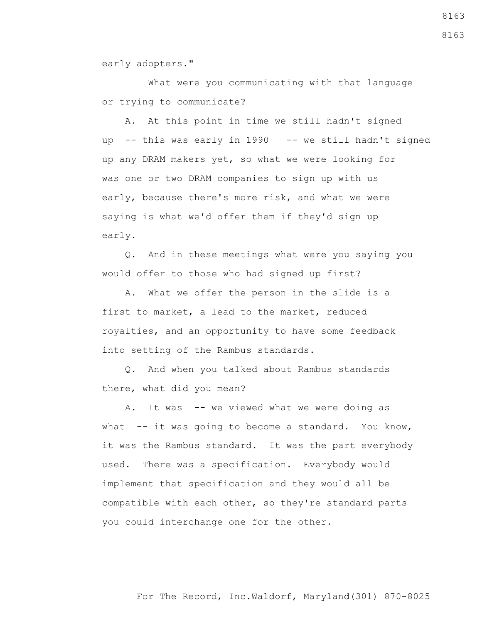early adopters."

 What were you communicating with that language or trying to communicate?

 A. At this point in time we still hadn't signed up -- this was early in 1990 -- we still hadn't signed up any DRAM makers yet, so what we were looking for was one or two DRAM companies to sign up with us early, because there's more risk, and what we were saying is what we'd offer them if they'd sign up early.

 Q. And in these meetings what were you saying you would offer to those who had signed up first?

 A. What we offer the person in the slide is a first to market, a lead to the market, reduced royalties, and an opportunity to have some feedback into setting of the Rambus standards.

 Q. And when you talked about Rambus standards there, what did you mean?

A. It was -- we viewed what we were doing as what -- it was going to become a standard. You know, it was the Rambus standard. It was the part everybody used. There was a specification. Everybody would implement that specification and they would all be compatible with each other, so they're standard parts you could interchange one for the other.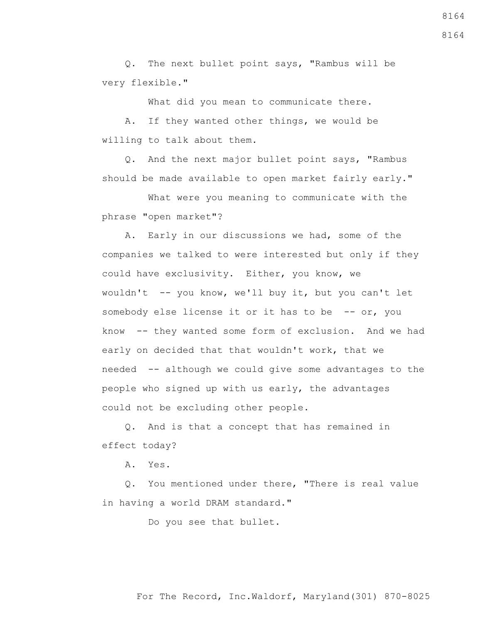Q. The next bullet point says, "Rambus will be very flexible."

What did you mean to communicate there.

 A. If they wanted other things, we would be willing to talk about them.

 Q. And the next major bullet point says, "Rambus should be made available to open market fairly early."

 What were you meaning to communicate with the phrase "open market"?

 A. Early in our discussions we had, some of the companies we talked to were interested but only if they could have exclusivity. Either, you know, we wouldn't -- you know, we'll buy it, but you can't let somebody else license it or it has to be -- or, you know -- they wanted some form of exclusion. And we had early on decided that that wouldn't work, that we needed -- although we could give some advantages to the people who signed up with us early, the advantages could not be excluding other people.

 Q. And is that a concept that has remained in effect today?

A. Yes.

 Q. You mentioned under there, "There is real value in having a world DRAM standard."

Do you see that bullet.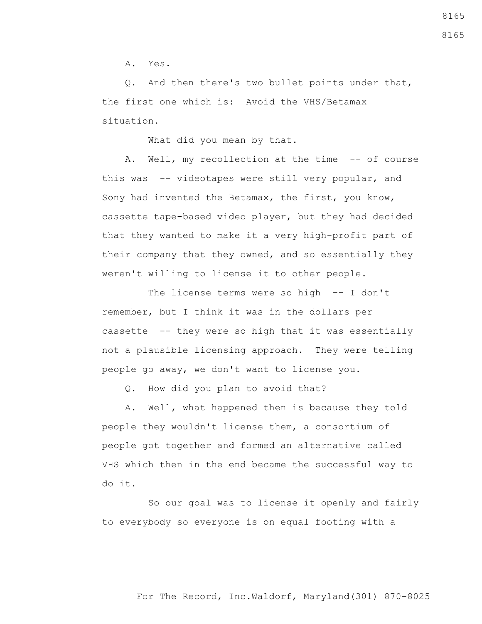A. Yes.

 Q. And then there's two bullet points under that, the first one which is: Avoid the VHS/Betamax situation.

What did you mean by that.

A. Well, my recollection at the time -- of course this was -- videotapes were still very popular, and Sony had invented the Betamax, the first, you know, cassette tape-based video player, but they had decided that they wanted to make it a very high-profit part of their company that they owned, and so essentially they weren't willing to license it to other people.

The license terms were so high -- I don't remember, but I think it was in the dollars per cassette -- they were so high that it was essentially not a plausible licensing approach. They were telling people go away, we don't want to license you.

Q. How did you plan to avoid that?

 A. Well, what happened then is because they told people they wouldn't license them, a consortium of people got together and formed an alternative called VHS which then in the end became the successful way to do it.

 So our goal was to license it openly and fairly to everybody so everyone is on equal footing with a

For The Record, Inc.Waldorf, Maryland(301) 870-8025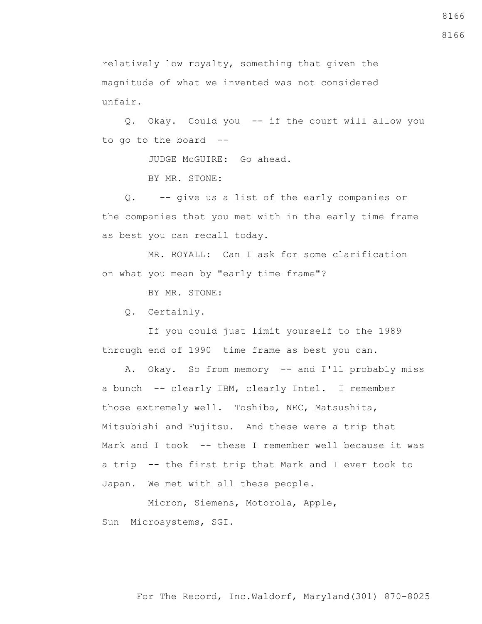relatively low royalty, something that given the magnitude of what we invented was not considered unfair.

 Q. Okay. Could you -- if the court will allow you to go to the board  $-$ 

JUDGE McGUIRE: Go ahead.

BY MR. STONE:

 Q. -- give us a list of the early companies or the companies that you met with in the early time frame as best you can recall today.

 MR. ROYALL: Can I ask for some clarification on what you mean by "early time frame"?

BY MR. STONE:

Q. Certainly.

 If you could just limit yourself to the 1989 through end of 1990 time frame as best you can.

A. Okay. So from memory -- and I'll probably miss a bunch -- clearly IBM, clearly Intel. I remember those extremely well. Toshiba, NEC, Matsushita, Mitsubishi and Fujitsu. And these were a trip that Mark and I took -- these I remember well because it was a trip -- the first trip that Mark and I ever took to Japan. We met with all these people.

 Micron, Siemens, Motorola, Apple, Sun Microsystems, SGI.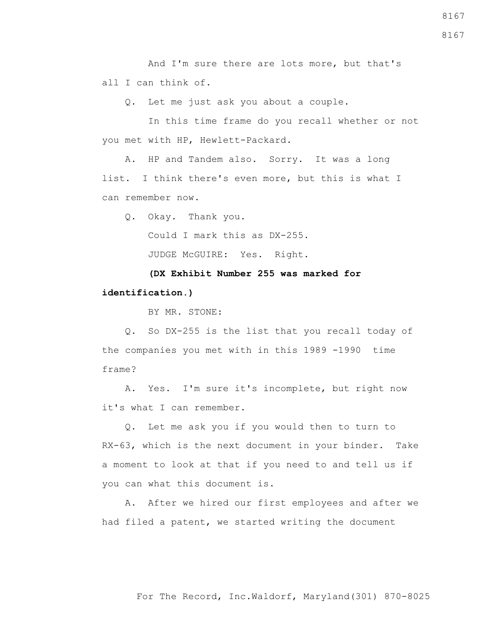And I'm sure there are lots more, but that's all I can think of.

Q. Let me just ask you about a couple.

 In this time frame do you recall whether or not you met with HP, Hewlett-Packard.

 A. HP and Tandem also. Sorry. It was a long list. I think there's even more, but this is what I can remember now.

Q. Okay. Thank you.

Could I mark this as DX-255.

JUDGE McGUIRE: Yes. Right.

 **(DX Exhibit Number 255 was marked for identification.)**

BY MR. STONE:

 Q. So DX-255 is the list that you recall today of the companies you met with in this 1989 -1990 time frame?

 A. Yes. I'm sure it's incomplete, but right now it's what I can remember.

 Q. Let me ask you if you would then to turn to RX-63, which is the next document in your binder. Take a moment to look at that if you need to and tell us if you can what this document is.

 A. After we hired our first employees and after we had filed a patent, we started writing the document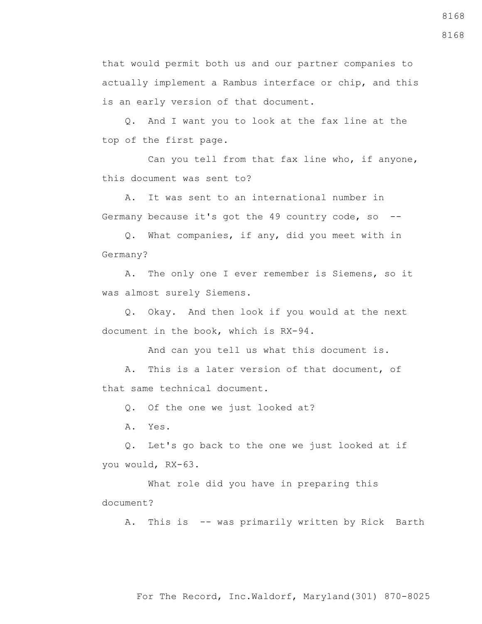that would permit both us and our partner companies to actually implement a Rambus interface or chip, and this is an early version of that document.

 Q. And I want you to look at the fax line at the top of the first page.

 Can you tell from that fax line who, if anyone, this document was sent to?

 A. It was sent to an international number in Germany because it's got the 49 country code, so --

 Q. What companies, if any, did you meet with in Germany?

 A. The only one I ever remember is Siemens, so it was almost surely Siemens.

 Q. Okay. And then look if you would at the next document in the book, which is RX-94.

And can you tell us what this document is.

 A. This is a later version of that document, of that same technical document.

Q. Of the one we just looked at?

A. Yes.

 Q. Let's go back to the one we just looked at if you would, RX-63.

 What role did you have in preparing this document?

A. This is -- was primarily written by Rick Barth

For The Record, Inc.Waldorf, Maryland(301) 870-8025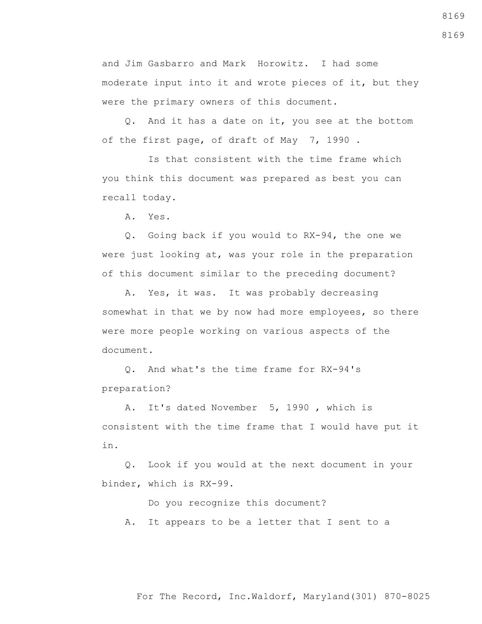and Jim Gasbarro and Mark Horowitz. I had some moderate input into it and wrote pieces of it, but they were the primary owners of this document.

 Q. And it has a date on it, you see at the bottom of the first page, of draft of May 7, 1990 .

 Is that consistent with the time frame which you think this document was prepared as best you can recall today.

A. Yes.

 Q. Going back if you would to RX-94, the one we were just looking at, was your role in the preparation of this document similar to the preceding document?

 A. Yes, it was. It was probably decreasing somewhat in that we by now had more employees, so there were more people working on various aspects of the document.

 Q. And what's the time frame for RX-94's preparation?

 A. It's dated November 5, 1990 , which is consistent with the time frame that I would have put it in.

 Q. Look if you would at the next document in your binder, which is RX-99.

Do you recognize this document?

A. It appears to be a letter that I sent to a

8169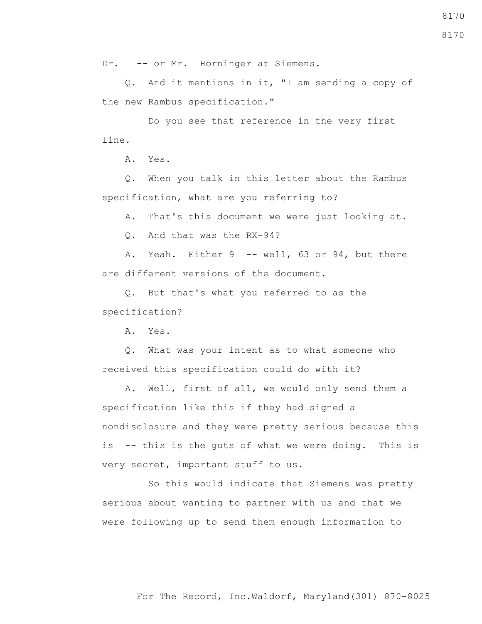For The Record, Inc.Waldorf, Maryland(301) 870-8025

8170

Dr. -- or Mr. Horninger at Siemens.

 Q. And it mentions in it, "I am sending a copy of the new Rambus specification."

 Do you see that reference in the very first line.

A. Yes.

 Q. When you talk in this letter about the Rambus specification, what are you referring to?

A. That's this document we were just looking at.

Q. And that was the RX-94?

A. Yeah. Either 9 -- well, 63 or 94, but there are different versions of the document.

 Q. But that's what you referred to as the specification?

A. Yes.

 Q. What was your intent as to what someone who received this specification could do with it?

 A. Well, first of all, we would only send them a specification like this if they had signed a nondisclosure and they were pretty serious because this is -- this is the guts of what we were doing. This is very secret, important stuff to us.

 So this would indicate that Siemens was pretty serious about wanting to partner with us and that we were following up to send them enough information to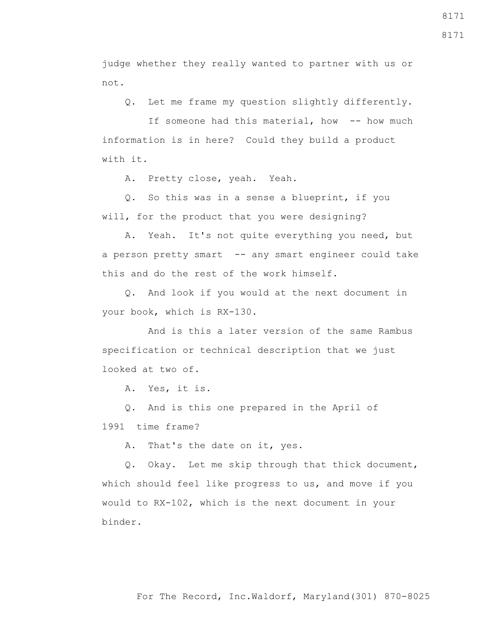judge whether they really wanted to partner with us or not.

Q. Let me frame my question slightly differently.

If someone had this material, how -- how much information is in here? Could they build a product with it.

A. Pretty close, yeah. Yeah.

 Q. So this was in a sense a blueprint, if you will, for the product that you were designing?

 A. Yeah. It's not quite everything you need, but a person pretty smart -- any smart engineer could take this and do the rest of the work himself.

 Q. And look if you would at the next document in your book, which is RX-130.

 And is this a later version of the same Rambus specification or technical description that we just looked at two of.

A. Yes, it is.

 Q. And is this one prepared in the April of 1991 time frame?

A. That's the date on it, yes.

 Q. Okay. Let me skip through that thick document, which should feel like progress to us, and move if you would to RX-102, which is the next document in your binder.

8171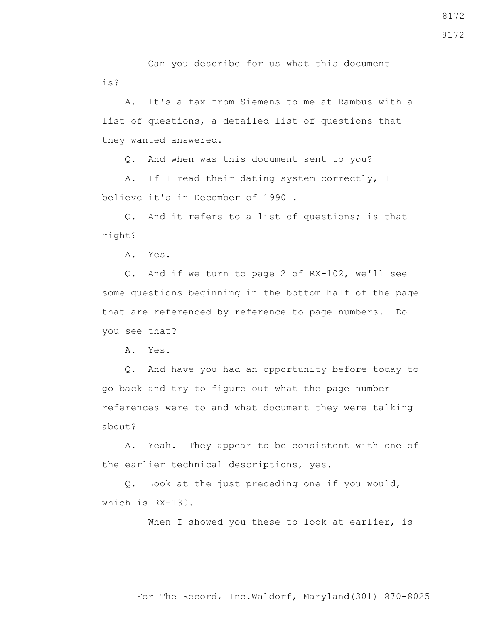Can you describe for us what this document is?

 A. It's a fax from Siemens to me at Rambus with a list of questions, a detailed list of questions that they wanted answered.

Q. And when was this document sent to you?

 A. If I read their dating system correctly, I believe it's in December of 1990 .

 Q. And it refers to a list of questions; is that right?

A. Yes.

 Q. And if we turn to page 2 of RX-102, we'll see some questions beginning in the bottom half of the page that are referenced by reference to page numbers. Do you see that?

A. Yes.

 Q. And have you had an opportunity before today to go back and try to figure out what the page number references were to and what document they were talking about?

 A. Yeah. They appear to be consistent with one of the earlier technical descriptions, yes.

 Q. Look at the just preceding one if you would, which is RX-130.

When I showed you these to look at earlier, is

8172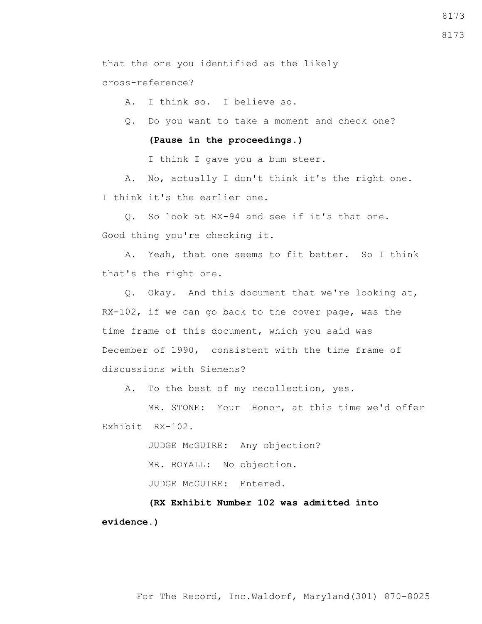that the one you identified as the likely

cross-reference?

A. I think so. I believe so.

Q. Do you want to take a moment and check one?

# **(Pause in the proceedings.)**

I think I gave you a bum steer.

 A. No, actually I don't think it's the right one. I think it's the earlier one.

 Q. So look at RX-94 and see if it's that one. Good thing you're checking it.

 A. Yeah, that one seems to fit better. So I think that's the right one.

 Q. Okay. And this document that we're looking at, RX-102, if we can go back to the cover page, was the time frame of this document, which you said was December of 1990, consistent with the time frame of discussions with Siemens?

A. To the best of my recollection, yes.

 MR. STONE: Your Honor, at this time we'd offer Exhibit RX-102.

> JUDGE McGUIRE: Any objection? MR. ROYALL: No objection. JUDGE McGUIRE: Entered.

 **(RX Exhibit Number 102 was admitted into evidence.)**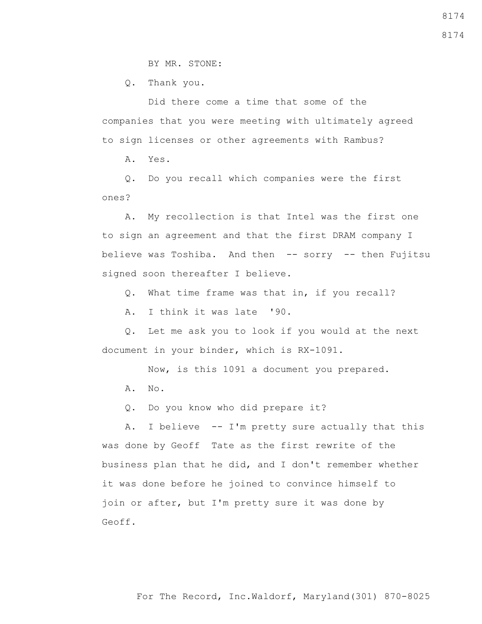BY MR. STONE:

Q. Thank you.

 Did there come a time that some of the companies that you were meeting with ultimately agreed to sign licenses or other agreements with Rambus?

A. Yes.

 Q. Do you recall which companies were the first ones?

 A. My recollection is that Intel was the first one to sign an agreement and that the first DRAM company I believe was Toshiba. And then -- sorry -- then Fujitsu signed soon thereafter I believe.

Q. What time frame was that in, if you recall?

A. I think it was late '90.

 Q. Let me ask you to look if you would at the next document in your binder, which is RX-1091.

Now, is this 1091 a document you prepared.

A. No.

Q. Do you know who did prepare it?

 A. I believe -- I'm pretty sure actually that this was done by Geoff Tate as the first rewrite of the business plan that he did, and I don't remember whether it was done before he joined to convince himself to join or after, but I'm pretty sure it was done by Geoff.

For The Record, Inc.Waldorf, Maryland(301) 870-8025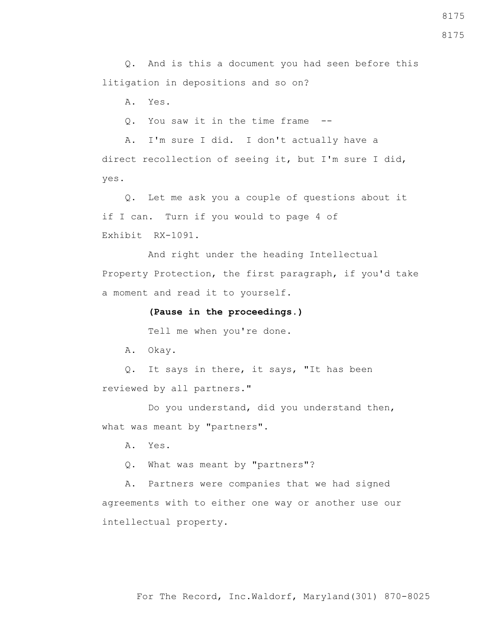For The Record, Inc.Waldorf, Maryland(301) 870-8025

8175

 Q. And is this a document you had seen before this litigation in depositions and so on?

A. Yes.

Q. You saw it in the time frame --

 A. I'm sure I did. I don't actually have a direct recollection of seeing it, but I'm sure I did, yes.

 Q. Let me ask you a couple of questions about it if I can. Turn if you would to page 4 of Exhibit RX-1091.

 And right under the heading Intellectual Property Protection, the first paragraph, if you'd take a moment and read it to yourself.

# **(Pause in the proceedings.)**

Tell me when you're done.

A. Okay.

 Q. It says in there, it says, "It has been reviewed by all partners."

Do you understand, did you understand then, what was meant by "partners".

A. Yes.

Q. What was meant by "partners"?

 A. Partners were companies that we had signed agreements with to either one way or another use our intellectual property.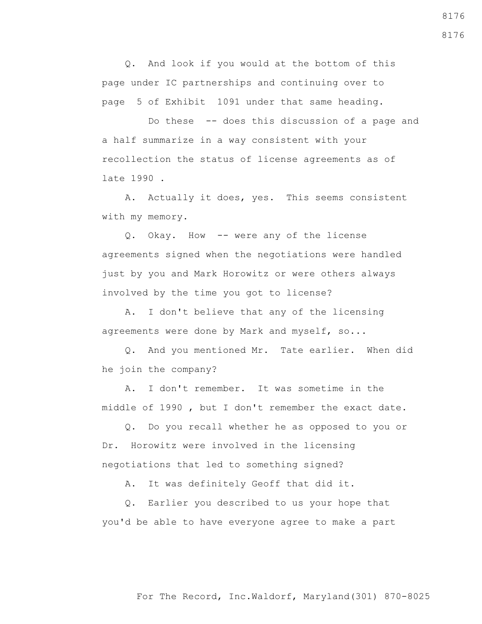Q. And look if you would at the bottom of this page under IC partnerships and continuing over to page 5 of Exhibit 1091 under that same heading.

 Do these -- does this discussion of a page and a half summarize in a way consistent with your recollection the status of license agreements as of late 1990 .

 A. Actually it does, yes. This seems consistent with my memory.

 Q. Okay. How -- were any of the license agreements signed when the negotiations were handled just by you and Mark Horowitz or were others always involved by the time you got to license?

 A. I don't believe that any of the licensing agreements were done by Mark and myself, so...

 Q. And you mentioned Mr. Tate earlier. When did he join the company?

 A. I don't remember. It was sometime in the middle of 1990 , but I don't remember the exact date.

 Q. Do you recall whether he as opposed to you or Dr. Horowitz were involved in the licensing negotiations that led to something signed?

A. It was definitely Geoff that did it.

 Q. Earlier you described to us your hope that you'd be able to have everyone agree to make a part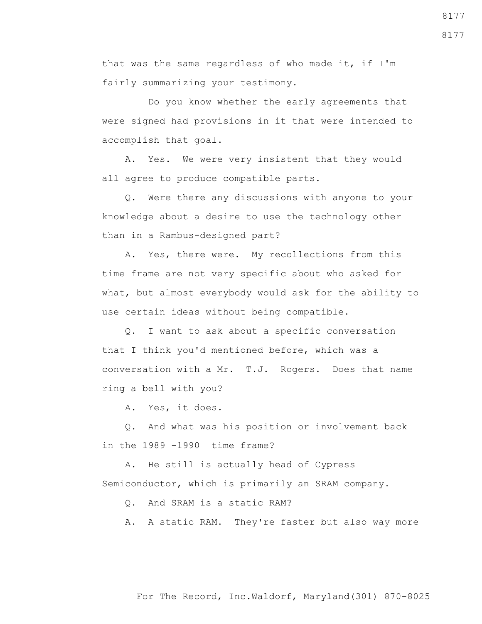that was the same regardless of who made it, if I'm fairly summarizing your testimony.

 Do you know whether the early agreements that were signed had provisions in it that were intended to accomplish that goal.

 A. Yes. We were very insistent that they would all agree to produce compatible parts.

 Q. Were there any discussions with anyone to your knowledge about a desire to use the technology other than in a Rambus-designed part?

 A. Yes, there were. My recollections from this time frame are not very specific about who asked for what, but almost everybody would ask for the ability to use certain ideas without being compatible.

 Q. I want to ask about a specific conversation that I think you'd mentioned before, which was a conversation with a Mr. T.J. Rogers. Does that name ring a bell with you?

A. Yes, it does.

 Q. And what was his position or involvement back in the 1989 -1990 time frame?

 A. He still is actually head of Cypress Semiconductor, which is primarily an SRAM company.

Q. And SRAM is a static RAM?

A. A static RAM. They're faster but also way more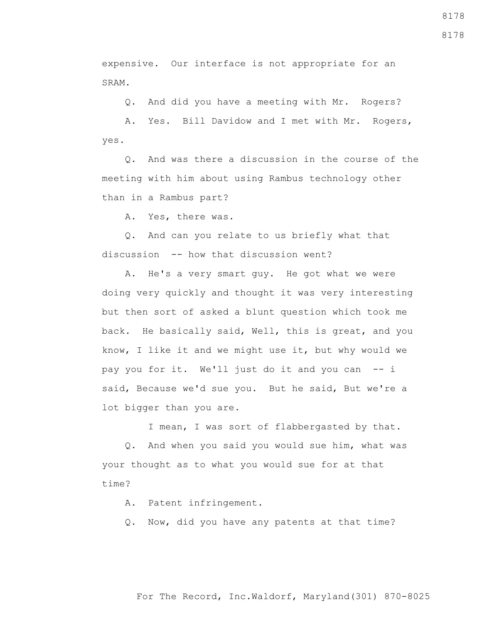expensive. Our interface is not appropriate for an SRAM.

Q. And did you have a meeting with Mr. Rogers?

 A. Yes. Bill Davidow and I met with Mr. Rogers, yes.

 Q. And was there a discussion in the course of the meeting with him about using Rambus technology other than in a Rambus part?

A. Yes, there was.

 Q. And can you relate to us briefly what that discussion -- how that discussion went?

 A. He's a very smart guy. He got what we were doing very quickly and thought it was very interesting but then sort of asked a blunt question which took me back. He basically said, Well, this is great, and you know, I like it and we might use it, but why would we pay you for it. We'll just do it and you can -- i said, Because we'd sue you. But he said, But we're a lot bigger than you are.

I mean, I was sort of flabbergasted by that.

 Q. And when you said you would sue him, what was your thought as to what you would sue for at that time?

A. Patent infringement.

Q. Now, did you have any patents at that time?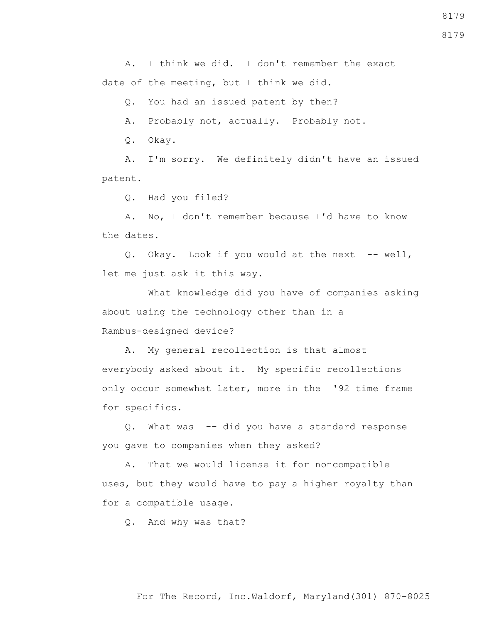A. I think we did. I don't remember the exact date of the meeting, but I think we did.

Q. You had an issued patent by then?

A. Probably not, actually. Probably not.

Q. Okay.

 A. I'm sorry. We definitely didn't have an issued patent.

Q. Had you filed?

 A. No, I don't remember because I'd have to know the dates.

 Q. Okay. Look if you would at the next -- well, let me just ask it this way.

 What knowledge did you have of companies asking about using the technology other than in a Rambus-designed device?

 A. My general recollection is that almost everybody asked about it. My specific recollections only occur somewhat later, more in the '92 time frame for specifics.

 Q. What was -- did you have a standard response you gave to companies when they asked?

 A. That we would license it for noncompatible uses, but they would have to pay a higher royalty than for a compatible usage.

Q. And why was that?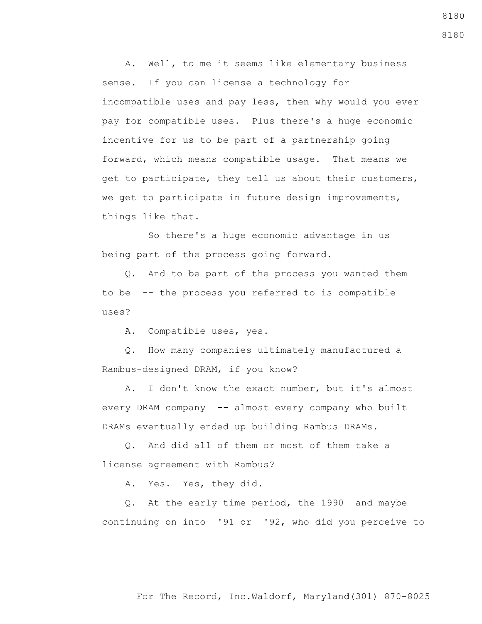A. Well, to me it seems like elementary business sense. If you can license a technology for incompatible uses and pay less, then why would you ever pay for compatible uses. Plus there's a huge economic incentive for us to be part of a partnership going forward, which means compatible usage. That means we get to participate, they tell us about their customers, we get to participate in future design improvements, things like that.

 So there's a huge economic advantage in us being part of the process going forward.

 Q. And to be part of the process you wanted them to be -- the process you referred to is compatible uses?

A. Compatible uses, yes.

 Q. How many companies ultimately manufactured a Rambus-designed DRAM, if you know?

 A. I don't know the exact number, but it's almost every DRAM company -- almost every company who built DRAMs eventually ended up building Rambus DRAMs.

 Q. And did all of them or most of them take a license agreement with Rambus?

A. Yes. Yes, they did.

 Q. At the early time period, the 1990 and maybe continuing on into '91 or '92, who did you perceive to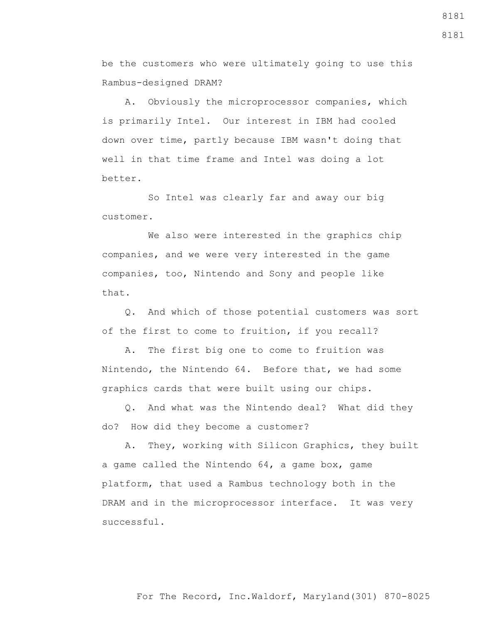be the customers who were ultimately going to use this Rambus-designed DRAM?

 A. Obviously the microprocessor companies, which is primarily Intel. Our interest in IBM had cooled down over time, partly because IBM wasn't doing that well in that time frame and Intel was doing a lot better.

 So Intel was clearly far and away our big customer.

 We also were interested in the graphics chip companies, and we were very interested in the game companies, too, Nintendo and Sony and people like that.

 Q. And which of those potential customers was sort of the first to come to fruition, if you recall?

 A. The first big one to come to fruition was Nintendo, the Nintendo 64. Before that, we had some graphics cards that were built using our chips.

 Q. And what was the Nintendo deal? What did they do? How did they become a customer?

 A. They, working with Silicon Graphics, they built a game called the Nintendo 64, a game box, game platform, that used a Rambus technology both in the DRAM and in the microprocessor interface. It was very successful.

# For The Record, Inc.Waldorf, Maryland(301) 870-8025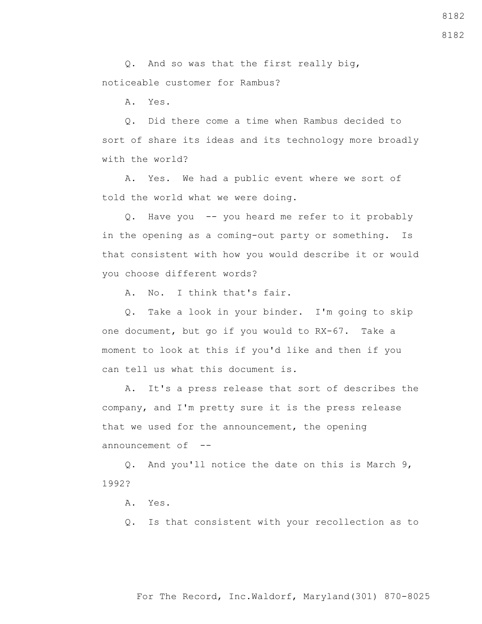Q. And so was that the first really big, noticeable customer for Rambus?

A. Yes.

 Q. Did there come a time when Rambus decided to sort of share its ideas and its technology more broadly with the world?

 A. Yes. We had a public event where we sort of told the world what we were doing.

 Q. Have you -- you heard me refer to it probably in the opening as a coming-out party or something. Is that consistent with how you would describe it or would you choose different words?

A. No. I think that's fair.

 Q. Take a look in your binder. I'm going to skip one document, but go if you would to RX-67. Take a moment to look at this if you'd like and then if you can tell us what this document is.

 A. It's a press release that sort of describes the company, and I'm pretty sure it is the press release that we used for the announcement, the opening announcement of  $-$ -

 Q. And you'll notice the date on this is March 9, 1992?

A. Yes.

Q. Is that consistent with your recollection as to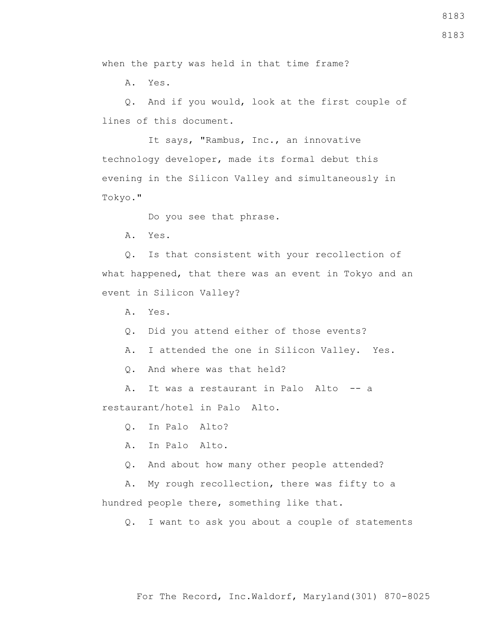For The Record, Inc.Waldorf, Maryland(301) 870-8025

when the party was held in that time frame?

A. Yes.

 Q. And if you would, look at the first couple of lines of this document.

 It says, "Rambus, Inc., an innovative technology developer, made its formal debut this evening in the Silicon Valley and simultaneously in Tokyo."

Do you see that phrase.

A. Yes.

 Q. Is that consistent with your recollection of what happened, that there was an event in Tokyo and an event in Silicon Valley?

A. Yes.

Q. Did you attend either of those events?

A. I attended the one in Silicon Valley. Yes.

Q. And where was that held?

A. It was a restaurant in Palo Alto -- a restaurant/hotel in Palo Alto.

Q. In Palo Alto?

A. In Palo Alto.

Q. And about how many other people attended?

 A. My rough recollection, there was fifty to a hundred people there, something like that.

Q. I want to ask you about a couple of statements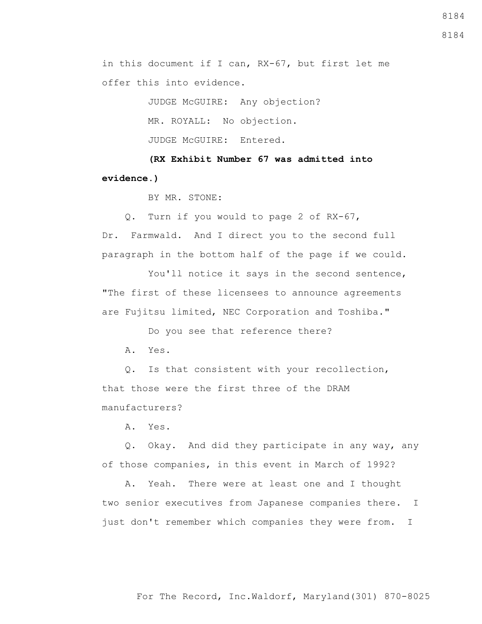in this document if I can, RX-67, but first let me offer this into evidence.

> JUDGE McGUIRE: Any objection? MR. ROYALL: No objection. JUDGE McGUIRE: Entered.

 **(RX Exhibit Number 67 was admitted into evidence.)**

BY MR. STONE:

 Q. Turn if you would to page 2 of RX-67, Dr. Farmwald. And I direct you to the second full paragraph in the bottom half of the page if we could.

You'll notice it says in the second sentence, "The first of these licensees to announce agreements are Fujitsu limited, NEC Corporation and Toshiba."

Do you see that reference there?

A. Yes.

 Q. Is that consistent with your recollection, that those were the first three of the DRAM manufacturers?

A. Yes.

 Q. Okay. And did they participate in any way, any of those companies, in this event in March of 1992?

 A. Yeah. There were at least one and I thought two senior executives from Japanese companies there. I just don't remember which companies they were from. I

8184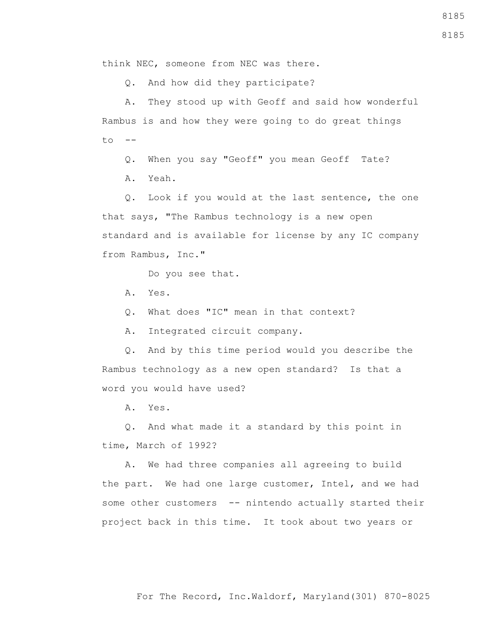think NEC, someone from NEC was there.

Q. And how did they participate?

 A. They stood up with Geoff and said how wonderful Rambus is and how they were going to do great things  $t \circ -$ 

 Q. When you say "Geoff" you mean Geoff Tate? A. Yeah.

 Q. Look if you would at the last sentence, the one that says, "The Rambus technology is a new open standard and is available for license by any IC company from Rambus, Inc."

Do you see that.

- A. Yes.
- Q. What does "IC" mean in that context?

A. Integrated circuit company.

 Q. And by this time period would you describe the Rambus technology as a new open standard? Is that a word you would have used?

A. Yes.

 Q. And what made it a standard by this point in time, March of 1992?

 A. We had three companies all agreeing to build the part. We had one large customer, Intel, and we had some other customers -- nintendo actually started their project back in this time. It took about two years or

For The Record, Inc.Waldorf, Maryland(301) 870-8025

8185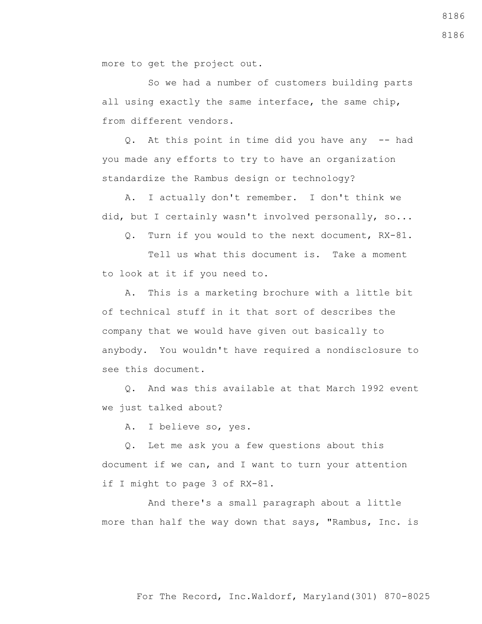more to get the project out.

 So we had a number of customers building parts all using exactly the same interface, the same chip, from different vendors.

 Q. At this point in time did you have any -- had you made any efforts to try to have an organization standardize the Rambus design or technology?

 A. I actually don't remember. I don't think we did, but I certainly wasn't involved personally, so...

Q. Turn if you would to the next document, RX-81.

 Tell us what this document is. Take a moment to look at it if you need to.

 A. This is a marketing brochure with a little bit of technical stuff in it that sort of describes the company that we would have given out basically to anybody. You wouldn't have required a nondisclosure to see this document.

 Q. And was this available at that March 1992 event we just talked about?

A. I believe so, yes.

 Q. Let me ask you a few questions about this document if we can, and I want to turn your attention if I might to page 3 of RX-81.

 And there's a small paragraph about a little more than half the way down that says, "Rambus, Inc. is 8186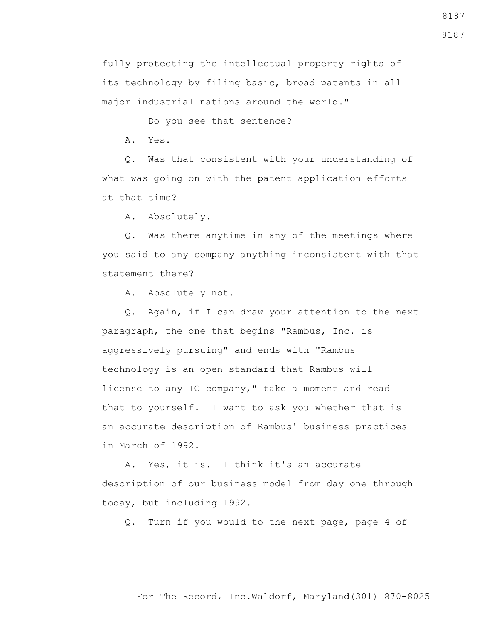fully protecting the intellectual property rights of its technology by filing basic, broad patents in all major industrial nations around the world."

Do you see that sentence?

A. Yes.

 Q. Was that consistent with your understanding of what was going on with the patent application efforts at that time?

A. Absolutely.

 Q. Was there anytime in any of the meetings where you said to any company anything inconsistent with that statement there?

A. Absolutely not.

 Q. Again, if I can draw your attention to the next paragraph, the one that begins "Rambus, Inc. is aggressively pursuing" and ends with "Rambus technology is an open standard that Rambus will license to any IC company," take a moment and read that to yourself. I want to ask you whether that is an accurate description of Rambus' business practices in March of 1992.

 A. Yes, it is. I think it's an accurate description of our business model from day one through today, but including 1992.

Q. Turn if you would to the next page, page 4 of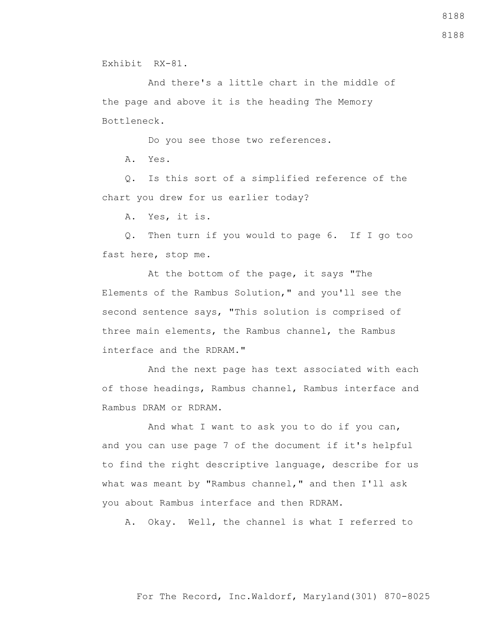Exhibit RX-81.

 And there's a little chart in the middle of the page and above it is the heading The Memory Bottleneck.

Do you see those two references.

A. Yes.

 Q. Is this sort of a simplified reference of the chart you drew for us earlier today?

A. Yes, it is.

 Q. Then turn if you would to page 6. If I go too fast here, stop me.

 At the bottom of the page, it says "The Elements of the Rambus Solution," and you'll see the second sentence says, "This solution is comprised of three main elements, the Rambus channel, the Rambus interface and the RDRAM."

 And the next page has text associated with each of those headings, Rambus channel, Rambus interface and Rambus DRAM or RDRAM.

 And what I want to ask you to do if you can, and you can use page 7 of the document if it's helpful to find the right descriptive language, describe for us what was meant by "Rambus channel," and then I'll ask you about Rambus interface and then RDRAM.

A. Okay. Well, the channel is what I referred to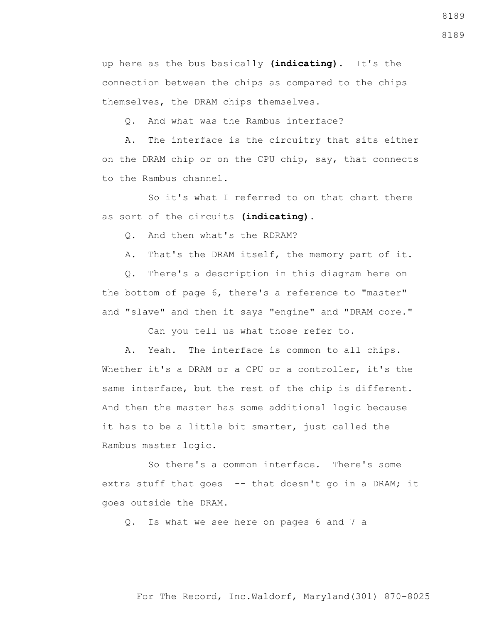up here as the bus basically **(indicating)**. It's the connection between the chips as compared to the chips themselves, the DRAM chips themselves.

Q. And what was the Rambus interface?

 A. The interface is the circuitry that sits either on the DRAM chip or on the CPU chip, say, that connects to the Rambus channel.

 So it's what I referred to on that chart there as sort of the circuits **(indicating)**.

Q. And then what's the RDRAM?

A. That's the DRAM itself, the memory part of it.

 Q. There's a description in this diagram here on the bottom of page 6, there's a reference to "master" and "slave" and then it says "engine" and "DRAM core."

Can you tell us what those refer to.

 A. Yeah. The interface is common to all chips. Whether it's a DRAM or a CPU or a controller, it's the same interface, but the rest of the chip is different. And then the master has some additional logic because it has to be a little bit smarter, just called the Rambus master logic.

 So there's a common interface. There's some extra stuff that goes -- that doesn't go in a DRAM; it goes outside the DRAM.

Q. Is what we see here on pages 6 and 7 a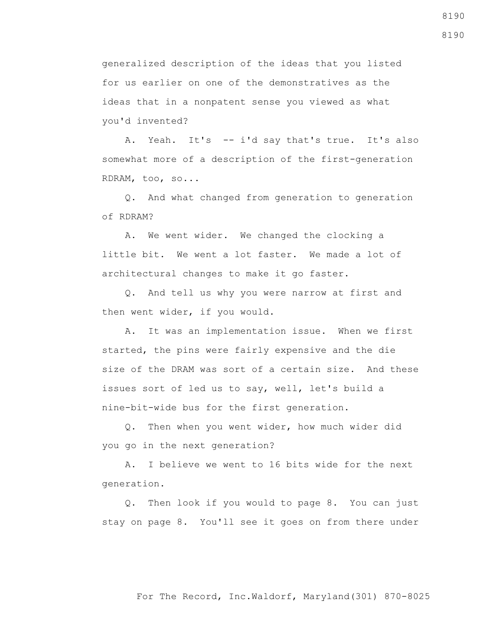generalized description of the ideas that you listed for us earlier on one of the demonstratives as the ideas that in a nonpatent sense you viewed as what you'd invented?

 A. Yeah. It's -- i'd say that's true. It's also somewhat more of a description of the first-generation RDRAM, too, so...

 Q. And what changed from generation to generation of RDRAM?

 A. We went wider. We changed the clocking a little bit. We went a lot faster. We made a lot of architectural changes to make it go faster.

 Q. And tell us why you were narrow at first and then went wider, if you would.

 A. It was an implementation issue. When we first started, the pins were fairly expensive and the die size of the DRAM was sort of a certain size. And these issues sort of led us to say, well, let's build a nine-bit-wide bus for the first generation.

 Q. Then when you went wider, how much wider did you go in the next generation?

 A. I believe we went to 16 bits wide for the next generation.

 Q. Then look if you would to page 8. You can just stay on page 8. You'll see it goes on from there under 8190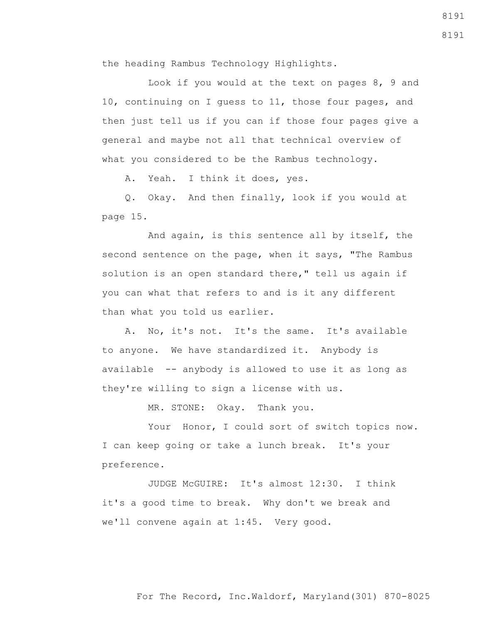the heading Rambus Technology Highlights.

 Look if you would at the text on pages 8, 9 and 10, continuing on I guess to 11, those four pages, and then just tell us if you can if those four pages give a general and maybe not all that technical overview of what you considered to be the Rambus technology.

A. Yeah. I think it does, yes.

 Q. Okay. And then finally, look if you would at page 15.

 And again, is this sentence all by itself, the second sentence on the page, when it says, "The Rambus solution is an open standard there," tell us again if you can what that refers to and is it any different than what you told us earlier.

 A. No, it's not. It's the same. It's available to anyone. We have standardized it. Anybody is available -- anybody is allowed to use it as long as they're willing to sign a license with us.

MR. STONE: Okay. Thank you.

Your Honor, I could sort of switch topics now. I can keep going or take a lunch break. It's your preference.

 JUDGE McGUIRE: It's almost 12:30. I think it's a good time to break. Why don't we break and we'll convene again at 1:45. Very good.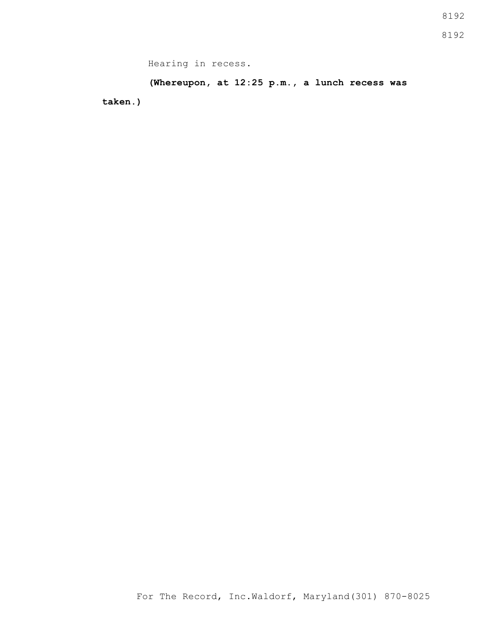Hearing in recess.

**(Whereupon, at 12:25 p.m., a lunch recess was taken.)**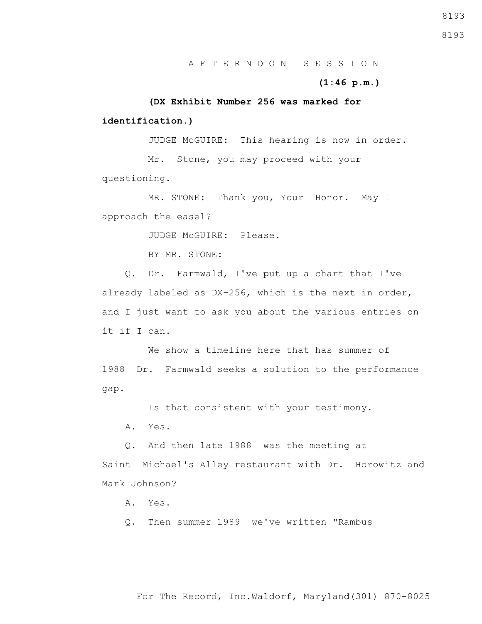A. Yes.

Q. Then summer 1989 we've written "Rambus

**identification.)**

 **(DX Exhibit Number 256 was marked for** 

JUDGE McGUIRE: This hearing is now in order.

 Mr. Stone, you may proceed with your questioning.

 MR. STONE: Thank you, Your Honor. May I approach the easel?

JUDGE McGUIRE: Please.

BY MR. STONE:

 Q. Dr. Farmwald, I've put up a chart that I've already labeled as DX-256, which is the next in order, and I just want to ask you about the various entries on it if I can.

We show a timeline here that has summer of 1988 Dr. Farmwald seeks a solution to the performance gap.

Is that consistent with your testimony.

A. Yes.

Q. And then late 1988 was the meeting at

Saint Michael's Alley restaurant with Dr. Horowitz and Mark Johnson?

For The Record, Inc.Waldorf, Maryland(301) 870-8025

8193

#### **(1:46 p.m.)**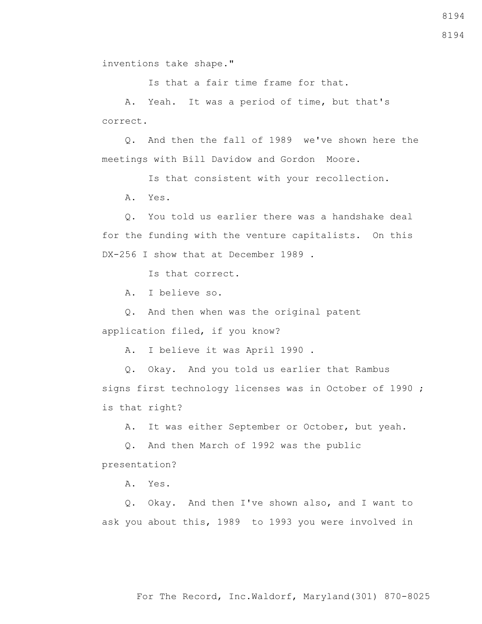inventions take shape."

Is that a fair time frame for that.

 A. Yeah. It was a period of time, but that's correct.

 Q. And then the fall of 1989 we've shown here the meetings with Bill Davidow and Gordon Moore.

 Is that consistent with your recollection. A. Yes.

 Q. You told us earlier there was a handshake deal for the funding with the venture capitalists. On this DX-256 I show that at December 1989.

Is that correct.

A. I believe so.

 Q. And then when was the original patent application filed, if you know?

A. I believe it was April 1990 .

 Q. Okay. And you told us earlier that Rambus signs first technology licenses was in October of 1990 ; is that right?

A. It was either September or October, but yeah.

 Q. And then March of 1992 was the public presentation?

A. Yes.

 Q. Okay. And then I've shown also, and I want to ask you about this, 1989 to 1993 you were involved in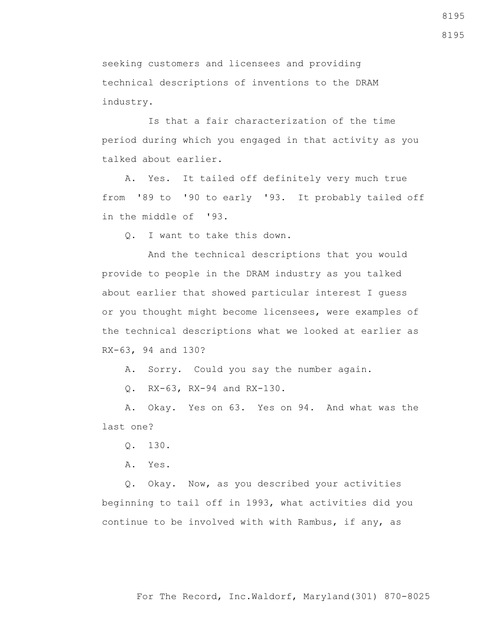seeking customers and licensees and providing technical descriptions of inventions to the DRAM industry.

 Is that a fair characterization of the time period during which you engaged in that activity as you talked about earlier.

 A. Yes. It tailed off definitely very much true from '89 to '90 to early '93. It probably tailed off in the middle of '93.

Q. I want to take this down.

 And the technical descriptions that you would provide to people in the DRAM industry as you talked about earlier that showed particular interest I guess or you thought might become licensees, were examples of the technical descriptions what we looked at earlier as RX-63, 94 and 130?

A. Sorry. Could you say the number again.

Q. RX-63, RX-94 and RX-130.

 A. Okay. Yes on 63. Yes on 94. And what was the last one?

Q. 130.

A. Yes.

 Q. Okay. Now, as you described your activities beginning to tail off in 1993, what activities did you continue to be involved with with Rambus, if any, as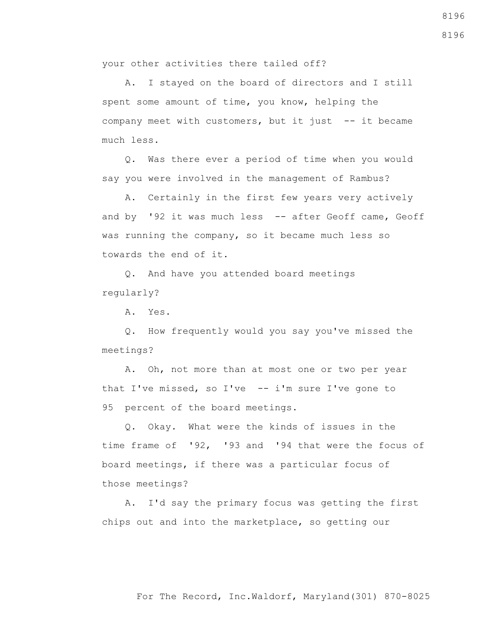your other activities there tailed off?

 A. I stayed on the board of directors and I still spent some amount of time, you know, helping the company meet with customers, but it just -- it became much less.

 Q. Was there ever a period of time when you would say you were involved in the management of Rambus?

 A. Certainly in the first few years very actively and by '92 it was much less -- after Geoff came, Geoff was running the company, so it became much less so towards the end of it.

 Q. And have you attended board meetings regularly?

A. Yes.

 Q. How frequently would you say you've missed the meetings?

 A. Oh, not more than at most one or two per year that I've missed, so I've  $-$  i'm sure I've gone to 95 percent of the board meetings.

 Q. Okay. What were the kinds of issues in the time frame of '92, '93 and '94 that were the focus of board meetings, if there was a particular focus of those meetings?

 A. I'd say the primary focus was getting the first chips out and into the marketplace, so getting our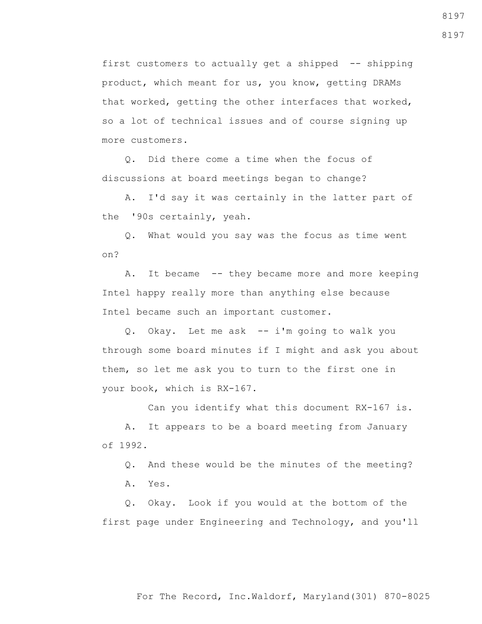first customers to actually get a shipped -- shipping product, which meant for us, you know, getting DRAMs that worked, getting the other interfaces that worked, so a lot of technical issues and of course signing up more customers.

 Q. Did there come a time when the focus of discussions at board meetings began to change?

 A. I'd say it was certainly in the latter part of the '90s certainly, yeah.

 Q. What would you say was the focus as time went on?

A. It became -- they became more and more keeping Intel happy really more than anything else because Intel became such an important customer.

 Q. Okay. Let me ask -- i'm going to walk you through some board minutes if I might and ask you about them, so let me ask you to turn to the first one in your book, which is RX-167.

Can you identify what this document RX-167 is.

 A. It appears to be a board meeting from January of 1992.

Q. And these would be the minutes of the meeting?

A. Yes.

 Q. Okay. Look if you would at the bottom of the first page under Engineering and Technology, and you'll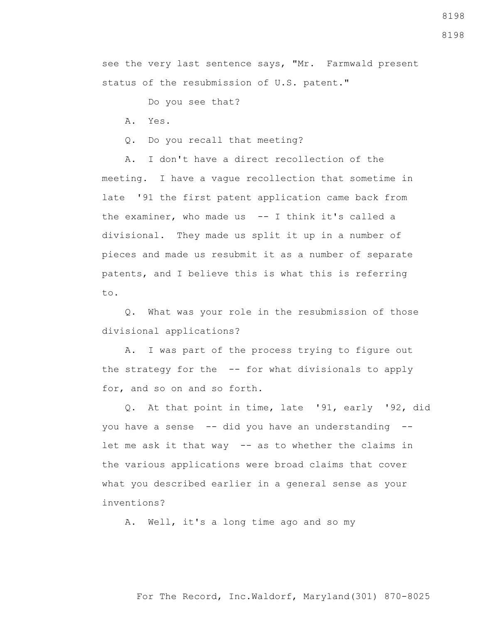For The Record, Inc.Waldorf, Maryland(301) 870-8025

8198

see the very last sentence says, "Mr. Farmwald present status of the resubmission of U.S. patent."

Do you see that?

A. Yes.

Q. Do you recall that meeting?

 A. I don't have a direct recollection of the meeting. I have a vague recollection that sometime in late '91 the first patent application came back from the examiner, who made us  $-$  I think it's called a divisional. They made us split it up in a number of pieces and made us resubmit it as a number of separate patents, and I believe this is what this is referring to.

 Q. What was your role in the resubmission of those divisional applications?

 A. I was part of the process trying to figure out the strategy for the -- for what divisionals to apply for, and so on and so forth.

 Q. At that point in time, late '91, early '92, did you have a sense -- did you have an understanding - let me ask it that way -- as to whether the claims in the various applications were broad claims that cover what you described earlier in a general sense as your inventions?

A. Well, it's a long time ago and so my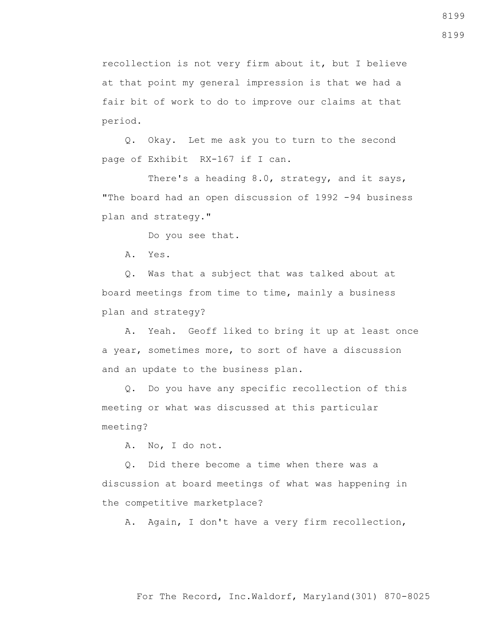recollection is not very firm about it, but I believe at that point my general impression is that we had a fair bit of work to do to improve our claims at that period.

 Q. Okay. Let me ask you to turn to the second page of Exhibit RX-167 if I can.

There's a heading 8.0, strategy, and it says, "The board had an open discussion of 1992 -94 business plan and strategy."

Do you see that.

A. Yes.

 Q. Was that a subject that was talked about at board meetings from time to time, mainly a business plan and strategy?

 A. Yeah. Geoff liked to bring it up at least once a year, sometimes more, to sort of have a discussion and an update to the business plan.

 Q. Do you have any specific recollection of this meeting or what was discussed at this particular meeting?

A. No, I do not.

 Q. Did there become a time when there was a discussion at board meetings of what was happening in the competitive marketplace?

A. Again, I don't have a very firm recollection,

8199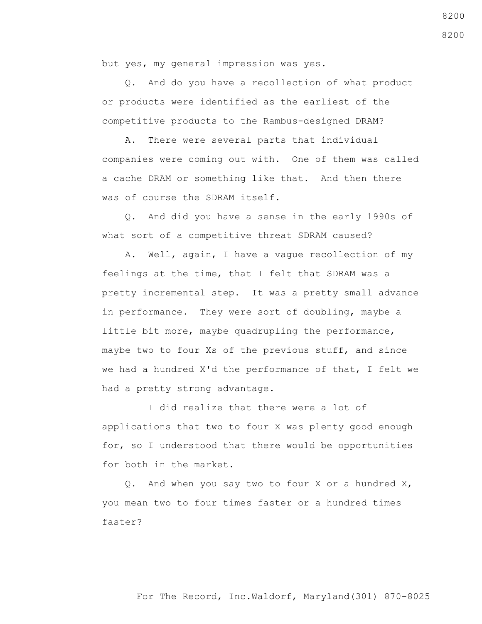but yes, my general impression was yes.

 Q. And do you have a recollection of what product or products were identified as the earliest of the competitive products to the Rambus-designed DRAM?

 A. There were several parts that individual companies were coming out with. One of them was called a cache DRAM or something like that. And then there was of course the SDRAM itself.

 Q. And did you have a sense in the early 1990s of what sort of a competitive threat SDRAM caused?

 A. Well, again, I have a vague recollection of my feelings at the time, that I felt that SDRAM was a pretty incremental step. It was a pretty small advance in performance. They were sort of doubling, maybe a little bit more, maybe quadrupling the performance, maybe two to four Xs of the previous stuff, and since we had a hundred X'd the performance of that, I felt we had a pretty strong advantage.

 I did realize that there were a lot of applications that two to four X was plenty good enough for, so I understood that there would be opportunities for both in the market.

 Q. And when you say two to four X or a hundred X, you mean two to four times faster or a hundred times faster?

## For The Record, Inc.Waldorf, Maryland(301) 870-8025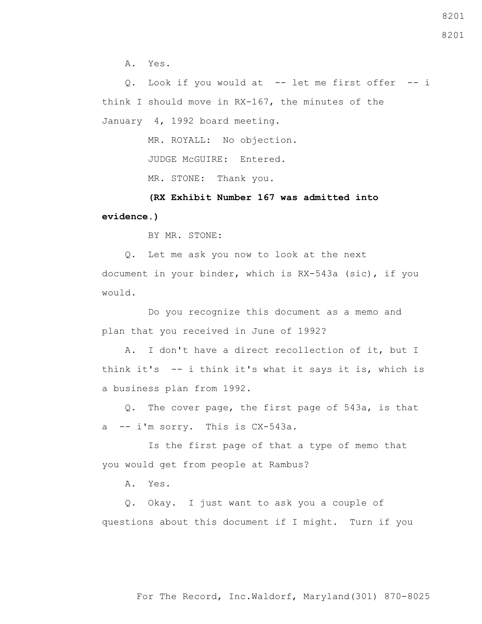A. Yes.

 Q. Look if you would at -- let me first offer -- i think I should move in RX-167, the minutes of the January 4, 1992 board meeting.

MR. ROYALL: No objection.

JUDGE McGUIRE: Entered.

MR. STONE: Thank you.

 **(RX Exhibit Number 167 was admitted into evidence.)**

BY MR. STONE:

 Q. Let me ask you now to look at the next document in your binder, which is RX-543a (sic), if you would.

 Do you recognize this document as a memo and plan that you received in June of 1992?

 A. I don't have a direct recollection of it, but I think it's -- i think it's what it says it is, which is a business plan from 1992.

 Q. The cover page, the first page of 543a, is that a -- i'm sorry. This is CX-543a.

 Is the first page of that a type of memo that you would get from people at Rambus?

A. Yes.

 Q. Okay. I just want to ask you a couple of questions about this document if I might. Turn if you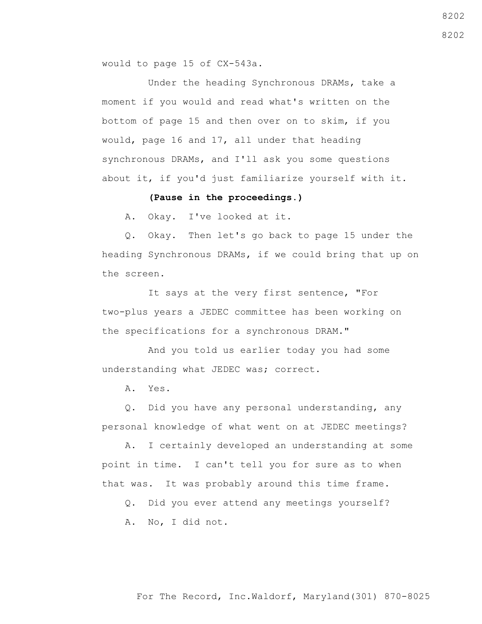would to page 15 of CX-543a.

 Under the heading Synchronous DRAMs, take a moment if you would and read what's written on the bottom of page 15 and then over on to skim, if you would, page 16 and 17, all under that heading synchronous DRAMs, and I'll ask you some questions about it, if you'd just familiarize yourself with it.

### **(Pause in the proceedings.)**

A. Okay. I've looked at it.

 Q. Okay. Then let's go back to page 15 under the heading Synchronous DRAMs, if we could bring that up on the screen.

 It says at the very first sentence, "For two-plus years a JEDEC committee has been working on the specifications for a synchronous DRAM."

 And you told us earlier today you had some understanding what JEDEC was; correct.

A. Yes.

 Q. Did you have any personal understanding, any personal knowledge of what went on at JEDEC meetings?

 A. I certainly developed an understanding at some point in time. I can't tell you for sure as to when that was. It was probably around this time frame.

 Q. Did you ever attend any meetings yourself? A. No, I did not.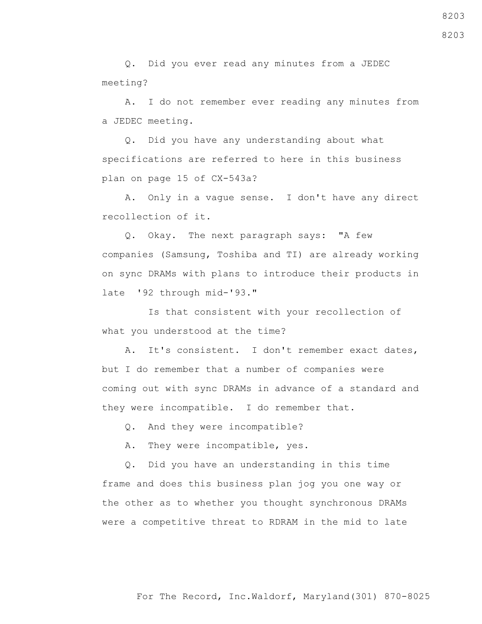Q. Did you ever read any minutes from a JEDEC meeting?

 A. I do not remember ever reading any minutes from a JEDEC meeting.

 Q. Did you have any understanding about what specifications are referred to here in this business plan on page 15 of CX-543a?

 A. Only in a vague sense. I don't have any direct recollection of it.

 Q. Okay. The next paragraph says: "A few companies (Samsung, Toshiba and TI) are already working on sync DRAMs with plans to introduce their products in late '92 through mid-'93."

 Is that consistent with your recollection of what you understood at the time?

 A. It's consistent. I don't remember exact dates, but I do remember that a number of companies were coming out with sync DRAMs in advance of a standard and they were incompatible. I do remember that.

Q. And they were incompatible?

A. They were incompatible, yes.

 Q. Did you have an understanding in this time frame and does this business plan jog you one way or the other as to whether you thought synchronous DRAMs were a competitive threat to RDRAM in the mid to late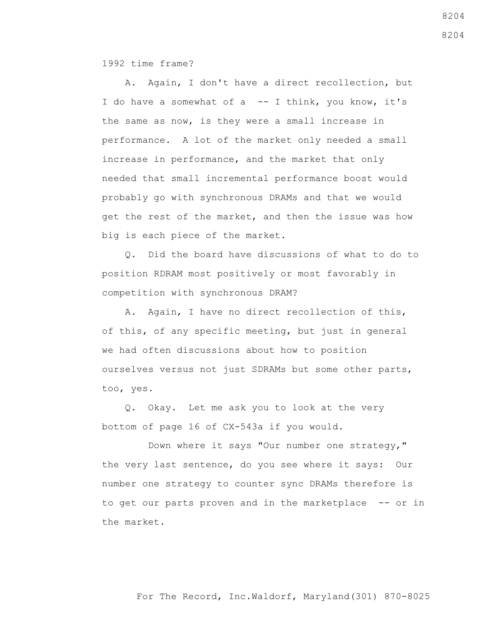1992 time frame?

 A. Again, I don't have a direct recollection, but I do have a somewhat of a -- I think, you know, it's the same as now, is they were a small increase in performance. A lot of the market only needed a small increase in performance, and the market that only needed that small incremental performance boost would probably go with synchronous DRAMs and that we would get the rest of the market, and then the issue was how big is each piece of the market.

 Q. Did the board have discussions of what to do to position RDRAM most positively or most favorably in competition with synchronous DRAM?

 A. Again, I have no direct recollection of this, of this, of any specific meeting, but just in general we had often discussions about how to position ourselves versus not just SDRAMs but some other parts, too, yes.

 Q. Okay. Let me ask you to look at the very bottom of page 16 of CX-543a if you would.

 Down where it says "Our number one strategy," the very last sentence, do you see where it says: Our number one strategy to counter sync DRAMs therefore is to get our parts proven and in the marketplace -- or in the market.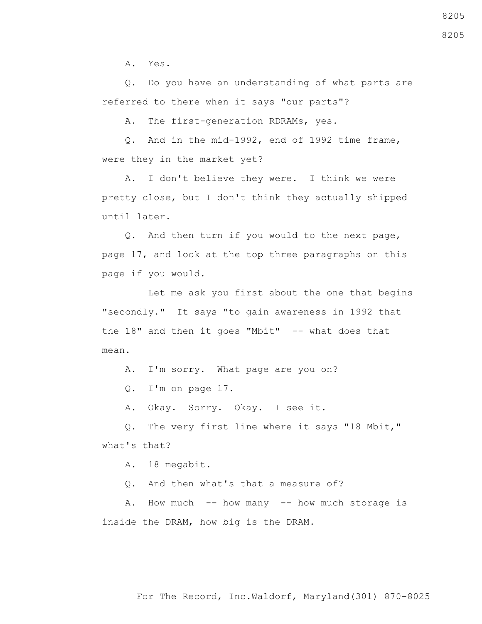A. Yes.

 Q. Do you have an understanding of what parts are referred to there when it says "our parts"?

A. The first-generation RDRAMs, yes.

 Q. And in the mid-1992, end of 1992 time frame, were they in the market yet?

 A. I don't believe they were. I think we were pretty close, but I don't think they actually shipped until later.

 Q. And then turn if you would to the next page, page 17, and look at the top three paragraphs on this page if you would.

 Let me ask you first about the one that begins "secondly." It says "to gain awareness in 1992 that the  $18"$  and then it goes "Mbit"  $-$  what does that mean.

A. I'm sorry. What page are you on?

Q. I'm on page 17.

A. Okay. Sorry. Okay. I see it.

 Q. The very first line where it says "18 Mbit," what's that?

A. 18 megabit.

Q. And then what's that a measure of?

 A. How much -- how many -- how much storage is inside the DRAM, how big is the DRAM.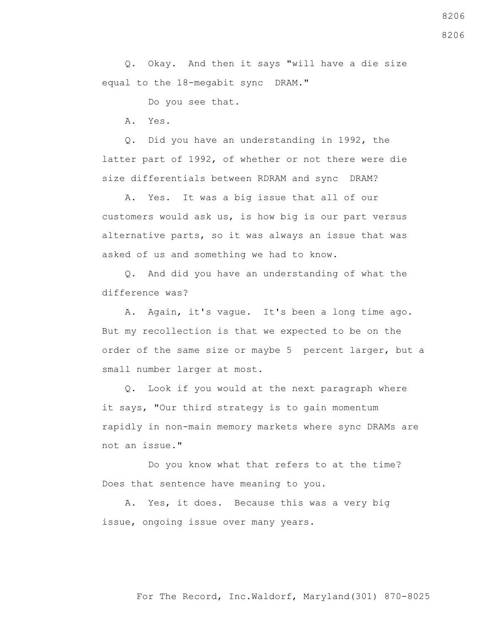Q. Okay. And then it says "will have a die size equal to the 18-megabit sync DRAM."

Do you see that.

A. Yes.

 Q. Did you have an understanding in 1992, the latter part of 1992, of whether or not there were die size differentials between RDRAM and sync DRAM?

Yes. It was a big issue that all of our customers would ask us, is how big is our part versus alternative parts, so it was always an issue that was asked of us and something we had to know.

 Q. And did you have an understanding of what the difference was?

 A. Again, it's vague. It's been a long time ago. But my recollection is that we expected to be on the order of the same size or maybe 5 percent larger, but a small number larger at most.

 Q. Look if you would at the next paragraph where it says, "Our third strategy is to gain momentum rapidly in non-main memory markets where sync DRAMs are not an issue."

 Do you know what that refers to at the time? Does that sentence have meaning to you.

 A. Yes, it does. Because this was a very big issue, ongoing issue over many years.

8206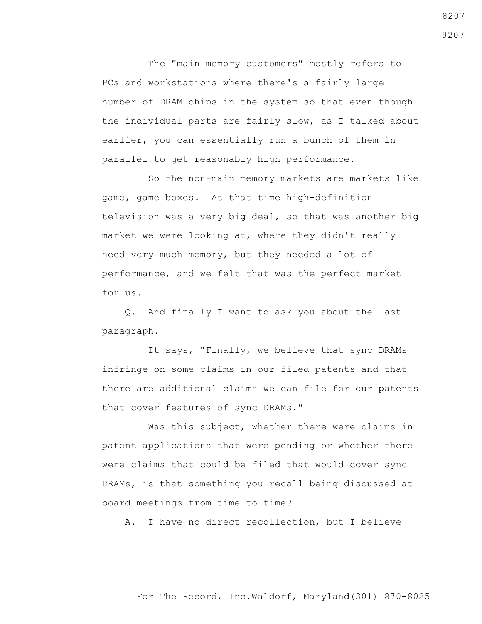The "main memory customers" mostly refers to PCs and workstations where there's a fairly large number of DRAM chips in the system so that even though the individual parts are fairly slow, as I talked about earlier, you can essentially run a bunch of them in parallel to get reasonably high performance.

 So the non-main memory markets are markets like game, game boxes. At that time high-definition television was a very big deal, so that was another big market we were looking at, where they didn't really need very much memory, but they needed a lot of performance, and we felt that was the perfect market for us.

 Q. And finally I want to ask you about the last paragraph.

 It says, "Finally, we believe that sync DRAMs infringe on some claims in our filed patents and that there are additional claims we can file for our patents that cover features of sync DRAMs."

 Was this subject, whether there were claims in patent applications that were pending or whether there were claims that could be filed that would cover sync DRAMs, is that something you recall being discussed at board meetings from time to time?

A. I have no direct recollection, but I believe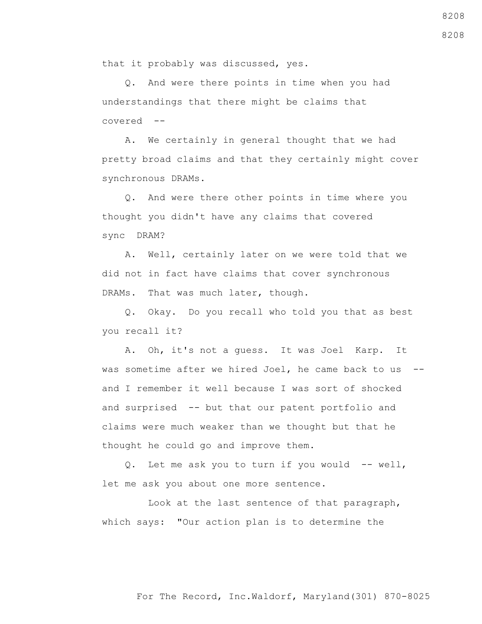that it probably was discussed, yes.

 Q. And were there points in time when you had understandings that there might be claims that covered --

 A. We certainly in general thought that we had pretty broad claims and that they certainly might cover synchronous DRAMs.

 Q. And were there other points in time where you thought you didn't have any claims that covered sync DRAM?

 A. Well, certainly later on we were told that we did not in fact have claims that cover synchronous DRAMs. That was much later, though.

 Q. Okay. Do you recall who told you that as best you recall it?

 A. Oh, it's not a guess. It was Joel Karp. It was sometime after we hired Joel, he came back to us - and I remember it well because I was sort of shocked and surprised -- but that our patent portfolio and claims were much weaker than we thought but that he thought he could go and improve them.

 Q. Let me ask you to turn if you would -- well, let me ask you about one more sentence.

 Look at the last sentence of that paragraph, which says: "Our action plan is to determine the

## For The Record, Inc.Waldorf, Maryland(301) 870-8025

8208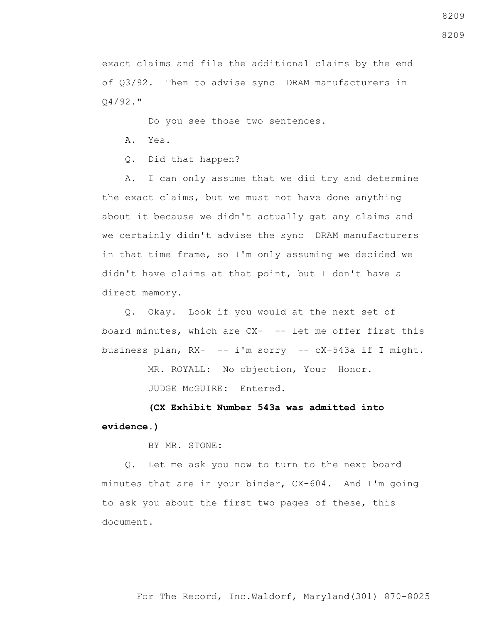exact claims and file the additional claims by the end of Q3/92. Then to advise sync DRAM manufacturers in Q4/92."

Do you see those two sentences.

A. Yes.

Q. Did that happen?

 A. I can only assume that we did try and determine the exact claims, but we must not have done anything about it because we didn't actually get any claims and we certainly didn't advise the sync DRAM manufacturers in that time frame, so I'm only assuming we decided we didn't have claims at that point, but I don't have a direct memory.

 Q. Okay. Look if you would at the next set of board minutes, which are CX- -- let me offer first this business plan, RX- -- i'm sorry -- cX-543a if I might.

MR. ROYALL: No objection, Your Honor.

JUDGE McGUIRE: Entered.

 **(CX Exhibit Number 543a was admitted into evidence.)**

BY MR. STONE:

 Q. Let me ask you now to turn to the next board minutes that are in your binder, CX-604. And I'm going to ask you about the first two pages of these, this document.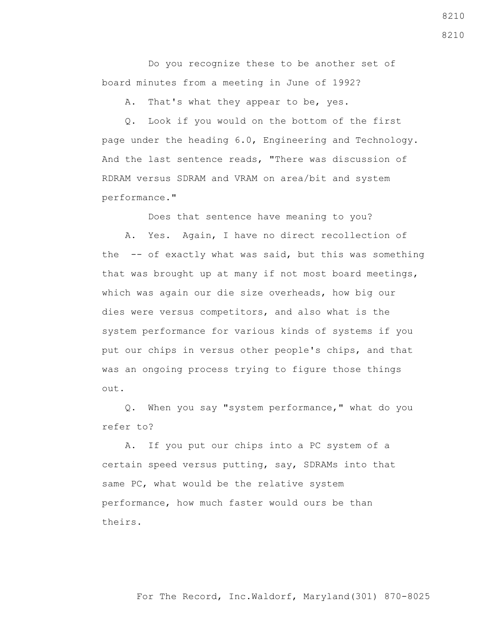Do you recognize these to be another set of board minutes from a meeting in June of 1992?

A. That's what they appear to be, yes.

 Q. Look if you would on the bottom of the first page under the heading 6.0, Engineering and Technology. And the last sentence reads, "There was discussion of RDRAM versus SDRAM and VRAM on area/bit and system performance."

Does that sentence have meaning to you?

 A. Yes. Again, I have no direct recollection of the -- of exactly what was said, but this was something that was brought up at many if not most board meetings, which was again our die size overheads, how big our dies were versus competitors, and also what is the system performance for various kinds of systems if you put our chips in versus other people's chips, and that was an ongoing process trying to figure those things out.

 Q. When you say "system performance," what do you refer to?

 A. If you put our chips into a PC system of a certain speed versus putting, say, SDRAMs into that same PC, what would be the relative system performance, how much faster would ours be than theirs.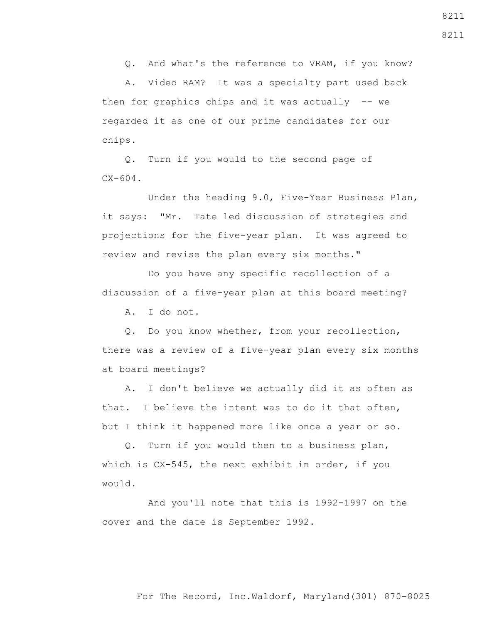Q. And what's the reference to VRAM, if you know?

 A. Video RAM? It was a specialty part used back then for graphics chips and it was actually  $-$ - we regarded it as one of our prime candidates for our chips.

 Q. Turn if you would to the second page of  $CX - 604$ .

 Under the heading 9.0, Five-Year Business Plan, it says: "Mr. Tate led discussion of strategies and projections for the five-year plan. It was agreed to review and revise the plan every six months."

 Do you have any specific recollection of a discussion of a five-year plan at this board meeting?

A. I do not.

 Q. Do you know whether, from your recollection, there was a review of a five-year plan every six months at board meetings?

 A. I don't believe we actually did it as often as that. I believe the intent was to do it that often, but I think it happened more like once a year or so.

 Q. Turn if you would then to a business plan, which is CX-545, the next exhibit in order, if you would.

 And you'll note that this is 1992-1997 on the cover and the date is September 1992.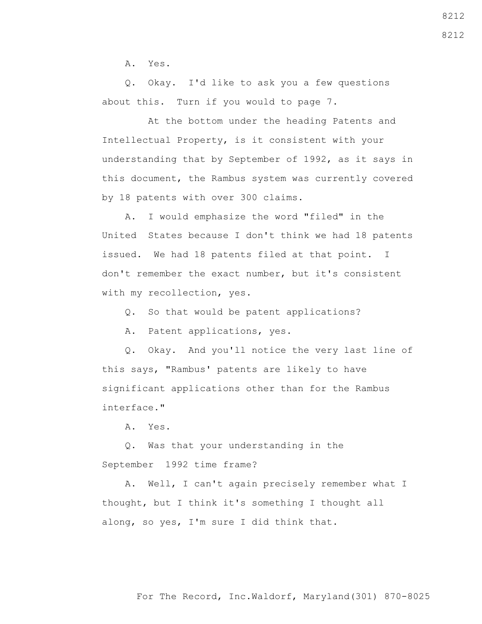A. Yes.

 Q. Okay. I'd like to ask you a few questions about this. Turn if you would to page 7.

 At the bottom under the heading Patents and Intellectual Property, is it consistent with your understanding that by September of 1992, as it says in this document, the Rambus system was currently covered by 18 patents with over 300 claims.

 A. I would emphasize the word "filed" in the United States because I don't think we had 18 patents issued. We had 18 patents filed at that point. I don't remember the exact number, but it's consistent with my recollection, yes.

Q. So that would be patent applications?

A. Patent applications, yes.

 Q. Okay. And you'll notice the very last line of this says, "Rambus' patents are likely to have significant applications other than for the Rambus interface."

A. Yes.

 Q. Was that your understanding in the September 1992 time frame?

 A. Well, I can't again precisely remember what I thought, but I think it's something I thought all along, so yes, I'm sure I did think that.

8212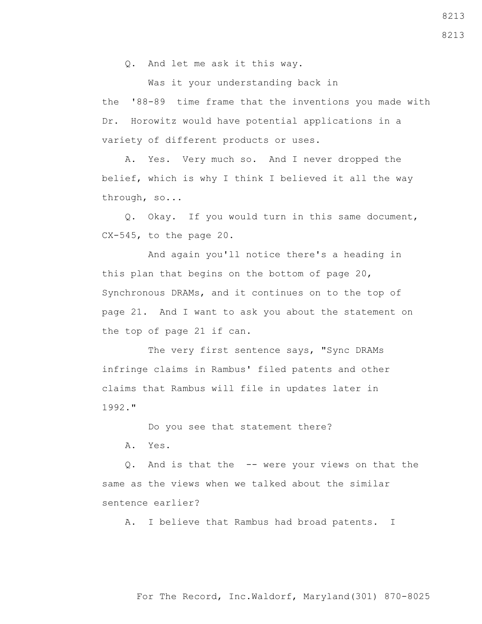Q. And let me ask it this way.

 Was it your understanding back in the '88-89 time frame that the inventions you made with Dr. Horowitz would have potential applications in a variety of different products or uses.

 A. Yes. Very much so. And I never dropped the belief, which is why I think I believed it all the way through, so...

 Q. Okay. If you would turn in this same document, CX-545, to the page 20.

 And again you'll notice there's a heading in this plan that begins on the bottom of page 20, Synchronous DRAMs, and it continues on to the top of page 21. And I want to ask you about the statement on the top of page 21 if can.

The very first sentence says, "Sync DRAMs infringe claims in Rambus' filed patents and other claims that Rambus will file in updates later in 1992."

Do you see that statement there?

A. Yes.

 Q. And is that the -- were your views on that the same as the views when we talked about the similar sentence earlier?

A. I believe that Rambus had broad patents. I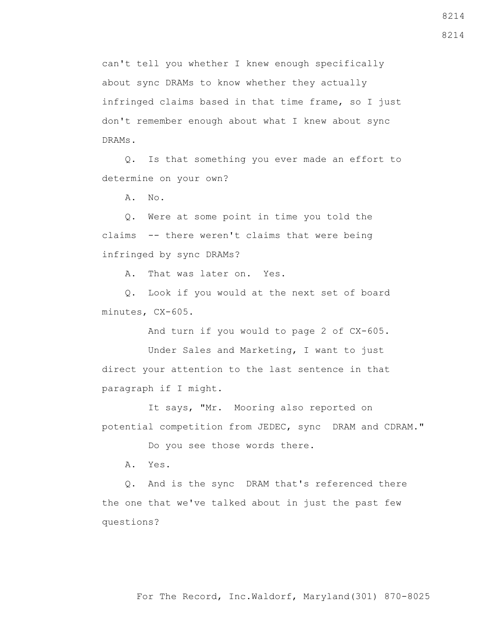can't tell you whether I knew enough specifically about sync DRAMs to know whether they actually infringed claims based in that time frame, so I just don't remember enough about what I knew about sync DRAMs.

 Q. Is that something you ever made an effort to determine on your own?

A. No.

 Q. Were at some point in time you told the claims -- there weren't claims that were being infringed by sync DRAMs?

A. That was later on. Yes.

 Q. Look if you would at the next set of board minutes, CX-605.

And turn if you would to page 2 of CX-605.

 Under Sales and Marketing, I want to just direct your attention to the last sentence in that paragraph if I might.

 It says, "Mr. Mooring also reported on potential competition from JEDEC, sync DRAM and CDRAM."

Do you see those words there.

A. Yes.

 Q. And is the sync DRAM that's referenced there the one that we've talked about in just the past few questions?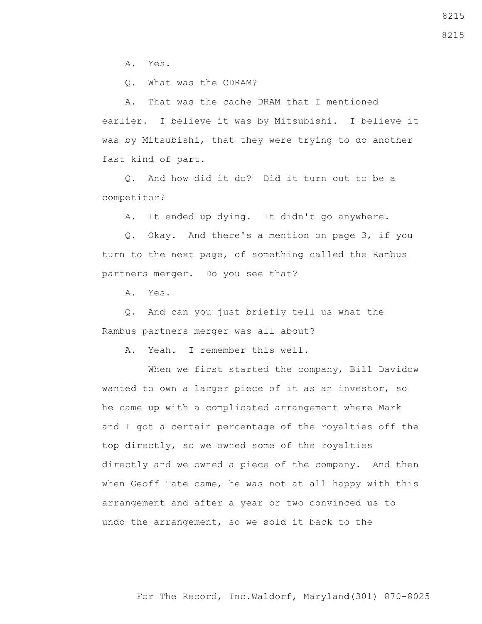A. Yes.

Q. What was the CDRAM?

 A. That was the cache DRAM that I mentioned earlier. I believe it was by Mitsubishi. I believe it was by Mitsubishi, that they were trying to do another fast kind of part.

 Q. And how did it do? Did it turn out to be a competitor?

A. It ended up dying. It didn't go anywhere.

 Q. Okay. And there's a mention on page 3, if you turn to the next page, of something called the Rambus partners merger. Do you see that?

A. Yes.

 Q. And can you just briefly tell us what the Rambus partners merger was all about?

A. Yeah. I remember this well.

 When we first started the company, Bill Davidow wanted to own a larger piece of it as an investor, so he came up with a complicated arrangement where Mark and I got a certain percentage of the royalties off the top directly, so we owned some of the royalties directly and we owned a piece of the company. And then when Geoff Tate came, he was not at all happy with this arrangement and after a year or two convinced us to undo the arrangement, so we sold it back to the

For The Record, Inc.Waldorf, Maryland(301) 870-8025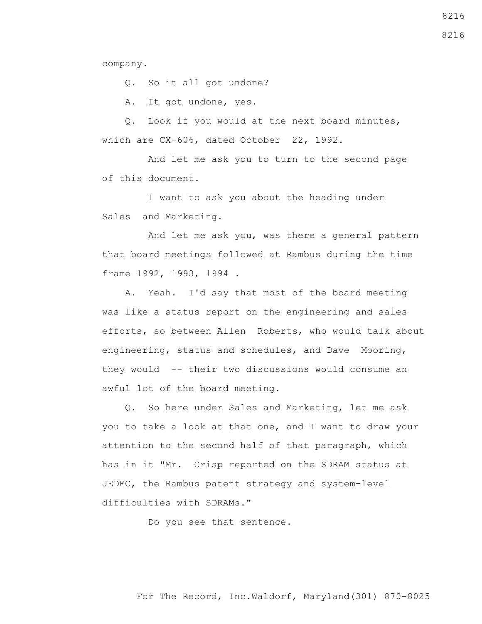company.

Q. So it all got undone?

A. It got undone, yes.

 Q. Look if you would at the next board minutes, which are CX-606, dated October 22, 1992.

 And let me ask you to turn to the second page of this document.

 I want to ask you about the heading under Sales and Marketing.

 And let me ask you, was there a general pattern that board meetings followed at Rambus during the time frame 1992, 1993, 1994 .

 A. Yeah. I'd say that most of the board meeting was like a status report on the engineering and sales efforts, so between Allen Roberts, who would talk about engineering, status and schedules, and Dave Mooring, they would -- their two discussions would consume an awful lot of the board meeting.

 Q. So here under Sales and Marketing, let me ask you to take a look at that one, and I want to draw your attention to the second half of that paragraph, which has in it "Mr. Crisp reported on the SDRAM status at JEDEC, the Rambus patent strategy and system-level difficulties with SDRAMs."

Do you see that sentence.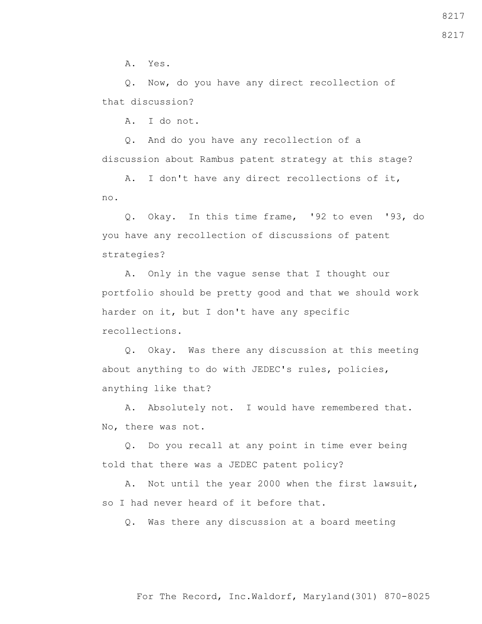A. Yes.

 Q. Now, do you have any direct recollection of that discussion?

A. I do not.

 Q. And do you have any recollection of a discussion about Rambus patent strategy at this stage?

 A. I don't have any direct recollections of it, no.

 Q. Okay. In this time frame, '92 to even '93, do you have any recollection of discussions of patent strategies?

 A. Only in the vague sense that I thought our portfolio should be pretty good and that we should work harder on it, but I don't have any specific recollections.

 Q. Okay. Was there any discussion at this meeting about anything to do with JEDEC's rules, policies, anything like that?

 A. Absolutely not. I would have remembered that. No, there was not.

 Q. Do you recall at any point in time ever being told that there was a JEDEC patent policy?

 A. Not until the year 2000 when the first lawsuit, so I had never heard of it before that.

Q. Was there any discussion at a board meeting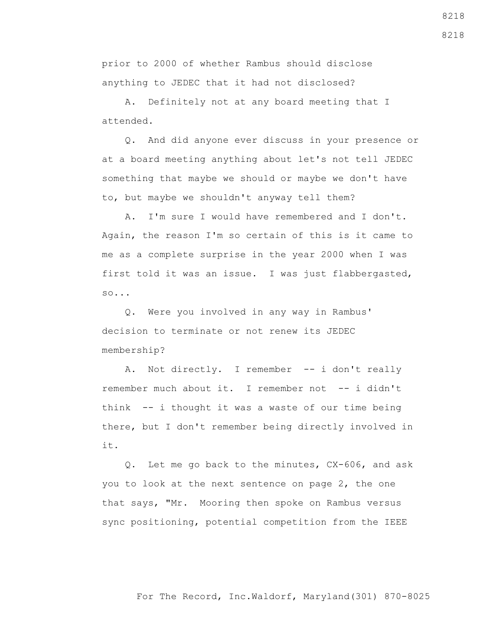For The Record, Inc.Waldorf, Maryland(301) 870-8025

prior to 2000 of whether Rambus should disclose anything to JEDEC that it had not disclosed?

 A. Definitely not at any board meeting that I attended.

 Q. And did anyone ever discuss in your presence or at a board meeting anything about let's not tell JEDEC something that maybe we should or maybe we don't have to, but maybe we shouldn't anyway tell them?

 A. I'm sure I would have remembered and I don't. Again, the reason I'm so certain of this is it came to me as a complete surprise in the year 2000 when I was first told it was an issue. I was just flabbergasted, so...

 Q. Were you involved in any way in Rambus' decision to terminate or not renew its JEDEC membership?

A. Not directly. I remember -- i don't really remember much about it. I remember not -- i didn't think -- i thought it was a waste of our time being there, but I don't remember being directly involved in it.

 Q. Let me go back to the minutes, CX-606, and ask you to look at the next sentence on page 2, the one that says, "Mr. Mooring then spoke on Rambus versus sync positioning, potential competition from the IEEE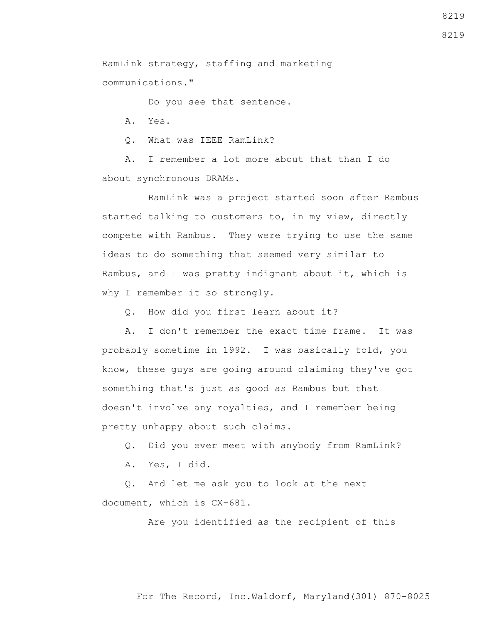RamLink strategy, staffing and marketing communications."

Do you see that sentence.

A. Yes.

Q. What was IEEE RamLink?

 A. I remember a lot more about that than I do about synchronous DRAMs.

 RamLink was a project started soon after Rambus started talking to customers to, in my view, directly compete with Rambus. They were trying to use the same ideas to do something that seemed very similar to Rambus, and I was pretty indignant about it, which is why I remember it so strongly.

Q. How did you first learn about it?

 A. I don't remember the exact time frame. It was probably sometime in 1992. I was basically told, you know, these guys are going around claiming they've got something that's just as good as Rambus but that doesn't involve any royalties, and I remember being pretty unhappy about such claims.

Q. Did you ever meet with anybody from RamLink?

A. Yes, I did.

 Q. And let me ask you to look at the next document, which is CX-681.

Are you identified as the recipient of this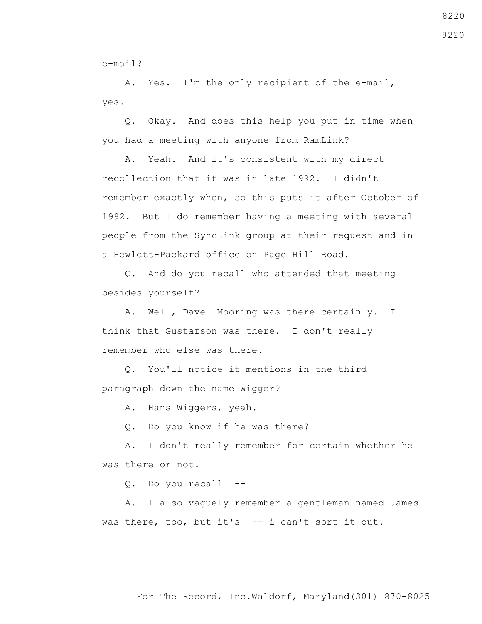e-mail?

 A. Yes. I'm the only recipient of the e-mail, yes.

 Q. Okay. And does this help you put in time when you had a meeting with anyone from RamLink?

 A. Yeah. And it's consistent with my direct recollection that it was in late 1992. I didn't remember exactly when, so this puts it after October of 1992. But I do remember having a meeting with several people from the SyncLink group at their request and in a Hewlett-Packard office on Page Hill Road.

 Q. And do you recall who attended that meeting besides yourself?

 A. Well, Dave Mooring was there certainly. I think that Gustafson was there. I don't really remember who else was there.

 Q. You'll notice it mentions in the third paragraph down the name Wigger?

A. Hans Wiggers, yeah.

Q. Do you know if he was there?

 A. I don't really remember for certain whether he was there or not.

Q. Do you recall --

 A. I also vaguely remember a gentleman named James was there, too, but it's -- i can't sort it out.

8220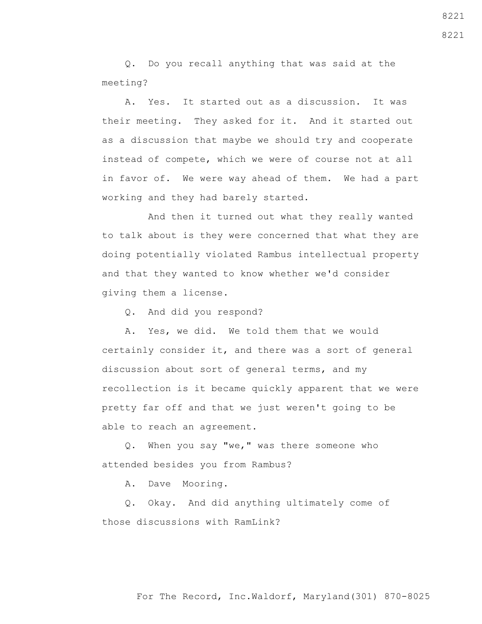Q. Do you recall anything that was said at the meeting?

 A. Yes. It started out as a discussion. It was their meeting. They asked for it. And it started out as a discussion that maybe we should try and cooperate instead of compete, which we were of course not at all in favor of. We were way ahead of them. We had a part working and they had barely started.

 And then it turned out what they really wanted to talk about is they were concerned that what they are doing potentially violated Rambus intellectual property and that they wanted to know whether we'd consider giving them a license.

Q. And did you respond?

 A. Yes, we did. We told them that we would certainly consider it, and there was a sort of general discussion about sort of general terms, and my recollection is it became quickly apparent that we were pretty far off and that we just weren't going to be able to reach an agreement.

 Q. When you say "we," was there someone who attended besides you from Rambus?

A. Dave Mooring.

 Q. Okay. And did anything ultimately come of those discussions with RamLink?

8221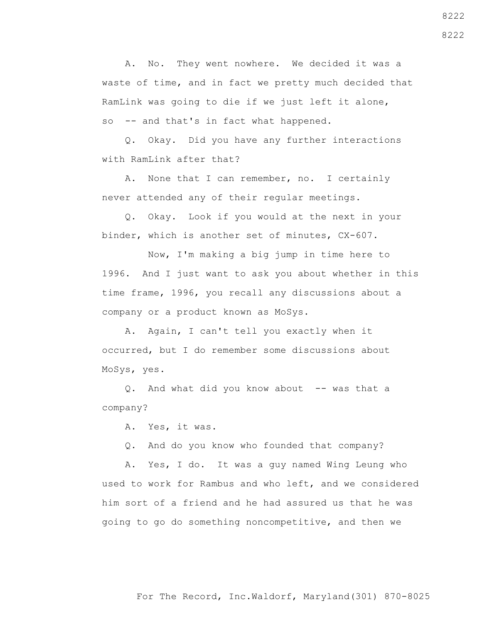A. No. They went nowhere. We decided it was a waste of time, and in fact we pretty much decided that RamLink was going to die if we just left it alone, so -- and that's in fact what happened.

 Q. Okay. Did you have any further interactions with RamLink after that?

 A. None that I can remember, no. I certainly never attended any of their regular meetings.

 Q. Okay. Look if you would at the next in your binder, which is another set of minutes, CX-607.

 Now, I'm making a big jump in time here to 1996. And I just want to ask you about whether in this time frame, 1996, you recall any discussions about a company or a product known as MoSys.

 A. Again, I can't tell you exactly when it occurred, but I do remember some discussions about MoSys, yes.

Q. And what did you know about -- was that a company?

A. Yes, it was.

Q. And do you know who founded that company?

 A. Yes, I do. It was a guy named Wing Leung who used to work for Rambus and who left, and we considered him sort of a friend and he had assured us that he was going to go do something noncompetitive, and then we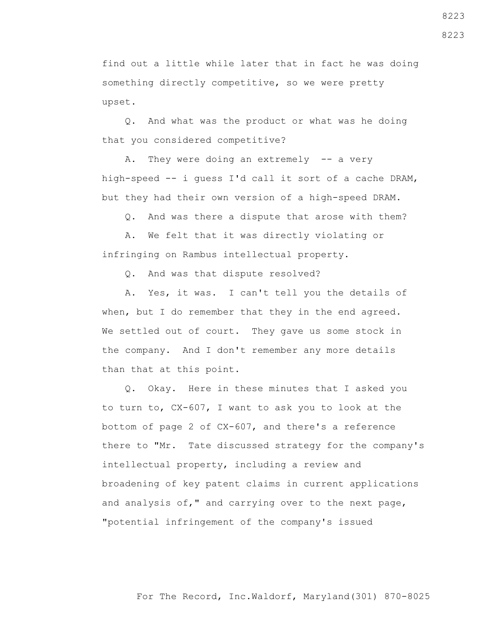find out a little while later that in fact he was doing something directly competitive, so we were pretty upset.

 Q. And what was the product or what was he doing that you considered competitive?

A. They were doing an extremely -- a very high-speed -- i guess I'd call it sort of a cache DRAM, but they had their own version of a high-speed DRAM.

Q. And was there a dispute that arose with them?

 A. We felt that it was directly violating or infringing on Rambus intellectual property.

Q. And was that dispute resolved?

 A. Yes, it was. I can't tell you the details of when, but I do remember that they in the end agreed. We settled out of court. They gave us some stock in the company. And I don't remember any more details than that at this point.

 Q. Okay. Here in these minutes that I asked you to turn to, CX-607, I want to ask you to look at the bottom of page 2 of CX-607, and there's a reference there to "Mr. Tate discussed strategy for the company's intellectual property, including a review and broadening of key patent claims in current applications and analysis of," and carrying over to the next page, "potential infringement of the company's issued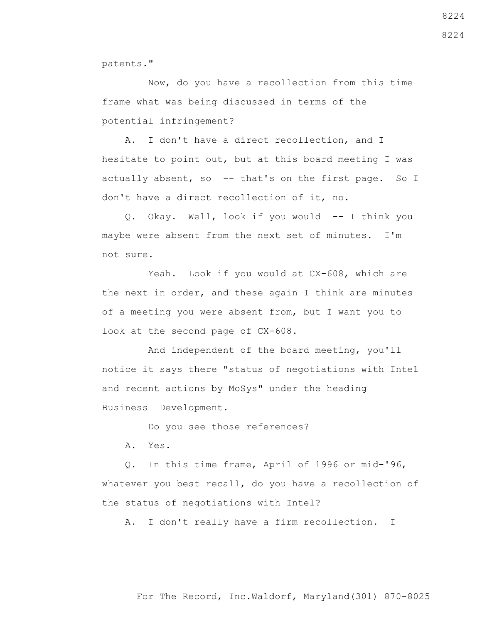patents."

 Now, do you have a recollection from this time frame what was being discussed in terms of the potential infringement?

 A. I don't have a direct recollection, and I hesitate to point out, but at this board meeting I was actually absent, so -- that's on the first page. So I don't have a direct recollection of it, no.

 Q. Okay. Well, look if you would -- I think you maybe were absent from the next set of minutes. I'm not sure.

 Yeah. Look if you would at CX-608, which are the next in order, and these again I think are minutes of a meeting you were absent from, but I want you to look at the second page of CX-608.

 And independent of the board meeting, you'll notice it says there "status of negotiations with Intel and recent actions by MoSys" under the heading Business Development.

Do you see those references?

A. Yes.

 Q. In this time frame, April of 1996 or mid-'96, whatever you best recall, do you have a recollection of the status of negotiations with Intel?

A. I don't really have a firm recollection. I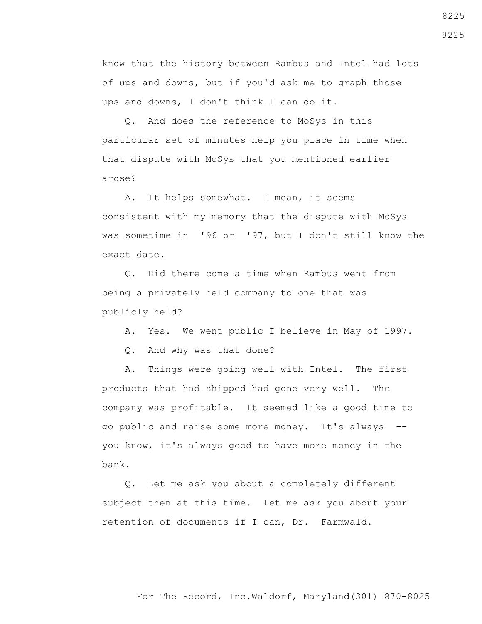know that the history between Rambus and Intel had lots of ups and downs, but if you'd ask me to graph those ups and downs, I don't think I can do it.

 Q. And does the reference to MoSys in this particular set of minutes help you place in time when that dispute with MoSys that you mentioned earlier arose?

 A. It helps somewhat. I mean, it seems consistent with my memory that the dispute with MoSys was sometime in '96 or '97, but I don't still know the exact date.

 Q. Did there come a time when Rambus went from being a privately held company to one that was publicly held?

A. Yes. We went public I believe in May of 1997.

Q. And why was that done?

 A. Things were going well with Intel. The first products that had shipped had gone very well. The company was profitable. It seemed like a good time to go public and raise some more money. It's always - you know, it's always good to have more money in the bank.

 Q. Let me ask you about a completely different subject then at this time. Let me ask you about your retention of documents if I can, Dr. Farmwald.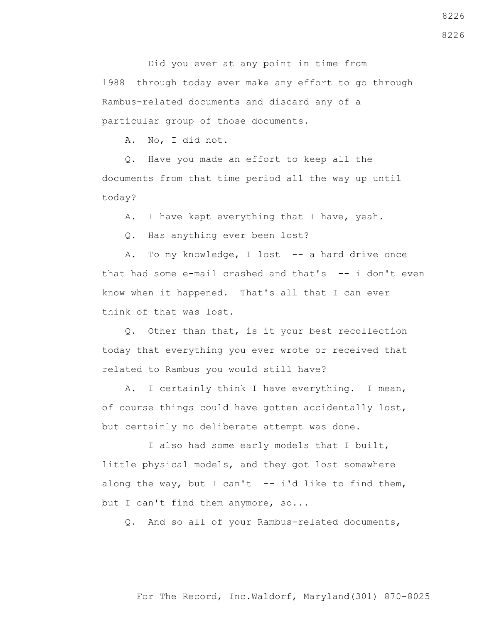Did you ever at any point in time from 1988 through today ever make any effort to go through Rambus-related documents and discard any of a particular group of those documents.

A. No, I did not.

 Q. Have you made an effort to keep all the documents from that time period all the way up until today?

A. I have kept everything that I have, yeah.

Q. Has anything ever been lost?

A. To my knowledge, I lost -- a hard drive once that had some e-mail crashed and that's -- i don't even know when it happened. That's all that I can ever think of that was lost.

 Q. Other than that, is it your best recollection today that everything you ever wrote or received that related to Rambus you would still have?

 A. I certainly think I have everything. I mean, of course things could have gotten accidentally lost, but certainly no deliberate attempt was done.

 I also had some early models that I built, little physical models, and they got lost somewhere along the way, but I can't  $-$  i'd like to find them, but I can't find them anymore, so...

Q. And so all of your Rambus-related documents,

#### For The Record, Inc.Waldorf, Maryland(301) 870-8025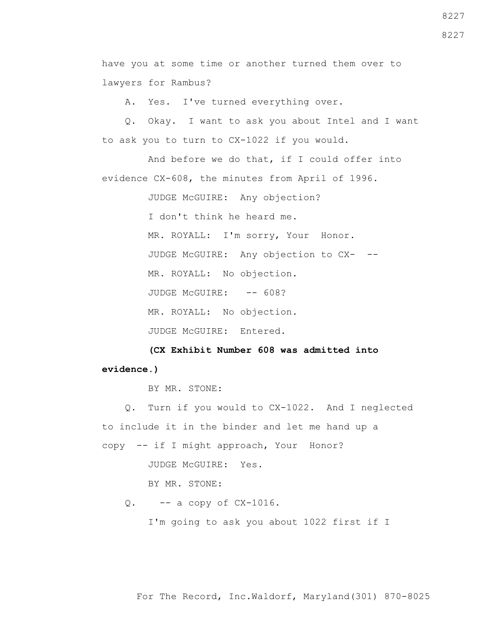have you at some time or another turned them over to lawyers for Rambus?

A. Yes. I've turned everything over.

 Q. Okay. I want to ask you about Intel and I want to ask you to turn to CX-1022 if you would.

 And before we do that, if I could offer into evidence CX-608, the minutes from April of 1996.

JUDGE McGUIRE: Any objection?

I don't think he heard me.

MR. ROYALL: I'm sorry, Your Honor.

JUDGE McGUIRE: Any objection to CX- --

MR. ROYALL: No objection.

JUDGE McGUIRE: -- 608?

MR. ROYALL: No objection.

JUDGE McGUIRE: Entered.

 **(CX Exhibit Number 608 was admitted into evidence.)**

BY MR. STONE:

 Q. Turn if you would to CX-1022. And I neglected to include it in the binder and let me hand up a copy -- if I might approach, Your Honor?

JUDGE McGUIRE: Yes.

BY MR. STONE:

Q. -- a copy of CX-1016.

I'm going to ask you about 1022 first if I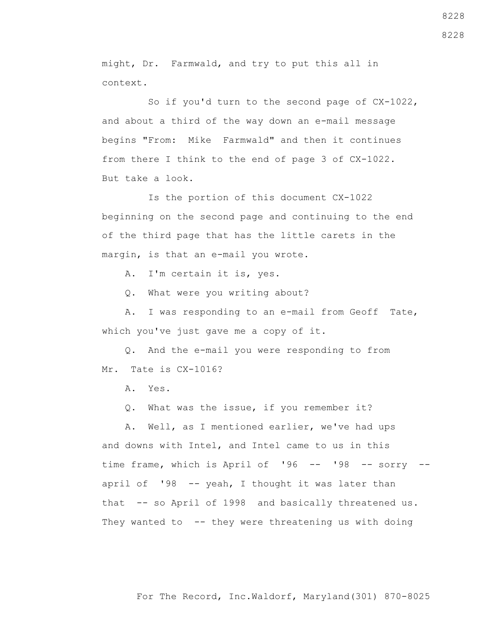might, Dr. Farmwald, and try to put this all in context.

 So if you'd turn to the second page of CX-1022, and about a third of the way down an e-mail message begins "From: Mike Farmwald" and then it continues from there I think to the end of page 3 of CX-1022. But take a look.

 Is the portion of this document CX-1022 beginning on the second page and continuing to the end of the third page that has the little carets in the margin, is that an e-mail you wrote.

A. I'm certain it is, yes.

Q. What were you writing about?

 A. I was responding to an e-mail from Geoff Tate, which you've just gave me a copy of it.

 Q. And the e-mail you were responding to from Mr. Tate is CX-1016?

A. Yes.

Q. What was the issue, if you remember it?

 A. Well, as I mentioned earlier, we've had ups and downs with Intel, and Intel came to us in this time frame, which is April of '96 -- '98 -- sorry -april of '98 -- yeah, I thought it was later than that -- so April of 1998 and basically threatened us. They wanted to -- they were threatening us with doing

8228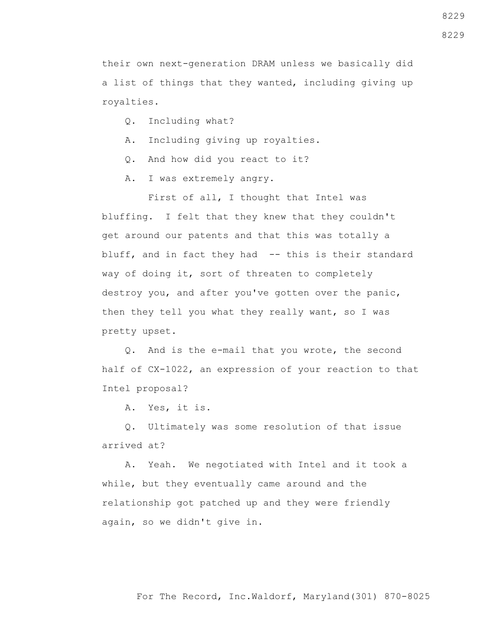their own next-generation DRAM unless we basically did a list of things that they wanted, including giving up royalties.

- Q. Including what?
- A. Including giving up royalties.
- Q. And how did you react to it?
- A. I was extremely angry.

 First of all, I thought that Intel was bluffing. I felt that they knew that they couldn't get around our patents and that this was totally a bluff, and in fact they had -- this is their standard way of doing it, sort of threaten to completely destroy you, and after you've gotten over the panic, then they tell you what they really want, so I was pretty upset.

 Q. And is the e-mail that you wrote, the second half of CX-1022, an expression of your reaction to that Intel proposal?

A. Yes, it is.

 Q. Ultimately was some resolution of that issue arrived at?

 A. Yeah. We negotiated with Intel and it took a while, but they eventually came around and the relationship got patched up and they were friendly again, so we didn't give in.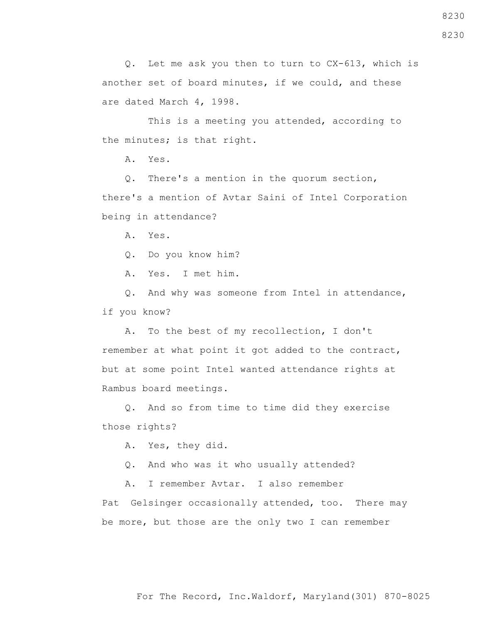Q. Let me ask you then to turn to CX-613, which is another set of board minutes, if we could, and these are dated March 4, 1998.

 This is a meeting you attended, according to the minutes; is that right.

A. Yes.

 Q. There's a mention in the quorum section, there's a mention of Avtar Saini of Intel Corporation being in attendance?

A. Yes.

Q. Do you know him?

A. Yes. I met him.

 Q. And why was someone from Intel in attendance, if you know?

 A. To the best of my recollection, I don't remember at what point it got added to the contract, but at some point Intel wanted attendance rights at Rambus board meetings.

 Q. And so from time to time did they exercise those rights?

A. Yes, they did.

Q. And who was it who usually attended?

A. I remember Avtar. I also remember

Pat Gelsinger occasionally attended, too. There may be more, but those are the only two I can remember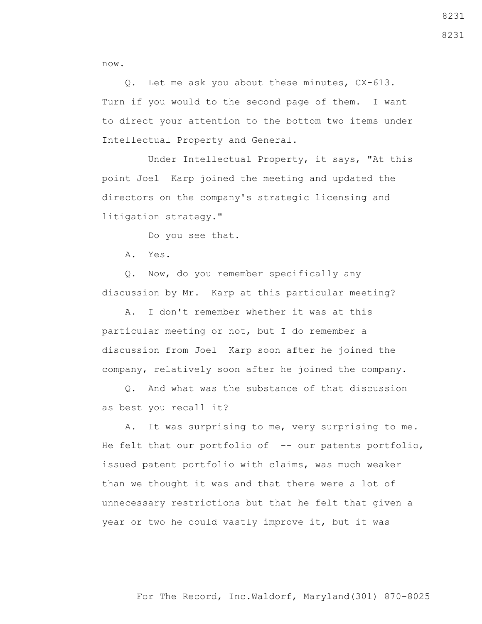now.

 Q. Let me ask you about these minutes, CX-613. Turn if you would to the second page of them. I want to direct your attention to the bottom two items under Intellectual Property and General.

 Under Intellectual Property, it says, "At this point Joel Karp joined the meeting and updated the directors on the company's strategic licensing and litigation strategy."

Do you see that.

A. Yes.

 Q. Now, do you remember specifically any discussion by Mr. Karp at this particular meeting?

 A. I don't remember whether it was at this particular meeting or not, but I do remember a discussion from Joel Karp soon after he joined the company, relatively soon after he joined the company.

 Q. And what was the substance of that discussion as best you recall it?

 A. It was surprising to me, very surprising to me. He felt that our portfolio of -- our patents portfolio, issued patent portfolio with claims, was much weaker than we thought it was and that there were a lot of unnecessary restrictions but that he felt that given a year or two he could vastly improve it, but it was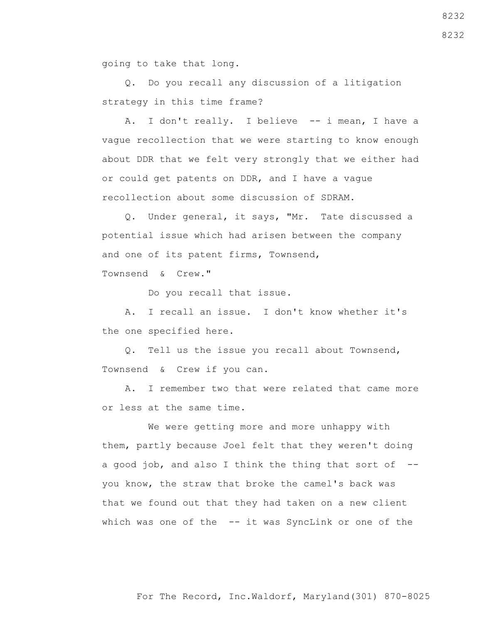going to take that long.

 Q. Do you recall any discussion of a litigation strategy in this time frame?

A. I don't really. I believe -- i mean, I have a vague recollection that we were starting to know enough about DDR that we felt very strongly that we either had or could get patents on DDR, and I have a vague recollection about some discussion of SDRAM.

 Q. Under general, it says, "Mr. Tate discussed a potential issue which had arisen between the company and one of its patent firms, Townsend, Townsend & Crew."

Do you recall that issue.

 A. I recall an issue. I don't know whether it's the one specified here.

 Q. Tell us the issue you recall about Townsend, Townsend & Crew if you can.

 A. I remember two that were related that came more or less at the same time.

 We were getting more and more unhappy with them, partly because Joel felt that they weren't doing a good job, and also I think the thing that sort of  $-$ you know, the straw that broke the camel's back was that we found out that they had taken on a new client which was one of the -- it was SyncLink or one of the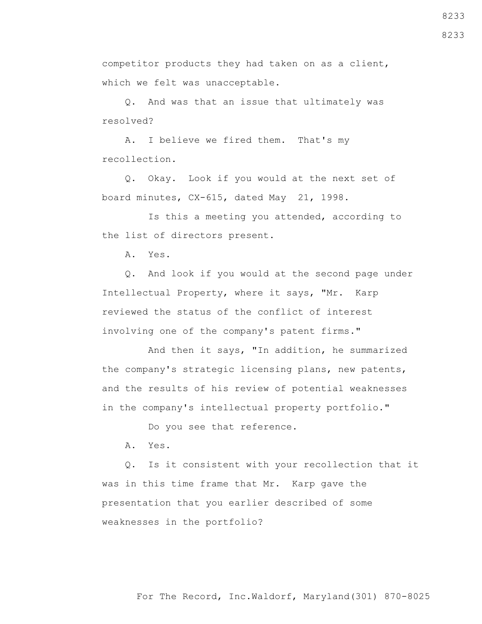competitor products they had taken on as a client, which we felt was unacceptable.

 Q. And was that an issue that ultimately was resolved?

 A. I believe we fired them. That's my recollection.

 Q. Okay. Look if you would at the next set of board minutes, CX-615, dated May 21, 1998.

 Is this a meeting you attended, according to the list of directors present.

A. Yes.

 Q. And look if you would at the second page under Intellectual Property, where it says, "Mr. Karp reviewed the status of the conflict of interest involving one of the company's patent firms."

 And then it says, "In addition, he summarized the company's strategic licensing plans, new patents, and the results of his review of potential weaknesses in the company's intellectual property portfolio."

Do you see that reference.

A. Yes.

 Q. Is it consistent with your recollection that it was in this time frame that Mr. Karp gave the presentation that you earlier described of some weaknesses in the portfolio?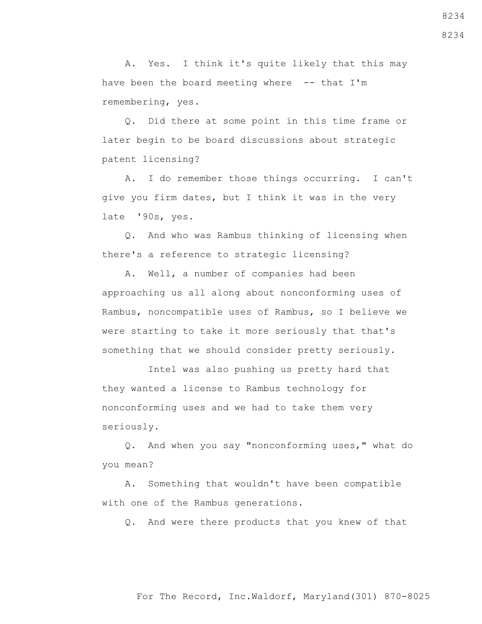A. Yes. I think it's quite likely that this may have been the board meeting where  $-$ - that I'm remembering, yes.

 Q. Did there at some point in this time frame or later begin to be board discussions about strategic patent licensing?

 A. I do remember those things occurring. I can't give you firm dates, but I think it was in the very late '90s, yes.

 Q. And who was Rambus thinking of licensing when there's a reference to strategic licensing?

 A. Well, a number of companies had been approaching us all along about nonconforming uses of Rambus, noncompatible uses of Rambus, so I believe we were starting to take it more seriously that that's something that we should consider pretty seriously.

 Intel was also pushing us pretty hard that they wanted a license to Rambus technology for nonconforming uses and we had to take them very seriously.

 Q. And when you say "nonconforming uses," what do you mean?

 A. Something that wouldn't have been compatible with one of the Rambus generations.

Q. And were there products that you knew of that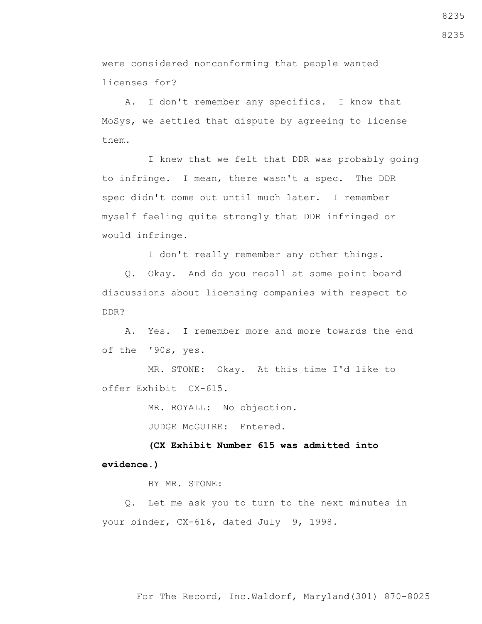were considered nonconforming that people wanted licenses for?

 A. I don't remember any specifics. I know that MoSys, we settled that dispute by agreeing to license them.

 I knew that we felt that DDR was probably going to infringe. I mean, there wasn't a spec. The DDR spec didn't come out until much later. I remember myself feeling quite strongly that DDR infringed or would infringe.

I don't really remember any other things.

 Q. Okay. And do you recall at some point board discussions about licensing companies with respect to DDR?

 A. Yes. I remember more and more towards the end of the '90s, yes.

 MR. STONE: Okay. At this time I'd like to offer Exhibit CX-615.

MR. ROYALL: No objection.

JUDGE McGUIRE: Entered.

 **(CX Exhibit Number 615 was admitted into evidence.)**

BY MR. STONE:

 Q. Let me ask you to turn to the next minutes in your binder, CX-616, dated July 9, 1998.

8235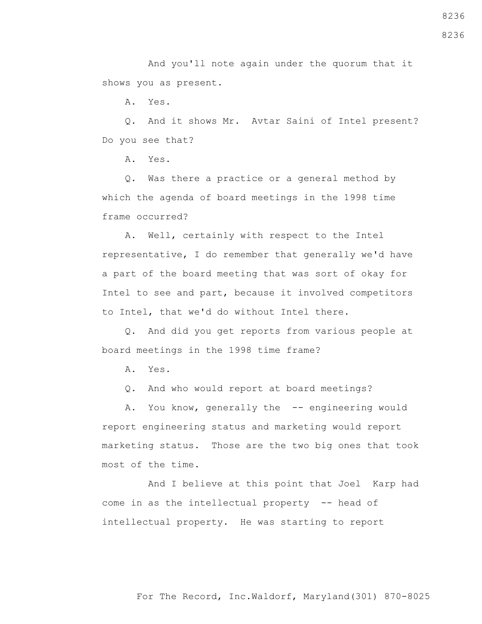And you'll note again under the quorum that it shows you as present.

A. Yes.

 Q. And it shows Mr. Avtar Saini of Intel present? Do you see that?

A. Yes.

 Q. Was there a practice or a general method by which the agenda of board meetings in the 1998 time frame occurred?

 A. Well, certainly with respect to the Intel representative, I do remember that generally we'd have a part of the board meeting that was sort of okay for Intel to see and part, because it involved competitors to Intel, that we'd do without Intel there.

 Q. And did you get reports from various people at board meetings in the 1998 time frame?

A. Yes.

Q. And who would report at board meetings?

A. You know, generally the -- engineering would report engineering status and marketing would report marketing status. Those are the two big ones that took most of the time.

 And I believe at this point that Joel Karp had come in as the intellectual property -- head of intellectual property. He was starting to report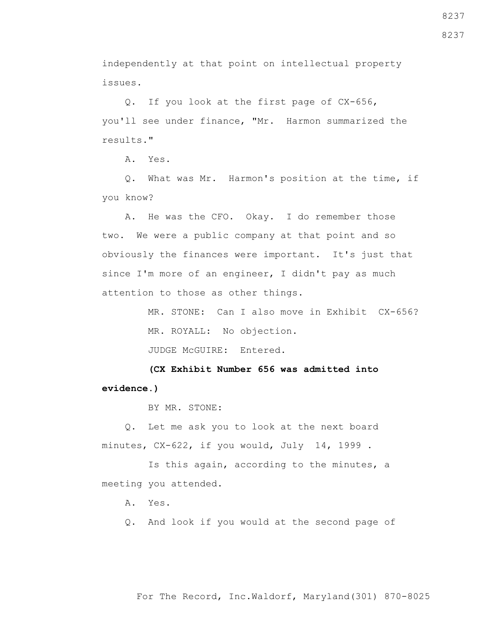8237

independently at that point on intellectual property issues.

 Q. If you look at the first page of CX-656, you'll see under finance, "Mr. Harmon summarized the results."

A. Yes.

 Q. What was Mr. Harmon's position at the time, if you know?

 A. He was the CFO. Okay. I do remember those two. We were a public company at that point and so obviously the finances were important. It's just that since I'm more of an engineer, I didn't pay as much attention to those as other things.

> MR. STONE: Can I also move in Exhibit CX-656? MR. ROYALL: No objection.

JUDGE McGUIRE: Entered.

 **(CX Exhibit Number 656 was admitted into evidence.)**

BY MR. STONE:

 Q. Let me ask you to look at the next board minutes, CX-622, if you would, July 14, 1999 .

 Is this again, according to the minutes, a meeting you attended.

A. Yes.

Q. And look if you would at the second page of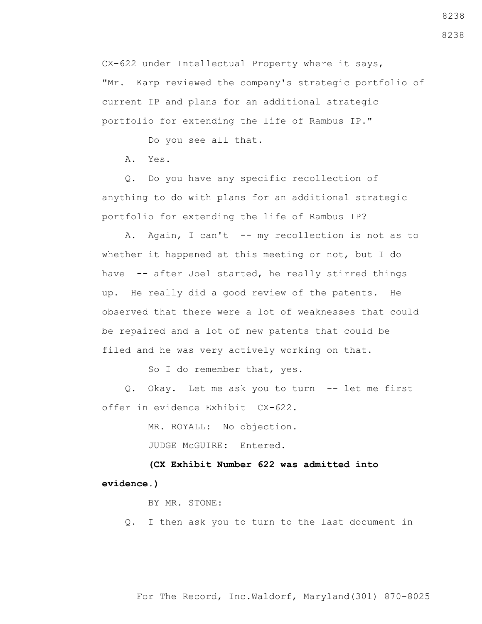CX-622 under Intellectual Property where it says, "Mr. Karp reviewed the company's strategic portfolio of current IP and plans for an additional strategic portfolio for extending the life of Rambus IP."

Do you see all that.

A. Yes.

 Q. Do you have any specific recollection of anything to do with plans for an additional strategic portfolio for extending the life of Rambus IP?

A. Again, I can't -- my recollection is not as to whether it happened at this meeting or not, but I do have -- after Joel started, he really stirred things up. He really did a good review of the patents. He observed that there were a lot of weaknesses that could be repaired and a lot of new patents that could be filed and he was very actively working on that.

So I do remember that, yes.

 Q. Okay. Let me ask you to turn -- let me first offer in evidence Exhibit CX-622.

MR. ROYALL: No objection.

JUDGE McGUIRE: Entered.

 **(CX Exhibit Number 622 was admitted into evidence.)**

BY MR. STONE:

Q. I then ask you to turn to the last document in

For The Record, Inc.Waldorf, Maryland(301) 870-8025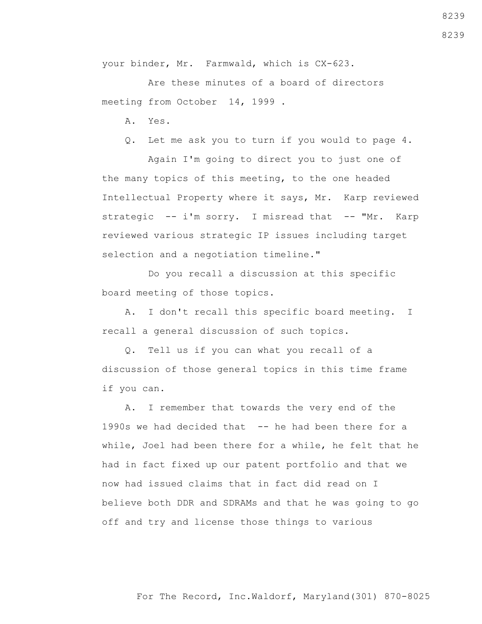A. I don't recall this specific board meeting. I

Do you recall a discussion at this specific

recall a general discussion of such topics.

board meeting of those topics.

 Q. Tell us if you can what you recall of a discussion of those general topics in this time frame if you can.

 A. I remember that towards the very end of the 1990s we had decided that -- he had been there for a while, Joel had been there for a while, he felt that he had in fact fixed up our patent portfolio and that we now had issued claims that in fact did read on I believe both DDR and SDRAMs and that he was going to go off and try and license those things to various

your binder, Mr. Farmwald, which is CX-623.

 Are these minutes of a board of directors meeting from October 14, 1999 .

- A. Yes.
- Q. Let me ask you to turn if you would to page 4.

 Again I'm going to direct you to just one of the many topics of this meeting, to the one headed Intellectual Property where it says, Mr. Karp reviewed strategic -- i'm sorry. I misread that -- "Mr. Karp reviewed various strategic IP issues including target selection and a negotiation timeline."

For The Record, Inc.Waldorf, Maryland(301) 870-8025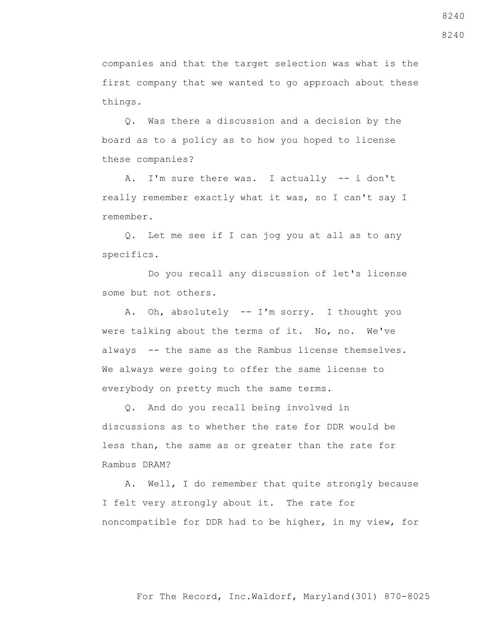For The Record, Inc.Waldorf, Maryland(301) 870-8025

8240

8240

companies and that the target selection was what is the first company that we wanted to go approach about these things.

 Q. Was there a discussion and a decision by the board as to a policy as to how you hoped to license these companies?

 A. I'm sure there was. I actually -- i don't really remember exactly what it was, so I can't say I remember.

 Q. Let me see if I can jog you at all as to any specifics.

 Do you recall any discussion of let's license some but not others.

 A. Oh, absolutely -- I'm sorry. I thought you were talking about the terms of it. No, no. We've always -- the same as the Rambus license themselves. We always were going to offer the same license to everybody on pretty much the same terms.

 Q. And do you recall being involved in discussions as to whether the rate for DDR would be less than, the same as or greater than the rate for Rambus DRAM?

 A. Well, I do remember that quite strongly because I felt very strongly about it. The rate for noncompatible for DDR had to be higher, in my view, for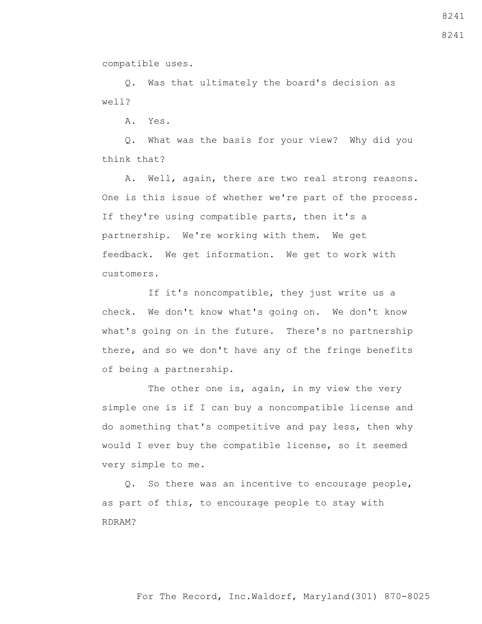compatible uses.

 Q. Was that ultimately the board's decision as well?

A. Yes.

 Q. What was the basis for your view? Why did you think that?

 A. Well, again, there are two real strong reasons. One is this issue of whether we're part of the process. If they're using compatible parts, then it's a partnership. We're working with them. We get feedback. We get information. We get to work with customers.

 If it's noncompatible, they just write us a check. We don't know what's going on. We don't know what's going on in the future. There's no partnership there, and so we don't have any of the fringe benefits of being a partnership.

The other one is, again, in my view the very simple one is if I can buy a noncompatible license and do something that's competitive and pay less, then why would I ever buy the compatible license, so it seemed very simple to me.

 Q. So there was an incentive to encourage people, as part of this, to encourage people to stay with RDRAM?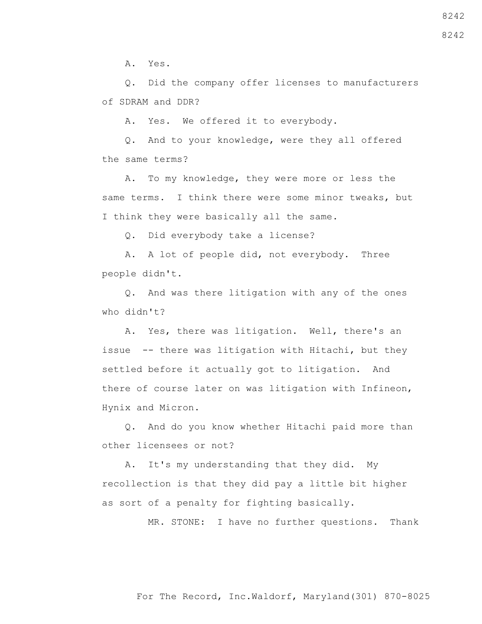A. Yes.

 Q. Did the company offer licenses to manufacturers of SDRAM and DDR?

A. Yes. We offered it to everybody.

 Q. And to your knowledge, were they all offered the same terms?

 A. To my knowledge, they were more or less the same terms. I think there were some minor tweaks, but I think they were basically all the same.

Q. Did everybody take a license?

 A. A lot of people did, not everybody. Three people didn't.

 Q. And was there litigation with any of the ones who didn't?

 A. Yes, there was litigation. Well, there's an issue -- there was litigation with Hitachi, but they settled before it actually got to litigation. And there of course later on was litigation with Infineon, Hynix and Micron.

 Q. And do you know whether Hitachi paid more than other licensees or not?

 A. It's my understanding that they did. My recollection is that they did pay a little bit higher as sort of a penalty for fighting basically.

MR. STONE: I have no further questions. Thank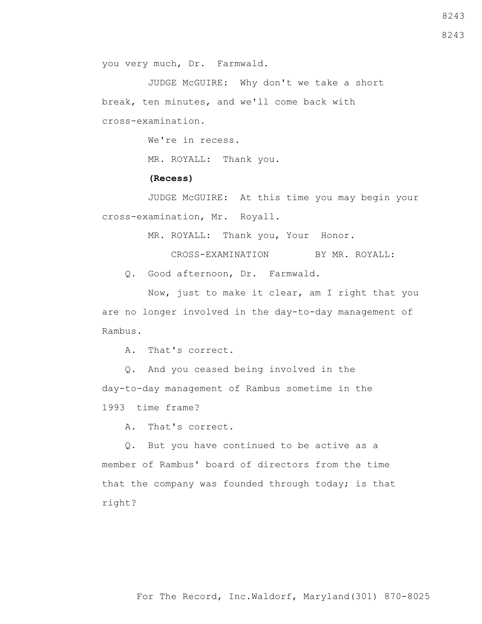For The Record, Inc.Waldorf, Maryland(301) 870-8025

8243

you very much, Dr. Farmwald.

 JUDGE McGUIRE: Why don't we take a short break, ten minutes, and we'll come back with cross-examination.

We're in recess.

MR. ROYALL: Thank you.

## **(Recess)**

 JUDGE McGUIRE: At this time you may begin your cross-examination, Mr. Royall.

MR. ROYALL: Thank you, Your Honor.

CROSS-EXAMINATION BY MR. ROYALL:

Q. Good afternoon, Dr. Farmwald.

 Now, just to make it clear, am I right that you are no longer involved in the day-to-day management of Rambus.

A. That's correct.

 Q. And you ceased being involved in the day-to-day management of Rambus sometime in the 1993 time frame?

A. That's correct.

 Q. But you have continued to be active as a member of Rambus' board of directors from the time that the company was founded through today; is that right?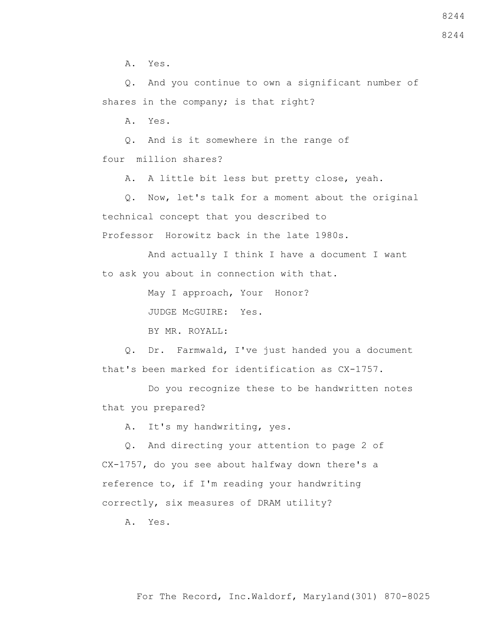A. Yes.

 Q. And you continue to own a significant number of shares in the company; is that right?

A. Yes.

 Q. And is it somewhere in the range of four million shares?

A. A little bit less but pretty close, yeah.

 Q. Now, let's talk for a moment about the original technical concept that you described to Professor Horowitz back in the late 1980s.

 And actually I think I have a document I want to ask you about in connection with that.

May I approach, Your Honor?

JUDGE McGUIRE: Yes.

BY MR. ROYALL:

 Q. Dr. Farmwald, I've just handed you a document that's been marked for identification as CX-1757.

 Do you recognize these to be handwritten notes that you prepared?

A. It's my handwriting, yes.

 Q. And directing your attention to page 2 of CX-1757, do you see about halfway down there's a reference to, if I'm reading your handwriting correctly, six measures of DRAM utility?

A. Yes.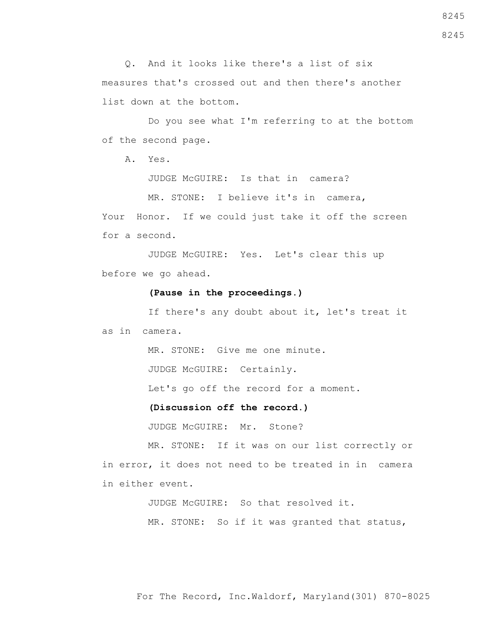Q. And it looks like there's a list of six measures that's crossed out and then there's another list down at the bottom.

 Do you see what I'm referring to at the bottom of the second page.

A. Yes.

JUDGE McGUIRE: Is that in camera?

MR. STONE: I believe it's in camera, Your Honor. If we could just take it off the screen for a second.

 JUDGE McGUIRE: Yes. Let's clear this up before we go ahead.

## **(Pause in the proceedings.)**

 If there's any doubt about it, let's treat it as in camera.

MR. STONE: Give me one minute.

JUDGE McGUIRE: Certainly.

Let's go off the record for a moment.

**(Discussion off the record.)**

JUDGE McGUIRE: Mr. Stone?

 MR. STONE: If it was on our list correctly or in error, it does not need to be treated in in camera in either event.

JUDGE McGUIRE: So that resolved it.

MR. STONE: So if it was granted that status,

For The Record, Inc.Waldorf, Maryland(301) 870-8025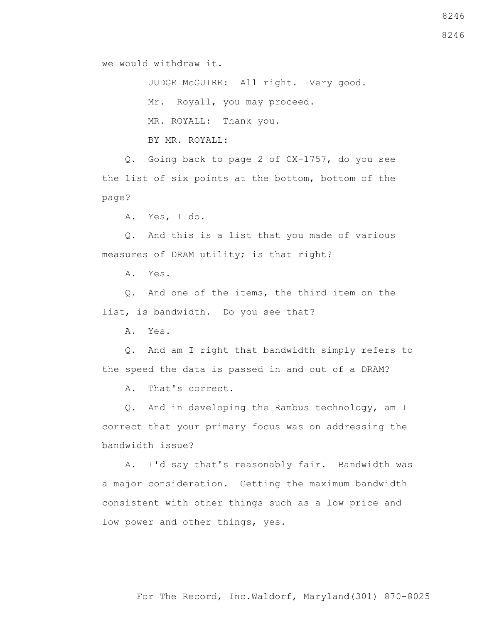we would withdraw it.

 JUDGE McGUIRE: All right. Very good. Mr. Royall, you may proceed. MR. ROYALL: Thank you.

BY MR. ROYALL:

 Q. Going back to page 2 of CX-1757, do you see the list of six points at the bottom, bottom of the page?

A. Yes, I do.

 Q. And this is a list that you made of various measures of DRAM utility; is that right?

A. Yes.

 Q. And one of the items, the third item on the list, is bandwidth. Do you see that?

A. Yes.

 Q. And am I right that bandwidth simply refers to the speed the data is passed in and out of a DRAM?

A. That's correct.

 Q. And in developing the Rambus technology, am I correct that your primary focus was on addressing the bandwidth issue?

 A. I'd say that's reasonably fair. Bandwidth was a major consideration. Getting the maximum bandwidth consistent with other things such as a low price and low power and other things, yes.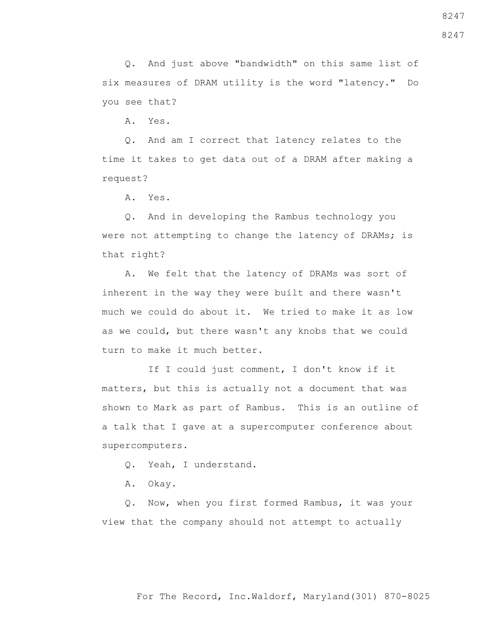For The Record, Inc.Waldorf, Maryland(301) 870-8025

8247

 Q. And just above "bandwidth" on this same list of six measures of DRAM utility is the word "latency." Do you see that?

A. Yes.

 Q. And am I correct that latency relates to the time it takes to get data out of a DRAM after making a request?

A. Yes.

 Q. And in developing the Rambus technology you were not attempting to change the latency of DRAMs; is that right?

 A. We felt that the latency of DRAMs was sort of inherent in the way they were built and there wasn't much we could do about it. We tried to make it as low as we could, but there wasn't any knobs that we could turn to make it much better.

 If I could just comment, I don't know if it matters, but this is actually not a document that was shown to Mark as part of Rambus. This is an outline of a talk that I gave at a supercomputer conference about supercomputers.

Q. Yeah, I understand.

A. Okay.

 Q. Now, when you first formed Rambus, it was your view that the company should not attempt to actually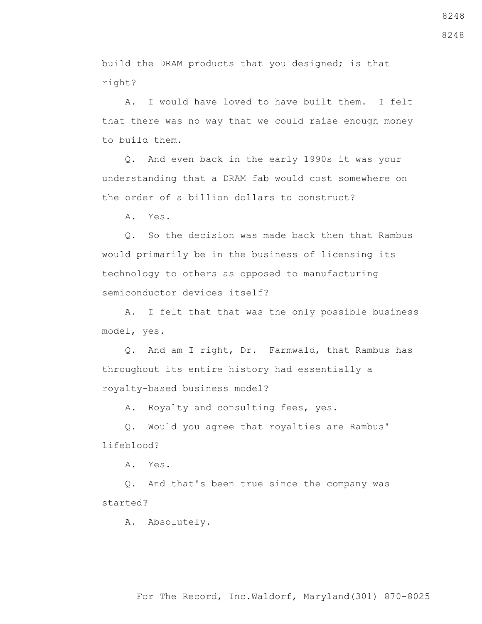For The Record, Inc.Waldorf, Maryland(301) 870-8025

8248

build the DRAM products that you designed; is that right?

 A. I would have loved to have built them. I felt that there was no way that we could raise enough money to build them.

 Q. And even back in the early 1990s it was your understanding that a DRAM fab would cost somewhere on the order of a billion dollars to construct?

A. Yes.

 Q. So the decision was made back then that Rambus would primarily be in the business of licensing its technology to others as opposed to manufacturing semiconductor devices itself?

 A. I felt that that was the only possible business model, yes.

 Q. And am I right, Dr. Farmwald, that Rambus has throughout its entire history had essentially a royalty-based business model?

A. Royalty and consulting fees, yes.

 Q. Would you agree that royalties are Rambus' lifeblood?

A. Yes.

 Q. And that's been true since the company was started?

A. Absolutely.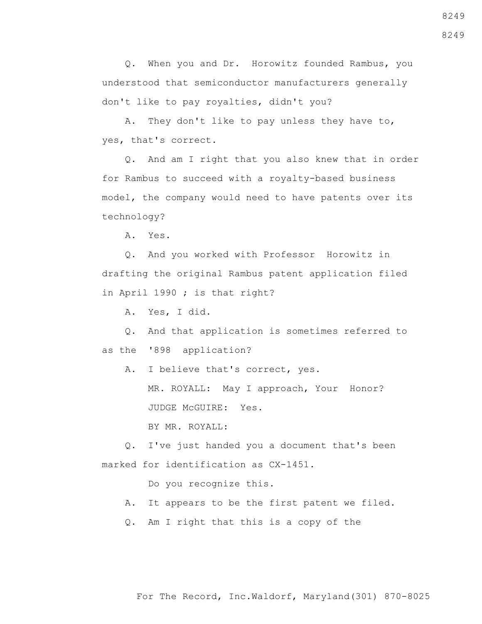Q. When you and Dr. Horowitz founded Rambus, you understood that semiconductor manufacturers generally don't like to pay royalties, didn't you?

 A. They don't like to pay unless they have to, yes, that's correct.

 Q. And am I right that you also knew that in order for Rambus to succeed with a royalty-based business model, the company would need to have patents over its technology?

A. Yes.

 Q. And you worked with Professor Horowitz in drafting the original Rambus patent application filed in April 1990 ; is that right?

A. Yes, I did.

 Q. And that application is sometimes referred to as the '898 application?

 A. I believe that's correct, yes. MR. ROYALL: May I approach, Your Honor? JUDGE McGUIRE: Yes.

BY MR. ROYALL:

 Q. I've just handed you a document that's been marked for identification as CX-1451.

Do you recognize this.

- A. It appears to be the first patent we filed.
- Q. Am I right that this is a copy of the

For The Record, Inc.Waldorf, Maryland(301) 870-8025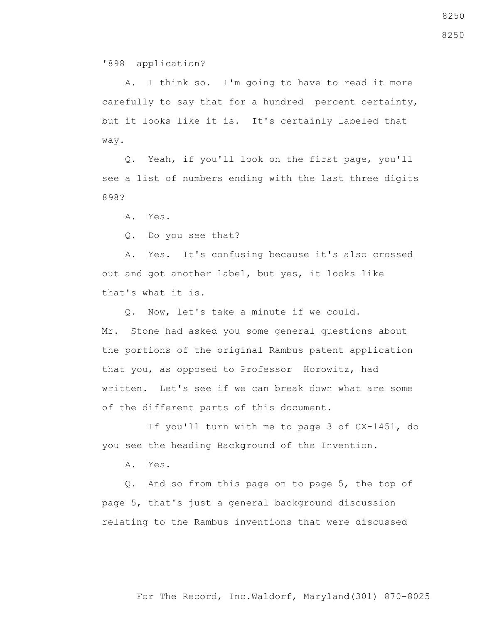'898 application?

 A. I think so. I'm going to have to read it more carefully to say that for a hundred percent certainty, but it looks like it is. It's certainly labeled that way.

 Q. Yeah, if you'll look on the first page, you'll see a list of numbers ending with the last three digits 898?

A. Yes.

Q. Do you see that?

 A. Yes. It's confusing because it's also crossed out and got another label, but yes, it looks like that's what it is.

 Q. Now, let's take a minute if we could. Mr. Stone had asked you some general questions about the portions of the original Rambus patent application that you, as opposed to Professor Horowitz, had written. Let's see if we can break down what are some of the different parts of this document.

 If you'll turn with me to page 3 of CX-1451, do you see the heading Background of the Invention.

A. Yes.

 Q. And so from this page on to page 5, the top of page 5, that's just a general background discussion relating to the Rambus inventions that were discussed

For The Record, Inc.Waldorf, Maryland(301) 870-8025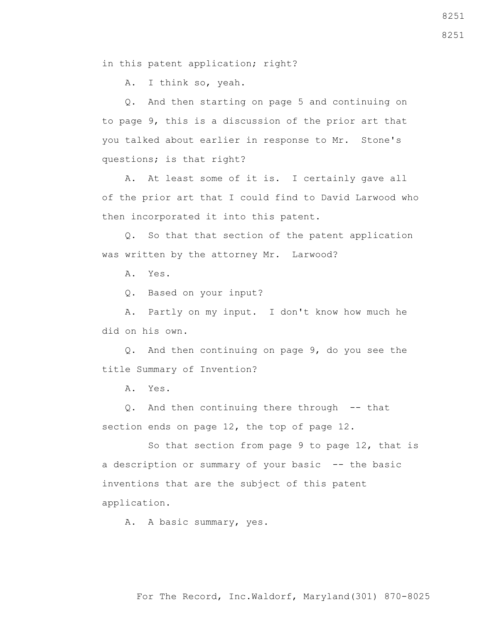in this patent application; right?

A. I think so, yeah.

 Q. And then starting on page 5 and continuing on to page 9, this is a discussion of the prior art that you talked about earlier in response to Mr. Stone's questions; is that right?

 A. At least some of it is. I certainly gave all of the prior art that I could find to David Larwood who then incorporated it into this patent.

 Q. So that that section of the patent application was written by the attorney Mr. Larwood?

A. Yes.

Q. Based on your input?

 A. Partly on my input. I don't know how much he did on his own.

 Q. And then continuing on page 9, do you see the title Summary of Invention?

A. Yes.

 Q. And then continuing there through -- that section ends on page 12, the top of page 12.

 So that section from page 9 to page 12, that is a description or summary of your basic -- the basic inventions that are the subject of this patent application.

A. A basic summary, yes.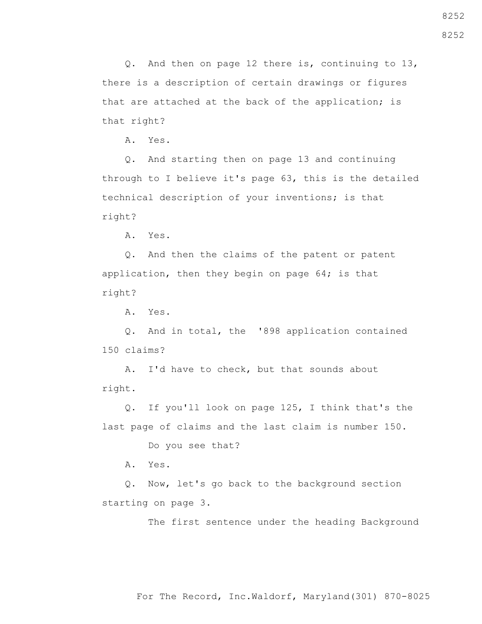8252

 Q. And then on page 12 there is, continuing to 13, there is a description of certain drawings or figures that are attached at the back of the application; is that right?

A. Yes.

 Q. And starting then on page 13 and continuing through to I believe it's page 63, this is the detailed technical description of your inventions; is that right?

A. Yes.

 Q. And then the claims of the patent or patent application, then they begin on page 64; is that right?

A. Yes.

 Q. And in total, the '898 application contained 150 claims?

 A. I'd have to check, but that sounds about right.

 Q. If you'll look on page 125, I think that's the last page of claims and the last claim is number 150.

Do you see that?

A. Yes.

 Q. Now, let's go back to the background section starting on page 3.

The first sentence under the heading Background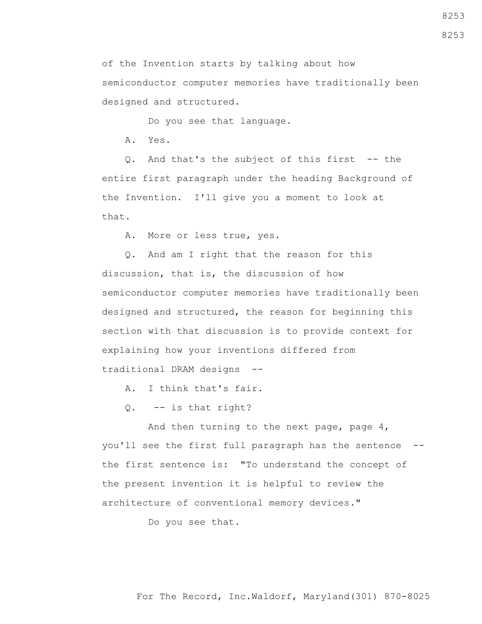8253

8253

For The Record, Inc.Waldorf, Maryland(301) 870-8025

of the Invention starts by talking about how semiconductor computer memories have traditionally been designed and structured.

Do you see that language.

A. Yes.

 Q. And that's the subject of this first -- the entire first paragraph under the heading Background of the Invention. I'll give you a moment to look at that.

A. More or less true, yes.

 Q. And am I right that the reason for this discussion, that is, the discussion of how semiconductor computer memories have traditionally been designed and structured, the reason for beginning this section with that discussion is to provide context for explaining how your inventions differed from traditional DRAM designs --

A. I think that's fair.

Q. -- is that right?

 And then turning to the next page, page 4, you'll see the first full paragraph has the sentence - the first sentence is: "To understand the concept of the present invention it is helpful to review the architecture of conventional memory devices."

Do you see that.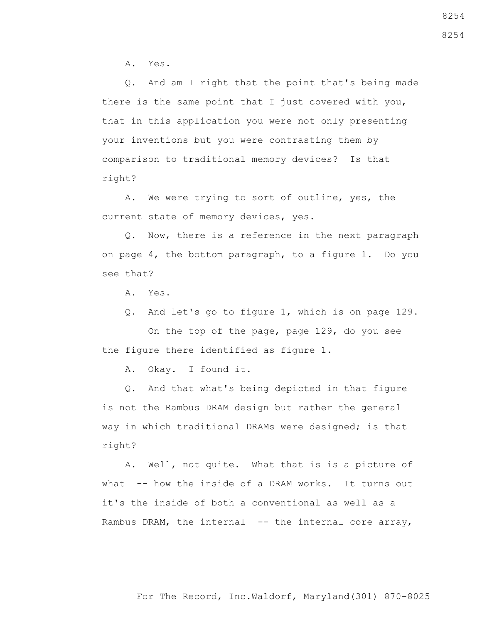A. Yes.

 Q. And am I right that the point that's being made there is the same point that I just covered with you, that in this application you were not only presenting your inventions but you were contrasting them by comparison to traditional memory devices? Is that right?

 A. We were trying to sort of outline, yes, the current state of memory devices, yes.

 Q. Now, there is a reference in the next paragraph on page 4, the bottom paragraph, to a figure 1. Do you see that?

- A. Yes.
- Q. And let's go to figure 1, which is on page 129.

 On the top of the page, page 129, do you see the figure there identified as figure 1.

A. Okay. I found it.

 Q. And that what's being depicted in that figure is not the Rambus DRAM design but rather the general way in which traditional DRAMs were designed; is that right?

 A. Well, not quite. What that is is a picture of what -- how the inside of a DRAM works. It turns out it's the inside of both a conventional as well as a Rambus DRAM, the internal -- the internal core array,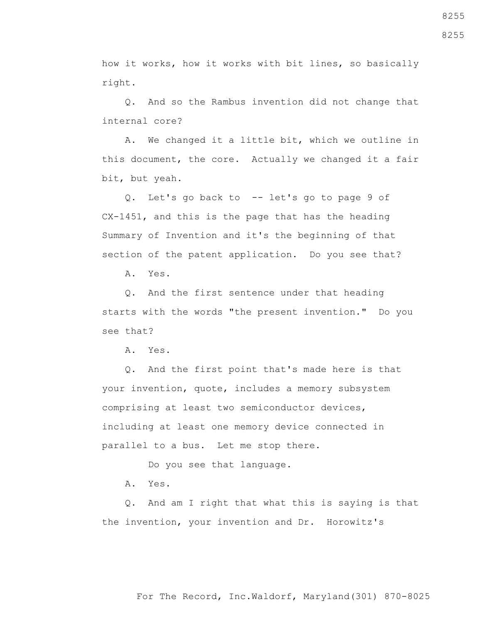how it works, how it works with bit lines, so basically right.

 Q. And so the Rambus invention did not change that internal core?

 A. We changed it a little bit, which we outline in this document, the core. Actually we changed it a fair bit, but yeah.

 Q. Let's go back to -- let's go to page 9 of CX-1451, and this is the page that has the heading Summary of Invention and it's the beginning of that section of the patent application. Do you see that?

A. Yes.

 Q. And the first sentence under that heading starts with the words "the present invention." Do you see that?

A. Yes.

 Q. And the first point that's made here is that your invention, quote, includes a memory subsystem comprising at least two semiconductor devices, including at least one memory device connected in parallel to a bus. Let me stop there.

Do you see that language.

A. Yes.

 Q. And am I right that what this is saying is that the invention, your invention and Dr. Horowitz's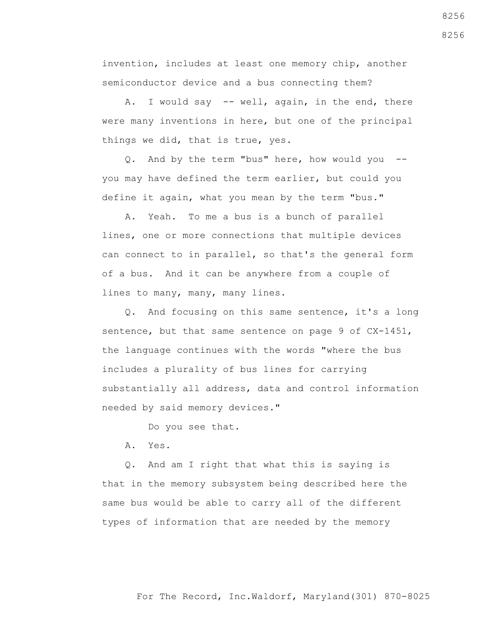invention, includes at least one memory chip, another semiconductor device and a bus connecting them?

A. I would say -- well, again, in the end, there were many inventions in here, but one of the principal things we did, that is true, yes.

 Q. And by the term "bus" here, how would you - you may have defined the term earlier, but could you define it again, what you mean by the term "bus."

 A. Yeah. To me a bus is a bunch of parallel lines, one or more connections that multiple devices can connect to in parallel, so that's the general form of a bus. And it can be anywhere from a couple of lines to many, many, many lines.

 Q. And focusing on this same sentence, it's a long sentence, but that same sentence on page 9 of CX-1451, the language continues with the words "where the bus includes a plurality of bus lines for carrying substantially all address, data and control information needed by said memory devices."

Do you see that.

A. Yes.

 Q. And am I right that what this is saying is that in the memory subsystem being described here the same bus would be able to carry all of the different types of information that are needed by the memory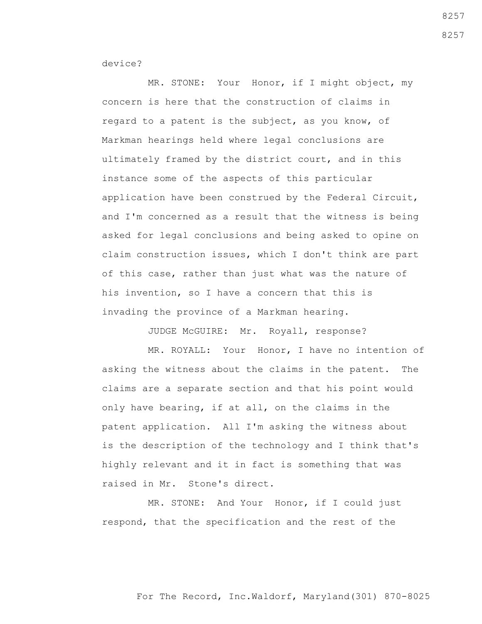device?

 MR. STONE: Your Honor, if I might object, my concern is here that the construction of claims in regard to a patent is the subject, as you know, of Markman hearings held where legal conclusions are ultimately framed by the district court, and in this instance some of the aspects of this particular application have been construed by the Federal Circuit, and I'm concerned as a result that the witness is being asked for legal conclusions and being asked to opine on claim construction issues, which I don't think are part of this case, rather than just what was the nature of his invention, so I have a concern that this is invading the province of a Markman hearing.

JUDGE McGUIRE: Mr. Royall, response?

 MR. ROYALL: Your Honor, I have no intention of asking the witness about the claims in the patent. The claims are a separate section and that his point would only have bearing, if at all, on the claims in the patent application. All I'm asking the witness about is the description of the technology and I think that's highly relevant and it in fact is something that was raised in Mr. Stone's direct.

 MR. STONE: And Your Honor, if I could just respond, that the specification and the rest of the

## For The Record, Inc.Waldorf, Maryland(301) 870-8025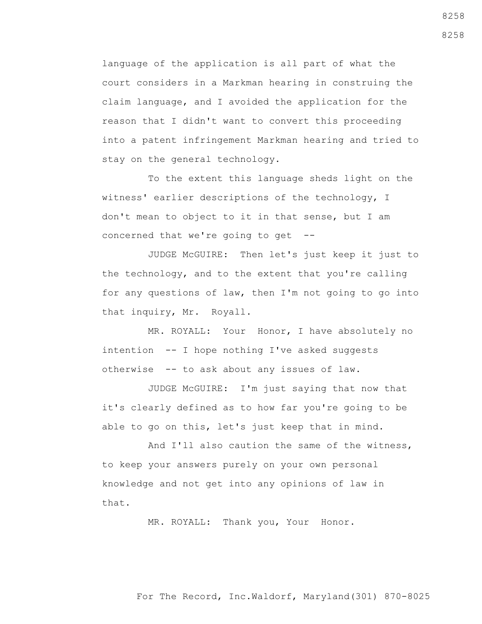language of the application is all part of what the court considers in a Markman hearing in construing the claim language, and I avoided the application for the reason that I didn't want to convert this proceeding into a patent infringement Markman hearing and tried to stay on the general technology.

 To the extent this language sheds light on the witness' earlier descriptions of the technology, I don't mean to object to it in that sense, but I am concerned that we're going to get --

 JUDGE McGUIRE: Then let's just keep it just to the technology, and to the extent that you're calling for any questions of law, then I'm not going to go into that inquiry, Mr. Royall.

 MR. ROYALL: Your Honor, I have absolutely no intention -- I hope nothing I've asked suggests otherwise -- to ask about any issues of law.

 JUDGE McGUIRE: I'm just saying that now that it's clearly defined as to how far you're going to be able to go on this, let's just keep that in mind.

 And I'll also caution the same of the witness, to keep your answers purely on your own personal knowledge and not get into any opinions of law in that.

MR. ROYALL: Thank you, Your Honor.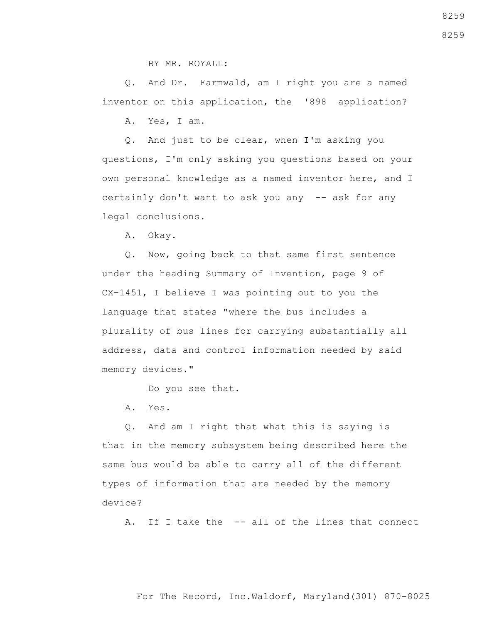BY MR. ROYALL:

 Q. And Dr. Farmwald, am I right you are a named inventor on this application, the '898 application?

A. Yes, I am.

 Q. And just to be clear, when I'm asking you questions, I'm only asking you questions based on your own personal knowledge as a named inventor here, and I certainly don't want to ask you any -- ask for any legal conclusions.

A. Okay.

 Q. Now, going back to that same first sentence under the heading Summary of Invention, page 9 of CX-1451, I believe I was pointing out to you the language that states "where the bus includes a plurality of bus lines for carrying substantially all address, data and control information needed by said memory devices."

Do you see that.

A. Yes.

 Q. And am I right that what this is saying is that in the memory subsystem being described here the same bus would be able to carry all of the different types of information that are needed by the memory device?

A. If I take the -- all of the lines that connect

8259

For The Record, Inc.Waldorf, Maryland(301) 870-8025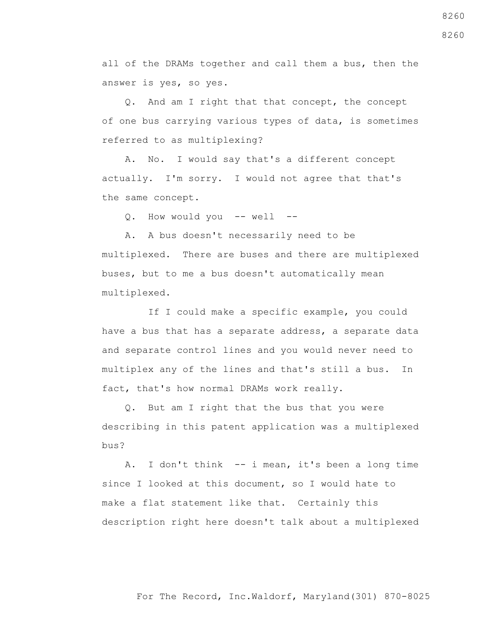all of the DRAMs together and call them a bus, then the answer is yes, so yes.

 Q. And am I right that that concept, the concept of one bus carrying various types of data, is sometimes referred to as multiplexing?

 A. No. I would say that's a different concept actually. I'm sorry. I would not agree that that's the same concept.

Q. How would you -- well --

 A. A bus doesn't necessarily need to be multiplexed. There are buses and there are multiplexed buses, but to me a bus doesn't automatically mean multiplexed.

 If I could make a specific example, you could have a bus that has a separate address, a separate data and separate control lines and you would never need to multiplex any of the lines and that's still a bus. In fact, that's how normal DRAMs work really.

 Q. But am I right that the bus that you were describing in this patent application was a multiplexed bus?

 A. I don't think -- i mean, it's been a long time since I looked at this document, so I would hate to make a flat statement like that. Certainly this description right here doesn't talk about a multiplexed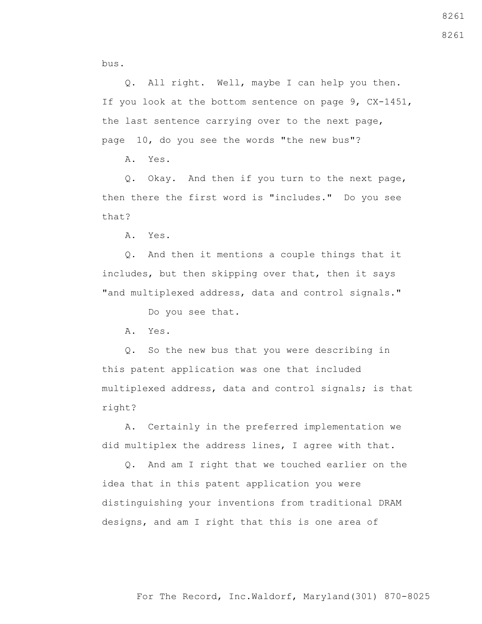bus.

 Q. All right. Well, maybe I can help you then. If you look at the bottom sentence on page 9, CX-1451, the last sentence carrying over to the next page, page 10, do you see the words "the new bus"?

A. Yes.

 Q. Okay. And then if you turn to the next page, then there the first word is "includes." Do you see that?

A. Yes.

 Q. And then it mentions a couple things that it includes, but then skipping over that, then it says "and multiplexed address, data and control signals."

Do you see that.

A. Yes.

 Q. So the new bus that you were describing in this patent application was one that included multiplexed address, data and control signals; is that right?

 A. Certainly in the preferred implementation we did multiplex the address lines, I agree with that.

 Q. And am I right that we touched earlier on the idea that in this patent application you were distinguishing your inventions from traditional DRAM designs, and am I right that this is one area of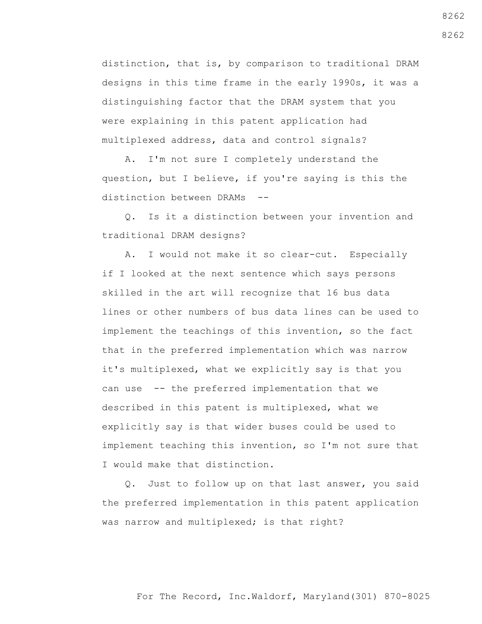distinction, that is, by comparison to traditional DRAM designs in this time frame in the early 1990s, it was a distinguishing factor that the DRAM system that you were explaining in this patent application had multiplexed address, data and control signals?

 A. I'm not sure I completely understand the question, but I believe, if you're saying is this the distinction between DRAMs --

 Q. Is it a distinction between your invention and traditional DRAM designs?

 A. I would not make it so clear-cut. Especially if I looked at the next sentence which says persons skilled in the art will recognize that 16 bus data lines or other numbers of bus data lines can be used to implement the teachings of this invention, so the fact that in the preferred implementation which was narrow it's multiplexed, what we explicitly say is that you can use -- the preferred implementation that we described in this patent is multiplexed, what we explicitly say is that wider buses could be used to implement teaching this invention, so I'm not sure that I would make that distinction.

 Q. Just to follow up on that last answer, you said the preferred implementation in this patent application was narrow and multiplexed; is that right?

8262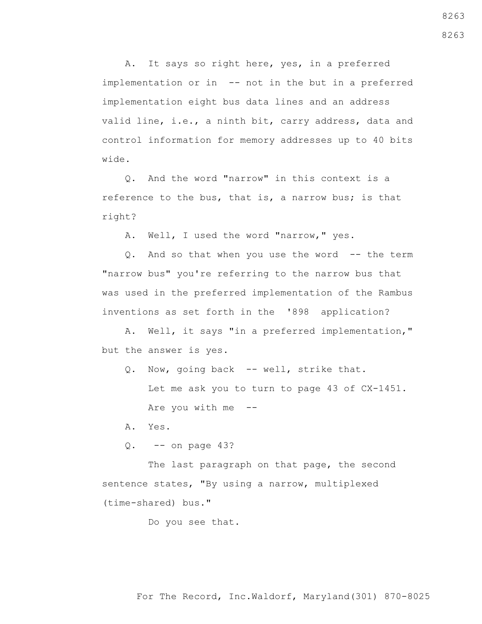A. It says so right here, yes, in a preferred implementation or in -- not in the but in a preferred implementation eight bus data lines and an address valid line, i.e., a ninth bit, carry address, data and control information for memory addresses up to 40 bits wide.

 Q. And the word "narrow" in this context is a reference to the bus, that is, a narrow bus; is that right?

A. Well, I used the word "narrow," yes.

 Q. And so that when you use the word -- the term "narrow bus" you're referring to the narrow bus that was used in the preferred implementation of the Rambus inventions as set forth in the '898 application?

 A. Well, it says "in a preferred implementation," but the answer is yes.

- Q. Now, going back -- well, strike that. Let me ask you to turn to page 43 of CX-1451. Are you with me --
- A. Yes.
- $Q.$  -- on page 43?

The last paragraph on that page, the second sentence states, "By using a narrow, multiplexed (time-shared) bus."

Do you see that.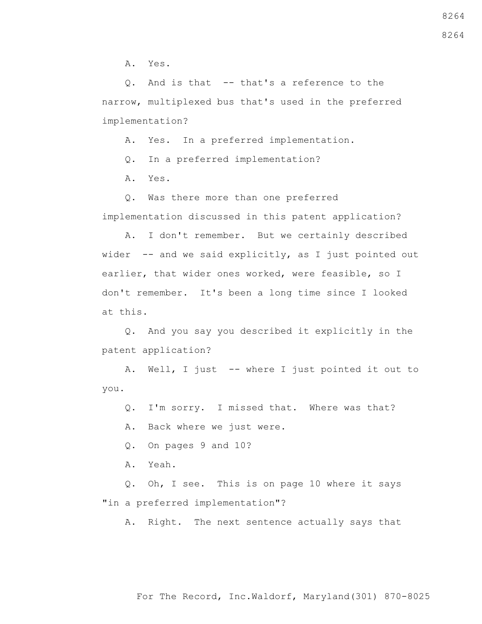A. Yes.

 Q. And is that -- that's a reference to the narrow, multiplexed bus that's used in the preferred implementation?

A. Yes. In a preferred implementation.

Q. In a preferred implementation?

A. Yes.

 Q. Was there more than one preferred implementation discussed in this patent application?

 A. I don't remember. But we certainly described wider -- and we said explicitly, as I just pointed out earlier, that wider ones worked, were feasible, so I don't remember. It's been a long time since I looked at this.

 Q. And you say you described it explicitly in the patent application?

 A. Well, I just -- where I just pointed it out to you.

Q. I'm sorry. I missed that. Where was that?

A. Back where we just were.

Q. On pages 9 and 10?

A. Yeah.

 Q. Oh, I see. This is on page 10 where it says "in a preferred implementation"?

A. Right. The next sentence actually says that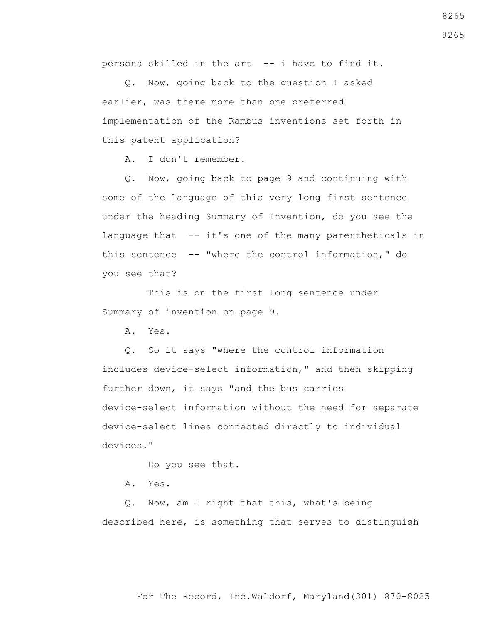persons skilled in the art -- i have to find it.

 Q. Now, going back to the question I asked earlier, was there more than one preferred implementation of the Rambus inventions set forth in this patent application?

A. I don't remember.

 Q. Now, going back to page 9 and continuing with some of the language of this very long first sentence under the heading Summary of Invention, do you see the language that -- it's one of the many parentheticals in this sentence -- "where the control information," do you see that?

 This is on the first long sentence under Summary of invention on page 9.

A. Yes.

 Q. So it says "where the control information includes device-select information," and then skipping further down, it says "and the bus carries device-select information without the need for separate device-select lines connected directly to individual devices."

Do you see that.

A. Yes.

 Q. Now, am I right that this, what's being described here, is something that serves to distinguish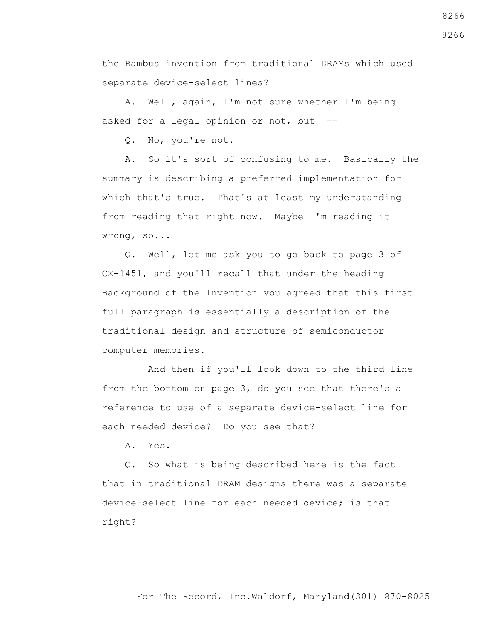the Rambus invention from traditional DRAMs which used separate device-select lines?

 A. Well, again, I'm not sure whether I'm being asked for a legal opinion or not, but --

Q. No, you're not.

 A. So it's sort of confusing to me. Basically the summary is describing a preferred implementation for which that's true. That's at least my understanding from reading that right now. Maybe I'm reading it wrong, so...

 Q. Well, let me ask you to go back to page 3 of CX-1451, and you'll recall that under the heading Background of the Invention you agreed that this first full paragraph is essentially a description of the traditional design and structure of semiconductor computer memories.

 And then if you'll look down to the third line from the bottom on page 3, do you see that there's a reference to use of a separate device-select line for each needed device? Do you see that?

A. Yes.

 Q. So what is being described here is the fact that in traditional DRAM designs there was a separate device-select line for each needed device; is that right?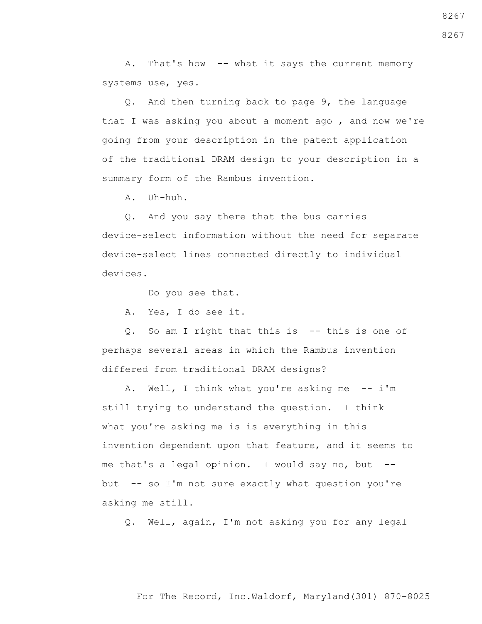A. That's how -- what it says the current memory systems use, yes.

 Q. And then turning back to page 9, the language that I was asking you about a moment ago , and now we're going from your description in the patent application of the traditional DRAM design to your description in a summary form of the Rambus invention.

A. Uh-huh.

 Q. And you say there that the bus carries device-select information without the need for separate device-select lines connected directly to individual devices.

Do you see that.

A. Yes, I do see it.

 Q. So am I right that this is -- this is one of perhaps several areas in which the Rambus invention differed from traditional DRAM designs?

A. Well, I think what you're asking me -- i'm still trying to understand the question. I think what you're asking me is is everything in this invention dependent upon that feature, and it seems to me that's a legal opinion. I would say no, but  $-$ but -- so I'm not sure exactly what question you're asking me still.

Q. Well, again, I'm not asking you for any legal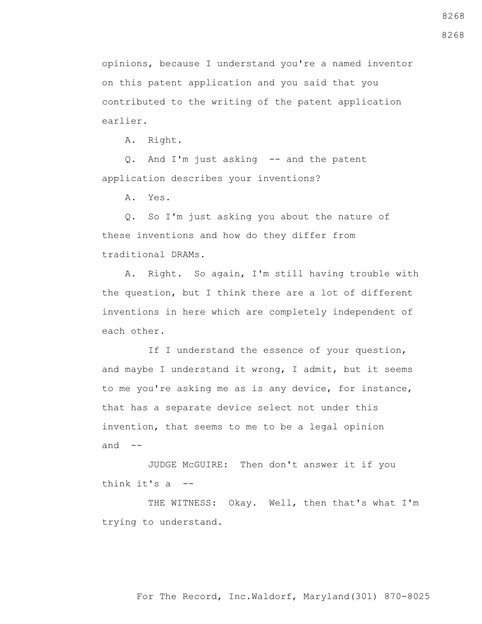opinions, because I understand you're a named inventor on this patent application and you said that you contributed to the writing of the patent application earlier.

A. Right.

 Q. And I'm just asking -- and the patent application describes your inventions?

A. Yes.

 Q. So I'm just asking you about the nature of these inventions and how do they differ from traditional DRAMs.

 A. Right. So again, I'm still having trouble with the question, but I think there are a lot of different inventions in here which are completely independent of each other.

If I understand the essence of your question, and maybe I understand it wrong, I admit, but it seems to me you're asking me as is any device, for instance, that has a separate device select not under this invention, that seems to me to be a legal opinion and  $--$ 

 JUDGE McGUIRE: Then don't answer it if you think it's a --

 THE WITNESS: Okay. Well, then that's what I'm trying to understand.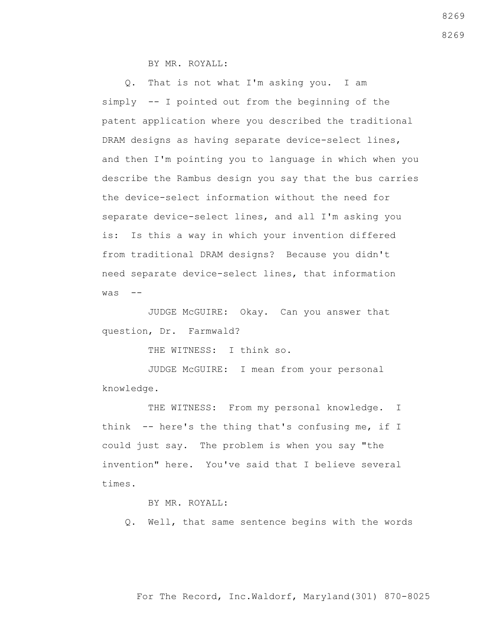BY MR. ROYALL:

 Q. That is not what I'm asking you. I am simply -- I pointed out from the beginning of the patent application where you described the traditional DRAM designs as having separate device-select lines, and then I'm pointing you to language in which when you describe the Rambus design you say that the bus carries the device-select information without the need for separate device-select lines, and all I'm asking you is: Is this a way in which your invention differed from traditional DRAM designs? Because you didn't need separate device-select lines, that information  $was$   $-$ 

 JUDGE McGUIRE: Okay. Can you answer that question, Dr. Farmwald?

THE WITNESS: I think so.

 JUDGE McGUIRE: I mean from your personal knowledge.

THE WITNESS: From my personal knowledge. I think -- here's the thing that's confusing me, if I could just say. The problem is when you say "the invention" here. You've said that I believe several times.

BY MR. ROYALL:

Q. Well, that same sentence begins with the words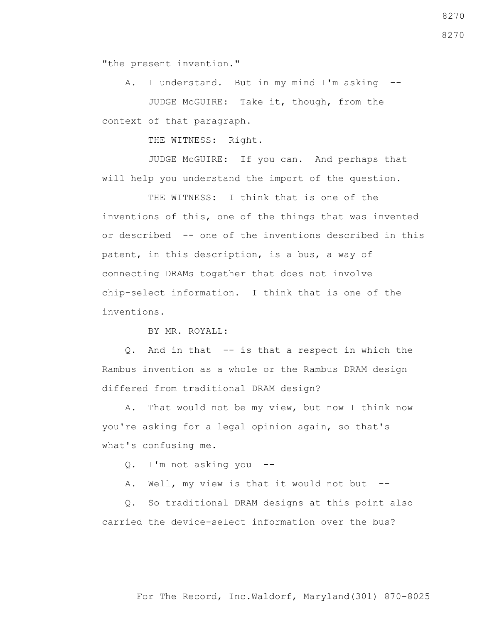"the present invention."

 A. I understand. But in my mind I'm asking -- JUDGE McGUIRE: Take it, though, from the context of that paragraph.

THE WITNESS: Right.

 JUDGE McGUIRE: If you can. And perhaps that will help you understand the import of the question.

THE WITNESS: I think that is one of the inventions of this, one of the things that was invented or described -- one of the inventions described in this patent, in this description, is a bus, a way of connecting DRAMs together that does not involve chip-select information. I think that is one of the inventions.

BY MR. ROYALL:

 Q. And in that -- is that a respect in which the Rambus invention as a whole or the Rambus DRAM design differed from traditional DRAM design?

 A. That would not be my view, but now I think now you're asking for a legal opinion again, so that's what's confusing me.

Q. I'm not asking you --

A. Well, my view is that it would not but --

 Q. So traditional DRAM designs at this point also carried the device-select information over the bus?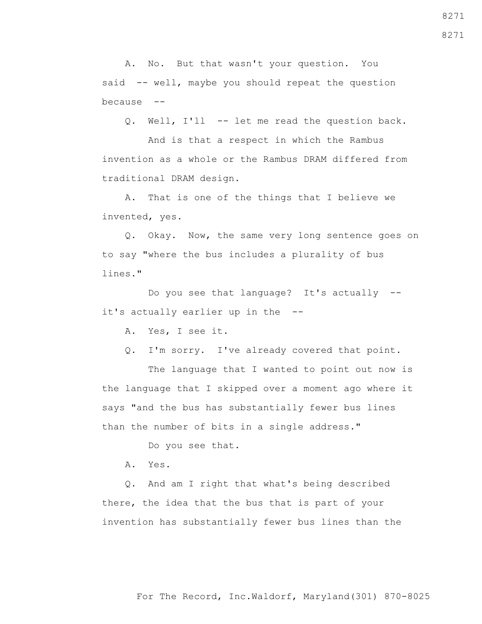A. No. But that wasn't your question. You said -- well, maybe you should repeat the question because --

Q. Well, I'll -- let me read the question back.

 And is that a respect in which the Rambus invention as a whole or the Rambus DRAM differed from traditional DRAM design.

 A. That is one of the things that I believe we invented, yes.

 Q. Okay. Now, the same very long sentence goes on to say "where the bus includes a plurality of bus lines."

 Do you see that language? It's actually - it's actually earlier up in the --

A. Yes, I see it.

Q. I'm sorry. I've already covered that point.

 The language that I wanted to point out now is the language that I skipped over a moment ago where it says "and the bus has substantially fewer bus lines than the number of bits in a single address."

Do you see that.

A. Yes.

 Q. And am I right that what's being described there, the idea that the bus that is part of your invention has substantially fewer bus lines than the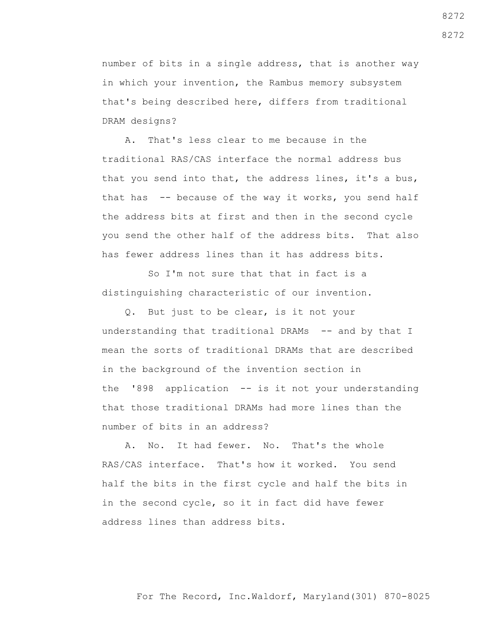number of bits in a single address, that is another way in which your invention, the Rambus memory subsystem that's being described here, differs from traditional DRAM designs?

 A. That's less clear to me because in the traditional RAS/CAS interface the normal address bus that you send into that, the address lines, it's a bus, that has -- because of the way it works, you send half the address bits at first and then in the second cycle you send the other half of the address bits. That also has fewer address lines than it has address bits.

 So I'm not sure that that in fact is a distinguishing characteristic of our invention.

 Q. But just to be clear, is it not your understanding that traditional DRAMs -- and by that I mean the sorts of traditional DRAMs that are described in the background of the invention section in the '898 application -- is it not your understanding that those traditional DRAMs had more lines than the number of bits in an address?

 A. No. It had fewer. No. That's the whole RAS/CAS interface. That's how it worked. You send half the bits in the first cycle and half the bits in in the second cycle, so it in fact did have fewer address lines than address bits.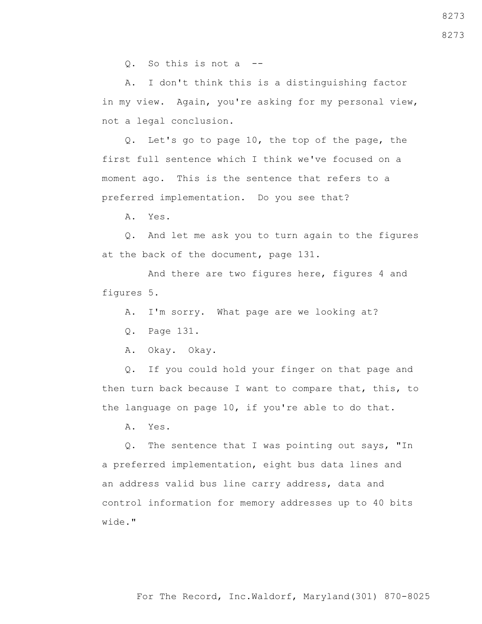Q. So this is not a --

 A. I don't think this is a distinguishing factor in my view. Again, you're asking for my personal view, not a legal conclusion.

 Q. Let's go to page 10, the top of the page, the first full sentence which I think we've focused on a moment ago. This is the sentence that refers to a preferred implementation. Do you see that?

A. Yes.

 Q. And let me ask you to turn again to the figures at the back of the document, page 131.

 And there are two figures here, figures 4 and figures 5.

A. I'm sorry. What page are we looking at?

Q. Page 131.

A. Okay. Okay.

 Q. If you could hold your finger on that page and then turn back because I want to compare that, this, to the language on page 10, if you're able to do that.

A. Yes.

 Q. The sentence that I was pointing out says, "In a preferred implementation, eight bus data lines and an address valid bus line carry address, data and control information for memory addresses up to 40 bits wide."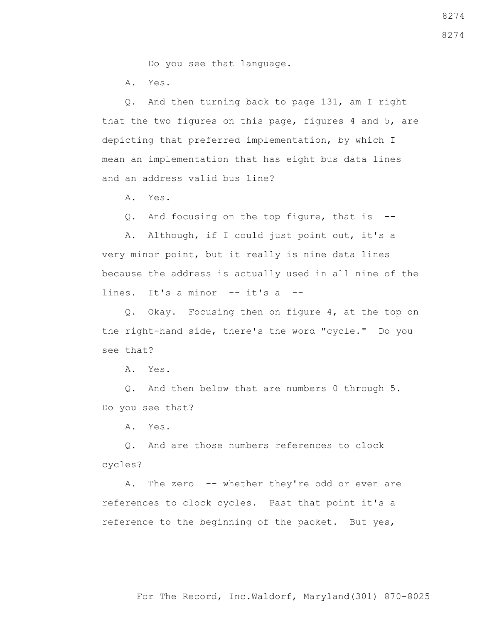Do you see that language.

A. Yes.

 Q. And then turning back to page 131, am I right that the two figures on this page, figures 4 and 5, are depicting that preferred implementation, by which I mean an implementation that has eight bus data lines and an address valid bus line?

A. Yes.

Q. And focusing on the top figure, that is --

 A. Although, if I could just point out, it's a very minor point, but it really is nine data lines because the address is actually used in all nine of the lines. It's a minor -- it's a --

 Q. Okay. Focusing then on figure 4, at the top on the right-hand side, there's the word "cycle." Do you see that?

A. Yes.

 Q. And then below that are numbers 0 through 5. Do you see that?

A. Yes.

 Q. And are those numbers references to clock cycles?

A. The zero -- whether they're odd or even are references to clock cycles. Past that point it's a reference to the beginning of the packet. But yes,

8274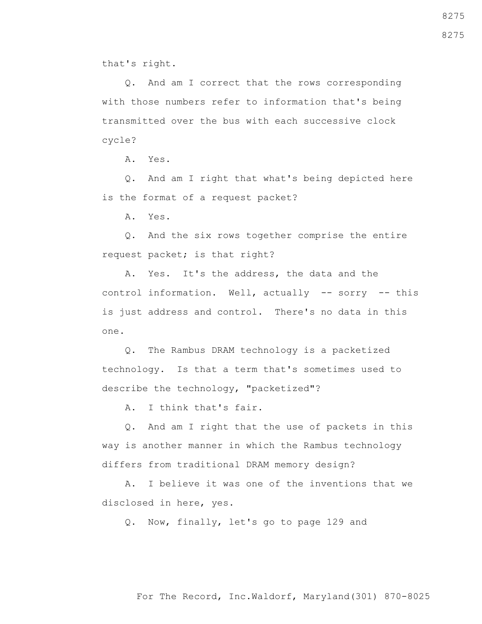that's right.

 Q. And am I correct that the rows corresponding with those numbers refer to information that's being transmitted over the bus with each successive clock cycle?

A. Yes.

 Q. And am I right that what's being depicted here is the format of a request packet?

A. Yes.

 Q. And the six rows together comprise the entire request packet; is that right?

 A. Yes. It's the address, the data and the control information. Well, actually -- sorry -- this is just address and control. There's no data in this one.

 Q. The Rambus DRAM technology is a packetized technology. Is that a term that's sometimes used to describe the technology, "packetized"?

A. I think that's fair.

 Q. And am I right that the use of packets in this way is another manner in which the Rambus technology differs from traditional DRAM memory design?

 A. I believe it was one of the inventions that we disclosed in here, yes.

Q. Now, finally, let's go to page 129 and

For The Record, Inc.Waldorf, Maryland(301) 870-8025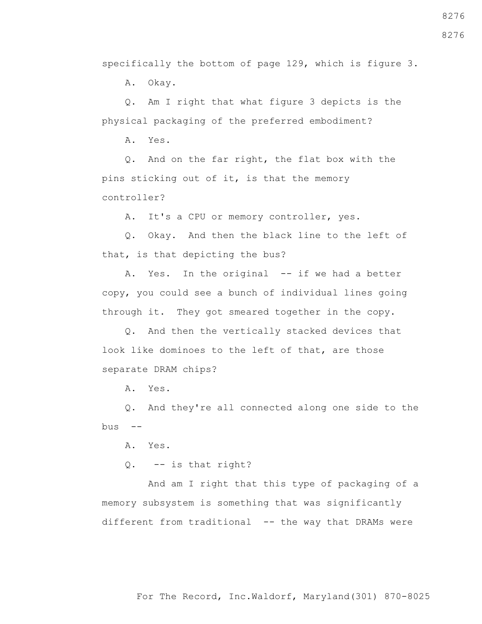specifically the bottom of page 129, which is figure 3.

A. Okay.

 Q. Am I right that what figure 3 depicts is the physical packaging of the preferred embodiment?

A. Yes.

 Q. And on the far right, the flat box with the pins sticking out of it, is that the memory controller?

A. It's a CPU or memory controller, yes.

 Q. Okay. And then the black line to the left of that, is that depicting the bus?

A. Yes. In the original -- if we had a better copy, you could see a bunch of individual lines going through it. They got smeared together in the copy.

 Q. And then the vertically stacked devices that look like dominoes to the left of that, are those separate DRAM chips?

A. Yes.

 Q. And they're all connected along one side to the  $bus$  --

A. Yes.

Q. -- is that right?

 And am I right that this type of packaging of a memory subsystem is something that was significantly different from traditional -- the way that DRAMs were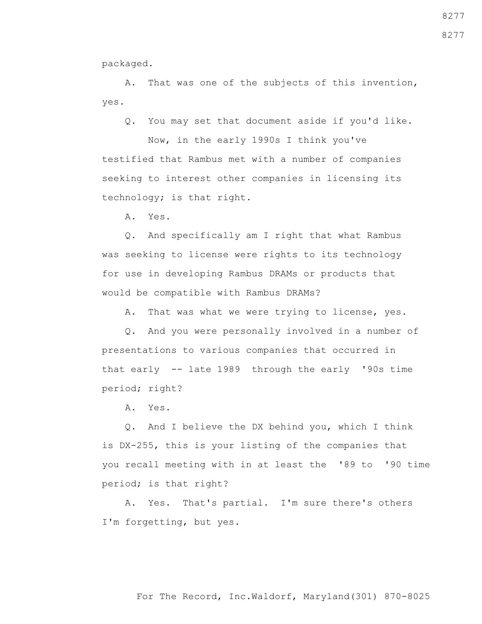packaged.

 A. That was one of the subjects of this invention, yes.

Q. You may set that document aside if you'd like.

 Now, in the early 1990s I think you've testified that Rambus met with a number of companies seeking to interest other companies in licensing its technology; is that right.

A. Yes.

 Q. And specifically am I right that what Rambus was seeking to license were rights to its technology for use in developing Rambus DRAMs or products that would be compatible with Rambus DRAMs?

A. That was what we were trying to license, yes.

 Q. And you were personally involved in a number of presentations to various companies that occurred in that early -- late 1989 through the early '90s time period; right?

A. Yes.

 Q. And I believe the DX behind you, which I think is DX-255, this is your listing of the companies that you recall meeting with in at least the '89 to '90 time period; is that right?

 A. Yes. That's partial. I'm sure there's others I'm forgetting, but yes.

## For The Record, Inc.Waldorf, Maryland(301) 870-8025

8277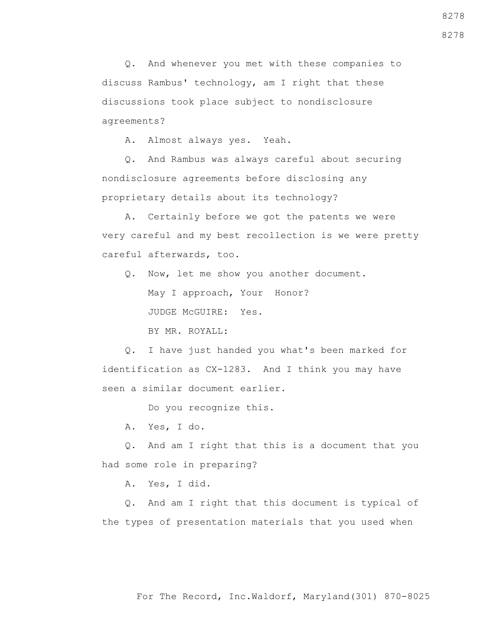Q. And whenever you met with these companies to discuss Rambus' technology, am I right that these discussions took place subject to nondisclosure agreements?

A. Almost always yes. Yeah.

 Q. And Rambus was always careful about securing nondisclosure agreements before disclosing any proprietary details about its technology?

 A. Certainly before we got the patents we were very careful and my best recollection is we were pretty careful afterwards, too.

Q. Now, let me show you another document.

May I approach, Your Honor?

JUDGE McGUIRE: Yes.

BY MR. ROYALL:

 Q. I have just handed you what's been marked for identification as CX-1283. And I think you may have seen a similar document earlier.

Do you recognize this.

A. Yes, I do.

 Q. And am I right that this is a document that you had some role in preparing?

A. Yes, I did.

 Q. And am I right that this document is typical of the types of presentation materials that you used when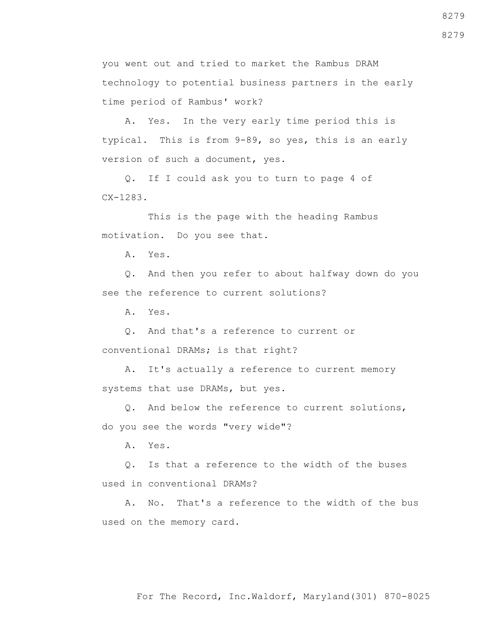you went out and tried to market the Rambus DRAM technology to potential business partners in the early time period of Rambus' work?

 A. Yes. In the very early time period this is typical. This is from 9-89, so yes, this is an early version of such a document, yes.

 Q. If I could ask you to turn to page 4 of CX-1283.

 This is the page with the heading Rambus motivation. Do you see that.

A. Yes.

 Q. And then you refer to about halfway down do you see the reference to current solutions?

A. Yes.

 Q. And that's a reference to current or conventional DRAMs; is that right?

 A. It's actually a reference to current memory systems that use DRAMs, but yes.

 Q. And below the reference to current solutions, do you see the words "very wide"?

A. Yes.

 Q. Is that a reference to the width of the buses used in conventional DRAMs?

 A. No. That's a reference to the width of the bus used on the memory card.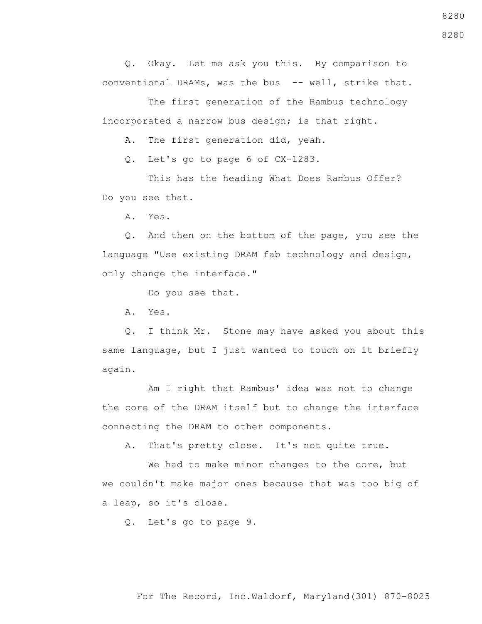Q. Okay. Let me ask you this. By comparison to conventional DRAMs, was the bus -- well, strike that.

 The first generation of the Rambus technology incorporated a narrow bus design; is that right.

A. The first generation did, yeah.

Q. Let's go to page 6 of CX-1283.

 This has the heading What Does Rambus Offer? Do you see that.

A. Yes.

 Q. And then on the bottom of the page, you see the language "Use existing DRAM fab technology and design, only change the interface."

Do you see that.

A. Yes.

 Q. I think Mr. Stone may have asked you about this same language, but I just wanted to touch on it briefly again.

 Am I right that Rambus' idea was not to change the core of the DRAM itself but to change the interface connecting the DRAM to other components.

A. That's pretty close. It's not quite true.

 We had to make minor changes to the core, but we couldn't make major ones because that was too big of a leap, so it's close.

Q. Let's go to page 9.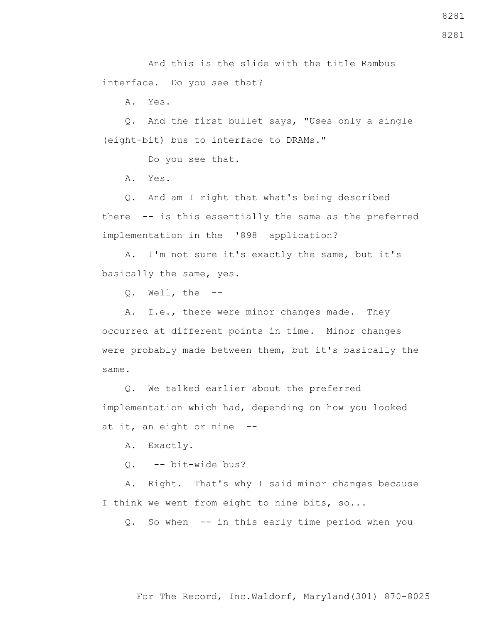And this is the slide with the title Rambus interface. Do you see that?

A. Yes.

 Q. And the first bullet says, "Uses only a single (eight-bit) bus to interface to DRAMs."

Do you see that.

A. Yes.

 Q. And am I right that what's being described there -- is this essentially the same as the preferred implementation in the '898 application?

 A. I'm not sure it's exactly the same, but it's basically the same, yes.

Q. Well, the --

A. I.e., there were minor changes made. They occurred at different points in time. Minor changes were probably made between them, but it's basically the same.

 Q. We talked earlier about the preferred implementation which had, depending on how you looked at it, an eight or nine --

A. Exactly.

Q. -- bit-wide bus?

 A. Right. That's why I said minor changes because I think we went from eight to nine bits, so...

Q. So when -- in this early time period when you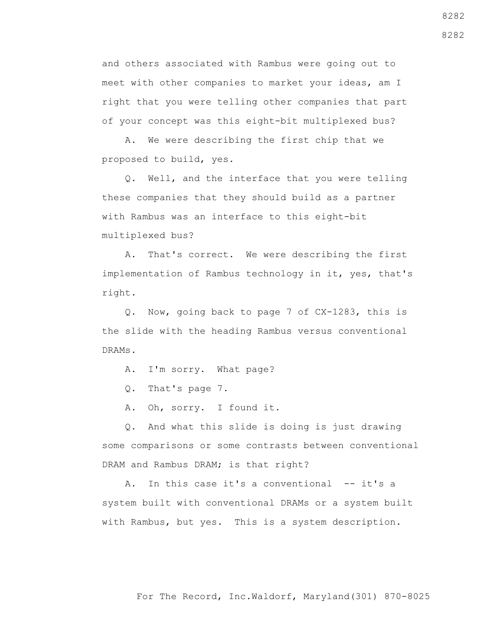and others associated with Rambus were going out to meet with other companies to market your ideas, am I right that you were telling other companies that part of your concept was this eight-bit multiplexed bus?

 A. We were describing the first chip that we proposed to build, yes.

 Q. Well, and the interface that you were telling these companies that they should build as a partner with Rambus was an interface to this eight-bit multiplexed bus?

 A. That's correct. We were describing the first implementation of Rambus technology in it, yes, that's right.

 Q. Now, going back to page 7 of CX-1283, this is the slide with the heading Rambus versus conventional DRAMs.

A. I'm sorry. What page?

Q. That's page 7.

A. Oh, sorry. I found it.

 Q. And what this slide is doing is just drawing some comparisons or some contrasts between conventional DRAM and Rambus DRAM; is that right?

A. In this case it's a conventional -- it's a system built with conventional DRAMs or a system built with Rambus, but yes. This is a system description.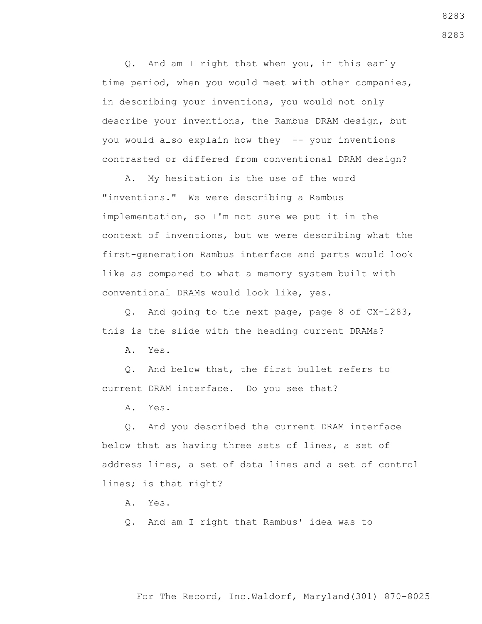Q. And am I right that when you, in this early time period, when you would meet with other companies, in describing your inventions, you would not only describe your inventions, the Rambus DRAM design, but you would also explain how they -- your inventions contrasted or differed from conventional DRAM design?

 A. My hesitation is the use of the word "inventions." We were describing a Rambus implementation, so I'm not sure we put it in the context of inventions, but we were describing what the first-generation Rambus interface and parts would look like as compared to what a memory system built with conventional DRAMs would look like, yes.

 Q. And going to the next page, page 8 of CX-1283, this is the slide with the heading current DRAMs?

A. Yes.

 Q. And below that, the first bullet refers to current DRAM interface. Do you see that?

A. Yes.

 Q. And you described the current DRAM interface below that as having three sets of lines, a set of address lines, a set of data lines and a set of control lines; is that right?

A. Yes.

Q. And am I right that Rambus' idea was to

For The Record, Inc.Waldorf, Maryland(301) 870-8025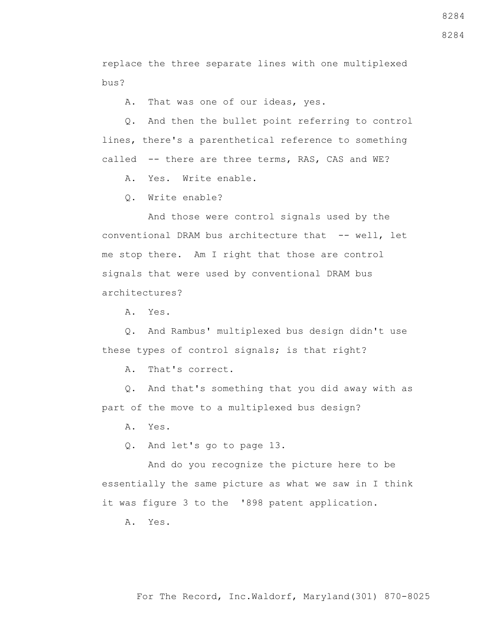replace the three separate lines with one multiplexed bus?

A. That was one of our ideas, yes.

 Q. And then the bullet point referring to control lines, there's a parenthetical reference to something called -- there are three terms, RAS, CAS and WE?

A. Yes. Write enable.

Q. Write enable?

 And those were control signals used by the conventional DRAM bus architecture that -- well, let me stop there. Am I right that those are control signals that were used by conventional DRAM bus architectures?

A. Yes.

 Q. And Rambus' multiplexed bus design didn't use these types of control signals; is that right?

A. That's correct.

 Q. And that's something that you did away with as part of the move to a multiplexed bus design?

A. Yes.

Q. And let's go to page 13.

 And do you recognize the picture here to be essentially the same picture as what we saw in I think it was figure 3 to the '898 patent application.

A. Yes.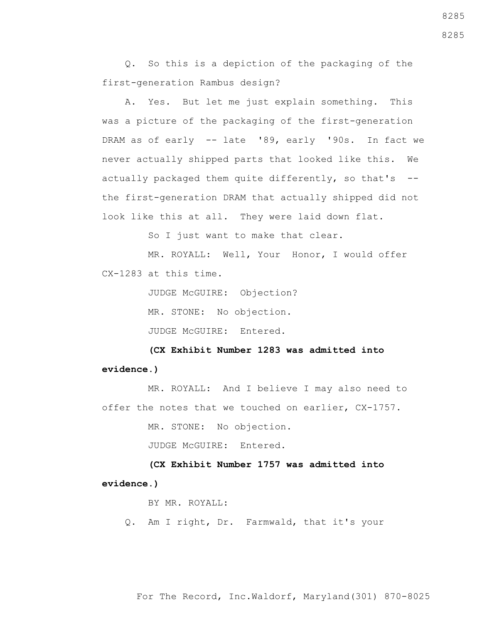Q. So this is a depiction of the packaging of the first-generation Rambus design?

 A. Yes. But let me just explain something. This was a picture of the packaging of the first-generation DRAM as of early -- late '89, early '90s. In fact we never actually shipped parts that looked like this. We actually packaged them quite differently, so that's  $$ the first-generation DRAM that actually shipped did not look like this at all. They were laid down flat.

So I just want to make that clear.

 MR. ROYALL: Well, Your Honor, I would offer CX-1283 at this time.

JUDGE McGUIRE: Objection?

MR. STONE: No objection.

JUDGE McGUIRE: Entered**.**

 **(CX Exhibit Number 1283 was admitted into evidence.)**

 MR. ROYALL: And I believe I may also need to offer the notes that we touched on earlier, CX-1757.

MR. STONE: No objection.

JUDGE McGUIRE: Entered.

 **(CX Exhibit Number 1757 was admitted into evidence.)**

BY MR. ROYALL:

Q. Am I right, Dr. Farmwald, that it's your

For The Record, Inc.Waldorf, Maryland(301) 870-8025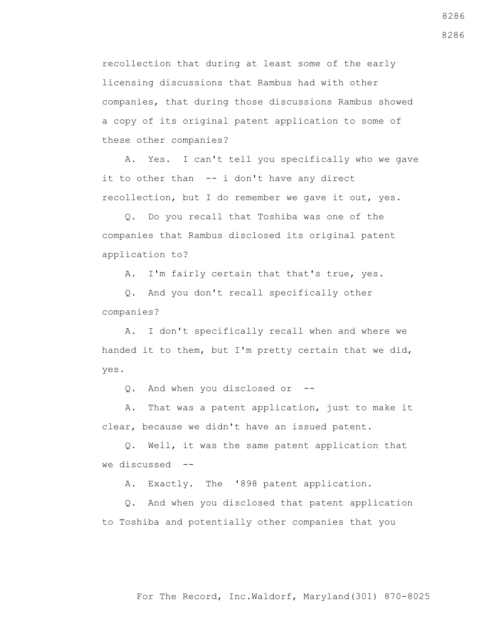recollection that during at least some of the early licensing discussions that Rambus had with other companies, that during those discussions Rambus showed a copy of its original patent application to some of these other companies?

 A. Yes. I can't tell you specifically who we gave it to other than -- i don't have any direct recollection, but I do remember we gave it out, yes.

 Q. Do you recall that Toshiba was one of the companies that Rambus disclosed its original patent application to?

A. I'm fairly certain that that's true, yes.

 Q. And you don't recall specifically other companies?

 A. I don't specifically recall when and where we handed it to them, but I'm pretty certain that we did, yes.

Q. And when you disclosed or --

 A. That was a patent application, just to make it clear, because we didn't have an issued patent.

 Q. Well, it was the same patent application that we discussed --

A. Exactly. The '898 patent application.

 Q. And when you disclosed that patent application to Toshiba and potentially other companies that you

8286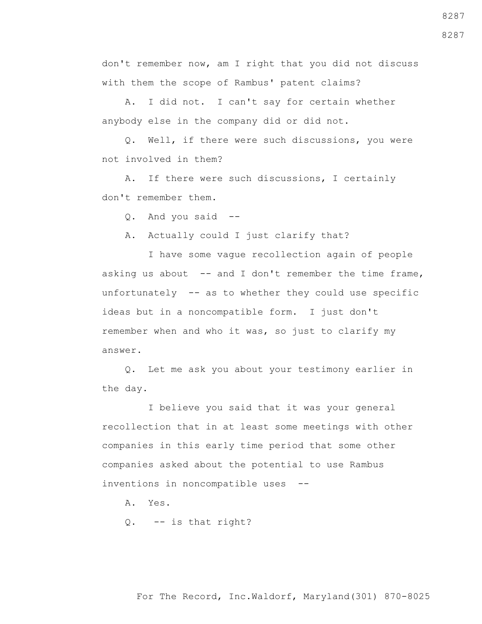don't remember now, am I right that you did not discuss with them the scope of Rambus' patent claims?

 A. I did not. I can't say for certain whether anybody else in the company did or did not.

 Q. Well, if there were such discussions, you were not involved in them?

 A. If there were such discussions, I certainly don't remember them.

Q. And you said --

A. Actually could I just clarify that?

 I have some vague recollection again of people asking us about  $-$  and I don't remember the time frame, unfortunately -- as to whether they could use specific ideas but in a noncompatible form. I just don't remember when and who it was, so just to clarify my answer.

 Q. Let me ask you about your testimony earlier in the day.

 I believe you said that it was your general recollection that in at least some meetings with other companies in this early time period that some other companies asked about the potential to use Rambus inventions in noncompatible uses --

A. Yes.

Q. -- is that right?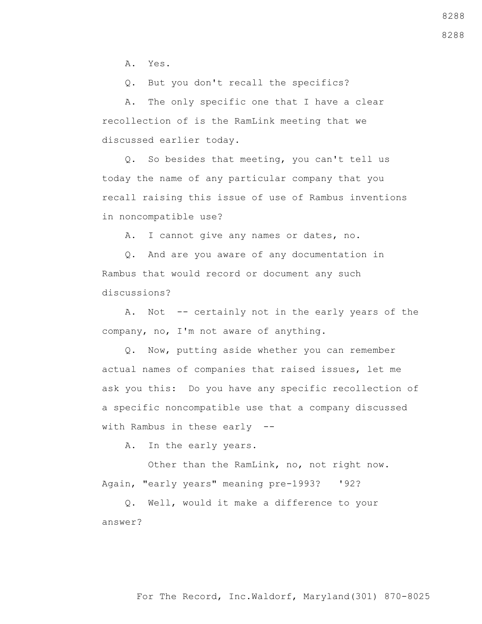A. Yes.

Q. But you don't recall the specifics?

 A. The only specific one that I have a clear recollection of is the RamLink meeting that we discussed earlier today.

 Q. So besides that meeting, you can't tell us today the name of any particular company that you recall raising this issue of use of Rambus inventions in noncompatible use?

A. I cannot give any names or dates, no.

 Q. And are you aware of any documentation in Rambus that would record or document any such discussions?

 A. Not -- certainly not in the early years of the company, no, I'm not aware of anything.

 Q. Now, putting aside whether you can remember actual names of companies that raised issues, let me ask you this: Do you have any specific recollection of a specific noncompatible use that a company discussed with Rambus in these early --

A. In the early years.

 Other than the RamLink, no, not right now. Again, "early years" meaning pre-1993? '92?

 Q. Well, would it make a difference to your answer?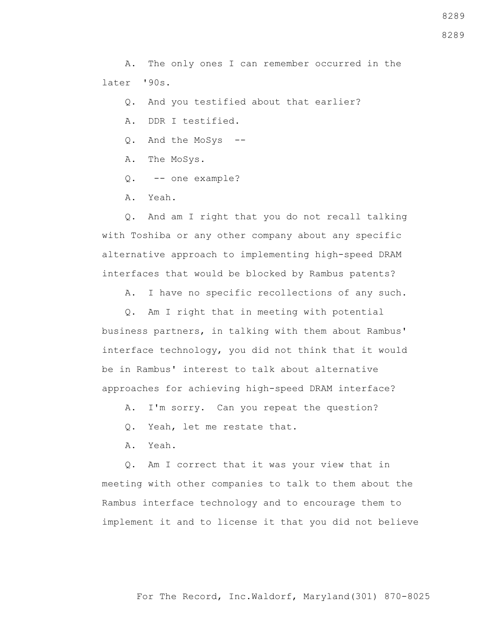A. The only ones I can remember occurred in the later '90s.

Q. And you testified about that earlier?

- A. DDR I testified.
- Q. And the MoSys --
- A. The MoSys.
- Q. -- one example?
- A. Yeah.

 Q. And am I right that you do not recall talking with Toshiba or any other company about any specific alternative approach to implementing high-speed DRAM interfaces that would be blocked by Rambus patents?

A. I have no specific recollections of any such.

 Q. Am I right that in meeting with potential business partners, in talking with them about Rambus' interface technology, you did not think that it would be in Rambus' interest to talk about alternative approaches for achieving high-speed DRAM interface?

- A. I'm sorry. Can you repeat the question?
- Q. Yeah, let me restate that.
- A. Yeah.

 Q. Am I correct that it was your view that in meeting with other companies to talk to them about the Rambus interface technology and to encourage them to implement it and to license it that you did not believe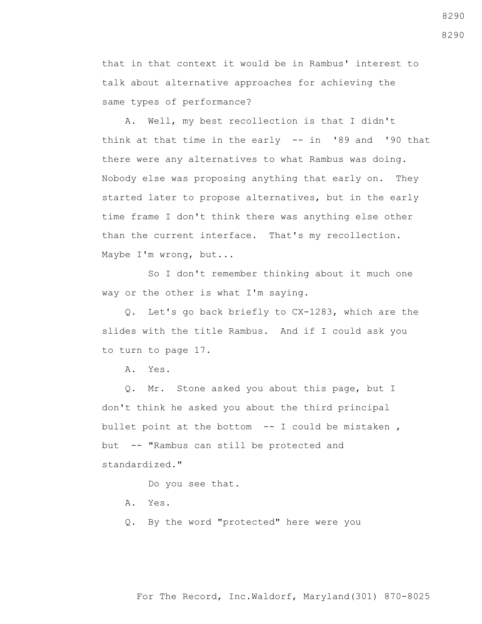that in that context it would be in Rambus' interest to talk about alternative approaches for achieving the same types of performance?

 A. Well, my best recollection is that I didn't think at that time in the early -- in '89 and '90 that there were any alternatives to what Rambus was doing. Nobody else was proposing anything that early on. They started later to propose alternatives, but in the early time frame I don't think there was anything else other than the current interface. That's my recollection. Maybe I'm wrong, but...

 So I don't remember thinking about it much one way or the other is what I'm saying.

 Q. Let's go back briefly to CX-1283, which are the slides with the title Rambus. And if I could ask you to turn to page 17.

A. Yes.

 Q. Mr. Stone asked you about this page, but I don't think he asked you about the third principal bullet point at the bottom  $-$ - I could be mistaken, but -- "Rambus can still be protected and standardized."

Do you see that.

- A. Yes.
- Q. By the word "protected" here were you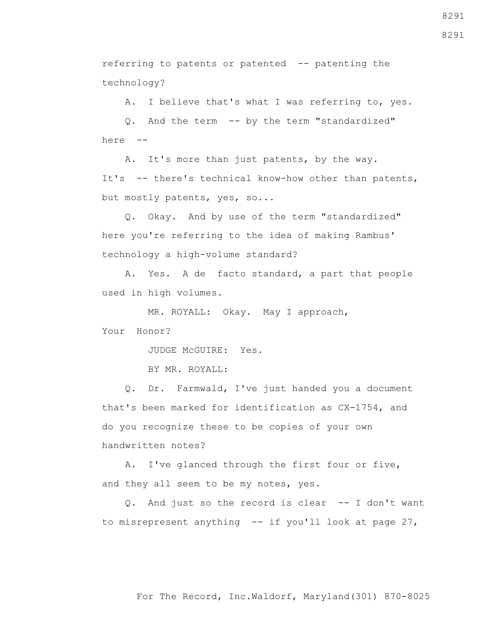For The Record, Inc.Waldorf, Maryland(301) 870-8025

referring to patents or patented -- patenting the

technology?

A. I believe that's what I was referring to, yes.

 Q. And the term -- by the term "standardized" here --

 A. It's more than just patents, by the way. It's -- there's technical know-how other than patents, but mostly patents, yes, so...

 Q. Okay. And by use of the term "standardized" here you're referring to the idea of making Rambus' technology a high-volume standard?

 A. Yes. A de facto standard, a part that people used in high volumes.

MR. ROYALL: Okay. May I approach,

Your Honor?

JUDGE McGUIRE: Yes.

BY MR. ROYALL:

 Q. Dr. Farmwald, I've just handed you a document that's been marked for identification as CX-1754, and do you recognize these to be copies of your own handwritten notes?

 A. I've glanced through the first four or five, and they all seem to be my notes, yes.

 Q. And just so the record is clear -- I don't want to misrepresent anything -- if you'll look at page 27,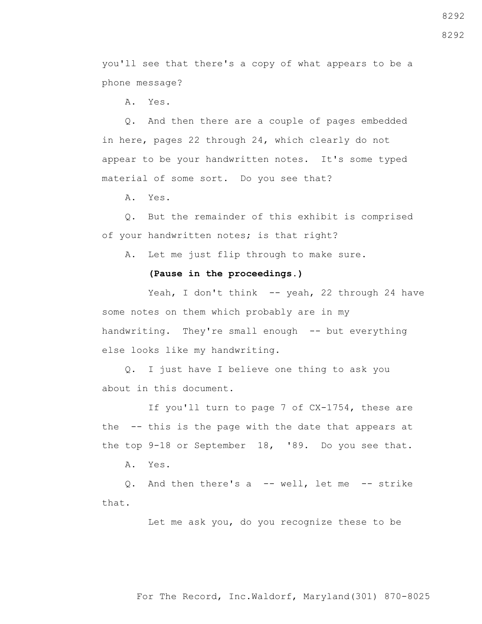8292

8292

you'll see that there's a copy of what appears to be a phone message?

A. Yes.

 Q. And then there are a couple of pages embedded in here, pages 22 through 24, which clearly do not appear to be your handwritten notes. It's some typed material of some sort. Do you see that?

A. Yes.

 Q. But the remainder of this exhibit is comprised of your handwritten notes; is that right?

A. Let me just flip through to make sure.

## **(Pause in the proceedings.)**

Yeah, I don't think -- yeah, 22 through 24 have some notes on them which probably are in my handwriting. They're small enough -- but everything else looks like my handwriting.

 Q. I just have I believe one thing to ask you about in this document.

 If you'll turn to page 7 of CX-1754, these are the -- this is the page with the date that appears at the top 9-18 or September 18, '89. Do you see that.

A. Yes.

 Q. And then there's a -- well, let me -- strike that.

Let me ask you, do you recognize these to be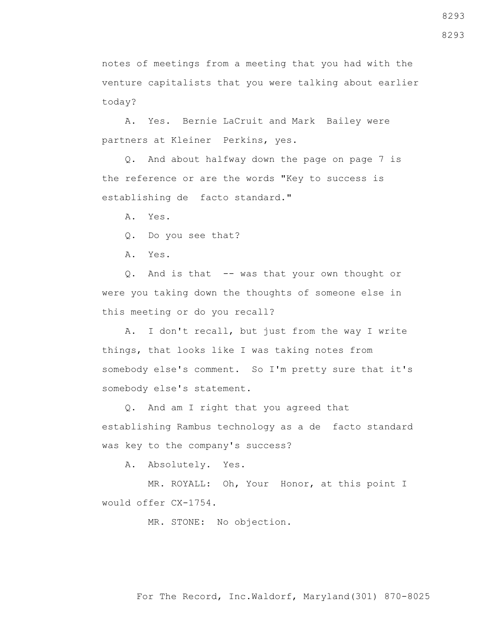notes of meetings from a meeting that you had with the venture capitalists that you were talking about earlier today?

 A. Yes. Bernie LaCruit and Mark Bailey were partners at Kleiner Perkins, yes.

 Q. And about halfway down the page on page 7 is the reference or are the words "Key to success is establishing de facto standard."

A. Yes.

Q. Do you see that?

A. Yes.

 Q. And is that -- was that your own thought or were you taking down the thoughts of someone else in this meeting or do you recall?

 A. I don't recall, but just from the way I write things, that looks like I was taking notes from somebody else's comment. So I'm pretty sure that it's somebody else's statement.

 Q. And am I right that you agreed that establishing Rambus technology as a de facto standard was key to the company's success?

A. Absolutely. Yes.

 MR. ROYALL: Oh, Your Honor, at this point I would offer CX-1754.

MR. STONE: No objection.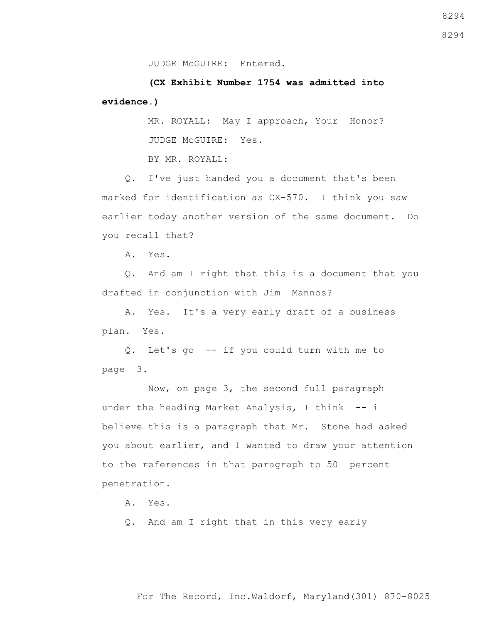JUDGE McGUIRE: Entered.

 **(CX Exhibit Number 1754 was admitted into evidence.)**

> MR. ROYALL: May I approach, Your Honor? JUDGE McGUIRE: Yes.

BY MR. ROYALL:

 Q. I've just handed you a document that's been marked for identification as CX-570. I think you saw earlier today another version of the same document. Do you recall that?

A. Yes.

 Q. And am I right that this is a document that you drafted in conjunction with Jim Mannos?

 A. Yes. It's a very early draft of a business plan. Yes.

 Q. Let's go -- if you could turn with me to page 3.

 Now, on page 3, the second full paragraph under the heading Market Analysis, I think -- i believe this is a paragraph that Mr. Stone had asked you about earlier, and I wanted to draw your attention to the references in that paragraph to 50 percent penetration.

A. Yes.

Q. And am I right that in this very early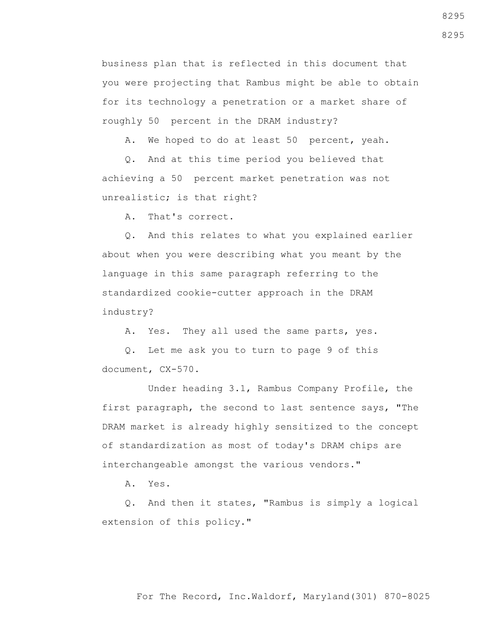business plan that is reflected in this document that you were projecting that Rambus might be able to obtain for its technology a penetration or a market share of roughly 50 percent in the DRAM industry?

A. We hoped to do at least 50 percent, yeah.

 Q. And at this time period you believed that achieving a 50 percent market penetration was not unrealistic; is that right?

A. That's correct.

 Q. And this relates to what you explained earlier about when you were describing what you meant by the language in this same paragraph referring to the standardized cookie-cutter approach in the DRAM industry?

A. Yes. They all used the same parts, yes.

 Q. Let me ask you to turn to page 9 of this document, CX-570.

 Under heading 3.1, Rambus Company Profile, the first paragraph, the second to last sentence says, "The DRAM market is already highly sensitized to the concept of standardization as most of today's DRAM chips are interchangeable amongst the various vendors."

A. Yes.

 Q. And then it states, "Rambus is simply a logical extension of this policy."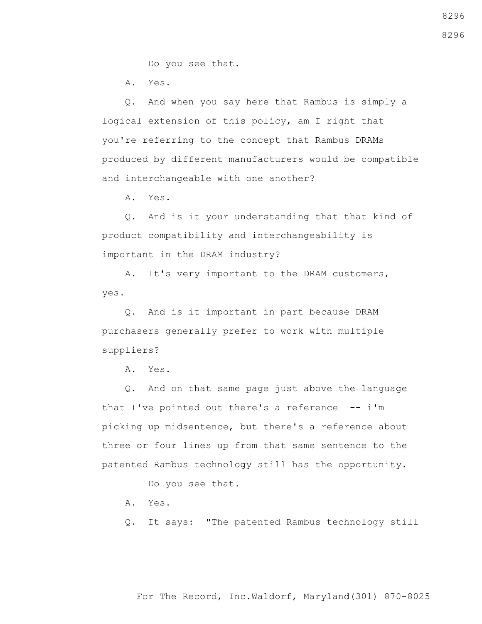Do you see that.

A. Yes.

 Q. And when you say here that Rambus is simply a logical extension of this policy, am I right that you're referring to the concept that Rambus DRAMs produced by different manufacturers would be compatible and interchangeable with one another?

A. Yes.

 Q. And is it your understanding that that kind of product compatibility and interchangeability is important in the DRAM industry?

 A. It's very important to the DRAM customers, yes.

 Q. And is it important in part because DRAM purchasers generally prefer to work with multiple suppliers?

A. Yes.

 Q. And on that same page just above the language that I've pointed out there's a reference  $- - i$ 'm picking up midsentence, but there's a reference about three or four lines up from that same sentence to the patented Rambus technology still has the opportunity.

Do you see that.

- A. Yes.
- Q. It says: "The patented Rambus technology still

## For The Record, Inc.Waldorf, Maryland(301) 870-8025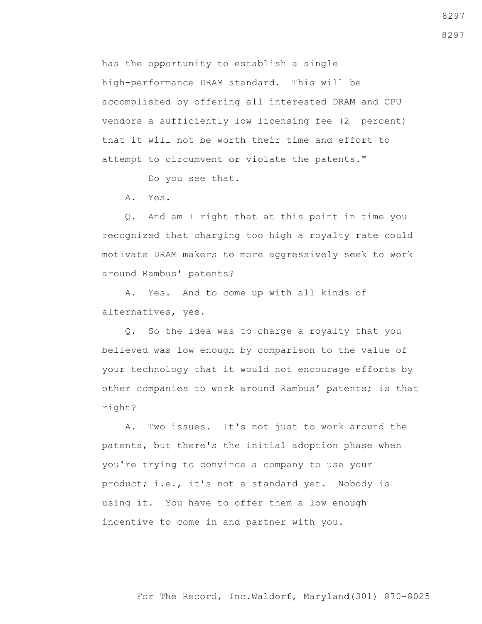has the opportunity to establish a single high-performance DRAM standard. This will be accomplished by offering all interested DRAM and CPU vendors a sufficiently low licensing fee (2 percent) that it will not be worth their time and effort to attempt to circumvent or violate the patents."

Do you see that.

A. Yes.

 Q. And am I right that at this point in time you recognized that charging too high a royalty rate could motivate DRAM makers to more aggressively seek to work around Rambus' patents?

 A. Yes. And to come up with all kinds of alternatives, yes.

 Q. So the idea was to charge a royalty that you believed was low enough by comparison to the value of your technology that it would not encourage efforts by other companies to work around Rambus' patents; is that right?

 A. Two issues. It's not just to work around the patents, but there's the initial adoption phase when you're trying to convince a company to use your product; i.e., it's not a standard yet. Nobody is using it. You have to offer them a low enough incentive to come in and partner with you.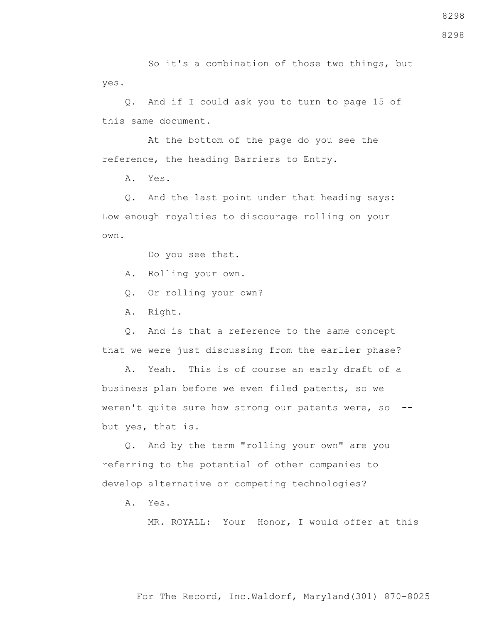So it's a combination of those two things, but yes.

 Q. And if I could ask you to turn to page 15 of this same document.

 At the bottom of the page do you see the reference, the heading Barriers to Entry.

A. Yes.

 Q. And the last point under that heading says: Low enough royalties to discourage rolling on your own.

Do you see that.

A. Rolling your own.

Q. Or rolling your own?

A. Right.

 Q. And is that a reference to the same concept that we were just discussing from the earlier phase?

 A. Yeah. This is of course an early draft of a business plan before we even filed patents, so we weren't quite sure how strong our patents were, so - but yes, that is.

 Q. And by the term "rolling your own" are you referring to the potential of other companies to develop alternative or competing technologies?

A. Yes.

MR. ROYALL: Your Honor, I would offer at this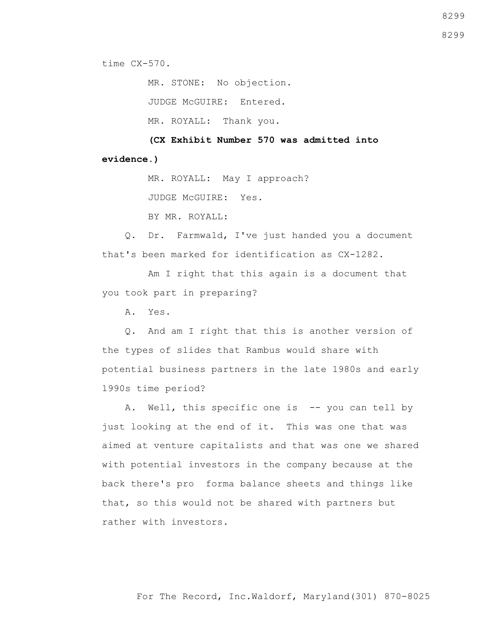time CX-570.

 MR. STONE: No objection. JUDGE McGUIRE: Entered.

MR. ROYALL: Thank you.

 **(CX Exhibit Number 570 was admitted into evidence.)**

MR. ROYALL: May I approach?

JUDGE McGUIRE: Yes.

BY MR. ROYALL:

 Q. Dr. Farmwald, I've just handed you a document that's been marked for identification as CX-1282.

 Am I right that this again is a document that you took part in preparing?

A. Yes.

 Q. And am I right that this is another version of the types of slides that Rambus would share with potential business partners in the late 1980s and early 1990s time period?

A. Well, this specific one is -- you can tell by just looking at the end of it. This was one that was aimed at venture capitalists and that was one we shared with potential investors in the company because at the back there's pro forma balance sheets and things like that, so this would not be shared with partners but rather with investors.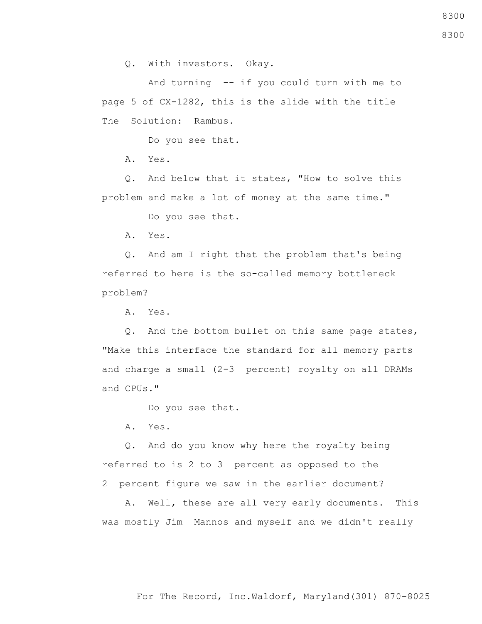Q. With investors. Okay.

 And turning -- if you could turn with me to page 5 of CX-1282, this is the slide with the title The Solution: Rambus.

Do you see that.

A. Yes.

 Q. And below that it states, "How to solve this problem and make a lot of money at the same time."

Do you see that.

A. Yes.

 Q. And am I right that the problem that's being referred to here is the so-called memory bottleneck problem?

A. Yes.

 Q. And the bottom bullet on this same page states, "Make this interface the standard for all memory parts and charge a small (2-3 percent) royalty on all DRAMs and CPUs."

Do you see that.

A. Yes.

 Q. And do you know why here the royalty being referred to is 2 to 3 percent as opposed to the 2 percent figure we saw in the earlier document?

 A. Well, these are all very early documents. This was mostly Jim Mannos and myself and we didn't really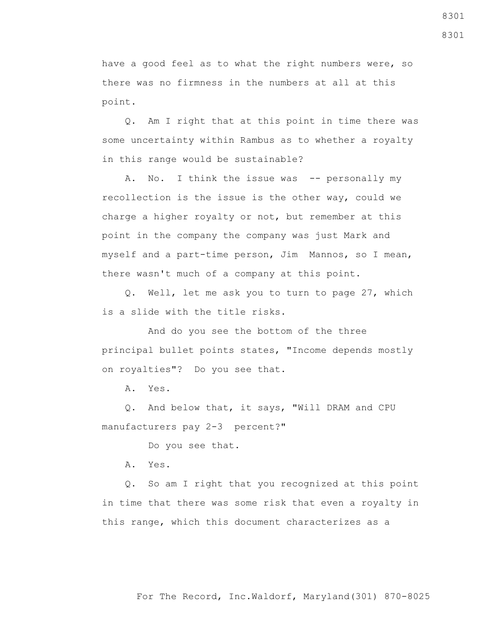have a good feel as to what the right numbers were, so there was no firmness in the numbers at all at this point.

 Q. Am I right that at this point in time there was some uncertainty within Rambus as to whether a royalty in this range would be sustainable?

A. No. I think the issue was -- personally my recollection is the issue is the other way, could we charge a higher royalty or not, but remember at this point in the company the company was just Mark and myself and a part-time person, Jim Mannos, so I mean, there wasn't much of a company at this point.

 Q. Well, let me ask you to turn to page 27, which is a slide with the title risks.

 And do you see the bottom of the three principal bullet points states, "Income depends mostly on royalties"? Do you see that.

A. Yes.

 Q. And below that, it says, "Will DRAM and CPU manufacturers pay 2-3 percent?"

Do you see that.

A. Yes.

 Q. So am I right that you recognized at this point in time that there was some risk that even a royalty in this range, which this document characterizes as a

8301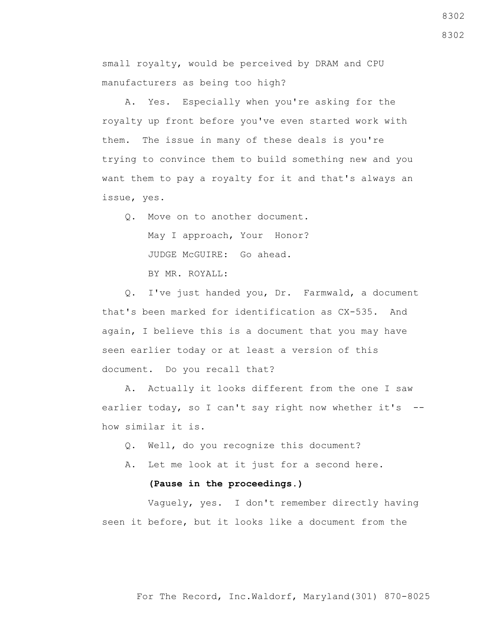small royalty, would be perceived by DRAM and CPU manufacturers as being too high?

 A. Yes. Especially when you're asking for the royalty up front before you've even started work with them. The issue in many of these deals is you're trying to convince them to build something new and you want them to pay a royalty for it and that's always an issue, yes.

 Q. Move on to another document. May I approach, Your Honor? JUDGE McGUIRE: Go ahead. BY MR. ROYALL:

 Q. I've just handed you, Dr. Farmwald, a document that's been marked for identification as CX-535. And again, I believe this is a document that you may have seen earlier today or at least a version of this document. Do you recall that?

 A. Actually it looks different from the one I saw earlier today, so I can't say right now whether it's -how similar it is.

- Q. Well, do you recognize this document?
- A. Let me look at it just for a second here.

## **(Pause in the proceedings.)**

 Vaguely, yes. I don't remember directly having seen it before, but it looks like a document from the

8302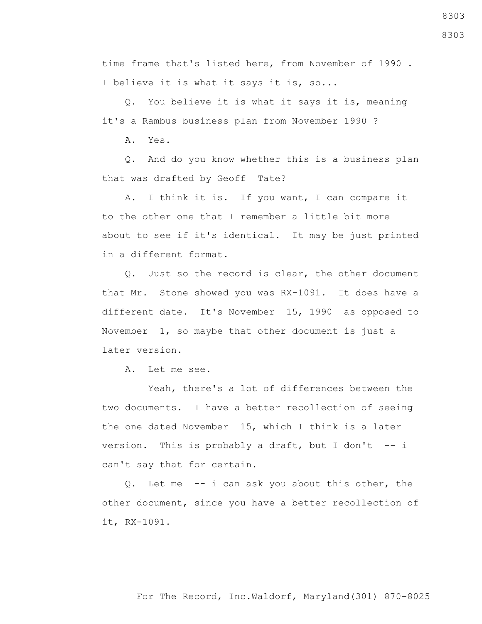time frame that's listed here, from November of 1990 . I believe it is what it says it is, so...

 Q. You believe it is what it says it is, meaning it's a Rambus business plan from November 1990 ?

A. Yes.

 Q. And do you know whether this is a business plan that was drafted by Geoff Tate?

 A. I think it is. If you want, I can compare it to the other one that I remember a little bit more about to see if it's identical. It may be just printed in a different format.

 Q. Just so the record is clear, the other document that Mr. Stone showed you was RX-1091. It does have a different date. It's November 15, 1990 as opposed to November 1, so maybe that other document is just a later version.

A. Let me see.

 Yeah, there's a lot of differences between the two documents. I have a better recollection of seeing the one dated November 15, which I think is a later version. This is probably a draft, but I don't  $-$  i can't say that for certain.

 Q. Let me -- i can ask you about this other, the other document, since you have a better recollection of it, RX-1091.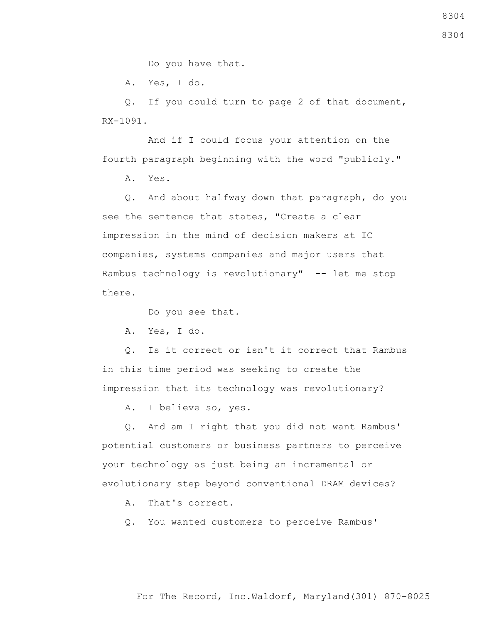Do you have that.

A. Yes, I do.

 Q. If you could turn to page 2 of that document, RX-1091.

 And if I could focus your attention on the fourth paragraph beginning with the word "publicly."

A. Yes.

 Q. And about halfway down that paragraph, do you see the sentence that states, "Create a clear impression in the mind of decision makers at IC companies, systems companies and major users that Rambus technology is revolutionary" -- let me stop there.

Do you see that.

A. Yes, I do.

 Q. Is it correct or isn't it correct that Rambus in this time period was seeking to create the impression that its technology was revolutionary?

A. I believe so, yes.

 Q. And am I right that you did not want Rambus' potential customers or business partners to perceive your technology as just being an incremental or evolutionary step beyond conventional DRAM devices?

A. That's correct.

Q. You wanted customers to perceive Rambus'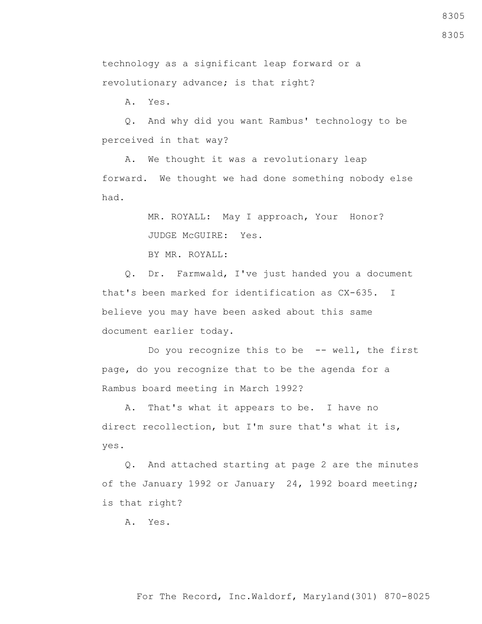8305

8305

technology as a significant leap forward or a revolutionary advance; is that right?

A. Yes.

 Q. And why did you want Rambus' technology to be perceived in that way?

 A. We thought it was a revolutionary leap forward. We thought we had done something nobody else had.

> MR. ROYALL: May I approach, Your Honor? JUDGE McGUIRE: Yes.

BY MR. ROYALL:

 Q. Dr. Farmwald, I've just handed you a document that's been marked for identification as CX-635. I believe you may have been asked about this same document earlier today.

Do you recognize this to be -- well, the first page, do you recognize that to be the agenda for a Rambus board meeting in March 1992?

 A. That's what it appears to be. I have no direct recollection, but I'm sure that's what it is, yes.

 Q. And attached starting at page 2 are the minutes of the January 1992 or January 24, 1992 board meeting; is that right?

A. Yes.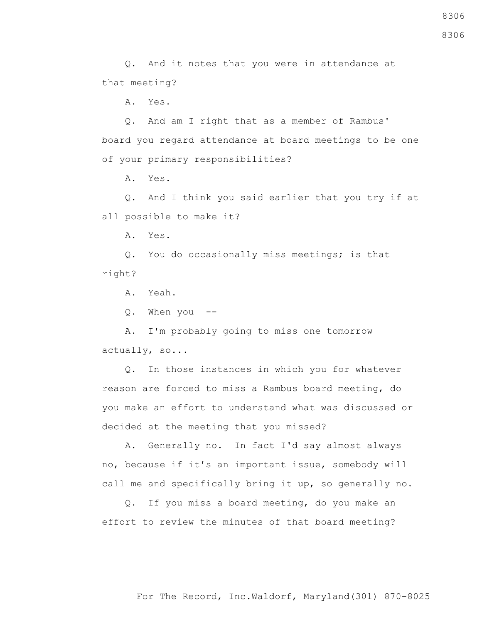8306

 Q. And it notes that you were in attendance at that meeting?

A. Yes.

 Q. And am I right that as a member of Rambus' board you regard attendance at board meetings to be one of your primary responsibilities?

A. Yes.

 Q. And I think you said earlier that you try if at all possible to make it?

A. Yes.

 Q. You do occasionally miss meetings; is that right?

A. Yeah.

Q. When you --

 A. I'm probably going to miss one tomorrow actually, so...

 Q. In those instances in which you for whatever reason are forced to miss a Rambus board meeting, do you make an effort to understand what was discussed or decided at the meeting that you missed?

 A. Generally no. In fact I'd say almost always no, because if it's an important issue, somebody will call me and specifically bring it up, so generally no.

 Q. If you miss a board meeting, do you make an effort to review the minutes of that board meeting?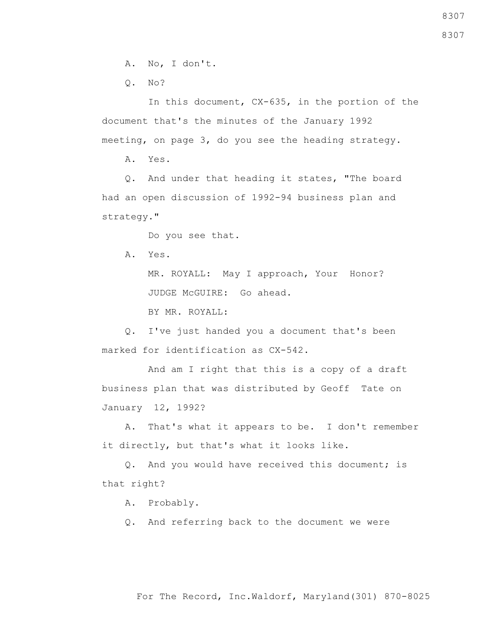A. No, I don't.

Q. No?

 In this document, CX-635, in the portion of the document that's the minutes of the January 1992 meeting, on page 3, do you see the heading strategy.

A. Yes.

 Q. And under that heading it states, "The board had an open discussion of 1992-94 business plan and strategy."

Do you see that.

A. Yes.

 MR. ROYALL: May I approach, Your Honor? JUDGE McGUIRE: Go ahead.

BY MR. ROYALL:

 Q. I've just handed you a document that's been marked for identification as CX-542.

 And am I right that this is a copy of a draft business plan that was distributed by Geoff Tate on January 12, 1992?

 A. That's what it appears to be. I don't remember it directly, but that's what it looks like.

 Q. And you would have received this document; is that right?

A. Probably.

Q. And referring back to the document we were

For The Record, Inc.Waldorf, Maryland(301) 870-8025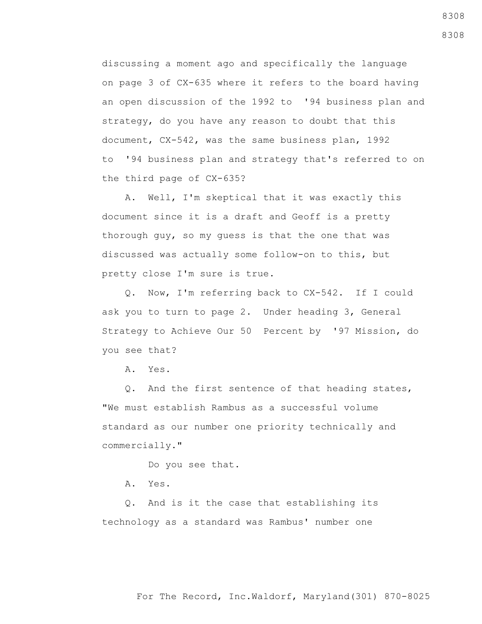discussing a moment ago and specifically the language on page 3 of CX-635 where it refers to the board having an open discussion of the 1992 to '94 business plan and strategy, do you have any reason to doubt that this document, CX-542, was the same business plan, 1992 to '94 business plan and strategy that's referred to on the third page of CX-635?

 A. Well, I'm skeptical that it was exactly this document since it is a draft and Geoff is a pretty thorough guy, so my guess is that the one that was discussed was actually some follow-on to this, but pretty close I'm sure is true.

 Q. Now, I'm referring back to CX-542. If I could ask you to turn to page 2. Under heading 3, General Strategy to Achieve Our 50 Percent by '97 Mission, do you see that?

A. Yes.

 Q. And the first sentence of that heading states, "We must establish Rambus as a successful volume standard as our number one priority technically and commercially."

Do you see that.

A. Yes.

 Q. And is it the case that establishing its technology as a standard was Rambus' number one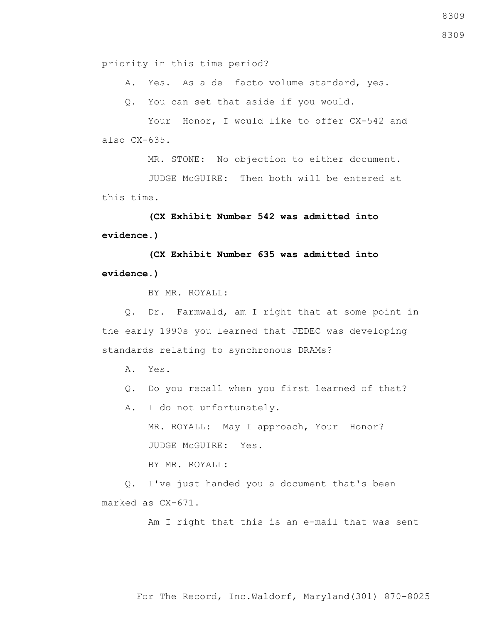priority in this time period?

A. Yes. As a de facto volume standard, yes.

Q. You can set that aside if you would.

Your Honor, I would like to offer CX-542 and also CX-635.

MR. STONE: No objection to either document.

 JUDGE McGUIRE: Then both will be entered at this time.

 **(CX Exhibit Number 542 was admitted into evidence.)**

 **(CX Exhibit Number 635 was admitted into evidence.)**

BY MR. ROYALL:

 Q. Dr. Farmwald, am I right that at some point in the early 1990s you learned that JEDEC was developing standards relating to synchronous DRAMs?

- A. Yes.
- Q. Do you recall when you first learned of that?
- A. I do not unfortunately.

 MR. ROYALL: May I approach, Your Honor? JUDGE McGUIRE: Yes.

BY MR. ROYALL:

 Q. I've just handed you a document that's been marked as CX-671.

Am I right that this is an e-mail that was sent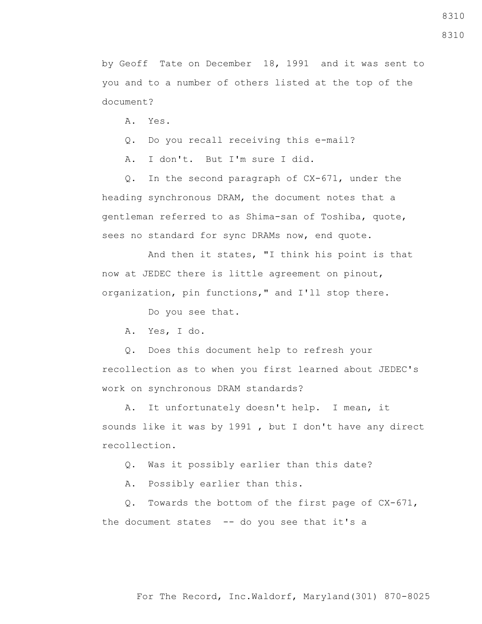8310

8310

by Geoff Tate on December 18, 1991 and it was sent to you and to a number of others listed at the top of the document?

A. Yes.

Q. Do you recall receiving this e-mail?

A. I don't. But I'm sure I did.

 Q. In the second paragraph of CX-671, under the heading synchronous DRAM, the document notes that a gentleman referred to as Shima-san of Toshiba, quote, sees no standard for sync DRAMs now, end quote.

 And then it states, "I think his point is that now at JEDEC there is little agreement on pinout, organization, pin functions," and I'll stop there.

Do you see that.

A. Yes, I do.

 Q. Does this document help to refresh your recollection as to when you first learned about JEDEC's work on synchronous DRAM standards?

 A. It unfortunately doesn't help. I mean, it sounds like it was by 1991 , but I don't have any direct recollection.

Q. Was it possibly earlier than this date?

A. Possibly earlier than this.

 Q. Towards the bottom of the first page of CX-671, the document states  $-$ - do you see that it's a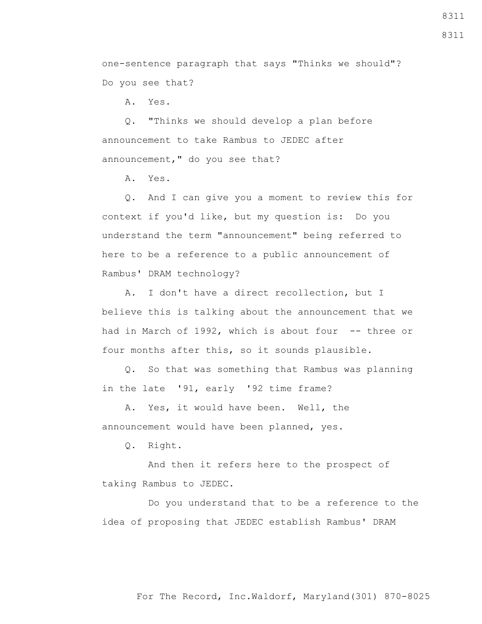8311

one-sentence paragraph that says "Thinks we should"? Do you see that?

A. Yes.

 Q. "Thinks we should develop a plan before announcement to take Rambus to JEDEC after announcement," do you see that?

A. Yes.

 Q. And I can give you a moment to review this for context if you'd like, but my question is: Do you understand the term "announcement" being referred to here to be a reference to a public announcement of Rambus' DRAM technology?

 A. I don't have a direct recollection, but I believe this is talking about the announcement that we had in March of 1992, which is about four -- three or four months after this, so it sounds plausible.

 Q. So that was something that Rambus was planning in the late '91, early '92 time frame?

 A. Yes, it would have been. Well, the announcement would have been planned, yes.

Q. Right.

 And then it refers here to the prospect of taking Rambus to JEDEC.

 Do you understand that to be a reference to the idea of proposing that JEDEC establish Rambus' DRAM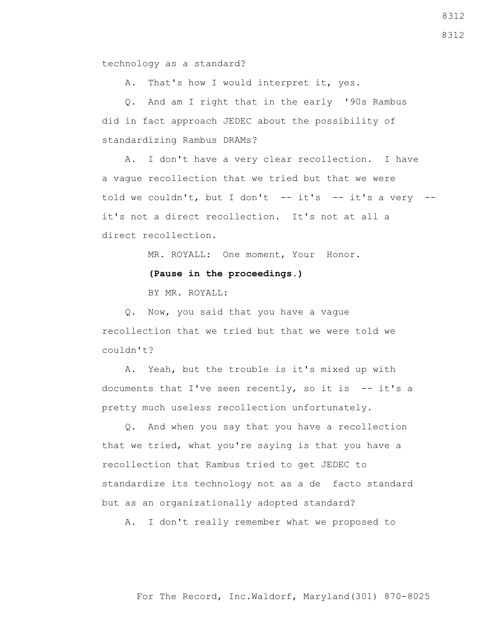technology as a standard?

A. That's how I would interpret it, yes.

 Q. And am I right that in the early '90s Rambus did in fact approach JEDEC about the possibility of standardizing Rambus DRAMs?

 A. I don't have a very clear recollection. I have a vague recollection that we tried but that we were told we couldn't, but I don't  $-$  it's  $-$  it's a very  $$ it's not a direct recollection. It's not at all a direct recollection.

MR. ROYALL: One moment, Your Honor.

**(Pause in the proceedings.)**

BY MR. ROYALL:

 Q. Now, you said that you have a vague recollection that we tried but that we were told we couldn't?

 A. Yeah, but the trouble is it's mixed up with documents that I've seen recently, so it is  $-$  it's a pretty much useless recollection unfortunately.

 Q. And when you say that you have a recollection that we tried, what you're saying is that you have a recollection that Rambus tried to get JEDEC to standardize its technology not as a de facto standard but as an organizationally adopted standard?

A. I don't really remember what we proposed to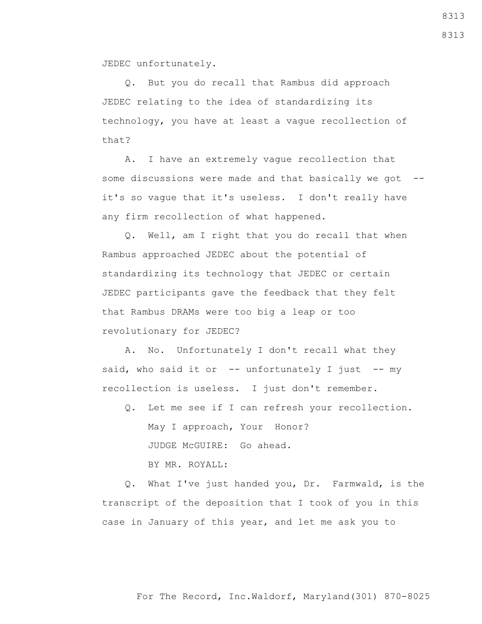JEDEC unfortunately.

 Q. But you do recall that Rambus did approach JEDEC relating to the idea of standardizing its technology, you have at least a vague recollection of that?

 A. I have an extremely vague recollection that some discussions were made and that basically we got - it's so vague that it's useless. I don't really have any firm recollection of what happened.

 Q. Well, am I right that you do recall that when Rambus approached JEDEC about the potential of standardizing its technology that JEDEC or certain JEDEC participants gave the feedback that they felt that Rambus DRAMs were too big a leap or too revolutionary for JEDEC?

 A. No. Unfortunately I don't recall what they said, who said it or  $-$  unfortunately I just  $-$  my recollection is useless. I just don't remember.

 Q. Let me see if I can refresh your recollection. May I approach, Your Honor? JUDGE McGUIRE: Go ahead. BY MR. ROYALL:

 Q. What I've just handed you, Dr. Farmwald, is the transcript of the deposition that I took of you in this case in January of this year, and let me ask you to

8313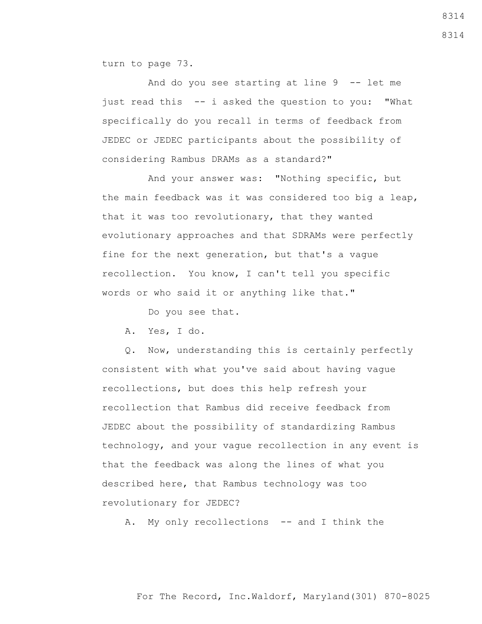turn to page 73.

 And do you see starting at line 9 -- let me just read this -- i asked the question to you: "What specifically do you recall in terms of feedback from JEDEC or JEDEC participants about the possibility of considering Rambus DRAMs as a standard?"

 And your answer was: "Nothing specific, but the main feedback was it was considered too big a leap, that it was too revolutionary, that they wanted evolutionary approaches and that SDRAMs were perfectly fine for the next generation, but that's a vague recollection. You know, I can't tell you specific words or who said it or anything like that."

Do you see that.

A. Yes, I do.

 Q. Now, understanding this is certainly perfectly consistent with what you've said about having vague recollections, but does this help refresh your recollection that Rambus did receive feedback from JEDEC about the possibility of standardizing Rambus technology, and your vague recollection in any event is that the feedback was along the lines of what you described here, that Rambus technology was too revolutionary for JEDEC?

A. My only recollections -- and I think the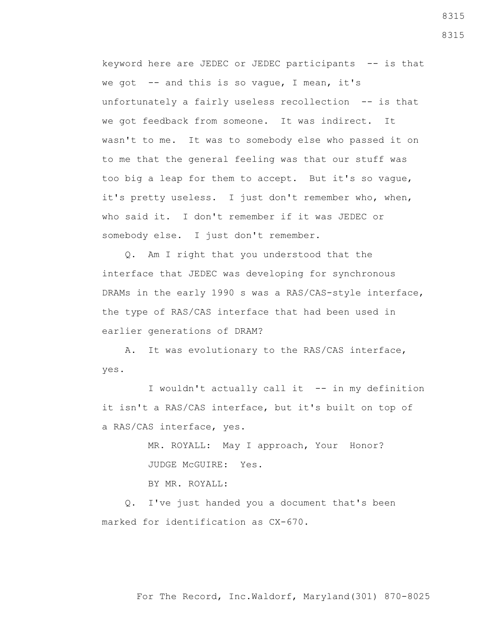keyword here are JEDEC or JEDEC participants -- is that we got  $-$  and this is so vague, I mean, it's unfortunately a fairly useless recollection -- is that we got feedback from someone. It was indirect. It wasn't to me. It was to somebody else who passed it on to me that the general feeling was that our stuff was too big a leap for them to accept. But it's so vague, it's pretty useless. I just don't remember who, when, who said it. I don't remember if it was JEDEC or somebody else. I just don't remember.

 Q. Am I right that you understood that the interface that JEDEC was developing for synchronous DRAMs in the early 1990 s was a RAS/CAS-style interface, the type of RAS/CAS interface that had been used in earlier generations of DRAM?

 A. It was evolutionary to the RAS/CAS interface, yes.

 I wouldn't actually call it -- in my definition it isn't a RAS/CAS interface, but it's built on top of a RAS/CAS interface, yes.

> MR. ROYALL: May I approach, Your Honor? JUDGE McGUIRE: Yes.

BY MR. ROYALL:

 Q. I've just handed you a document that's been marked for identification as CX-670.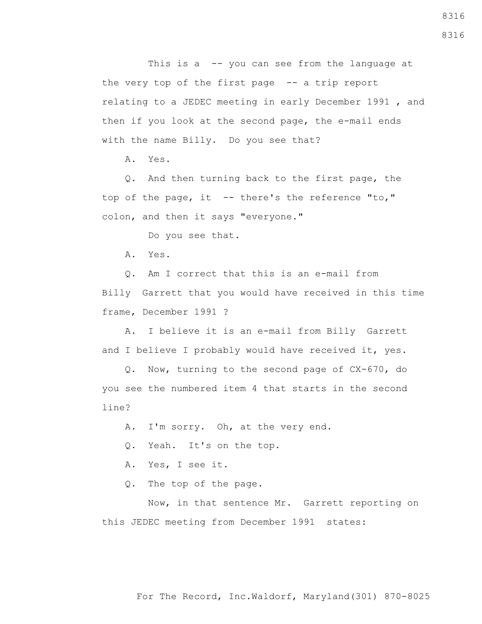This is a -- you can see from the language at the very top of the first page -- a trip report relating to a JEDEC meeting in early December 1991 , and then if you look at the second page, the e-mail ends with the name Billy. Do you see that?

A. Yes.

 Q. And then turning back to the first page, the top of the page, it  $-$  there's the reference "to," colon, and then it says "everyone."

Do you see that.

A. Yes.

 Q. Am I correct that this is an e-mail from Billy Garrett that you would have received in this time frame, December 1991 ?

 A. I believe it is an e-mail from Billy Garrett and I believe I probably would have received it, yes.

 Q. Now, turning to the second page of CX-670, do you see the numbered item 4 that starts in the second line?

A. I'm sorry. Oh, at the very end.

Q. Yeah. It's on the top.

A. Yes, I see it.

Q. The top of the page.

 Now, in that sentence Mr. Garrett reporting on this JEDEC meeting from December 1991 states: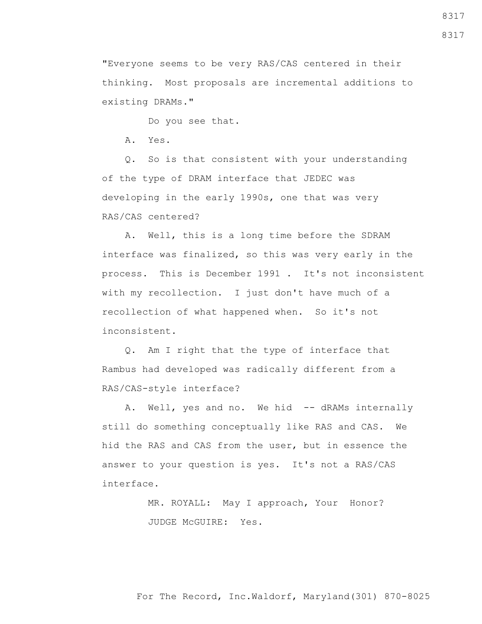"Everyone seems to be very RAS/CAS centered in their thinking. Most proposals are incremental additions to existing DRAMs."

Do you see that.

A. Yes.

 Q. So is that consistent with your understanding of the type of DRAM interface that JEDEC was developing in the early 1990s, one that was very RAS/CAS centered?

 A. Well, this is a long time before the SDRAM interface was finalized, so this was very early in the process. This is December 1991 . It's not inconsistent with my recollection. I just don't have much of a recollection of what happened when. So it's not inconsistent.

 Q. Am I right that the type of interface that Rambus had developed was radically different from a RAS/CAS-style interface?

A. Well, yes and no. We hid -- dRAMs internally still do something conceptually like RAS and CAS. We hid the RAS and CAS from the user, but in essence the answer to your question is yes. It's not a RAS/CAS interface.

> MR. ROYALL: May I approach, Your Honor? JUDGE McGUIRE: Yes.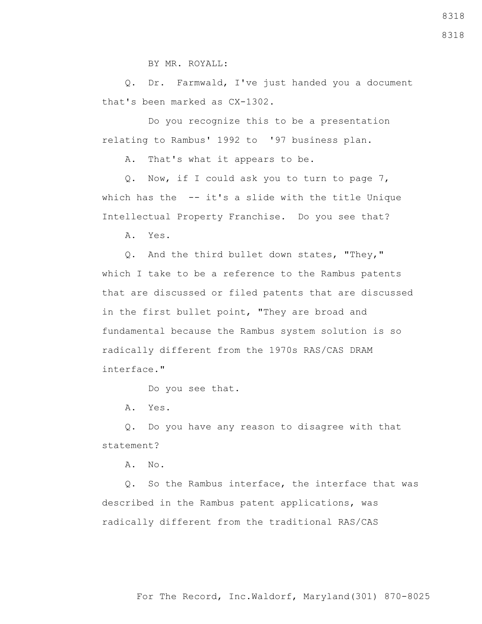BY MR. ROYALL:

 Q. Dr. Farmwald, I've just handed you a document that's been marked as CX-1302.

 Do you recognize this to be a presentation relating to Rambus' 1992 to '97 business plan.

A. That's what it appears to be.

 Q. Now, if I could ask you to turn to page 7, which has the  $-$ - it's a slide with the title Unique Intellectual Property Franchise. Do you see that?

A. Yes.

 Q. And the third bullet down states, "They," which I take to be a reference to the Rambus patents that are discussed or filed patents that are discussed in the first bullet point, "They are broad and fundamental because the Rambus system solution is so radically different from the 1970s RAS/CAS DRAM interface."

Do you see that.

A. Yes.

 Q. Do you have any reason to disagree with that statement?

A. No.

 Q. So the Rambus interface, the interface that was described in the Rambus patent applications, was radically different from the traditional RAS/CAS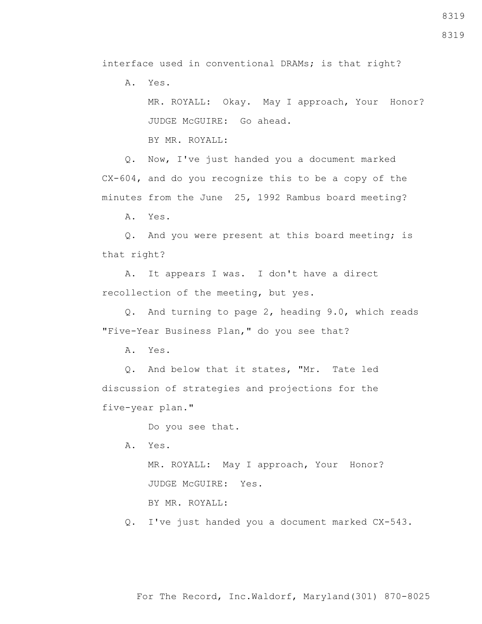interface used in conventional DRAMs; is that right?

A. Yes.

 MR. ROYALL: Okay. May I approach, Your Honor? JUDGE McGUIRE: Go ahead.

BY MR. ROYALL:

 Q. Now, I've just handed you a document marked CX-604, and do you recognize this to be a copy of the minutes from the June 25, 1992 Rambus board meeting?

A. Yes.

 Q. And you were present at this board meeting; is that right?

 A. It appears I was. I don't have a direct recollection of the meeting, but yes.

 Q. And turning to page 2, heading 9.0, which reads "Five-Year Business Plan," do you see that?

A. Yes.

 Q. And below that it states, "Mr. Tate led discussion of strategies and projections for the five-year plan."

Do you see that.

A. Yes.

 MR. ROYALL: May I approach, Your Honor? JUDGE McGUIRE: Yes.

BY MR. ROYALL:

Q. I've just handed you a document marked CX-543.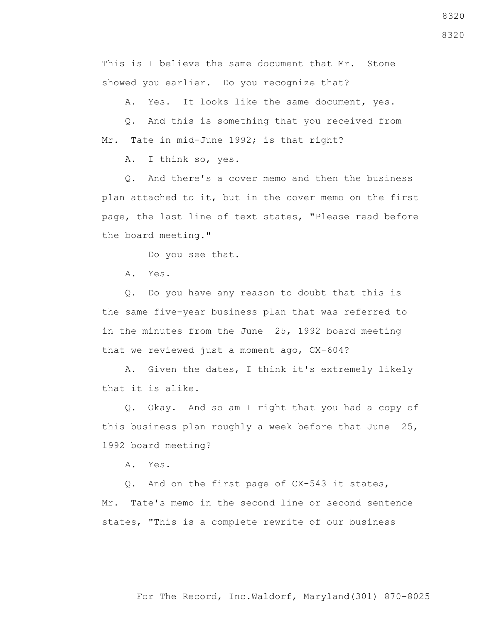This is I believe the same document that Mr. Stone showed you earlier. Do you recognize that?

A. Yes. It looks like the same document, yes.

 Q. And this is something that you received from Mr. Tate in mid-June 1992; is that right?

A. I think so, yes.

 Q. And there's a cover memo and then the business plan attached to it, but in the cover memo on the first page, the last line of text states, "Please read before the board meeting."

Do you see that.

A. Yes.

 Q. Do you have any reason to doubt that this is the same five-year business plan that was referred to in the minutes from the June 25, 1992 board meeting that we reviewed just a moment ago, CX-604?

 A. Given the dates, I think it's extremely likely that it is alike.

 Q. Okay. And so am I right that you had a copy of this business plan roughly a week before that June 25, 1992 board meeting?

A. Yes.

 Q. And on the first page of CX-543 it states, Mr. Tate's memo in the second line or second sentence states, "This is a complete rewrite of our business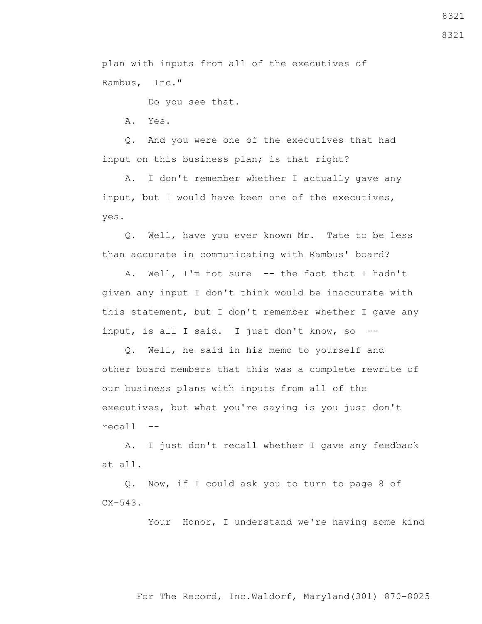For The Record, Inc.Waldorf, Maryland(301) 870-8025

8321

8321

plan with inputs from all of the executives of Rambus, Inc."

Do you see that.

A. Yes.

 Q. And you were one of the executives that had input on this business plan; is that right?

 A. I don't remember whether I actually gave any input, but I would have been one of the executives, yes.

 Q. Well, have you ever known Mr. Tate to be less than accurate in communicating with Rambus' board?

 A. Well, I'm not sure -- the fact that I hadn't given any input I don't think would be inaccurate with this statement, but I don't remember whether I gave any input, is all I said. I just don't know, so --

 Q. Well, he said in his memo to yourself and other board members that this was a complete rewrite of our business plans with inputs from all of the executives, but what you're saying is you just don't recall --

 A. I just don't recall whether I gave any feedback at all.

 Q. Now, if I could ask you to turn to page 8 of  $CX-543.$ 

Your Honor, I understand we're having some kind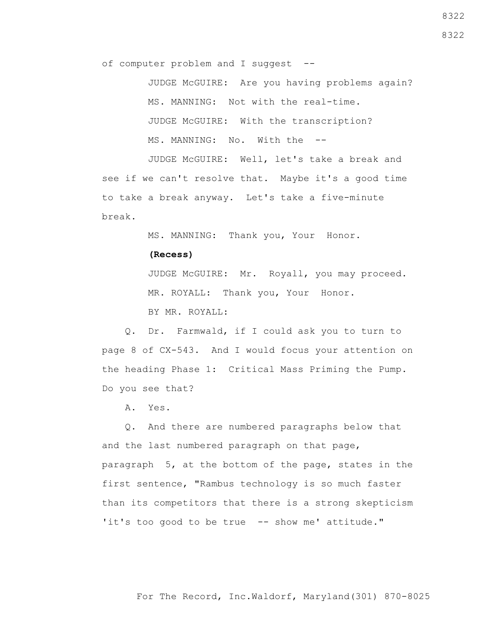of computer problem and I suggest --

 JUDGE McGUIRE: Are you having problems again? MS. MANNING: Not with the real-time. JUDGE McGUIRE: With the transcription? MS. MANNING: No. With the --

 JUDGE McGUIRE: Well, let's take a break and see if we can't resolve that. Maybe it's a good time to take a break anyway. Let's take a five-minute break.

MS. MANNING: Thank you, Your Honor.

## **(Recess)**

 JUDGE McGUIRE: Mr. Royall, you may proceed. MR. ROYALL: Thank you, Your Honor. BY MR. ROYALL:

 Q. Dr. Farmwald, if I could ask you to turn to page 8 of CX-543. And I would focus your attention on the heading Phase 1: Critical Mass Priming the Pump. Do you see that?

A. Yes.

 Q. And there are numbered paragraphs below that and the last numbered paragraph on that page, paragraph 5, at the bottom of the page, states in the first sentence, "Rambus technology is so much faster than its competitors that there is a strong skepticism 'it's too good to be true -- show me' attitude."

For The Record, Inc.Waldorf, Maryland(301) 870-8025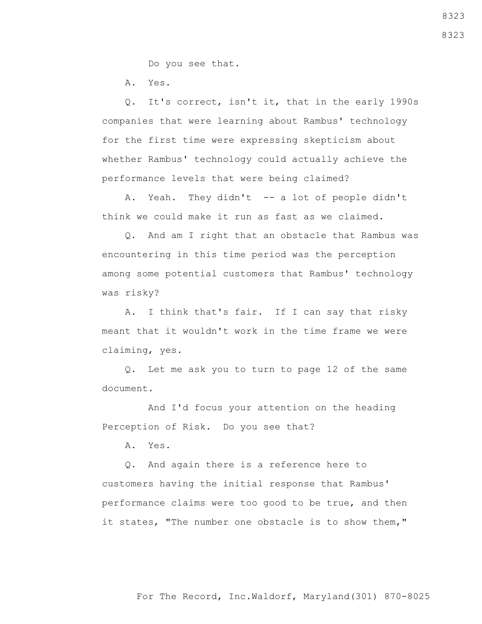Do you see that.

A. Yes.

 Q. It's correct, isn't it, that in the early 1990s companies that were learning about Rambus' technology for the first time were expressing skepticism about whether Rambus' technology could actually achieve the performance levels that were being claimed?

A. Yeah. They didn't -- a lot of people didn't think we could make it run as fast as we claimed.

 Q. And am I right that an obstacle that Rambus was encountering in this time period was the perception among some potential customers that Rambus' technology was risky?

 A. I think that's fair. If I can say that risky meant that it wouldn't work in the time frame we were claiming, yes.

 Q. Let me ask you to turn to page 12 of the same document.

 And I'd focus your attention on the heading Perception of Risk. Do you see that?

A. Yes.

 Q. And again there is a reference here to customers having the initial response that Rambus' performance claims were too good to be true, and then it states, "The number one obstacle is to show them,"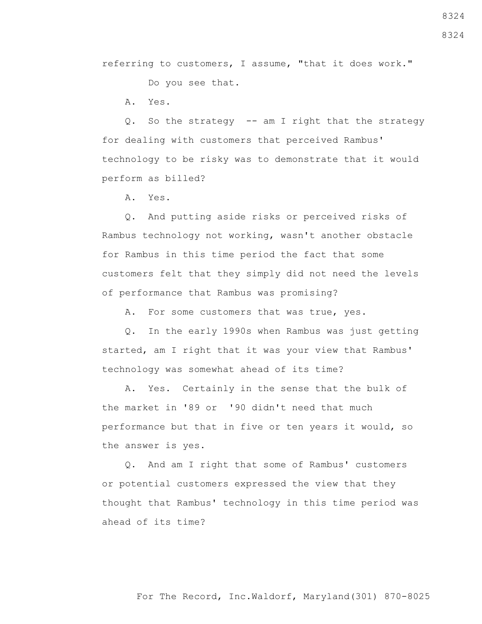referring to customers, I assume, "that it does work."

Do you see that.

A. Yes.

 Q. So the strategy -- am I right that the strategy for dealing with customers that perceived Rambus' technology to be risky was to demonstrate that it would perform as billed?

A. Yes.

 Q. And putting aside risks or perceived risks of Rambus technology not working, wasn't another obstacle for Rambus in this time period the fact that some customers felt that they simply did not need the levels of performance that Rambus was promising?

A. For some customers that was true, yes.

 Q. In the early 1990s when Rambus was just getting started, am I right that it was your view that Rambus' technology was somewhat ahead of its time?

 A. Yes. Certainly in the sense that the bulk of the market in '89 or '90 didn't need that much performance but that in five or ten years it would, so the answer is yes.

 Q. And am I right that some of Rambus' customers or potential customers expressed the view that they thought that Rambus' technology in this time period was ahead of its time?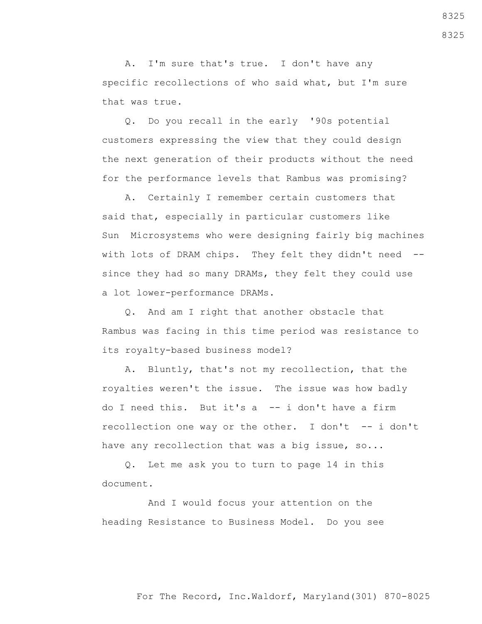A. I'm sure that's true. I don't have any specific recollections of who said what, but I'm sure that was true.

 Q. Do you recall in the early '90s potential customers expressing the view that they could design the next generation of their products without the need for the performance levels that Rambus was promising?

 A. Certainly I remember certain customers that said that, especially in particular customers like Sun Microsystems who were designing fairly big machines with lots of DRAM chips. They felt they didn't need -since they had so many DRAMs, they felt they could use a lot lower-performance DRAMs.

 Q. And am I right that another obstacle that Rambus was facing in this time period was resistance to its royalty-based business model?

 A. Bluntly, that's not my recollection, that the royalties weren't the issue. The issue was how badly do I need this. But it's a -- i don't have a firm recollection one way or the other. I don't -- i don't have any recollection that was a big issue, so...

 Q. Let me ask you to turn to page 14 in this document.

 And I would focus your attention on the heading Resistance to Business Model. Do you see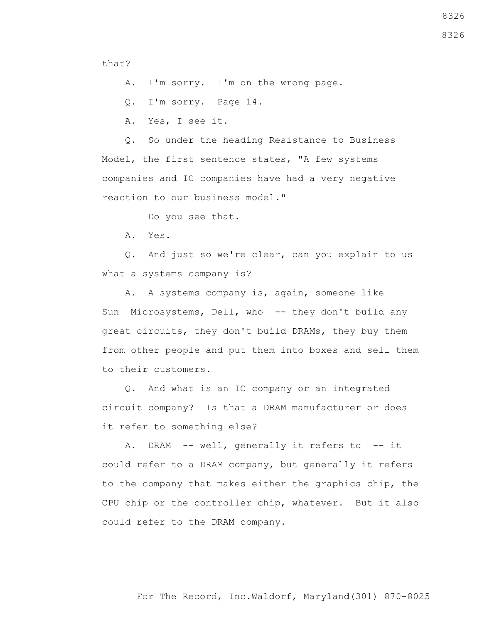that?

A. I'm sorry. I'm on the wrong page.

Q. I'm sorry. Page 14.

A. Yes, I see it.

 Q. So under the heading Resistance to Business Model, the first sentence states, "A few systems companies and IC companies have had a very negative reaction to our business model."

Do you see that.

A. Yes.

 Q. And just so we're clear, can you explain to us what a systems company is?

 A. A systems company is, again, someone like Sun Microsystems, Dell, who -- they don't build any great circuits, they don't build DRAMs, they buy them from other people and put them into boxes and sell them to their customers.

 Q. And what is an IC company or an integrated circuit company? Is that a DRAM manufacturer or does it refer to something else?

A. DRAM -- well, generally it refers to -- it could refer to a DRAM company, but generally it refers to the company that makes either the graphics chip, the CPU chip or the controller chip, whatever. But it also could refer to the DRAM company.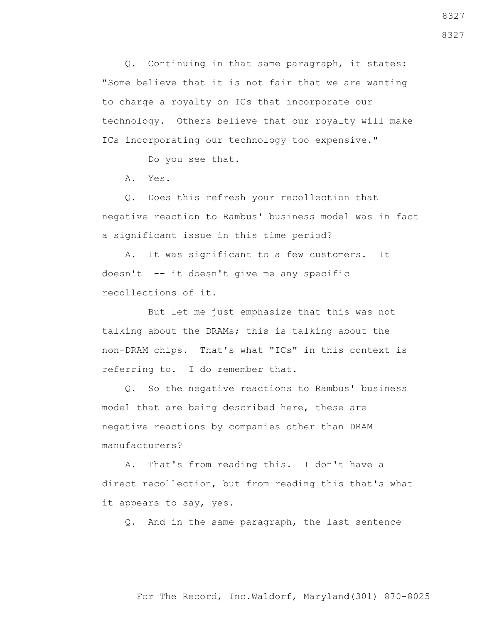Q. Continuing in that same paragraph, it states: "Some believe that it is not fair that we are wanting to charge a royalty on ICs that incorporate our technology. Others believe that our royalty will make ICs incorporating our technology too expensive."

Do you see that.

A. Yes.

 Q. Does this refresh your recollection that negative reaction to Rambus' business model was in fact a significant issue in this time period?

 A. It was significant to a few customers. It doesn't -- it doesn't give me any specific recollections of it.

 But let me just emphasize that this was not talking about the DRAMs; this is talking about the non-DRAM chips. That's what "ICs" in this context is referring to. I do remember that.

 Q. So the negative reactions to Rambus' business model that are being described here, these are negative reactions by companies other than DRAM manufacturers?

 A. That's from reading this. I don't have a direct recollection, but from reading this that's what it appears to say, yes.

Q. And in the same paragraph, the last sentence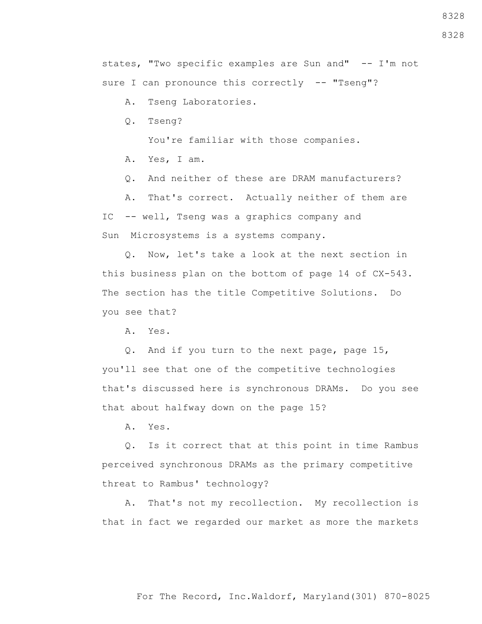states, "Two specific examples are Sun and" -- I'm not sure I can pronounce this correctly -- "Tseng"?

A. Tseng Laboratories.

Q. Tseng?

You're familiar with those companies.

A. Yes, I am.

Q. And neither of these are DRAM manufacturers?

 A. That's correct. Actually neither of them are IC -- well, Tseng was a graphics company and Sun Microsystems is a systems company.

 Q. Now, let's take a look at the next section in this business plan on the bottom of page 14 of CX-543. The section has the title Competitive Solutions. Do you see that?

A. Yes.

 Q. And if you turn to the next page, page 15, you'll see that one of the competitive technologies that's discussed here is synchronous DRAMs. Do you see that about halfway down on the page 15?

A. Yes.

 Q. Is it correct that at this point in time Rambus perceived synchronous DRAMs as the primary competitive threat to Rambus' technology?

 A. That's not my recollection. My recollection is that in fact we regarded our market as more the markets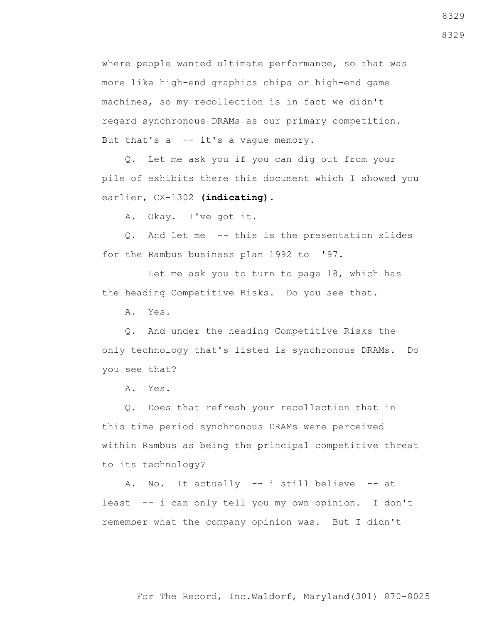where people wanted ultimate performance, so that was more like high-end graphics chips or high-end game machines, so my recollection is in fact we didn't regard synchronous DRAMs as our primary competition. But that's  $a \leftarrow it's a \text{ vague memory.}$ 

 Q. Let me ask you if you can dig out from your pile of exhibits there this document which I showed you earlier, CX-1302 **(indicating)**.

A. Okay. I've got it.

 Q. And let me -- this is the presentation slides for the Rambus business plan 1992 to '97.

 Let me ask you to turn to page 18, which has the heading Competitive Risks. Do you see that.

A. Yes.

 Q. And under the heading Competitive Risks the only technology that's listed is synchronous DRAMs. Do you see that?

A. Yes.

 Q. Does that refresh your recollection that in this time period synchronous DRAMs were perceived within Rambus as being the principal competitive threat to its technology?

 A. No. It actually -- i still believe -- at least -- i can only tell you my own opinion. I don't remember what the company opinion was. But I didn't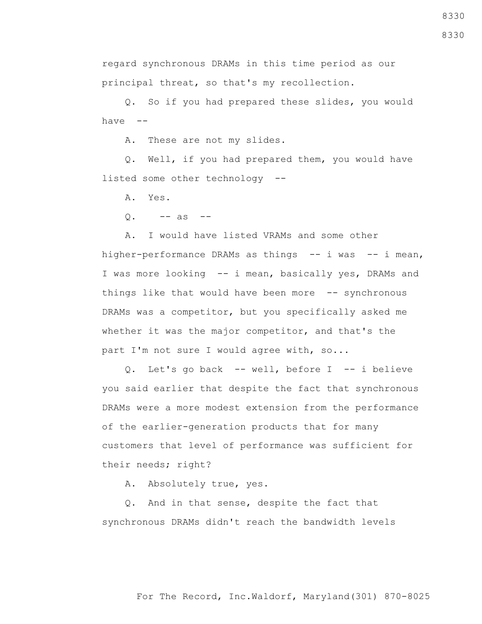regard synchronous DRAMs in this time period as our

principal threat, so that's my recollection.

 Q. So if you had prepared these slides, you would have --

A. These are not my slides.

 Q. Well, if you had prepared them, you would have listed some other technology --

A. Yes.

 $Q. \t --$  as  $-$ 

 A. I would have listed VRAMs and some other higher-performance DRAMs as things -- i was -- i mean, I was more looking -- i mean, basically yes, DRAMs and things like that would have been more -- synchronous DRAMs was a competitor, but you specifically asked me whether it was the major competitor, and that's the part I'm not sure I would agree with, so...

 Q. Let's go back -- well, before I -- i believe you said earlier that despite the fact that synchronous DRAMs were a more modest extension from the performance of the earlier-generation products that for many customers that level of performance was sufficient for their needs; right?

A. Absolutely true, yes.

 Q. And in that sense, despite the fact that synchronous DRAMs didn't reach the bandwidth levels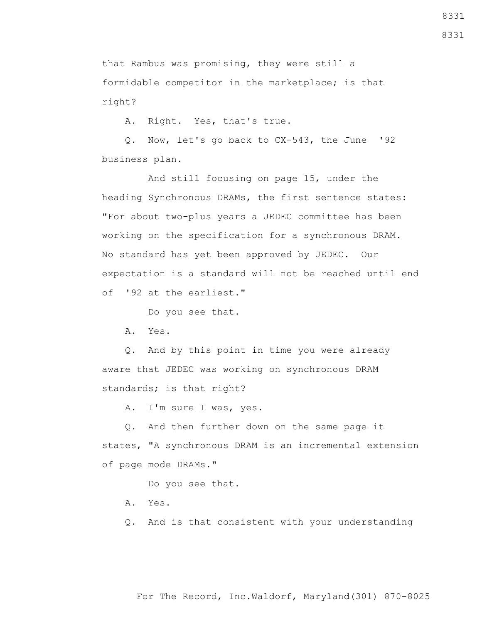8331

that Rambus was promising, they were still a formidable competitor in the marketplace; is that right?

A. Right. Yes, that's true.

 Q. Now, let's go back to CX-543, the June '92 business plan.

 And still focusing on page 15, under the heading Synchronous DRAMs, the first sentence states: "For about two-plus years a JEDEC committee has been working on the specification for a synchronous DRAM. No standard has yet been approved by JEDEC. Our expectation is a standard will not be reached until end of '92 at the earliest."

Do you see that.

A. Yes.

 Q. And by this point in time you were already aware that JEDEC was working on synchronous DRAM standards; is that right?

A. I'm sure I was, yes.

 Q. And then further down on the same page it states, "A synchronous DRAM is an incremental extension of page mode DRAMs."

Do you see that.

- A. Yes.
- Q. And is that consistent with your understanding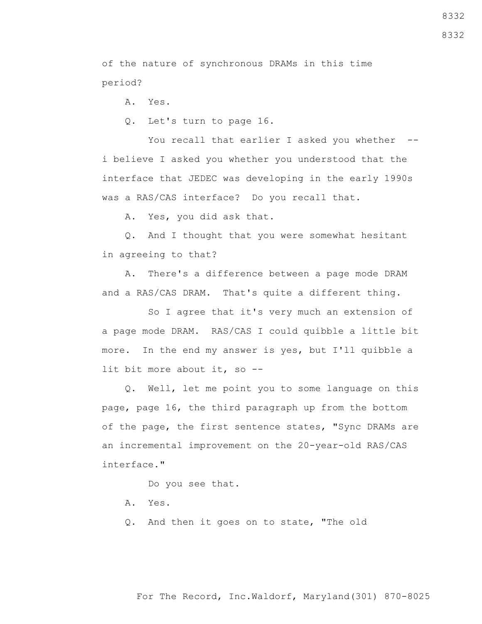8332

of the nature of synchronous DRAMs in this time period?

A. Yes.

Q. Let's turn to page 16.

You recall that earlier I asked you whether -i believe I asked you whether you understood that the interface that JEDEC was developing in the early 1990s was a RAS/CAS interface? Do you recall that.

A. Yes, you did ask that.

 Q. And I thought that you were somewhat hesitant in agreeing to that?

 A. There's a difference between a page mode DRAM and a RAS/CAS DRAM. That's quite a different thing.

 So I agree that it's very much an extension of a page mode DRAM. RAS/CAS I could quibble a little bit more. In the end my answer is yes, but I'll quibble a lit bit more about it, so --

 Q. Well, let me point you to some language on this page, page 16, the third paragraph up from the bottom of the page, the first sentence states, "Sync DRAMs are an incremental improvement on the 20-year-old RAS/CAS interface."

Do you see that.

- A. Yes.
- Q. And then it goes on to state, "The old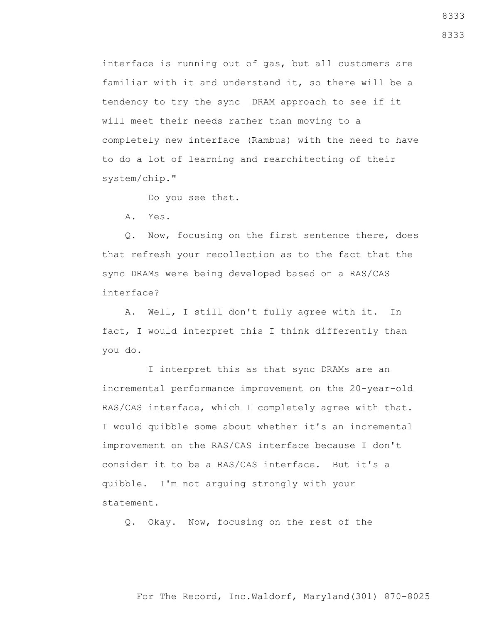interface is running out of gas, but all customers are familiar with it and understand it, so there will be a tendency to try the sync DRAM approach to see if it will meet their needs rather than moving to a completely new interface (Rambus) with the need to have to do a lot of learning and rearchitecting of their system/chip."

Do you see that.

A. Yes.

 Q. Now, focusing on the first sentence there, does that refresh your recollection as to the fact that the sync DRAMs were being developed based on a RAS/CAS interface?

 A. Well, I still don't fully agree with it. In fact, I would interpret this I think differently than you do.

 I interpret this as that sync DRAMs are an incremental performance improvement on the 20-year-old RAS/CAS interface, which I completely agree with that. I would quibble some about whether it's an incremental improvement on the RAS/CAS interface because I don't consider it to be a RAS/CAS interface. But it's a quibble. I'm not arguing strongly with your statement.

Q. Okay. Now, focusing on the rest of the

For The Record, Inc.Waldorf, Maryland(301) 870-8025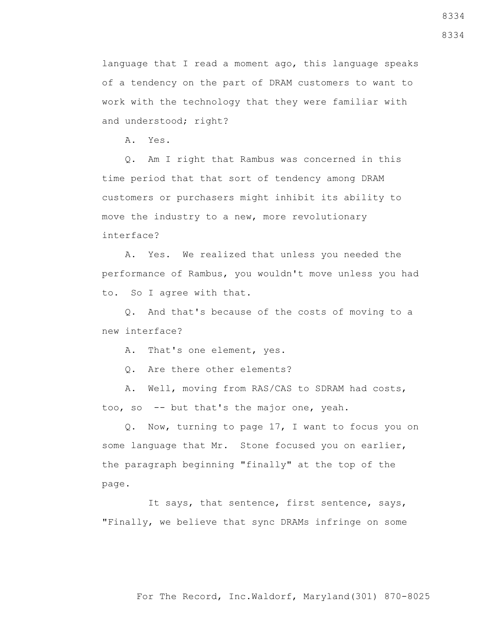language that I read a moment ago, this language speaks of a tendency on the part of DRAM customers to want to work with the technology that they were familiar with and understood; right?

A. Yes.

 Q. Am I right that Rambus was concerned in this time period that that sort of tendency among DRAM customers or purchasers might inhibit its ability to move the industry to a new, more revolutionary interface?

 A. Yes. We realized that unless you needed the performance of Rambus, you wouldn't move unless you had to. So I agree with that.

 Q. And that's because of the costs of moving to a new interface?

A. That's one element, yes.

Q. Are there other elements?

 A. Well, moving from RAS/CAS to SDRAM had costs, too, so -- but that's the major one, yeah.

 Q. Now, turning to page 17, I want to focus you on some language that Mr. Stone focused you on earlier, the paragraph beginning "finally" at the top of the page.

 It says, that sentence, first sentence, says, "Finally, we believe that sync DRAMs infringe on some

For The Record, Inc.Waldorf, Maryland(301) 870-8025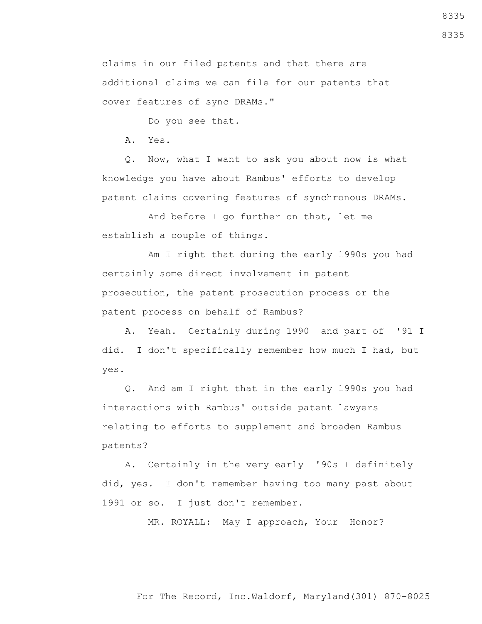claims in our filed patents and that there are additional claims we can file for our patents that cover features of sync DRAMs."

Do you see that.

A. Yes.

 Q. Now, what I want to ask you about now is what knowledge you have about Rambus' efforts to develop patent claims covering features of synchronous DRAMs.

 And before I go further on that, let me establish a couple of things.

 Am I right that during the early 1990s you had certainly some direct involvement in patent prosecution, the patent prosecution process or the patent process on behalf of Rambus?

 A. Yeah. Certainly during 1990 and part of '91 I did. I don't specifically remember how much I had, but yes.

 Q. And am I right that in the early 1990s you had interactions with Rambus' outside patent lawyers relating to efforts to supplement and broaden Rambus patents?

 A. Certainly in the very early '90s I definitely did, yes. I don't remember having too many past about 1991 or so. I just don't remember.

MR. ROYALL: May I approach, Your Honor?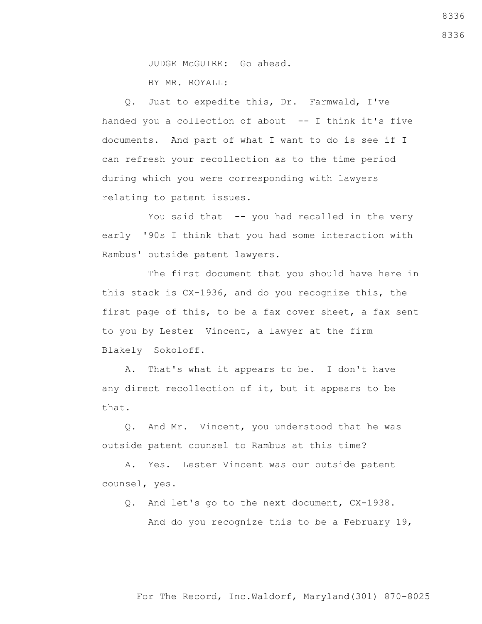8336

8336

JUDGE McGUIRE: Go ahead.

BY MR. ROYALL:

 Q. Just to expedite this, Dr. Farmwald, I've handed you a collection of about -- I think it's five documents. And part of what I want to do is see if I can refresh your recollection as to the time period during which you were corresponding with lawyers relating to patent issues.

You said that -- you had recalled in the very early '90s I think that you had some interaction with Rambus' outside patent lawyers.

 The first document that you should have here in this stack is CX-1936, and do you recognize this, the first page of this, to be a fax cover sheet, a fax sent to you by Lester Vincent, a lawyer at the firm Blakely Sokoloff.

 A. That's what it appears to be. I don't have any direct recollection of it, but it appears to be that.

 Q. And Mr. Vincent, you understood that he was outside patent counsel to Rambus at this time?

 A. Yes. Lester Vincent was our outside patent counsel, yes.

Q. And let's go to the next document, CX-1938.

And do you recognize this to be a February 19,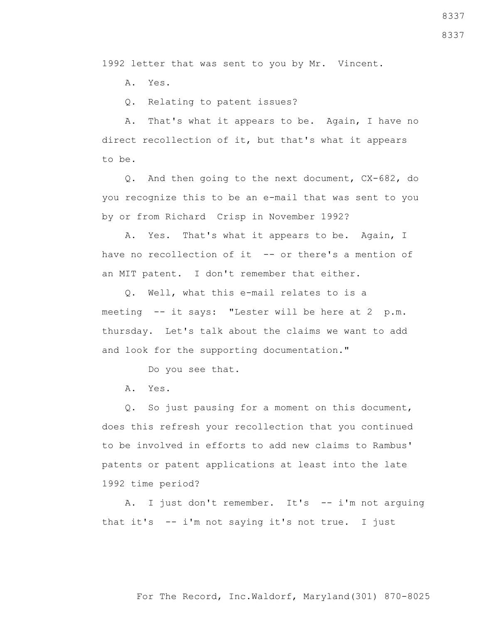1992 letter that was sent to you by Mr. Vincent.

A. Yes.

Q. Relating to patent issues?

 A. That's what it appears to be. Again, I have no direct recollection of it, but that's what it appears to be.

 Q. And then going to the next document, CX-682, do you recognize this to be an e-mail that was sent to you by or from Richard Crisp in November 1992?

 A. Yes. That's what it appears to be. Again, I have no recollection of it -- or there's a mention of an MIT patent. I don't remember that either.

 Q. Well, what this e-mail relates to is a meeting -- it says: "Lester will be here at 2 p.m. thursday. Let's talk about the claims we want to add and look for the supporting documentation."

Do you see that.

A. Yes.

 Q. So just pausing for a moment on this document, does this refresh your recollection that you continued to be involved in efforts to add new claims to Rambus' patents or patent applications at least into the late 1992 time period?

 A. I just don't remember. It's -- i'm not arguing that it's -- i'm not saying it's not true. I just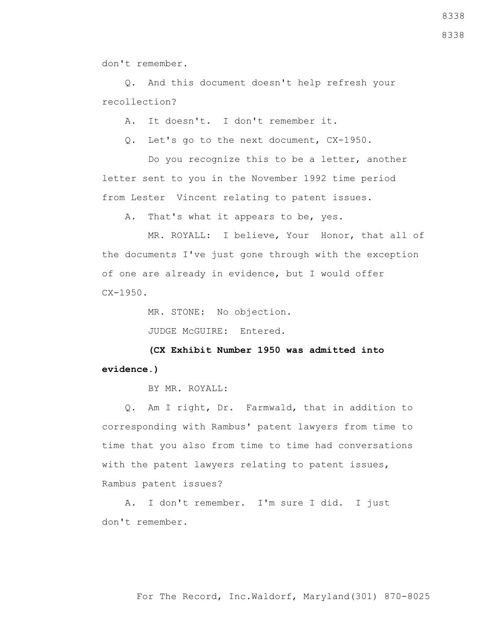don't remember.

 Q. And this document doesn't help refresh your recollection?

A. It doesn't. I don't remember it.

Q. Let's go to the next document, CX-1950.

 Do you recognize this to be a letter, another letter sent to you in the November 1992 time period from Lester Vincent relating to patent issues.

A. That's what it appears to be, yes.

 MR. ROYALL: I believe, Your Honor, that all of the documents I've just gone through with the exception of one are already in evidence, but I would offer  $CX-1950.$ 

MR. STONE: No objection.

JUDGE McGUIRE: Entered.

 **(CX Exhibit Number 1950 was admitted into evidence.)**

BY MR. ROYALL:

 Q. Am I right, Dr. Farmwald, that in addition to corresponding with Rambus' patent lawyers from time to time that you also from time to time had conversations with the patent lawyers relating to patent issues, Rambus patent issues?

 A. I don't remember. I'm sure I did. I just don't remember.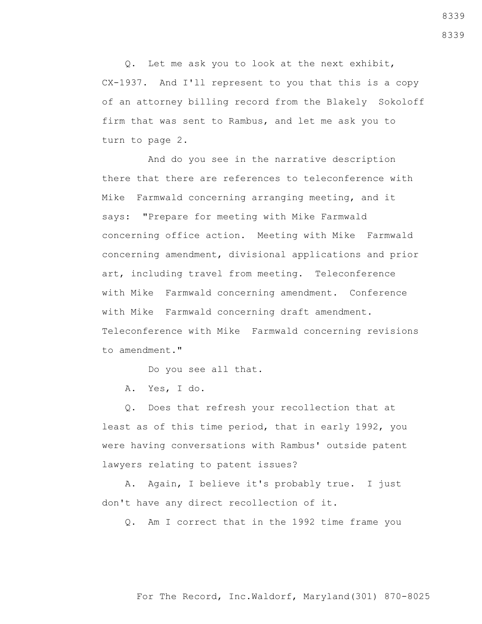Q. Let me ask you to look at the next exhibit, CX-1937. And I'll represent to you that this is a copy of an attorney billing record from the Blakely Sokoloff firm that was sent to Rambus, and let me ask you to turn to page 2.

 And do you see in the narrative description there that there are references to teleconference with Mike Farmwald concerning arranging meeting, and it says: "Prepare for meeting with Mike Farmwald concerning office action. Meeting with Mike Farmwald concerning amendment, divisional applications and prior art, including travel from meeting. Teleconference with Mike Farmwald concerning amendment. Conference with Mike Farmwald concerning draft amendment. Teleconference with Mike Farmwald concerning revisions to amendment."

Do you see all that.

A. Yes, I do.

 Q. Does that refresh your recollection that at least as of this time period, that in early 1992, you were having conversations with Rambus' outside patent lawyers relating to patent issues?

 A. Again, I believe it's probably true. I just don't have any direct recollection of it.

Q. Am I correct that in the 1992 time frame you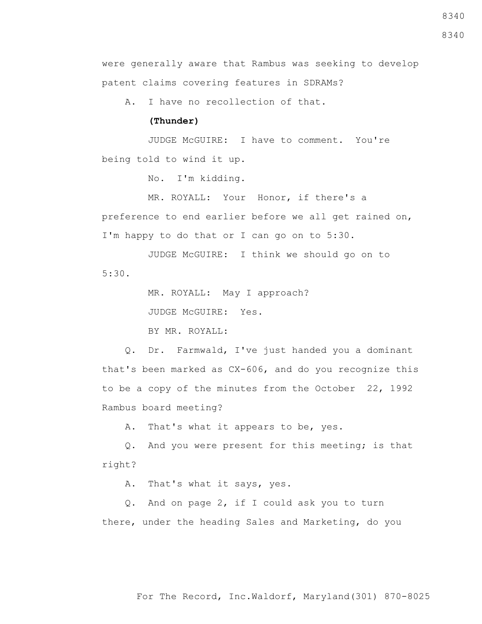8340

were generally aware that Rambus was seeking to develop patent claims covering features in SDRAMs?

A. I have no recollection of that.

## **(Thunder)**

 JUDGE McGUIRE: I have to comment. You're being told to wind it up.

No. I'm kidding.

 MR. ROYALL: Your Honor, if there's a preference to end earlier before we all get rained on, I'm happy to do that or I can go on to 5:30.

JUDGE McGUIRE: I think we should go on to

MR. ROYALL: May I approach?

JUDGE McGUIRE: Yes.

BY MR. ROYALL:

 Q. Dr. Farmwald, I've just handed you a dominant that's been marked as CX-606, and do you recognize this to be a copy of the minutes from the October 22, 1992 Rambus board meeting?

A. That's what it appears to be, yes.

 Q. And you were present for this meeting; is that right?

A. That's what it says, yes.

 Q. And on page 2, if I could ask you to turn there, under the heading Sales and Marketing, do you

#### 5:30.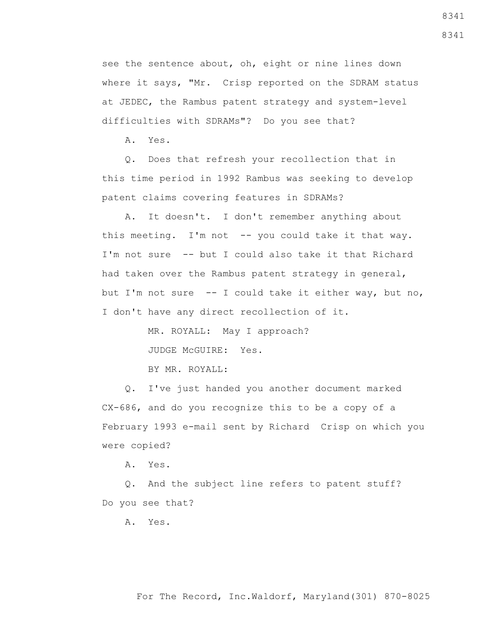see the sentence about, oh, eight or nine lines down where it says, "Mr. Crisp reported on the SDRAM status at JEDEC, the Rambus patent strategy and system-level difficulties with SDRAMs"? Do you see that?

A. Yes.

 Q. Does that refresh your recollection that in this time period in 1992 Rambus was seeking to develop patent claims covering features in SDRAMs?

 A. It doesn't. I don't remember anything about this meeting. I'm not  $-$ - you could take it that way. I'm not sure -- but I could also take it that Richard had taken over the Rambus patent strategy in general, but I'm not sure -- I could take it either way, but no, I don't have any direct recollection of it.

MR. ROYALL: May I approach?

JUDGE McGUIRE: Yes.

BY MR. ROYALL:

 Q. I've just handed you another document marked CX-686, and do you recognize this to be a copy of a February 1993 e-mail sent by Richard Crisp on which you were copied?

A. Yes.

 Q. And the subject line refers to patent stuff? Do you see that?

A. Yes.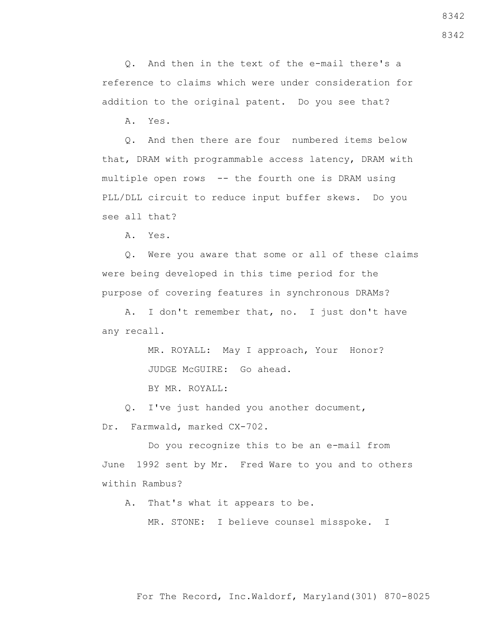Q. And then in the text of the e-mail there's a reference to claims which were under consideration for addition to the original patent. Do you see that?

A. Yes.

 Q. And then there are four numbered items below that, DRAM with programmable access latency, DRAM with multiple open rows -- the fourth one is DRAM using PLL/DLL circuit to reduce input buffer skews. Do you see all that?

A. Yes.

 Q. Were you aware that some or all of these claims were being developed in this time period for the purpose of covering features in synchronous DRAMs?

 A. I don't remember that, no. I just don't have any recall.

> MR. ROYALL: May I approach, Your Honor? JUDGE McGUIRE: Go ahead.

BY MR. ROYALL:

 Q. I've just handed you another document, Dr. Farmwald, marked CX-702.

 Do you recognize this to be an e-mail from June 1992 sent by Mr. Fred Ware to you and to others within Rambus?

A. That's what it appears to be.

MR. STONE: I believe counsel misspoke. I

8342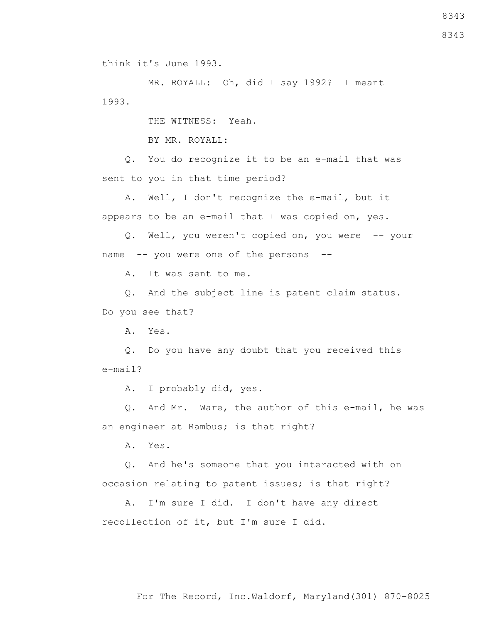think it's June 1993.

 MR. ROYALL: Oh, did I say 1992? I meant 1993.

THE WITNESS: Yeah.

BY MR. ROYALL:

 Q. You do recognize it to be an e-mail that was sent to you in that time period?

 A. Well, I don't recognize the e-mail, but it appears to be an e-mail that I was copied on, yes.

 Q. Well, you weren't copied on, you were -- your name -- you were one of the persons --

A. It was sent to me.

 Q. And the subject line is patent claim status. Do you see that?

A. Yes.

 Q. Do you have any doubt that you received this e-mail?

A. I probably did, yes.

 Q. And Mr. Ware, the author of this e-mail, he was an engineer at Rambus; is that right?

A. Yes.

 Q. And he's someone that you interacted with on occasion relating to patent issues; is that right?

 A. I'm sure I did. I don't have any direct recollection of it, but I'm sure I did.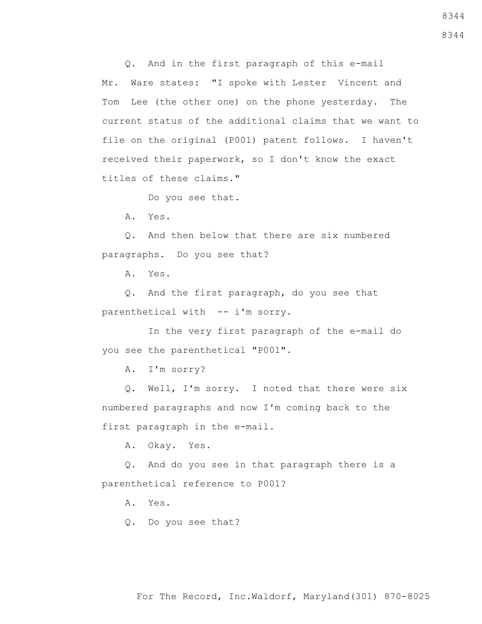Q. And in the first paragraph of this e-mail Mr. Ware states: "I spoke with Lester Vincent and Tom Lee (the other one) on the phone yesterday. The current status of the additional claims that we want to file on the original (P001) patent follows. I haven't received their paperwork, so I don't know the exact titles of these claims."

Do you see that.

A. Yes.

 Q. And then below that there are six numbered paragraphs. Do you see that?

A. Yes.

 Q. And the first paragraph, do you see that parenthetical with -- i'm sorry.

 In the very first paragraph of the e-mail do you see the parenthetical "P001".

A. I'm sorry?

 Q. Well, I'm sorry. I noted that there were six numbered paragraphs and now I'm coming back to the first paragraph in the e-mail.

A. Okay. Yes.

 Q. And do you see in that paragraph there is a parenthetical reference to P001?

A. Yes.

Q. Do you see that?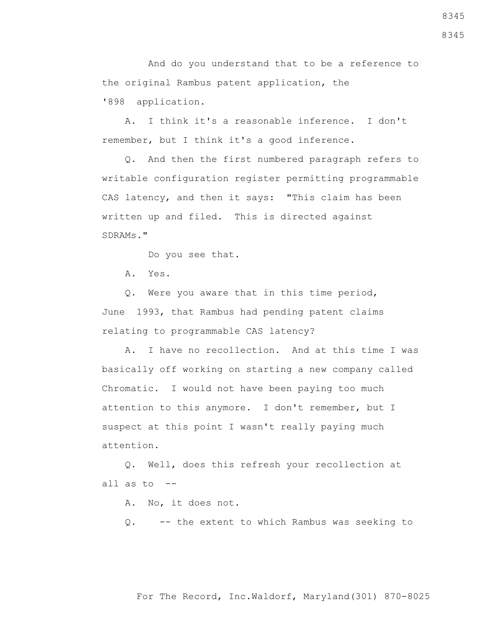And do you understand that to be a reference to the original Rambus patent application, the '898 application.

 A. I think it's a reasonable inference. I don't remember, but I think it's a good inference.

 Q. And then the first numbered paragraph refers to writable configuration register permitting programmable CAS latency, and then it says: "This claim has been written up and filed. This is directed against SDRAMs."

Do you see that.

A. Yes.

 Q. Were you aware that in this time period, June 1993, that Rambus had pending patent claims relating to programmable CAS latency?

 A. I have no recollection. And at this time I was basically off working on starting a new company called Chromatic. I would not have been paying too much attention to this anymore. I don't remember, but I suspect at this point I wasn't really paying much attention.

 Q. Well, does this refresh your recollection at all as to --

A. No, it does not.

Q. -- the extent to which Rambus was seeking to

8345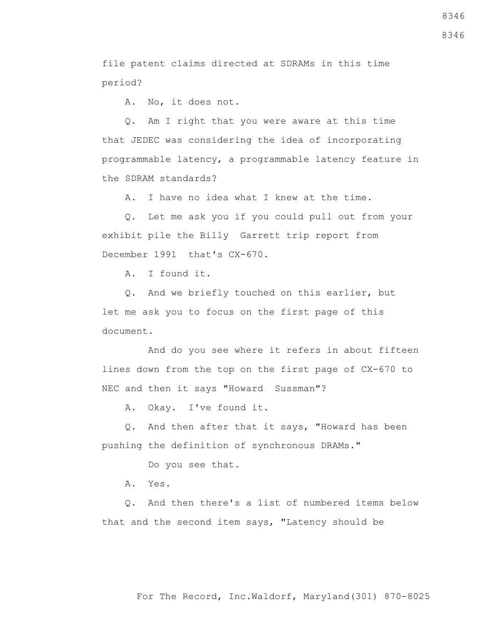file patent claims directed at SDRAMs in this time period?

A. No, it does not.

 Q. Am I right that you were aware at this time that JEDEC was considering the idea of incorporating programmable latency, a programmable latency feature in the SDRAM standards?

A. I have no idea what I knew at the time.

 Q. Let me ask you if you could pull out from your exhibit pile the Billy Garrett trip report from December 1991 that's CX-670.

A. I found it.

 Q. And we briefly touched on this earlier, but let me ask you to focus on the first page of this document.

 And do you see where it refers in about fifteen lines down from the top on the first page of CX-670 to NEC and then it says "Howard Sussman"?

A. Okay. I've found it.

 Q. And then after that it says, "Howard has been pushing the definition of synchronous DRAMs."

Do you see that.

A. Yes.

 Q. And then there's a list of numbered items below that and the second item says, "Latency should be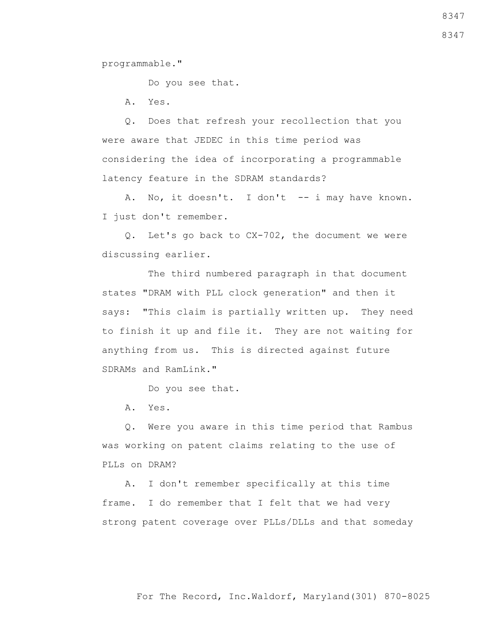programmable."

Do you see that.

A. Yes.

 Q. Does that refresh your recollection that you were aware that JEDEC in this time period was considering the idea of incorporating a programmable latency feature in the SDRAM standards?

A. No, it doesn't. I don't -- i may have known. I just don't remember.

 Q. Let's go back to CX-702, the document we were discussing earlier.

 The third numbered paragraph in that document states "DRAM with PLL clock generation" and then it says: "This claim is partially written up. They need to finish it up and file it. They are not waiting for anything from us. This is directed against future SDRAMs and RamLink."

Do you see that.

A. Yes.

 Q. Were you aware in this time period that Rambus was working on patent claims relating to the use of PLLs on DRAM?

 A. I don't remember specifically at this time frame. I do remember that I felt that we had very strong patent coverage over PLLs/DLLs and that someday

For The Record, Inc.Waldorf, Maryland(301) 870-8025

8347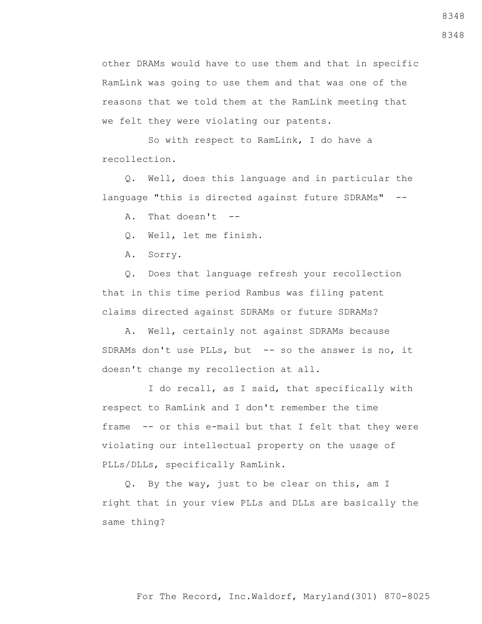other DRAMs would have to use them and that in specific RamLink was going to use them and that was one of the reasons that we told them at the RamLink meeting that we felt they were violating our patents.

 So with respect to RamLink, I do have a recollection.

 Q. Well, does this language and in particular the language "this is directed against future SDRAMs" --

A. That doesn't --

Q. Well, let me finish.

A. Sorry.

 Q. Does that language refresh your recollection that in this time period Rambus was filing patent claims directed against SDRAMs or future SDRAMs?

 A. Well, certainly not against SDRAMs because SDRAMs don't use PLLs, but -- so the answer is no, it doesn't change my recollection at all.

 I do recall, as I said, that specifically with respect to RamLink and I don't remember the time frame -- or this e-mail but that I felt that they were violating our intellectual property on the usage of PLLs/DLLs, specifically RamLink.

 Q. By the way, just to be clear on this, am I right that in your view PLLs and DLLs are basically the same thing?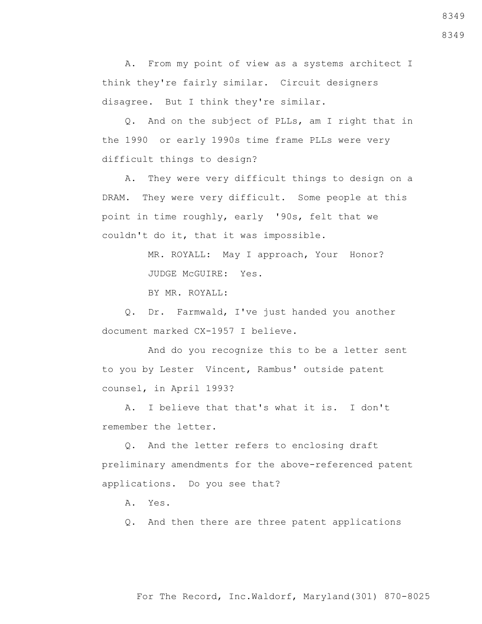A. From my point of view as a systems architect I think they're fairly similar. Circuit designers disagree. But I think they're similar.

 Q. And on the subject of PLLs, am I right that in the 1990 or early 1990s time frame PLLs were very difficult things to design?

 A. They were very difficult things to design on a DRAM. They were very difficult. Some people at this point in time roughly, early '90s, felt that we couldn't do it, that it was impossible.

> MR. ROYALL: May I approach, Your Honor? JUDGE McGUIRE: Yes.

BY MR. ROYALL:

 Q. Dr. Farmwald, I've just handed you another document marked CX-1957 I believe.

 And do you recognize this to be a letter sent to you by Lester Vincent, Rambus' outside patent counsel, in April 1993?

 A. I believe that that's what it is. I don't remember the letter.

 Q. And the letter refers to enclosing draft preliminary amendments for the above-referenced patent applications. Do you see that?

A. Yes.

Q. And then there are three patent applications

# For The Record, Inc.Waldorf, Maryland(301) 870-8025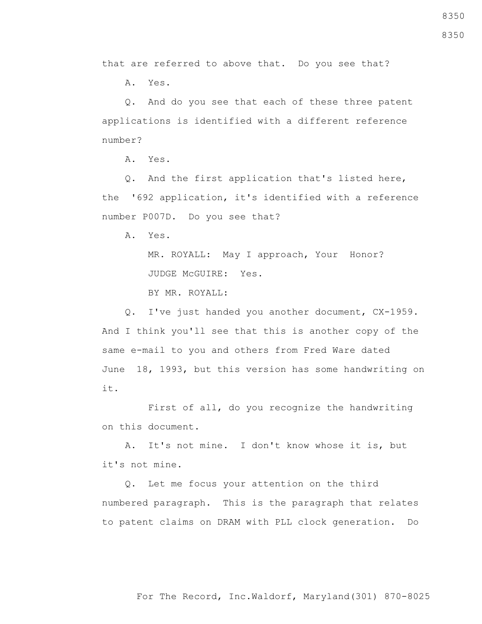that are referred to above that. Do you see that?

A. Yes.

 Q. And do you see that each of these three patent applications is identified with a different reference number?

A. Yes.

 Q. And the first application that's listed here, the '692 application, it's identified with a reference number P007D. Do you see that?

A. Yes.

 MR. ROYALL: May I approach, Your Honor? JUDGE McGUIRE: Yes.

BY MR. ROYALL:

 Q. I've just handed you another document, CX-1959. And I think you'll see that this is another copy of the same e-mail to you and others from Fred Ware dated June 18, 1993, but this version has some handwriting on it.

 First of all, do you recognize the handwriting on this document.

 A. It's not mine. I don't know whose it is, but it's not mine.

 Q. Let me focus your attention on the third numbered paragraph. This is the paragraph that relates to patent claims on DRAM with PLL clock generation. Do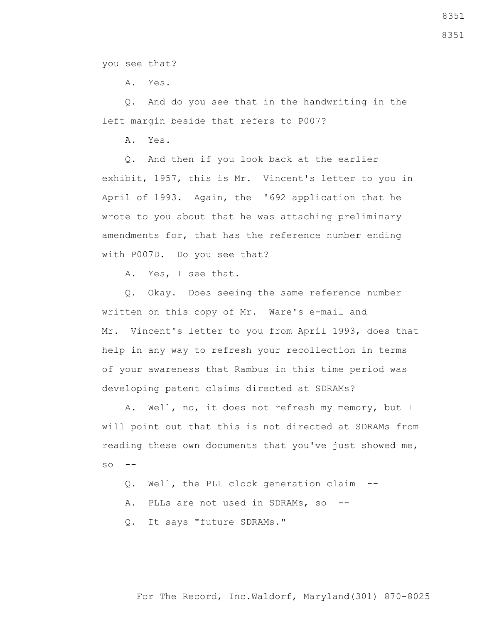you see that?

A. Yes.

 Q. And do you see that in the handwriting in the left margin beside that refers to P007?

A. Yes.

 Q. And then if you look back at the earlier exhibit, 1957, this is Mr. Vincent's letter to you in April of 1993. Again, the '692 application that he wrote to you about that he was attaching preliminary amendments for, that has the reference number ending with P007D. Do you see that?

A. Yes, I see that.

 Q. Okay. Does seeing the same reference number written on this copy of Mr. Ware's e-mail and Mr. Vincent's letter to you from April 1993, does that help in any way to refresh your recollection in terms of your awareness that Rambus in this time period was developing patent claims directed at SDRAMs?

 A. Well, no, it does not refresh my memory, but I will point out that this is not directed at SDRAMs from reading these own documents that you've just showed me,  $SO \leftarrow$ 

Q. Well, the PLL clock generation claim --

A. PLLs are not used in SDRAMs, so --

Q. It says "future SDRAMs."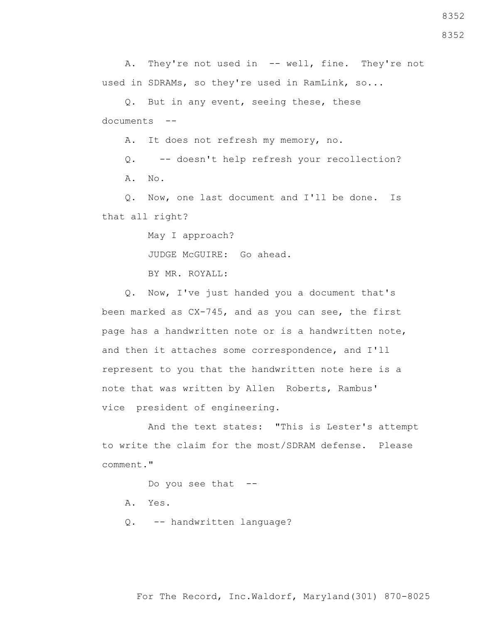8352

A. They're not used in -- well, fine. They're not used in SDRAMs, so they're used in RamLink, so...

 Q. But in any event, seeing these, these documents --

A. It does not refresh my memory, no.

 Q. -- doesn't help refresh your recollection? A. No.

 Q. Now, one last document and I'll be done. Is that all right?

May I approach?

JUDGE McGUIRE: Go ahead.

BY MR. ROYALL:

 Q. Now, I've just handed you a document that's been marked as CX-745, and as you can see, the first page has a handwritten note or is a handwritten note, and then it attaches some correspondence, and I'll represent to you that the handwritten note here is a note that was written by Allen Roberts, Rambus' vice president of engineering.

 And the text states: "This is Lester's attempt to write the claim for the most/SDRAM defense. Please comment."

Do you see that --

- A. Yes.
- Q. -- handwritten language?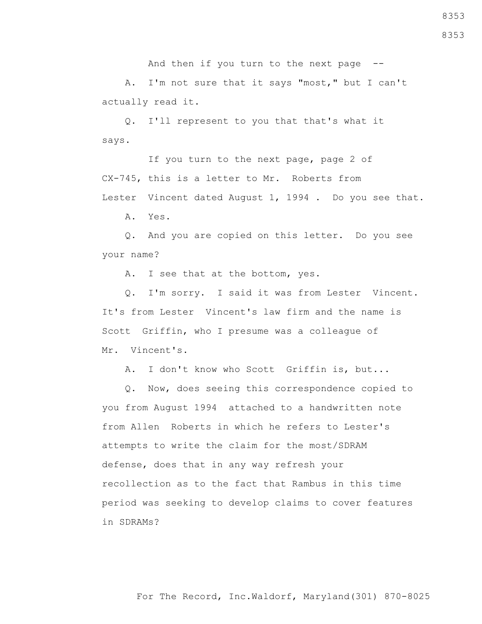And then if you turn to the next page --

 A. I'm not sure that it says "most," but I can't actually read it.

 Q. I'll represent to you that that's what it says.

 If you turn to the next page, page 2 of CX-745, this is a letter to Mr. Roberts from Lester Vincent dated August 1, 1994 . Do you see that.

A. Yes.

 Q. And you are copied on this letter. Do you see your name?

A. I see that at the bottom, yes.

 Q. I'm sorry. I said it was from Lester Vincent. It's from Lester Vincent's law firm and the name is Scott Griffin, who I presume was a colleague of Mr. Vincent's.

A. I don't know who Scott Griffin is, but...

 Q. Now, does seeing this correspondence copied to you from August 1994 attached to a handwritten note from Allen Roberts in which he refers to Lester's attempts to write the claim for the most/SDRAM defense, does that in any way refresh your recollection as to the fact that Rambus in this time period was seeking to develop claims to cover features in SDRAMs?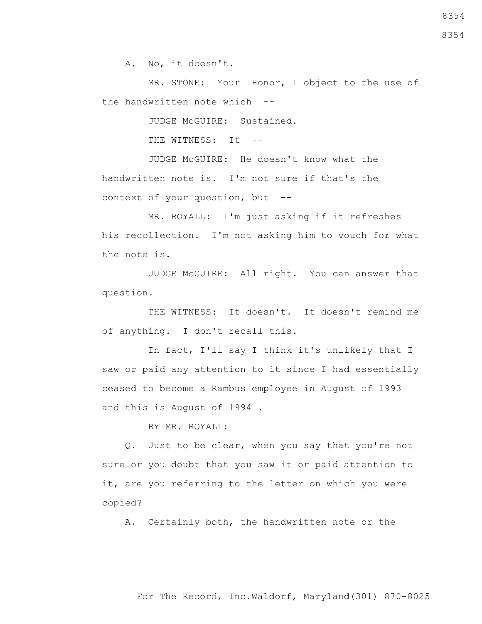A. No, it doesn't.

 MR. STONE: Your Honor, I object to the use of the handwritten note which --

JUDGE McGUIRE: Sustained.

THE WITNESS: It --

 JUDGE McGUIRE: He doesn't know what the handwritten note is. I'm not sure if that's the context of your question, but --

 MR. ROYALL: I'm just asking if it refreshes his recollection. I'm not asking him to vouch for what the note is.

 JUDGE McGUIRE: All right. You can answer that question.

 THE WITNESS: It doesn't. It doesn't remind me of anything. I don't recall this.

 In fact, I'll say I think it's unlikely that I saw or paid any attention to it since I had essentially ceased to become a Rambus employee in August of 1993 and this is August of 1994 .

BY MR. ROYALL:

 Q. Just to be clear, when you say that you're not sure or you doubt that you saw it or paid attention to it, are you referring to the letter on which you were copied?

A. Certainly both, the handwritten note or the

8354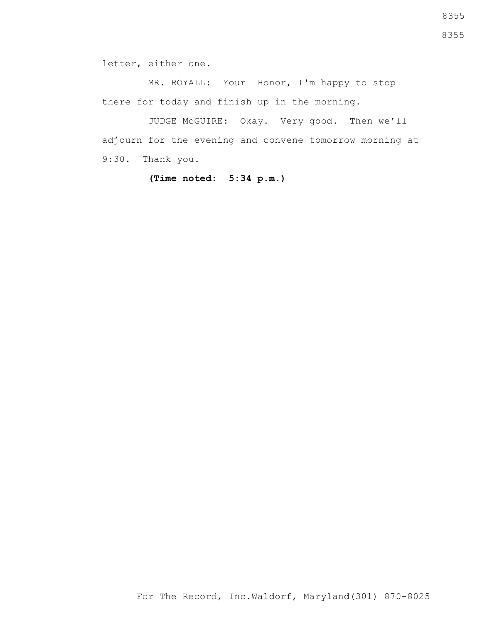letter, either one.

 MR. ROYALL: Your Honor, I'm happy to stop there for today and finish up in the morning.

 JUDGE McGUIRE: Okay. Very good. Then we'll adjourn for the evening and convene tomorrow morning at 9:30. Thank you.

**(Time noted: 5:34 p.m.)**